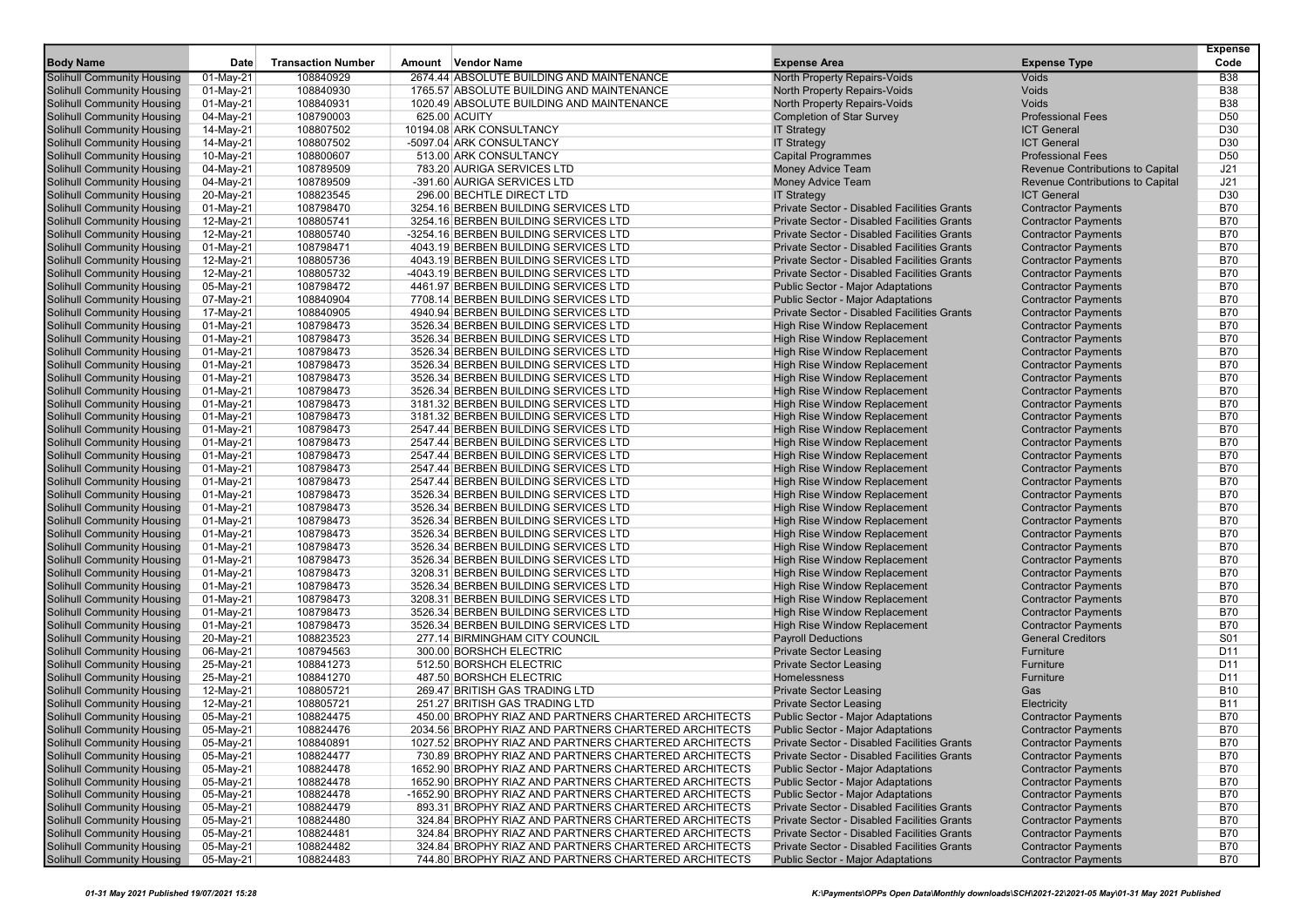|                                                                        |                         |                           |                                                                              |                                                                            |                                                          | <b>Expense</b>           |
|------------------------------------------------------------------------|-------------------------|---------------------------|------------------------------------------------------------------------------|----------------------------------------------------------------------------|----------------------------------------------------------|--------------------------|
| <b>Body Name</b>                                                       | Date                    | <b>Transaction Number</b> | Amount Vendor Name                                                           | <b>Expense Area</b>                                                        | <b>Expense Type</b>                                      | Code                     |
| <b>Solihull Community Housing</b>                                      | $\overline{01-M}$ ay-21 | 108840929                 | 2674.44 ABSOLUTE BUILDING AND MAINTENANCE                                    | North Property Repairs-Voids                                               | Voids                                                    | <b>B38</b>               |
| <b>Solihull Community Housing</b>                                      | 01-May-21               | 108840930                 | 1765.57 ABSOLUTE BUILDING AND MAINTENANCE                                    | <b>North Property Repairs-Voids</b>                                        | Voids                                                    | <b>B38</b>               |
| <b>Solihull Community Housing</b>                                      | 01-May-21               | 108840931                 | 1020.49 ABSOLUTE BUILDING AND MAINTENANCE                                    | North Property Repairs-Voids                                               | <b>Voids</b>                                             | <b>B38</b>               |
| <b>Solihull Community Housing</b>                                      | 04-May-21               | 108790003                 | 625.00 ACUITY                                                                | <b>Completion of Star Survey</b>                                           | <b>Professional Fees</b>                                 | D <sub>50</sub>          |
| <b>Solihull Community Housing</b>                                      | 14-May-21               | 108807502                 | 10194.08 ARK CONSULTANCY                                                     | <b>IT Strategy</b>                                                         | <b>ICT General</b>                                       | D <sub>30</sub>          |
| <b>Solihull Community Housing</b>                                      | 14-May-21               | 108807502                 | -5097.04 ARK CONSULTANCY                                                     | <b>IT Strategy</b>                                                         | <b>ICT General</b>                                       | D <sub>30</sub>          |
| <b>Solihull Community Housing</b>                                      | 10-May-21               | 108800607                 | 513.00 ARK CONSULTANCY                                                       | <b>Capital Programmes</b>                                                  | <b>Professional Fees</b>                                 | D <sub>50</sub>          |
| <b>Solihull Community Housing</b>                                      | 04-May-21               | 108789509                 | 783.20 AURIGA SERVICES LTD                                                   | Money Advice Team                                                          | Revenue Contributions to Capital                         | J21                      |
| <b>Solihull Community Housing</b>                                      | 04-May-21               | 108789509                 | -391.60 AURIGA SERVICES LTD                                                  | Money Advice Team                                                          | Revenue Contributions to Capital                         | J21                      |
| <b>Solihull Community Housing</b>                                      | 20-May-21               | 108823545                 | 296.00 BECHTLE DIRECT LTD                                                    | <b>IT Strategy</b>                                                         | <b>ICT General</b>                                       | D30                      |
| <b>Solihull Community Housing</b>                                      | 01-May-21               | 108798470                 | 3254.16 BERBEN BUILDING SERVICES LTD                                         | Private Sector - Disabled Facilities Grants                                | <b>Contractor Payments</b>                               | <b>B70</b>               |
| <b>Solihull Community Housing</b>                                      | 12-May-21               | 108805741                 | 3254.16 BERBEN BUILDING SERVICES LTD                                         | Private Sector - Disabled Facilities Grants                                | <b>Contractor Payments</b>                               | <b>B70</b>               |
| <b>Solihull Community Housing</b>                                      | 12-May-21               | 108805740                 | -3254.16 BERBEN BUILDING SERVICES LTD                                        | Private Sector - Disabled Facilities Grants                                | <b>Contractor Payments</b>                               | <b>B70</b>               |
| <b>Solihull Community Housing</b>                                      | 01-May-21               | 108798471                 | 4043.19 BERBEN BUILDING SERVICES LTD                                         | Private Sector - Disabled Facilities Grants                                | <b>Contractor Payments</b>                               | <b>B70</b>               |
| <b>Solihull Community Housing</b>                                      | 12-May-21               | 108805736                 | 4043.19 BERBEN BUILDING SERVICES LTD                                         | Private Sector - Disabled Facilities Grants                                | <b>Contractor Payments</b>                               | <b>B70</b>               |
| <b>Solihull Community Housing</b>                                      | 12-May-21               | 108805732                 | -4043.19 BERBEN BUILDING SERVICES LTD                                        | Private Sector - Disabled Facilities Grants                                | <b>Contractor Payments</b>                               | <b>B70</b>               |
| <b>Solihull Community Housing</b>                                      | 05-May-21               | 108798472                 | 4461.97 BERBEN BUILDING SERVICES LTD                                         | <b>Public Sector - Major Adaptations</b>                                   | <b>Contractor Payments</b>                               | <b>B70</b>               |
| <b>Solihull Community Housing</b>                                      | 07-May-21               | 108840904                 | 7708.14 BERBEN BUILDING SERVICES LTD                                         | <b>Public Sector - Major Adaptations</b>                                   | <b>Contractor Payments</b>                               | <b>B70</b>               |
| <b>Solihull Community Housing</b>                                      | 17-May-21               | 108840905                 | 4940.94 BERBEN BUILDING SERVICES LTD                                         | Private Sector - Disabled Facilities Grants                                | <b>Contractor Payments</b>                               | <b>B70</b>               |
| <b>Solihull Community Housing</b>                                      | 01-May-21               | 108798473                 | 3526.34 BERBEN BUILDING SERVICES LTD                                         | <b>High Rise Window Replacement</b>                                        | <b>Contractor Payments</b>                               | <b>B70</b>               |
| <b>Solihull Community Housing</b>                                      | 01-May-21               | 108798473                 | 3526.34 BERBEN BUILDING SERVICES LTD                                         | <b>High Rise Window Replacement</b>                                        | <b>Contractor Payments</b>                               | <b>B70</b>               |
| <b>Solihull Community Housing</b>                                      | 01-May-21               | 108798473                 | 3526.34 BERBEN BUILDING SERVICES LTD                                         | <b>High Rise Window Replacement</b>                                        | <b>Contractor Payments</b>                               | <b>B70</b>               |
| <b>Solihull Community Housing</b>                                      | 01-May-21               | 108798473                 | 3526.34 BERBEN BUILDING SERVICES LTD                                         | <b>High Rise Window Replacement</b>                                        | <b>Contractor Payments</b>                               | <b>B70</b>               |
| <b>Solihull Community Housing</b>                                      | 01-May-21               | 108798473                 | 3526.34 BERBEN BUILDING SERVICES LTD                                         | <b>High Rise Window Replacement</b>                                        | <b>Contractor Payments</b>                               | <b>B70</b>               |
| <b>Solihull Community Housing</b>                                      | 01-May-21               | 108798473                 | 3526.34 BERBEN BUILDING SERVICES LTD                                         | <b>High Rise Window Replacement</b>                                        | <b>Contractor Payments</b>                               | <b>B70</b>               |
| <b>Solihull Community Housing</b>                                      | 01-May-21               | 108798473                 | 3181.32 BERBEN BUILDING SERVICES LTD                                         | <b>High Rise Window Replacement</b>                                        | <b>Contractor Payments</b>                               | <b>B70</b>               |
| <b>Solihull Community Housing</b>                                      | 01-May-21               | 108798473                 | 3181.32 BERBEN BUILDING SERVICES LTD                                         | <b>High Rise Window Replacement</b>                                        | <b>Contractor Payments</b>                               | <b>B70</b>               |
| <b>Solihull Community Housing</b>                                      | 01-May-21               | 108798473                 | 2547.44 BERBEN BUILDING SERVICES LTD                                         | <b>High Rise Window Replacement</b>                                        | <b>Contractor Payments</b>                               | <b>B70</b>               |
| <b>Solihull Community Housing</b><br><b>Solihull Community Housing</b> | 01-May-21               | 108798473                 | 2547.44 BERBEN BUILDING SERVICES LTD<br>2547.44 BERBEN BUILDING SERVICES LTD | <b>High Rise Window Replacement</b>                                        | <b>Contractor Payments</b>                               | <b>B70</b><br><b>B70</b> |
|                                                                        | 01-May-21               | 108798473                 | 2547.44 BERBEN BUILDING SERVICES LTD                                         | <b>High Rise Window Replacement</b>                                        | <b>Contractor Payments</b>                               |                          |
| <b>Solihull Community Housing</b><br><b>Solihull Community Housing</b> | 01-May-21<br>01-May-21  | 108798473<br>108798473    | 2547.44 BERBEN BUILDING SERVICES LTD                                         | <b>High Rise Window Replacement</b><br><b>High Rise Window Replacement</b> | <b>Contractor Payments</b><br><b>Contractor Payments</b> | <b>B70</b><br><b>B70</b> |
| <b>Solihull Community Housing</b>                                      | 01-May-21               | 108798473                 | 3526.34 BERBEN BUILDING SERVICES LTD                                         | <b>High Rise Window Replacement</b>                                        | <b>Contractor Payments</b>                               | <b>B70</b>               |
| <b>Solihull Community Housing</b>                                      | 01-May-21               | 108798473                 | 3526.34 BERBEN BUILDING SERVICES LTD                                         | <b>High Rise Window Replacement</b>                                        | <b>Contractor Payments</b>                               | <b>B70</b>               |
| <b>Solihull Community Housing</b>                                      | 01-May-21               | 108798473                 | 3526.34 BERBEN BUILDING SERVICES LTD                                         | <b>High Rise Window Replacement</b>                                        | <b>Contractor Payments</b>                               | <b>B70</b>               |
| <b>Solihull Community Housing</b>                                      | 01-May-21               | 108798473                 | 3526.34 BERBEN BUILDING SERVICES LTD                                         | <b>High Rise Window Replacement</b>                                        | <b>Contractor Payments</b>                               | <b>B70</b>               |
| <b>Solihull Community Housing</b>                                      | 01-May-21               | 108798473                 | 3526.34 BERBEN BUILDING SERVICES LTD                                         | <b>High Rise Window Replacement</b>                                        | <b>Contractor Payments</b>                               | <b>B70</b>               |
| <b>Solihull Community Housing</b>                                      | 01-May-21               | 108798473                 | 3526.34 BERBEN BUILDING SERVICES LTD                                         | <b>High Rise Window Replacement</b>                                        | <b>Contractor Payments</b>                               | <b>B70</b>               |
| <b>Solihull Community Housing</b>                                      | 01-May-21               | 108798473                 | 3208.31 BERBEN BUILDING SERVICES LTD                                         | <b>High Rise Window Replacement</b>                                        | <b>Contractor Payments</b>                               | <b>B70</b>               |
| <b>Solihull Community Housing</b>                                      | 01-May-21               | 108798473                 | 3526.34 BERBEN BUILDING SERVICES LTD                                         | <b>High Rise Window Replacement</b>                                        | <b>Contractor Payments</b>                               | <b>B70</b>               |
| <b>Solihull Community Housing</b>                                      | 01-May-21               | 108798473                 | 3208.31 BERBEN BUILDING SERVICES LTD                                         | <b>High Rise Window Replacement</b>                                        | <b>Contractor Payments</b>                               | <b>B70</b>               |
| <b>Solihull Community Housing</b>                                      | 01-May-21               | 108798473                 | 3526.34 BERBEN BUILDING SERVICES LTD                                         | <b>High Rise Window Replacement</b>                                        | <b>Contractor Payments</b>                               | <b>B70</b>               |
| <b>Solihull Community Housing</b>                                      | 01-May-21               | 108798473                 | 3526.34 BERBEN BUILDING SERVICES LTD                                         | <b>High Rise Window Replacement</b>                                        | <b>Contractor Payments</b>                               | <b>B70</b>               |
| <b>Solihull Community Housing</b>                                      | 20-May-21               | 108823523                 | 277.14 BIRMINGHAM CITY COUNCIL                                               | <b>Payroll Deductions</b>                                                  | <b>General Creditors</b>                                 | S01                      |
| <b>Solihull Community Housing</b>                                      | 06-May-21               | 108794563                 | 300.00 BORSHCH ELECTRIC                                                      | <b>Private Sector Leasing</b>                                              | Furniture                                                | D <sub>11</sub>          |
| <b>Solihull Community Housing</b>                                      | 25-May-21               | 108841273                 | 512.50 BORSHCH ELECTRIC                                                      | <b>Private Sector Leasing</b>                                              | Furniture                                                | D <sub>11</sub>          |
| <b>Solihull Community Housing</b>                                      | 25-May-21               | 108841270                 | 487.50 BORSHCH ELECTRIC                                                      | Homelessness                                                               | Furniture                                                | D <sub>11</sub>          |
| <b>Solihull Community Housing</b>                                      | 12-May-21               | 108805721                 | 269.47 BRITISH GAS TRADING LTD                                               | Private Sector Leasing                                                     | Gas                                                      | <b>B10</b>               |
| <b>Solihull Community Housing</b>                                      | 12-May-21               | 108805721                 | 251.27 BRITISH GAS TRADING LTD                                               | <b>Private Sector Leasing</b>                                              | Electricity                                              | <b>B11</b>               |
| <b>Solihull Community Housing</b>                                      | 05-May-21               | 108824475                 | 450.00 BROPHY RIAZ AND PARTNERS CHARTERED ARCHITECTS                         | <b>Public Sector - Major Adaptations</b>                                   | <b>Contractor Payments</b>                               | <b>B70</b>               |
| <b>Solihull Community Housing</b>                                      | 05-May-21               | 108824476                 | 2034.56 BROPHY RIAZ AND PARTNERS CHARTERED ARCHITECTS                        | <b>Public Sector - Major Adaptations</b>                                   | <b>Contractor Payments</b>                               | <b>B70</b>               |
| Solihull Community Housing                                             | 05-May-21               | 108840891                 | 1027.52 BROPHY RIAZ AND PARTNERS CHARTERED ARCHITECTS                        | Private Sector - Disabled Facilities Grants                                | <b>Contractor Payments</b>                               | B70                      |
| <b>Solihull Community Housing</b>                                      | 05-May-21               | 108824477                 | 730.89 BROPHY RIAZ AND PARTNERS CHARTERED ARCHITECTS                         | Private Sector - Disabled Facilities Grants                                | <b>Contractor Payments</b>                               | <b>B70</b>               |
| <b>Solihull Community Housing</b>                                      | 05-May-21               | 108824478                 | 1652.90 BROPHY RIAZ AND PARTNERS CHARTERED ARCHITECTS                        | <b>Public Sector - Major Adaptations</b>                                   | <b>Contractor Payments</b>                               | <b>B70</b>               |
| <b>Solihull Community Housing</b>                                      | 05-May-21               | 108824478                 | 1652.90 BROPHY RIAZ AND PARTNERS CHARTERED ARCHITECTS                        | <b>Public Sector - Major Adaptations</b>                                   | <b>Contractor Payments</b>                               | <b>B70</b>               |
| <b>Solihull Community Housing</b>                                      | 05-May-21               | 108824478                 | -1652.90 BROPHY RIAZ AND PARTNERS CHARTERED ARCHITECTS                       | <b>Public Sector - Major Adaptations</b>                                   | <b>Contractor Payments</b>                               | <b>B70</b>               |
| <b>Solihull Community Housing</b>                                      | 05-May-21               | 108824479                 | 893.31 BROPHY RIAZ AND PARTNERS CHARTERED ARCHITECTS                         | Private Sector - Disabled Facilities Grants                                | <b>Contractor Payments</b>                               | <b>B70</b>               |
| <b>Solihull Community Housing</b>                                      | 05-May-21               | 108824480                 | 324.84 BROPHY RIAZ AND PARTNERS CHARTERED ARCHITECTS                         | Private Sector - Disabled Facilities Grants                                | <b>Contractor Payments</b>                               | <b>B70</b>               |
| <b>Solihull Community Housing</b>                                      | 05-May-21               | 108824481                 | 324.84 BROPHY RIAZ AND PARTNERS CHARTERED ARCHITECTS                         | Private Sector - Disabled Facilities Grants                                | <b>Contractor Payments</b>                               | <b>B70</b>               |
| <b>Solihull Community Housing</b>                                      | 05-May-21               | 108824482                 | 324.84 BROPHY RIAZ AND PARTNERS CHARTERED ARCHITECTS                         | Private Sector - Disabled Facilities Grants                                | <b>Contractor Payments</b>                               | <b>B70</b>               |
| <b>Solihull Community Housing</b>                                      | 05-May-21               | 108824483                 | 744.80 BROPHY RIAZ AND PARTNERS CHARTERED ARCHITECTS                         | <b>Public Sector - Major Adaptations</b>                                   | <b>Contractor Payments</b>                               | <b>B70</b>               |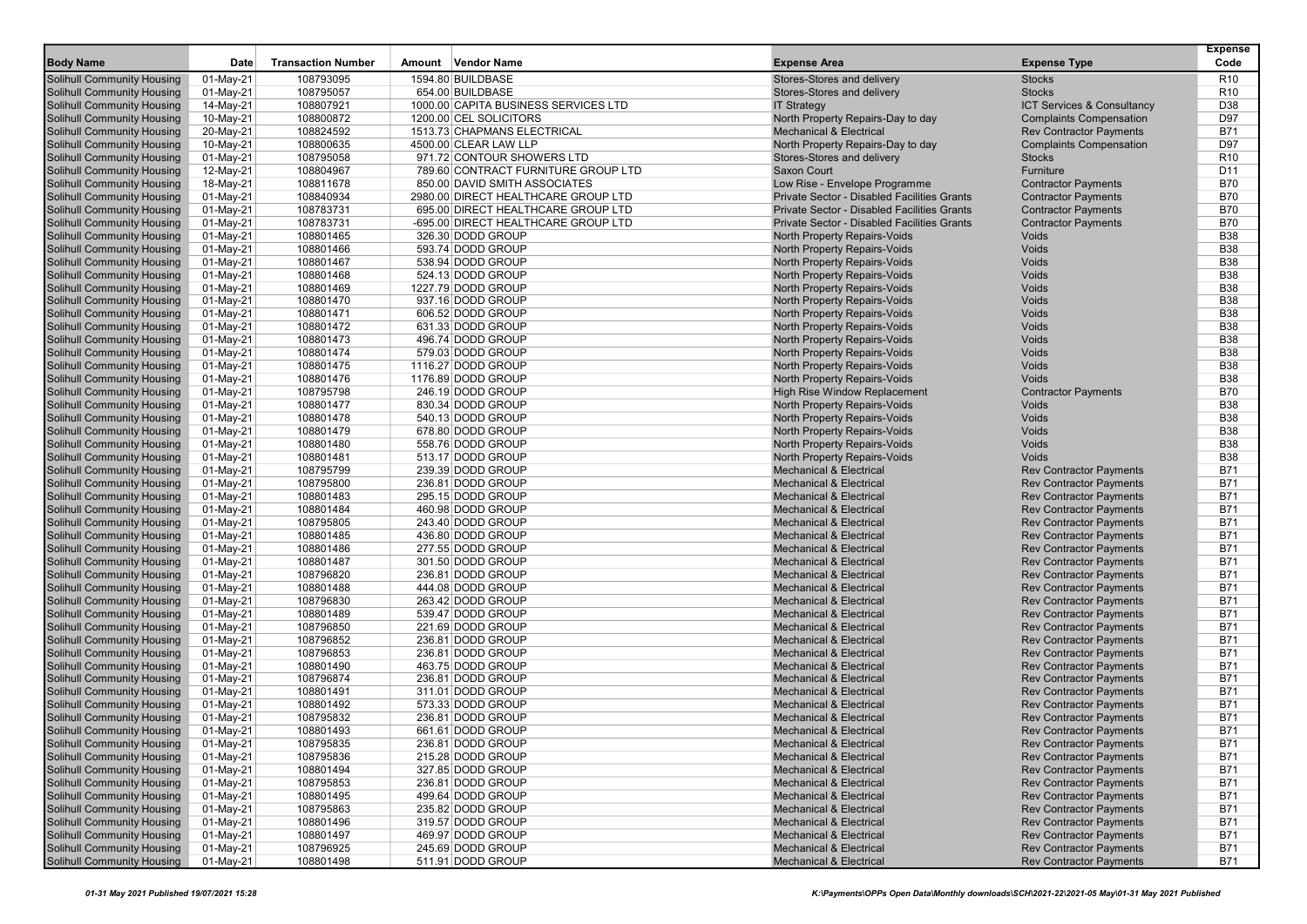| <b>Body Name</b>                                                       | Date                   | <b>Transaction Number</b> | Amount Vendor Name                                    | <b>Expense Area</b>                                                      | <b>Expense Type</b>                                              | <b>Expense</b><br>Code   |
|------------------------------------------------------------------------|------------------------|---------------------------|-------------------------------------------------------|--------------------------------------------------------------------------|------------------------------------------------------------------|--------------------------|
|                                                                        |                        |                           |                                                       |                                                                          |                                                                  |                          |
| Solihull Community Housing                                             | 01-May-21              | 108793095                 | 1594.80 BUILDBASE                                     | Stores-Stores and delivery                                               | <b>Stocks</b>                                                    | R <sub>10</sub>          |
| Solihull Community Housing                                             | 01-May-21              | 108795057                 | 654.00 BUILDBASE                                      | Stores-Stores and delivery                                               | <b>Stocks</b>                                                    | R <sub>10</sub>          |
| <b>Solihull Community Housing</b>                                      | 14-May-21              | 108807921                 | 1000.00 CAPITA BUSINESS SERVICES LTD                  | <b>IT Strategy</b>                                                       | ICT Services & Consultancy                                       | D38<br>D97               |
| <b>Solihull Community Housing</b><br><b>Solihull Community Housing</b> | 10-May-21<br>20-May-21 | 108800872<br>108824592    | 1200.00 CEL SOLICITORS<br>1513.73 CHAPMANS ELECTRICAL | North Property Repairs-Day to day<br><b>Mechanical &amp; Electrical</b>  | <b>Complaints Compensation</b><br><b>Rev Contractor Payments</b> | <b>B71</b>               |
| Solihull Community Housing                                             | 10-May-21              | 108800635                 | 4500.00 CLEAR LAW LLP                                 | North Property Repairs-Day to day                                        | <b>Complaints Compensation</b>                                   | D97                      |
| <b>Solihull Community Housing</b>                                      | 01-May-21              | 108795058                 | 971.72 CONTOUR SHOWERS LTD                            | Stores-Stores and delivery                                               | <b>Stocks</b>                                                    | R <sub>10</sub>          |
| Solihull Community Housing                                             | 12-May-21              | 108804967                 | 789.60 CONTRACT FURNITURE GROUP LTD                   | Saxon Court                                                              | Furniture                                                        | D <sub>11</sub>          |
| Solihull Community Housing                                             | 18-May-21              | 108811678                 | 850.00 DAVID SMITH ASSOCIATES                         | Low Rise - Envelope Programme                                            | <b>Contractor Payments</b>                                       | <b>B70</b>               |
| <b>Solihull Community Housing</b>                                      | 01-May-21              | 108840934                 | 2980.00 DIRECT HEALTHCARE GROUP LTD                   | Private Sector - Disabled Facilities Grants                              | <b>Contractor Payments</b>                                       | <b>B70</b>               |
| Solihull Community Housing                                             | 01-May-21              | 108783731                 | 695.00 DIRECT HEALTHCARE GROUP LTD                    | <b>Private Sector - Disabled Facilities Grants</b>                       | <b>Contractor Payments</b>                                       | <b>B70</b>               |
| Solihull Community Housing                                             | 01-May-21              | 108783731                 | -695.00 DIRECT HEALTHCARE GROUP LTD                   | Private Sector - Disabled Facilities Grants                              | <b>Contractor Payments</b>                                       | <b>B70</b>               |
| Solihull Community Housing                                             | 01-May-21              | 108801465                 | 326.30 DODD GROUP                                     | North Property Repairs-Voids                                             | Voids                                                            | <b>B38</b>               |
| Solihull Community Housing                                             | 01-May-21              | 108801466                 | 593.74 DODD GROUP                                     | North Property Repairs-Voids                                             | Voids                                                            | <b>B38</b>               |
| <b>Solihull Community Housing</b>                                      | 01-May-21              | 108801467                 | 538.94 DODD GROUP                                     | North Property Repairs-Voids                                             | Voids                                                            | <b>B38</b>               |
| Solihull Community Housing                                             | 01-May-21              | 108801468                 | 524.13 DODD GROUP                                     | North Property Repairs-Voids                                             | Voids                                                            | <b>B38</b>               |
| Solihull Community Housing                                             | 01-May-21              | 108801469                 | 1227.79 DODD GROUP                                    | North Property Repairs-Voids                                             | Voids                                                            | <b>B38</b>               |
| Solihull Community Housing                                             | 01-May-21              | 108801470                 | 937.16 DODD GROUP                                     | North Property Repairs-Voids                                             | Voids                                                            | <b>B38</b>               |
| Solihull Community Housing                                             | 01-May-21              | 108801471                 | 606.52 DODD GROUP                                     | North Property Repairs-Voids                                             | Voids                                                            | <b>B38</b>               |
| <b>Solihull Community Housing</b>                                      | 01-May-21              | 108801472                 | 631.33 DODD GROUP                                     | North Property Repairs-Voids                                             | <b>Voids</b>                                                     | <b>B38</b>               |
| Solihull Community Housing                                             | 01-May-21              | 108801473                 | 496.74 DODD GROUP                                     | North Property Repairs-Voids                                             | Voids                                                            | <b>B38</b>               |
| Solihull Community Housing                                             | 01-May-21              | 108801474                 | 579.03 DODD GROUP                                     | North Property Repairs-Voids                                             | Voids                                                            | <b>B38</b>               |
| Solihull Community Housing                                             | 01-May-21              | 108801475                 | 1116.27 DODD GROUP                                    | North Property Repairs-Voids                                             | Voids                                                            | <b>B38</b>               |
| Solihull Community Housing                                             | 01-May-21              | 108801476                 | 1176.89 DODD GROUP                                    | <b>North Property Repairs-Voids</b>                                      | Voids                                                            | <b>B38</b>               |
| <b>Solihull Community Housing</b>                                      | 01-May-21              | 108795798                 | 246.19 DODD GROUP                                     | <b>High Rise Window Replacement</b>                                      | <b>Contractor Payments</b>                                       | <b>B70</b>               |
| Solihull Community Housing                                             | 01-May-21              | 108801477                 | 830.34 DODD GROUP                                     | North Property Repairs-Voids                                             | Voids                                                            | <b>B38</b>               |
| <b>Solihull Community Housing</b>                                      | 01-May-21              | 108801478                 | 540.13 DODD GROUP                                     | North Property Repairs-Voids                                             | Voids                                                            | <b>B38</b>               |
| Solihull Community Housing                                             | 01-May-21              | 108801479                 | 678.80 DODD GROUP                                     | North Property Repairs-Voids                                             | Voids                                                            | <b>B38</b>               |
| Solihull Community Housing                                             | 01-May-21              | 108801480                 | 558.76 DODD GROUP                                     | North Property Repairs-Voids                                             | Voids                                                            | <b>B38</b>               |
| <b>Solihull Community Housing</b>                                      | 01-May-21              | 108801481                 | 513.17 DODD GROUP                                     | North Property Repairs-Voids                                             | <b>Voids</b>                                                     | <b>B38</b>               |
| Solihull Community Housing                                             | 01-May-21              | 108795799                 | 239.39 DODD GROUP                                     | <b>Mechanical &amp; Electrical</b>                                       | <b>Rev Contractor Payments</b>                                   | <b>B71</b>               |
| Solihull Community Housing                                             | 01-May-21              | 108795800                 | 236.81 DODD GROUP                                     | <b>Mechanical &amp; Electrical</b>                                       | <b>Rev Contractor Payments</b>                                   | <b>B71</b>               |
| Solihull Community Housing                                             | 01-May-21              | 108801483                 | 295.15 DODD GROUP                                     | <b>Mechanical &amp; Electrical</b>                                       | <b>Rev Contractor Payments</b>                                   | <b>B71</b>               |
| Solihull Community Housing                                             | 01-May-21              | 108801484                 | 460.98 DODD GROUP                                     | <b>Mechanical &amp; Electrical</b>                                       | <b>Rev Contractor Payments</b>                                   | <b>B71</b>               |
| <b>Solihull Community Housing</b>                                      | 01-May-21              | 108795805                 | 243.40 DODD GROUP                                     | <b>Mechanical &amp; Electrical</b>                                       | <b>Rev Contractor Payments</b>                                   | <b>B71</b>               |
| Solihull Community Housing                                             | 01-May-21              | 108801485                 | 436.80 DODD GROUP                                     | <b>Mechanical &amp; Electrical</b>                                       | <b>Rev Contractor Payments</b>                                   | <b>B71</b>               |
| Solihull Community Housing                                             | 01-May-21              | 108801486                 | 277.55 DODD GROUP                                     | <b>Mechanical &amp; Electrical</b>                                       | <b>Rev Contractor Payments</b>                                   | <b>B71</b>               |
| <b>Solihull Community Housing</b>                                      | 01-May-21              | 108801487                 | 301.50 DODD GROUP                                     | <b>Mechanical &amp; Electrical</b>                                       | <b>Rev Contractor Payments</b>                                   | <b>B71</b>               |
| Solihull Community Housing                                             | 01-May-21              | 108796820<br>108801488    | 236.81 DODD GROUP<br>444.08 DODD GROUP                | <b>Mechanical &amp; Electrical</b><br><b>Mechanical &amp; Electrical</b> | <b>Rev Contractor Payments</b>                                   | <b>B71</b><br><b>B71</b> |
| <b>Solihull Community Housing</b><br>Solihull Community Housing        | 01-May-21<br>01-May-21 | 108796830                 | 263.42 DODD GROUP                                     | <b>Mechanical &amp; Electrical</b>                                       | <b>Rev Contractor Payments</b><br><b>Rev Contractor Payments</b> | <b>B71</b>               |
| Solihull Community Housing                                             | 01-May-21              | 108801489                 | 539.47 DODD GROUP                                     | <b>Mechanical &amp; Electrical</b>                                       | <b>Rev Contractor Payments</b>                                   | <b>B71</b>               |
| Solihull Community Housing                                             | 01-May-21              | 108796850                 | 221.69 DODD GROUP                                     | <b>Mechanical &amp; Electrical</b>                                       | <b>Rev Contractor Payments</b>                                   | <b>B71</b>               |
| Solihull Community Housing                                             | 01-May-21              | 108796852                 | 236.81 DODD GROUP                                     | <b>Mechanical &amp; Electrical</b>                                       | <b>Rev Contractor Payments</b>                                   | <b>B71</b>               |
| <b>Solihull Community Housing</b>                                      | 01-May-21              | 108796853                 | 236.81 DODD GROUP                                     | <b>Mechanical &amp; Electrical</b>                                       | <b>Rev Contractor Payments</b>                                   | <b>B71</b>               |
| Solihull Community Housing                                             | 01-May-21              | 108801490                 | 463.75 DODD GROUP                                     | <b>Mechanical &amp; Electrical</b>                                       | <b>Rev Contractor Payments</b>                                   | <b>B71</b>               |
| Solihull Community Housing                                             | 01-May-21              | 108796874                 | 236.81 DODD GROUP                                     | <b>Mechanical &amp; Electrical</b>                                       | <b>Rev Contractor Payments</b>                                   | <b>B71</b>               |
| Solihull Community Housing                                             | 01-May-21              | 108801491                 | 311.01 DODD GROUP                                     | <b>Mechanical &amp; Electrical</b>                                       | <b>Rev Contractor Payments</b>                                   | <b>B71</b>               |
| Solihull Community Housing                                             | 01-May-21              | 108801492                 | 573.33 DODD GROUP                                     | <b>Mechanical &amp; Electrical</b>                                       | <b>Rev Contractor Payments</b>                                   | <b>B71</b>               |
| <b>Solihull Community Housing</b>                                      | 01-May-21              | 108795832                 | 236.81 DODD GROUP                                     | <b>Mechanical &amp; Electrical</b>                                       | <b>Rev Contractor Payments</b>                                   | <b>B71</b>               |
| <b>Solihull Community Housing</b>                                      | 01-May-21              | 108801493                 | 661.61 DODD GROUP                                     | <b>Mechanical &amp; Electrical</b>                                       | <b>Rev Contractor Payments</b>                                   | <b>B71</b>               |
| Solihull Community Housing                                             | 01-May-21              | 108795835                 | 236.81 DODD GROUP                                     | <b>Mechanical &amp; Electrical</b>                                       | <b>Rev Contractor Payments</b>                                   | B71                      |
| <b>Solihull Community Housing</b>                                      | 01-May-21              | 108795836                 | 215.28 DODD GROUP                                     | <b>Mechanical &amp; Electrical</b>                                       | <b>Rev Contractor Payments</b>                                   | <b>B71</b>               |
| <b>Solihull Community Housing</b>                                      | 01-May-21              | 108801494                 | 327.85 DODD GROUP                                     | <b>Mechanical &amp; Electrical</b>                                       | <b>Rev Contractor Payments</b>                                   | <b>B71</b>               |
| <b>Solihull Community Housing</b>                                      | 01-May-21              | 108795853                 | 236.81 DODD GROUP                                     | <b>Mechanical &amp; Electrical</b>                                       | <b>Rev Contractor Payments</b>                                   | <b>B71</b>               |
| <b>Solihull Community Housing</b>                                      | 01-May-21              | 108801495                 | 499.64 DODD GROUP                                     | <b>Mechanical &amp; Electrical</b>                                       | <b>Rev Contractor Payments</b>                                   | B71                      |
| <b>Solihull Community Housing</b>                                      | 01-May-21              | 108795863                 | 235.82 DODD GROUP                                     | <b>Mechanical &amp; Electrical</b>                                       | <b>Rev Contractor Payments</b>                                   | <b>B71</b>               |
| <b>Solihull Community Housing</b>                                      | 01-May-21              | 108801496                 | 319.57 DODD GROUP                                     | <b>Mechanical &amp; Electrical</b>                                       | <b>Rev Contractor Payments</b>                                   | <b>B71</b>               |
| <b>Solihull Community Housing</b>                                      | 01-May-21              | 108801497                 | 469.97 DODD GROUP                                     | <b>Mechanical &amp; Electrical</b>                                       | <b>Rev Contractor Payments</b>                                   | B71                      |
| <b>Solihull Community Housing</b>                                      | 01-May-21              | 108796925                 | 245.69 DODD GROUP                                     | <b>Mechanical &amp; Electrical</b>                                       | <b>Rev Contractor Payments</b>                                   | <b>B71</b>               |
| Solihull Community Housing                                             | 01-May-21              | 108801498                 | 511.91 DODD GROUP                                     | <b>Mechanical &amp; Electrical</b>                                       | <b>Rev Contractor Payments</b>                                   | B71                      |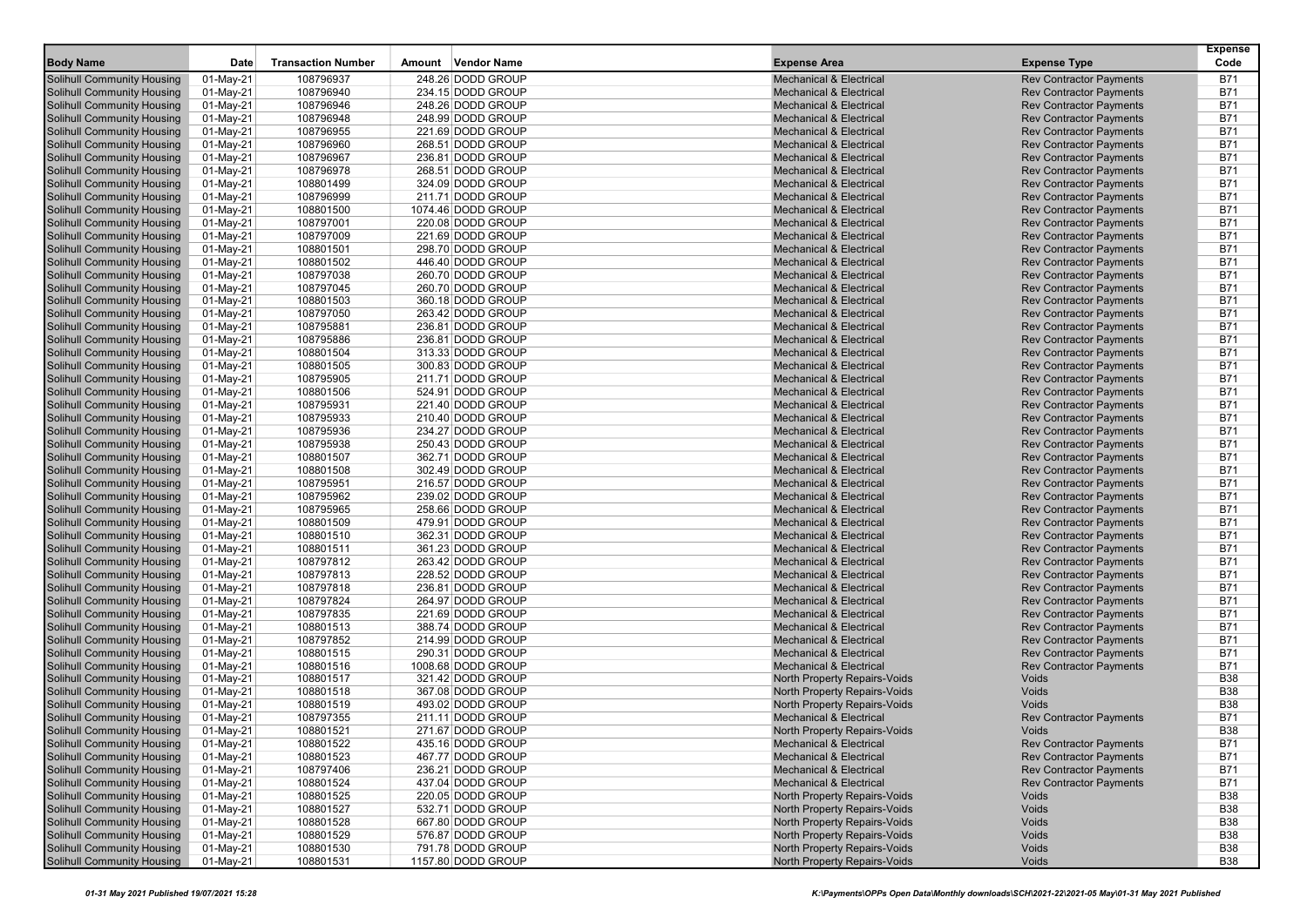| <b>Body Name</b>                                                       | Date                   | <b>Transaction Number</b> | Amount Vendor Name                     | <b>Expense Area</b>                                                      | <b>Expense Type</b>                                              | <b>Expense</b><br>Code   |
|------------------------------------------------------------------------|------------------------|---------------------------|----------------------------------------|--------------------------------------------------------------------------|------------------------------------------------------------------|--------------------------|
|                                                                        |                        |                           |                                        |                                                                          |                                                                  |                          |
| <b>Solihull Community Housing</b>                                      | 01-May-21              | 108796937                 | 248.26 DODD GROUP                      | <b>Mechanical &amp; Electrical</b>                                       | <b>Rev Contractor Payments</b>                                   | <b>B71</b>               |
| <b>Solihull Community Housing</b>                                      | 01-May-21              | 108796940                 | 234.15 DODD GROUP                      | <b>Mechanical &amp; Electrical</b>                                       | <b>Rev Contractor Payments</b>                                   | <b>B71</b>               |
| <b>Solihull Community Housing</b>                                      | 01-May-21              | 108796946                 | 248.26 DODD GROUP                      | <b>Mechanical &amp; Electrical</b>                                       | <b>Rev Contractor Payments</b>                                   | <b>B71</b>               |
| <b>Solihull Community Housing</b><br><b>Solihull Community Housing</b> | 01-May-21              | 108796948<br>108796955    | 248.99 DODD GROUP                      | <b>Mechanical &amp; Electrical</b>                                       | <b>Rev Contractor Payments</b>                                   | <b>B71</b><br><b>B71</b> |
| Solihull Community Housing                                             | 01-May-21              |                           | 221.69 DODD GROUP                      | <b>Mechanical &amp; Electrical</b><br><b>Mechanical &amp; Electrical</b> | <b>Rev Contractor Payments</b><br><b>Rev Contractor Payments</b> | <b>B71</b>               |
|                                                                        | 01-May-21              | 108796960                 | 268.51 DODD GROUP                      |                                                                          |                                                                  | <b>B71</b>               |
| <b>Solihull Community Housing</b>                                      | 01-May-21              | 108796967                 | 236.81 DODD GROUP<br>268.51 DODD GROUP | <b>Mechanical &amp; Electrical</b><br><b>Mechanical &amp; Electrical</b> | <b>Rev Contractor Payments</b>                                   | <b>B71</b>               |
| <b>Solihull Community Housing</b><br><b>Solihull Community Housing</b> | 01-May-21              | 108796978<br>108801499    | 324.09 DODD GROUP                      | <b>Mechanical &amp; Electrical</b>                                       | <b>Rev Contractor Payments</b><br><b>Rev Contractor Payments</b> | <b>B71</b>               |
|                                                                        | 01-May-21              | 108796999                 | 211.71 DODD GROUP                      | <b>Mechanical &amp; Electrical</b>                                       | <b>Rev Contractor Payments</b>                                   | <b>B71</b>               |
| <b>Solihull Community Housing</b><br><b>Solihull Community Housing</b> | 01-May-21<br>01-May-21 | 108801500                 | 1074.46 DODD GROUP                     | <b>Mechanical &amp; Electrical</b>                                       | <b>Rev Contractor Payments</b>                                   | <b>B71</b>               |
|                                                                        |                        |                           | 220.08 DODD GROUP                      | <b>Mechanical &amp; Electrical</b>                                       |                                                                  | <b>B71</b>               |
| <b>Solihull Community Housing</b><br><b>Solihull Community Housing</b> | 01-May-21<br>01-May-21 | 108797001<br>108797009    | 221.69 DODD GROUP                      | <b>Mechanical &amp; Electrical</b>                                       | <b>Rev Contractor Payments</b><br><b>Rev Contractor Payments</b> | <b>B71</b>               |
| <b>Solihull Community Housing</b>                                      |                        | 108801501                 | 298.70 DODD GROUP                      | <b>Mechanical &amp; Electrical</b>                                       | <b>Rev Contractor Payments</b>                                   | <b>B71</b>               |
| <b>Solihull Community Housing</b>                                      | 01-May-21<br>01-May-21 | 108801502                 | 446.40 DODD GROUP                      | <b>Mechanical &amp; Electrical</b>                                       | <b>Rev Contractor Payments</b>                                   | <b>B71</b>               |
| <b>Solihull Community Housing</b>                                      | 01-May-21              | 108797038                 | 260.70 DODD GROUP                      | <b>Mechanical &amp; Electrical</b>                                       | <b>Rev Contractor Payments</b>                                   | <b>B71</b>               |
| <b>Solihull Community Housing</b>                                      |                        | 108797045                 | 260.70 DODD GROUP                      | <b>Mechanical &amp; Electrical</b>                                       | <b>Rev Contractor Payments</b>                                   | <b>B71</b>               |
| <b>Solihull Community Housing</b>                                      | 01-May-21<br>01-May-21 | 108801503                 | 360.18 DODD GROUP                      | <b>Mechanical &amp; Electrical</b>                                       | <b>Rev Contractor Payments</b>                                   | <b>B71</b>               |
| <b>Solihull Community Housing</b>                                      | 01-May-21              | 108797050                 | 263.42 DODD GROUP                      | <b>Mechanical &amp; Electrical</b>                                       | <b>Rev Contractor Payments</b>                                   | <b>B71</b>               |
| <b>Solihull Community Housing</b>                                      | 01-May-21              | 108795881                 | 236.81 DODD GROUP                      | <b>Mechanical &amp; Electrical</b>                                       | <b>Rev Contractor Payments</b>                                   | <b>B71</b>               |
| <b>Solihull Community Housing</b>                                      | 01-May-21              | 108795886                 | 236.81 DODD GROUP                      | <b>Mechanical &amp; Electrical</b>                                       | <b>Rev Contractor Payments</b>                                   | <b>B71</b>               |
|                                                                        |                        |                           |                                        | <b>Mechanical &amp; Electrical</b>                                       |                                                                  | <b>B71</b>               |
| <b>Solihull Community Housing</b><br><b>Solihull Community Housing</b> | 01-May-21<br>01-May-21 | 108801504<br>108801505    | 313.33 DODD GROUP<br>300.83 DODD GROUP | <b>Mechanical &amp; Electrical</b>                                       | <b>Rev Contractor Payments</b><br><b>Rev Contractor Payments</b> | <b>B71</b>               |
| <b>Solihull Community Housing</b>                                      |                        | 108795905                 |                                        | <b>Mechanical &amp; Electrical</b>                                       |                                                                  | <b>B71</b>               |
| <b>Solihull Community Housing</b>                                      | 01-May-21              | 108801506                 | 211.71 DODD GROUP<br>524.91 DODD GROUP | <b>Mechanical &amp; Electrical</b>                                       | <b>Rev Contractor Payments</b>                                   | <b>B71</b>               |
| Solihull Community Housing                                             | 01-May-21              | 108795931                 | 221.40 DODD GROUP                      | <b>Mechanical &amp; Electrical</b>                                       | <b>Rev Contractor Payments</b><br><b>Rev Contractor Payments</b> | <b>B71</b>               |
|                                                                        | 01-May-21              |                           | 210.40 DODD GROUP                      | <b>Mechanical &amp; Electrical</b>                                       |                                                                  | <b>B71</b>               |
| <b>Solihull Community Housing</b><br><b>Solihull Community Housing</b> | 01-May-21<br>01-May-21 | 108795933<br>108795936    | 234.27 DODD GROUP                      | <b>Mechanical &amp; Electrical</b>                                       | <b>Rev Contractor Payments</b><br><b>Rev Contractor Payments</b> | <b>B71</b>               |
| <b>Solihull Community Housing</b>                                      |                        | 108795938                 |                                        | <b>Mechanical &amp; Electrical</b>                                       |                                                                  | <b>B71</b>               |
|                                                                        | 01-May-21              | 108801507                 | 250.43 DODD GROUP<br>362.71 DODD GROUP | <b>Mechanical &amp; Electrical</b>                                       | <b>Rev Contractor Payments</b><br><b>Rev Contractor Payments</b> | <b>B71</b>               |
| <b>Solihull Community Housing</b><br><b>Solihull Community Housing</b> | 01-May-21<br>01-May-21 | 108801508                 | 302.49 DODD GROUP                      | <b>Mechanical &amp; Electrical</b>                                       | <b>Rev Contractor Payments</b>                                   | <b>B71</b>               |
| <b>Solihull Community Housing</b>                                      |                        | 108795951                 | 216.57 DODD GROUP                      | <b>Mechanical &amp; Electrical</b>                                       | <b>Rev Contractor Payments</b>                                   | <b>B71</b>               |
| <b>Solihull Community Housing</b>                                      | 01-May-21<br>01-May-21 | 108795962                 | 239.02 DODD GROUP                      | <b>Mechanical &amp; Electrical</b>                                       | <b>Rev Contractor Payments</b>                                   | <b>B71</b>               |
| <b>Solihull Community Housing</b>                                      | 01-May-21              | 108795965                 | 258.66 DODD GROUP                      | <b>Mechanical &amp; Electrical</b>                                       | <b>Rev Contractor Payments</b>                                   | <b>B71</b>               |
| <b>Solihull Community Housing</b>                                      | 01-May-21              | 108801509                 | 479.91 DODD GROUP                      | <b>Mechanical &amp; Electrical</b>                                       | <b>Rev Contractor Payments</b>                                   | <b>B71</b>               |
| <b>Solihull Community Housing</b>                                      | 01-May-21              | 108801510                 | 362.31 DODD GROUP                      | <b>Mechanical &amp; Electrical</b>                                       | <b>Rev Contractor Payments</b>                                   | <b>B71</b>               |
| <b>Solihull Community Housing</b>                                      | 01-May-21              | 108801511                 | 361.23 DODD GROUP                      | <b>Mechanical &amp; Electrical</b>                                       | <b>Rev Contractor Payments</b>                                   | <b>B71</b>               |
| <b>Solihull Community Housing</b>                                      | 01-May-21              | 108797812                 | 263.42 DODD GROUP                      | <b>Mechanical &amp; Electrical</b>                                       | <b>Rev Contractor Payments</b>                                   | <b>B71</b>               |
| <b>Solihull Community Housing</b>                                      | 01-May-21              | 108797813                 | 228.52 DODD GROUP                      | <b>Mechanical &amp; Electrical</b>                                       | <b>Rev Contractor Payments</b>                                   | <b>B71</b>               |
| <b>Solihull Community Housing</b>                                      | 01-May-21              | 108797818                 | 236.81 DODD GROUP                      | <b>Mechanical &amp; Electrical</b>                                       | <b>Rev Contractor Payments</b>                                   | <b>B71</b>               |
| <b>Solihull Community Housing</b>                                      | 01-May-21              | 108797824                 | 264.97 DODD GROUP                      | <b>Mechanical &amp; Electrical</b>                                       | <b>Rev Contractor Payments</b>                                   | <b>B71</b>               |
| <b>Solihull Community Housing</b>                                      | 01-May-21              | 108797835                 | 221.69 DODD GROUP                      | <b>Mechanical &amp; Electrical</b>                                       | <b>Rev Contractor Payments</b>                                   | <b>B71</b>               |
| <b>Solihull Community Housing</b>                                      | 01-May-21              | 108801513                 | 388.74 DODD GROUP                      | <b>Mechanical &amp; Electrical</b>                                       | <b>Rev Contractor Payments</b>                                   | <b>B71</b>               |
| <b>Solihull Community Housing</b>                                      | 01-May-21              | 108797852                 | 214.99 DODD GROUP                      | <b>Mechanical &amp; Electrical</b>                                       | <b>Rev Contractor Payments</b>                                   | <b>B71</b>               |
| <b>Solihull Community Housing</b>                                      | 01-May-21              | 108801515                 | 290.31 DODD GROUP                      | <b>Mechanical &amp; Electrical</b>                                       | <b>Rev Contractor Payments</b>                                   | <b>B71</b>               |
| Solihull Community Housing                                             | 01-May-21              | 108801516                 | 1008.68 DODD GROUP                     | <b>Mechanical &amp; Electrical</b>                                       | <b>Rev Contractor Payments</b>                                   | <b>B71</b>               |
| <b>Solihull Community Housing</b>                                      | 01-May-21              | 108801517                 | 321.42 DODD GROUP                      | North Property Repairs-Voids                                             | Voids                                                            | <b>B38</b>               |
| <b>Solihull Community Housing</b>                                      | 01-May-21              | 108801518                 | 367.08 DODD GROUP                      | North Property Repairs-Voids                                             | Voids                                                            | <b>B38</b>               |
| <b>Solihull Community Housing</b>                                      | 01-May-21              | 108801519                 | 493.02 DODD GROUP                      | North Property Repairs-Voids                                             | Voids                                                            | <b>B38</b>               |
| <b>Solihull Community Housing</b>                                      | 01-May-21              | 108797355                 | 211.11 DODD GROUP                      | <b>Mechanical &amp; Electrical</b>                                       | <b>Rev Contractor Payments</b>                                   | <b>B71</b>               |
| <b>Solihull Community Housing</b>                                      | 01-May-21              | 108801521                 | 271.67 DODD GROUP                      | North Property Repairs-Voids                                             | Voids                                                            | <b>B38</b>               |
| <b>Solihull Community Housing</b>                                      | 01-May-21              | 108801522                 | 435.16 DODD GROUP                      | <b>Mechanical &amp; Electrical</b>                                       | <b>Rev Contractor Payments</b>                                   | <b>B71</b>               |
| <b>Solihull Community Housing</b>                                      | 01-May-21              | 108801523                 | 467.77 DODD GROUP                      | <b>Mechanical &amp; Electrical</b>                                       | <b>Rev Contractor Payments</b>                                   | <b>B71</b>               |
| <b>Solihull Community Housing</b>                                      | 01-May-21              | 108797406                 | 236.21 DODD GROUP                      | <b>Mechanical &amp; Electrical</b>                                       | <b>Rev Contractor Payments</b>                                   | <b>B71</b>               |
| <b>Solihull Community Housing</b>                                      | 01-May-21              | 108801524                 | 437.04 DODD GROUP                      | <b>Mechanical &amp; Electrical</b>                                       | <b>Rev Contractor Payments</b>                                   | <b>B71</b>               |
| <b>Solihull Community Housing</b>                                      | 01-May-21              | 108801525                 | 220.05 DODD GROUP                      | North Property Repairs-Voids                                             | Voids                                                            | <b>B38</b>               |
| <b>Solihull Community Housing</b>                                      | 01-May-21              | 108801527                 | 532.71 DODD GROUP                      | North Property Repairs-Voids                                             | Voids                                                            | <b>B38</b>               |
| <b>Solihull Community Housing</b>                                      | 01-May-21              | 108801528                 | 667.80 DODD GROUP                      | North Property Repairs-Voids                                             | Voids                                                            | <b>B38</b>               |
| <b>Solihull Community Housing</b>                                      | 01-May-21              | 108801529                 | 576.87 DODD GROUP                      | North Property Repairs-Voids                                             | Voids                                                            | <b>B38</b>               |
| <b>Solihull Community Housing</b>                                      | 01-May-21              | 108801530                 | 791.78 DODD GROUP                      | North Property Repairs-Voids                                             | Voids                                                            | <b>B38</b>               |
| <b>Solihull Community Housing</b>                                      | 01-May-21              | 108801531                 | 1157.80 DODD GROUP                     | North Property Repairs-Voids                                             | Voids                                                            | <b>B38</b>               |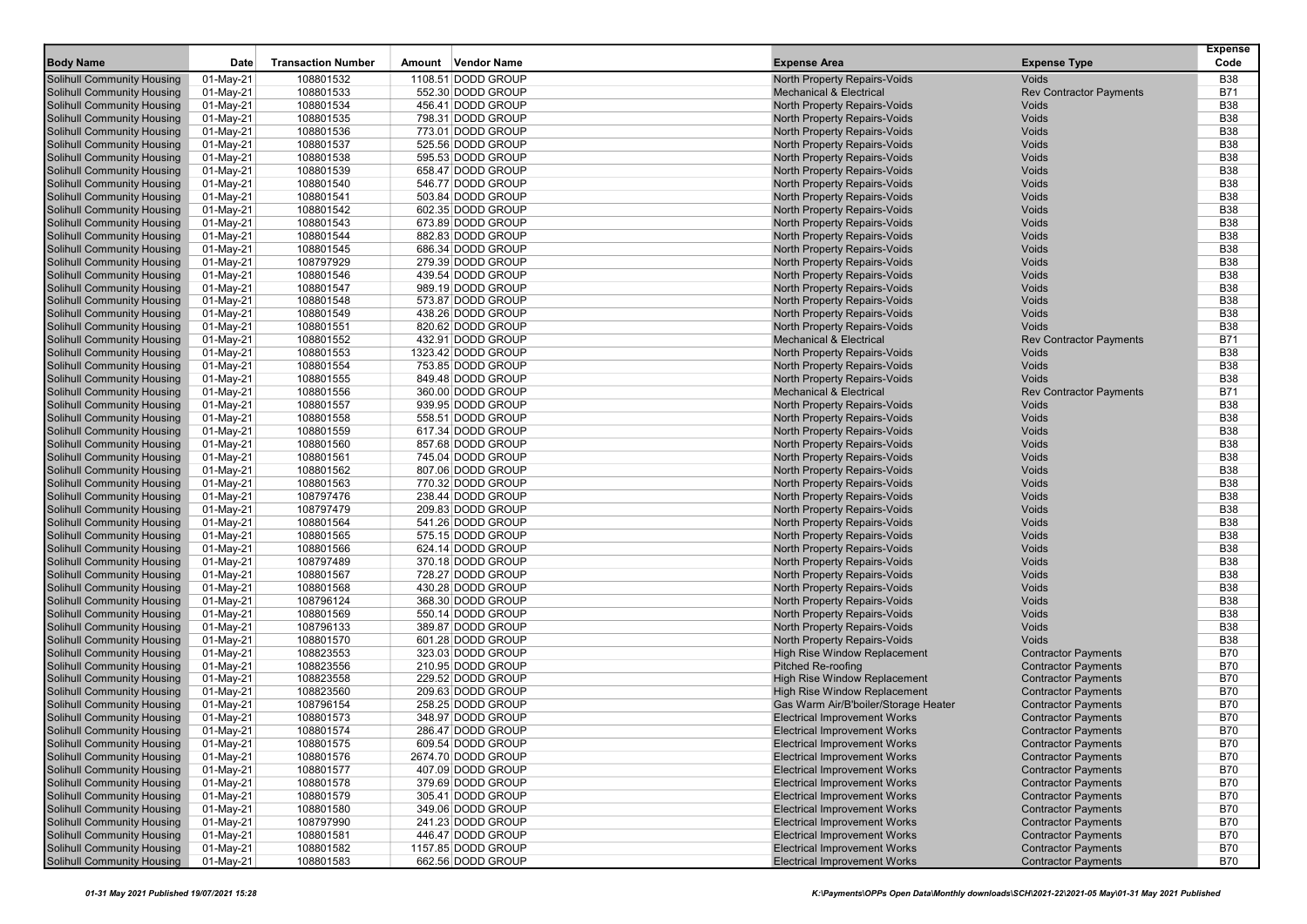| <b>Body Name</b>                                                       | Date                   | <b>Transaction Number</b> | Amount Vendor Name                     | <b>Expense Area</b>                                          | <b>Expense Type</b>            | <b>Expense</b><br>Code   |
|------------------------------------------------------------------------|------------------------|---------------------------|----------------------------------------|--------------------------------------------------------------|--------------------------------|--------------------------|
| <b>Solihull Community Housing</b>                                      | 01-May-21              | 108801532                 | 1108.51 DODD GROUP                     | North Property Repairs-Voids                                 | <b>Voids</b>                   | <b>B38</b>               |
| <b>Solihull Community Housing</b>                                      | 01-May-21              | 108801533                 | 552.30 DODD GROUP                      | <b>Mechanical &amp; Electrical</b>                           | <b>Rev Contractor Payments</b> | <b>B71</b>               |
| <b>Solihull Community Housing</b>                                      | 01-May-21              | 108801534                 | 456.41 DODD GROUP                      | North Property Repairs-Voids                                 | Voids                          | <b>B38</b>               |
| <b>Solihull Community Housing</b>                                      | 01-May-21              | 108801535                 | 798.31 DODD GROUP                      | North Property Repairs-Voids                                 | Voids                          | <b>B38</b>               |
| <b>Solihull Community Housing</b>                                      | 01-May-21              | 108801536                 | 773.01 DODD GROUP                      | North Property Repairs-Voids                                 | Voids                          | <b>B38</b>               |
| <b>Solihull Community Housing</b>                                      | 01-May-21              | 108801537                 | 525.56 DODD GROUP                      | North Property Repairs-Voids                                 | Voids                          | <b>B38</b>               |
| <b>Solihull Community Housing</b>                                      | 01-May-21              | 108801538                 | 595.53 DODD GROUP                      | North Property Repairs-Voids                                 | Voids                          | <b>B38</b>               |
| <b>Solihull Community Housing</b>                                      | 01-May-21              | 108801539                 | 658.47 DODD GROUP                      | North Property Repairs-Voids                                 | Voids                          | <b>B38</b>               |
| <b>Solihull Community Housing</b>                                      | 01-May-21              | 108801540                 | 546.77 DODD GROUP                      | North Property Repairs-Voids                                 | Voids                          | <b>B38</b>               |
| <b>Solihull Community Housing</b>                                      | 01-May-21              | 108801541                 | 503.84 DODD GROUP                      | North Property Repairs-Voids                                 | Voids                          | <b>B38</b>               |
| <b>Solihull Community Housing</b>                                      | 01-May-21              | 108801542                 | 602.35 DODD GROUP                      | North Property Repairs-Voids                                 | Voids                          | <b>B38</b>               |
| <b>Solihull Community Housing</b>                                      | 01-May-21              | 108801543                 | 673.89 DODD GROUP                      | North Property Repairs-Voids                                 | Voids                          | <b>B38</b>               |
| <b>Solihull Community Housing</b>                                      | 01-May-21              | 108801544                 | 882.83 DODD GROUP                      | North Property Repairs-Voids                                 | Voids                          | <b>B38</b>               |
| <b>Solihull Community Housing</b>                                      | 01-May-21              | 108801545                 | 686.34 DODD GROUP                      | North Property Repairs-Voids                                 | Voids                          | <b>B38</b>               |
| <b>Solihull Community Housing</b>                                      | 01-May-21              | 108797929                 | 279.39 DODD GROUP                      | North Property Repairs-Voids                                 | Voids                          | <b>B38</b>               |
| <b>Solihull Community Housing</b>                                      | 01-May-21              | 108801546                 | 439.54 DODD GROUP                      | North Property Repairs-Voids                                 | Voids                          | <b>B38</b>               |
| <b>Solihull Community Housing</b>                                      | 01-May-21              | 108801547                 | 989.19 DODD GROUP                      | North Property Repairs-Voids                                 | Voids                          | <b>B38</b>               |
| <b>Solihull Community Housing</b>                                      | 01-May-21              | 108801548                 | 573.87 DODD GROUP                      | North Property Repairs-Voids                                 | Voids                          | <b>B38</b>               |
| <b>Solihull Community Housing</b>                                      | 01-May-21              | 108801549                 | 438.26 DODD GROUP                      | North Property Repairs-Voids                                 | Voids                          | <b>B38</b>               |
| <b>Solihull Community Housing</b>                                      | 01-May-21              | 108801551                 | 820.62 DODD GROUP                      | North Property Repairs-Voids                                 | Voids                          | <b>B38</b>               |
| <b>Solihull Community Housing</b>                                      | 01-May-21              | 108801552                 | 432.91 DODD GROUP                      | <b>Mechanical &amp; Electrical</b>                           | <b>Rev Contractor Payments</b> | <b>B71</b>               |
| <b>Solihull Community Housing</b>                                      | 01-May-21              | 108801553                 | 1323.42 DODD GROUP                     | North Property Repairs-Voids                                 | Voids                          | <b>B38</b>               |
| <b>Solihull Community Housing</b>                                      | 01-May-21              | 108801554                 | 753.85 DODD GROUP                      | North Property Repairs-Voids                                 | Voids                          | <b>B38</b>               |
| <b>Solihull Community Housing</b>                                      | 01-May-21              | 108801555                 | 849.48 DODD GROUP                      | North Property Repairs-Voids                                 | Voids                          | <b>B38</b>               |
| <b>Solihull Community Housing</b>                                      | 01-May-21              | 108801556                 | 360.00 DODD GROUP                      | <b>Mechanical &amp; Electrical</b>                           | <b>Rev Contractor Payments</b> | <b>B71</b>               |
| <b>Solihull Community Housing</b>                                      | 01-May-21              | 108801557                 | 939.95 DODD GROUP                      | North Property Repairs-Voids                                 | Voids                          | <b>B38</b>               |
| <b>Solihull Community Housing</b>                                      | 01-May-21              | 108801558                 | 558.51 DODD GROUP                      | North Property Repairs-Voids                                 | Voids                          | <b>B38</b>               |
| <b>Solihull Community Housing</b>                                      | 01-May-21              | 108801559                 | 617.34 DODD GROUP                      | North Property Repairs-Voids                                 | Voids                          | <b>B38</b>               |
| Solihull Community Housing                                             | 01-May-21              | 108801560                 | 857.68 DODD GROUP                      | North Property Repairs-Voids                                 | Voids                          | <b>B38</b>               |
| <b>Solihull Community Housing</b>                                      | 01-May-21              | 108801561                 | 745.04 DODD GROUP                      | North Property Repairs-Voids                                 | Voids                          | <b>B38</b>               |
| <b>Solihull Community Housing</b>                                      | 01-May-21              | 108801562                 | 807.06 DODD GROUP                      | North Property Repairs-Voids                                 | Voids                          | <b>B38</b>               |
| <b>Solihull Community Housing</b>                                      | 01-May-21              | 108801563                 | 770.32 DODD GROUP                      | North Property Repairs-Voids                                 | Voids                          | <b>B38</b>               |
| <b>Solihull Community Housing</b>                                      | 01-May-21              | 108797476                 | 238.44 DODD GROUP                      | <b>North Property Repairs-Voids</b>                          | Voids                          | <b>B38</b>               |
| <b>Solihull Community Housing</b>                                      | 01-May-21              | 108797479                 | 209.83 DODD GROUP                      | North Property Repairs-Voids                                 | Voids                          | <b>B38</b>               |
| <b>Solihull Community Housing</b>                                      | 01-May-21              | 108801564                 | 541.26 DODD GROUP                      | North Property Repairs-Voids                                 | Voids                          | <b>B38</b>               |
| <b>Solihull Community Housing</b>                                      | 01-May-21              | 108801565                 | 575.15 DODD GROUP                      | North Property Repairs-Voids                                 | Voids                          | <b>B38</b>               |
| <b>Solihull Community Housing</b>                                      | 01-May-21              | 108801566                 | 624.14 DODD GROUP                      | North Property Repairs-Voids                                 | Voids                          | <b>B38</b>               |
| <b>Solihull Community Housing</b>                                      | 01-May-21              | 108797489                 | 370.18 DODD GROUP                      | <b>North Property Repairs-Voids</b>                          | Voids                          | <b>B38</b>               |
| <b>Solihull Community Housing</b>                                      | 01-May-21              | 108801567                 | 728.27 DODD GROUP<br>430.28 DODD GROUP | North Property Repairs-Voids                                 | Voids<br>Voids                 | <b>B38</b><br><b>B38</b> |
| <b>Solihull Community Housing</b><br><b>Solihull Community Housing</b> | 01-May-21<br>01-May-21 | 108801568<br>108796124    | 368.30 DODD GROUP                      | North Property Repairs-Voids                                 | Voids                          | <b>B38</b>               |
| <b>Solihull Community Housing</b>                                      | 01-May-21              | 108801569                 | 550.14 DODD GROUP                      | North Property Repairs-Voids<br>North Property Repairs-Voids | Voids                          | <b>B38</b>               |
| <b>Solihull Community Housing</b>                                      | 01-May-21              | 108796133                 | 389.87 DODD GROUP                      | North Property Repairs-Voids                                 | Voids                          | <b>B38</b>               |
| <b>Solihull Community Housing</b>                                      | 01-May-21              | 108801570                 | 601.28 DODD GROUP                      | North Property Repairs-Voids                                 | <b>Voids</b>                   | <b>B38</b>               |
| <b>Solihull Community Housing</b>                                      | 01-May-21              | 108823553                 | 323.03 DODD GROUP                      | <b>High Rise Window Replacement</b>                          | <b>Contractor Payments</b>     | <b>B70</b>               |
| <b>Solihull Community Housing</b>                                      | 01-May-21              | 108823556                 | 210.95 DODD GROUP                      | <b>Pitched Re-roofing</b>                                    | <b>Contractor Payments</b>     | <b>B70</b>               |
| <b>Solihull Community Housing</b>                                      | 01-May-21              | 108823558                 | 229.52 DODD GROUP                      | <b>High Rise Window Replacement</b>                          | <b>Contractor Payments</b>     | <b>B70</b>               |
| <b>Solihull Community Housing</b>                                      | 01-May-21              | 108823560                 | 209.63 DODD GROUP                      | <b>High Rise Window Replacement</b>                          | <b>Contractor Payments</b>     | <b>B70</b>               |
| Solihull Community Housing                                             | 01-May-21              | 108796154                 | 258.25 DODD GROUP                      | Gas Warm Air/B'boiler/Storage Heater                         | <b>Contractor Payments</b>     | <b>B70</b>               |
| <b>Solihull Community Housing</b>                                      | 01-May-21              | 108801573                 | 348.97 DODD GROUP                      | <b>Electrical Improvement Works</b>                          | <b>Contractor Payments</b>     | <b>B70</b>               |
| <b>Solihull Community Housing</b>                                      | 01-May-21              | 108801574                 | 286.47 DODD GROUP                      | <b>Electrical Improvement Works</b>                          | <b>Contractor Payments</b>     | <b>B70</b>               |
| <b>Solihull Community Housing</b>                                      | 01-May-21              | 108801575                 | 609.54 DODD GROUP                      | <b>Electrical Improvement Works</b>                          | <b>Contractor Payments</b>     | <b>B70</b>               |
| <b>Solihull Community Housing</b>                                      | 01-May-21              | 108801576                 | 2674.70 DODD GROUP                     | <b>Electrical Improvement Works</b>                          | <b>Contractor Payments</b>     | <b>B70</b>               |
| <b>Solihull Community Housing</b>                                      | 01-May-21              | 108801577                 | 407.09 DODD GROUP                      | <b>Electrical Improvement Works</b>                          | <b>Contractor Payments</b>     | <b>B70</b>               |
| <b>Solihull Community Housing</b>                                      | 01-May-21              | 108801578                 | 379.69 DODD GROUP                      | <b>Electrical Improvement Works</b>                          | <b>Contractor Payments</b>     | <b>B70</b>               |
| <b>Solihull Community Housing</b>                                      | 01-May-21              | 108801579                 | 305.41 DODD GROUP                      | <b>Electrical Improvement Works</b>                          | <b>Contractor Payments</b>     | <b>B70</b>               |
| <b>Solihull Community Housing</b>                                      | 01-May-21              | 108801580                 | 349.06 DODD GROUP                      | <b>Electrical Improvement Works</b>                          | <b>Contractor Payments</b>     | <b>B70</b>               |
| <b>Solihull Community Housing</b>                                      | 01-May-21              | 108797990                 | 241.23 DODD GROUP                      | <b>Electrical Improvement Works</b>                          | <b>Contractor Payments</b>     | <b>B70</b>               |
| <b>Solihull Community Housing</b>                                      | 01-May-21              | 108801581                 | 446.47 DODD GROUP                      | <b>Electrical Improvement Works</b>                          | <b>Contractor Payments</b>     | <b>B70</b>               |
| <b>Solihull Community Housing</b>                                      | 01-May-21              | 108801582                 | 1157.85 DODD GROUP                     | <b>Electrical Improvement Works</b>                          | <b>Contractor Payments</b>     | <b>B70</b>               |
| <b>Solihull Community Housing</b>                                      | 01-May-21              | 108801583                 | 662.56 DODD GROUP                      | <b>Electrical Improvement Works</b>                          | <b>Contractor Payments</b>     | <b>B70</b>               |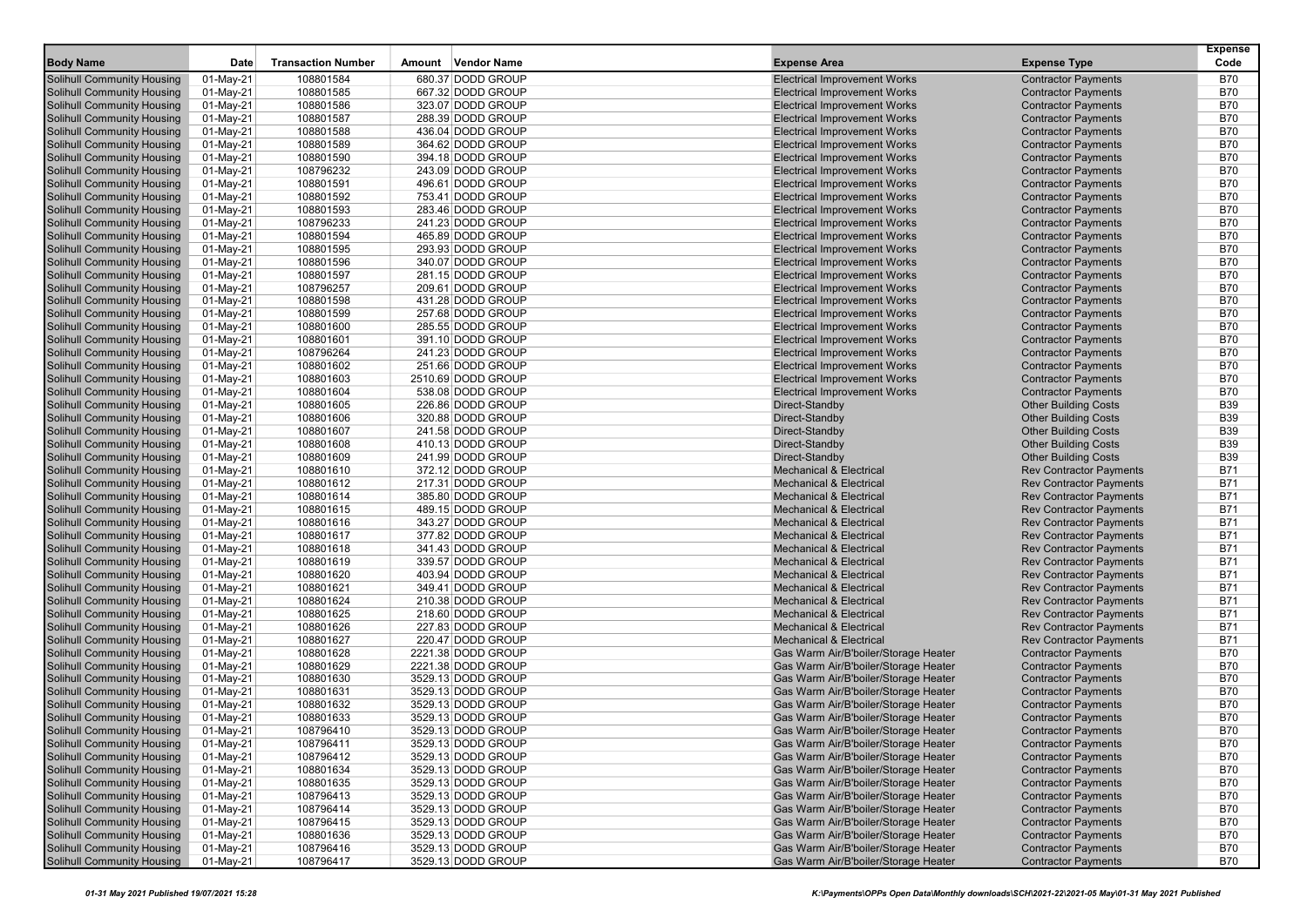| <b>Body Name</b>                                                       | Date                   | <b>Transaction Number</b> | Amount | <b>Vendor Name</b>                       | <b>Expense Area</b>                                                          | <b>Expense Type</b>            | <b>Expense</b><br>Code   |
|------------------------------------------------------------------------|------------------------|---------------------------|--------|------------------------------------------|------------------------------------------------------------------------------|--------------------------------|--------------------------|
| <b>Solihull Community Housing</b>                                      | 01-May-21              | 108801584                 |        | 680.37 DODD GROUP                        | <b>Electrical Improvement Works</b>                                          | <b>Contractor Payments</b>     | <b>B70</b>               |
| Solihull Community Housing                                             | 01-May-21              | 108801585                 |        | 667.32 DODD GROUP                        | <b>Electrical Improvement Works</b>                                          | <b>Contractor Payments</b>     | <b>B70</b>               |
| Solihull Community Housing                                             | 01-May-21              | 108801586                 |        | 323.07 DODD GROUP                        | <b>Electrical Improvement Works</b>                                          | <b>Contractor Payments</b>     | <b>B70</b>               |
| Solihull Community Housing                                             | 01-May-21              | 108801587                 |        | 288.39 DODD GROUP                        | <b>Electrical Improvement Works</b>                                          | <b>Contractor Payments</b>     | <b>B70</b>               |
| <b>Solihull Community Housing</b>                                      | 01-May-21              | 108801588                 |        | 436.04 DODD GROUP                        | <b>Electrical Improvement Works</b>                                          | <b>Contractor Payments</b>     | <b>B70</b>               |
| Solihull Community Housing                                             | 01-May-21              | 108801589                 |        | 364.62 DODD GROUP                        | <b>Electrical Improvement Works</b>                                          | <b>Contractor Payments</b>     | <b>B70</b>               |
| Solihull Community Housing                                             | 01-May-21              | 108801590                 |        | 394.18 DODD GROUP                        | <b>Electrical Improvement Works</b>                                          | <b>Contractor Payments</b>     | <b>B70</b>               |
| Solihull Community Housing                                             | 01-May-21              | 108796232                 |        | 243.09 DODD GROUP                        | <b>Electrical Improvement Works</b>                                          | <b>Contractor Payments</b>     | <b>B70</b>               |
| Solihull Community Housing                                             | 01-May-21              | 108801591                 |        | 496.61 DODD GROUP                        | <b>Electrical Improvement Works</b>                                          | <b>Contractor Payments</b>     | <b>B70</b>               |
| <b>Solihull Community Housing</b>                                      | 01-May-21              | 108801592                 |        | 753.41 DODD GROUP                        | <b>Electrical Improvement Works</b>                                          | <b>Contractor Payments</b>     | <b>B70</b>               |
| Solihull Community Housing                                             | 01-May-21              | 108801593                 |        | 283.46 DODD GROUP                        | <b>Electrical Improvement Works</b>                                          | <b>Contractor Payments</b>     | <b>B70</b>               |
| Solihull Community Housing                                             | 01-May-21              | 108796233                 |        | 241.23 DODD GROUP                        | <b>Electrical Improvement Works</b>                                          | <b>Contractor Payments</b>     | <b>B70</b>               |
| Solihull Community Housing                                             | 01-May-21              | 108801594                 |        | 465.89 DODD GROUP                        | <b>Electrical Improvement Works</b>                                          | <b>Contractor Payments</b>     | <b>B70</b>               |
| Solihull Community Housing                                             | 01-May-21              | 108801595                 |        | 293.93 DODD GROUP                        | <b>Electrical Improvement Works</b>                                          | <b>Contractor Payments</b>     | <b>B70</b>               |
| <b>Solihull Community Housing</b>                                      | 01-May-21              | 108801596                 |        | 340.07 DODD GROUP                        | <b>Electrical Improvement Works</b>                                          | <b>Contractor Payments</b>     | <b>B70</b>               |
| <b>Solihull Community Housing</b>                                      | 01-May-21              | 108801597                 |        | 281.15 DODD GROUP                        | <b>Electrical Improvement Works</b>                                          | <b>Contractor Payments</b>     | <b>B70</b>               |
| Solihull Community Housing                                             | 01-May-21              | 108796257                 |        | 209.61 DODD GROUP                        | <b>Electrical Improvement Works</b>                                          | <b>Contractor Payments</b>     | <b>B70</b>               |
| Solihull Community Housing                                             | 01-May-21              | 108801598                 |        | 431.28 DODD GROUP                        | <b>Electrical Improvement Works</b>                                          | <b>Contractor Payments</b>     | <b>B70</b>               |
| Solihull Community Housing                                             | 01-May-21              | 108801599                 |        | 257.68 DODD GROUP                        | <b>Electrical Improvement Works</b>                                          | <b>Contractor Payments</b>     | <b>B70</b>               |
| <b>Solihull Community Housing</b>                                      | 01-May-21              | 108801600                 |        | 285.55 DODD GROUP                        | <b>Electrical Improvement Works</b>                                          | <b>Contractor Payments</b>     | <b>B70</b>               |
| Solihull Community Housing                                             | 01-May-21              | 108801601                 |        | 391.10 DODD GROUP                        | <b>Electrical Improvement Works</b>                                          | <b>Contractor Payments</b>     | <b>B70</b>               |
| Solihull Community Housing                                             | 01-May-21              | 108796264                 |        | 241.23 DODD GROUP                        | <b>Electrical Improvement Works</b>                                          | <b>Contractor Payments</b>     | <b>B70</b>               |
| Solihull Community Housing                                             | 01-May-21              | 108801602                 |        | 251.66 DODD GROUP                        | <b>Electrical Improvement Works</b>                                          | <b>Contractor Payments</b>     | <b>B70</b>               |
| Solihull Community Housing                                             | 01-May-21              | 108801603                 |        | 2510.69 DODD GROUP                       | <b>Electrical Improvement Works</b>                                          | <b>Contractor Payments</b>     | <b>B70</b>               |
| <b>Solihull Community Housing</b>                                      | 01-May-21              | 108801604                 |        | 538.08 DODD GROUP                        | <b>Electrical Improvement Works</b>                                          | <b>Contractor Payments</b>     | <b>B70</b>               |
| Solihull Community Housing                                             | 01-May-21              | 108801605                 |        | 226.86 DODD GROUP                        | Direct-Standby                                                               | <b>Other Building Costs</b>    | <b>B39</b>               |
| Solihull Community Housing                                             | 01-May-21              | 108801606                 |        | 320.88 DODD GROUP                        | Direct-Standby                                                               | <b>Other Building Costs</b>    | <b>B39</b>               |
| Solihull Community Housing                                             | 01-May-21              | 108801607                 |        | 241.58 DODD GROUP                        | Direct-Standby                                                               | <b>Other Building Costs</b>    | <b>B39</b>               |
| Solihull Community Housing                                             | 01-May-21              | 108801608                 |        | 410.13 DODD GROUP                        | Direct-Standby                                                               | <b>Other Building Costs</b>    | <b>B39</b>               |
| <b>Solihull Community Housing</b>                                      | 01-May-21              | 108801609                 |        | 241.99 DODD GROUP                        | Direct-Standby                                                               | <b>Other Building Costs</b>    | <b>B39</b>               |
| <b>Solihull Community Housing</b>                                      | 01-May-21              | 108801610                 |        | 372.12 DODD GROUP                        | <b>Mechanical &amp; Electrical</b>                                           | <b>Rev Contractor Payments</b> | <b>B71</b>               |
| Solihull Community Housing                                             | 01-May-21              | 108801612                 |        | 217.31 DODD GROUP                        | <b>Mechanical &amp; Electrical</b>                                           | <b>Rev Contractor Payments</b> | <b>B71</b>               |
| Solihull Community Housing                                             | 01-May-21              | 108801614                 |        | 385.80 DODD GROUP                        | <b>Mechanical &amp; Electrical</b>                                           | <b>Rev Contractor Payments</b> | <b>B71</b>               |
| Solihull Community Housing                                             | 01-May-21              | 108801615                 |        | 489.15 DODD GROUP                        | <b>Mechanical &amp; Electrical</b>                                           | <b>Rev Contractor Payments</b> | <b>B71</b>               |
| <b>Solihull Community Housing</b>                                      | 01-May-21              | 108801616                 |        | 343.27 DODD GROUP                        | <b>Mechanical &amp; Electrical</b>                                           | <b>Rev Contractor Payments</b> | <b>B71</b>               |
| <b>Solihull Community Housing</b>                                      | 01-May-21              | 108801617                 |        | 377.82 DODD GROUP                        | <b>Mechanical &amp; Electrical</b>                                           | <b>Rev Contractor Payments</b> | <b>B71</b>               |
| Solihull Community Housing                                             | 01-May-21              | 108801618                 |        | 341.43 DODD GROUP                        | <b>Mechanical &amp; Electrical</b>                                           | <b>Rev Contractor Payments</b> | <b>B71</b>               |
| Solihull Community Housing                                             | 01-May-21              | 108801619                 |        | 339.57 DODD GROUP                        | <b>Mechanical &amp; Electrical</b>                                           | <b>Rev Contractor Payments</b> | <b>B71</b>               |
| Solihull Community Housing                                             | 01-May-21              | 108801620                 |        | 403.94 DODD GROUP                        | <b>Mechanical &amp; Electrical</b>                                           | <b>Rev Contractor Payments</b> | <b>B71</b>               |
| <b>Solihull Community Housing</b>                                      | 01-May-21              | 108801621                 |        | 349.41 DODD GROUP                        | <b>Mechanical &amp; Electrical</b>                                           | <b>Rev Contractor Payments</b> | <b>B71</b>               |
| <b>Solihull Community Housing</b>                                      | 01-May-21              | 108801624                 |        | 210.38 DODD GROUP                        | <b>Mechanical &amp; Electrical</b>                                           | <b>Rev Contractor Payments</b> | <b>B71</b>               |
| Solihull Community Housing                                             | 01-May-21              | 108801625                 |        | 218.60 DODD GROUP                        | <b>Mechanical &amp; Electrical</b>                                           | <b>Rev Contractor Payments</b> | <b>B71</b>               |
| Solihull Community Housing                                             | 01-May-21              | 108801626                 |        | 227.83 DODD GROUP                        | <b>Mechanical &amp; Electrical</b>                                           | <b>Rev Contractor Payments</b> | <b>B71</b>               |
| Solihull Community Housing                                             | 01-May-21              | 108801627                 |        | 220.47 DODD GROUP                        | <b>Mechanical &amp; Electrical</b>                                           | <b>Rev Contractor Payments</b> | <b>B71</b>               |
| <b>Solihull Community Housing</b>                                      | 01-May-21              | 108801628                 |        | 2221.38 DODD GROUP                       | Gas Warm Air/B'boiler/Storage Heater                                         | <b>Contractor Payments</b>     | <b>B70</b>               |
| <b>Solihull Community Housing</b>                                      | 01-May-21              | 108801629                 |        | 2221.38 DODD GROUP                       | Gas Warm Air/B'boiler/Storage Heater                                         | <b>Contractor Payments</b>     | <b>B70</b>               |
| Solihull Community Housing                                             | 01-May-21              | 108801630                 |        | 3529.13 DODD GROUP                       | Gas Warm Air/B'boiler/Storage Heater                                         | <b>Contractor Payments</b>     | <b>B70</b>               |
| Solihull Community Housing                                             | 01-May-21              | 108801631                 |        | 3529.13 DODD GROUP                       | Gas Warm Air/B'boiler/Storage Heater                                         | <b>Contractor Payments</b>     | <b>B70</b>               |
| Solihull Community Housing                                             | 01-May-21              | 108801632                 |        | 3529.13 DODD GROUP                       | Gas Warm Air/B'boiler/Storage Heater                                         | <b>Contractor Payments</b>     | <b>B70</b>               |
| <b>Solihull Community Housing</b>                                      | 01-May-21              | 108801633                 |        | 3529.13 DODD GROUP                       | Gas Warm Air/B'boiler/Storage Heater                                         | <b>Contractor Payments</b>     | <b>B70</b>               |
| <b>Solihull Community Housing</b>                                      | 01-May-21              | 108796410                 |        | 3529.13 DODD GROUP                       | Gas Warm Air/B'boiler/Storage Heater                                         | <b>Contractor Payments</b>     | <b>B70</b>               |
| <b>Solihull Community Housing</b>                                      | 01-May-21              | 108796411                 |        | 3529.13 DODD GROUP                       | Gas Warm Air/B'boiler/Storage Heater                                         | <b>Contractor Payments</b>     | <b>B70</b>               |
| <b>Solihull Community Housing</b>                                      | 01-May-21              | 108796412                 |        | 3529.13 DODD GROUP                       | Gas Warm Air/B'boiler/Storage Heater                                         | <b>Contractor Payments</b>     | <b>B70</b>               |
| <b>Solihull Community Housing</b>                                      | 01-May-21              | 108801634                 |        | 3529.13 DODD GROUP                       | Gas Warm Air/B'boiler/Storage Heater                                         | <b>Contractor Payments</b>     | <b>B70</b>               |
| <b>Solihull Community Housing</b>                                      | $01-May-21$            | 108801635                 |        | 3529.13 DODD GROUP                       | Gas Warm Air/B'boiler/Storage Heater                                         | <b>Contractor Payments</b>     | <b>B70</b>               |
| <b>Solihull Community Housing</b>                                      | 01-May-21              | 108796413                 |        | 3529.13 DODD GROUP                       | Gas Warm Air/B'boiler/Storage Heater                                         | <b>Contractor Payments</b>     | <b>B70</b>               |
| <b>Solihull Community Housing</b>                                      | 01-May-21              |                           |        |                                          | Gas Warm Air/B'boiler/Storage Heater                                         |                                | <b>B70</b>               |
| <b>Solihull Community Housing</b>                                      |                        | 108796414<br>108796415    |        | 3529.13 DODD GROUP                       | Gas Warm Air/B'boiler/Storage Heater                                         | <b>Contractor Payments</b>     |                          |
|                                                                        | 01-May-21              |                           |        | 3529.13 DODD GROUP                       | Gas Warm Air/B'boiler/Storage Heater                                         | <b>Contractor Payments</b>     | <b>B70</b>               |
| <b>Solihull Community Housing</b><br><b>Solihull Community Housing</b> | 01-May-21              | 108801636                 |        | 3529.13 DODD GROUP                       |                                                                              | <b>Contractor Payments</b>     | <b>B70</b><br><b>B70</b> |
| <b>Solihull Community Housing</b>                                      | 01-May-21<br>01-May-21 | 108796416<br>108796417    |        | 3529.13 DODD GROUP<br>3529.13 DODD GROUP | Gas Warm Air/B'boiler/Storage Heater<br>Gas Warm Air/B'boiler/Storage Heater | <b>Contractor Payments</b>     | <b>B70</b>               |
|                                                                        |                        |                           |        |                                          |                                                                              | <b>Contractor Payments</b>     |                          |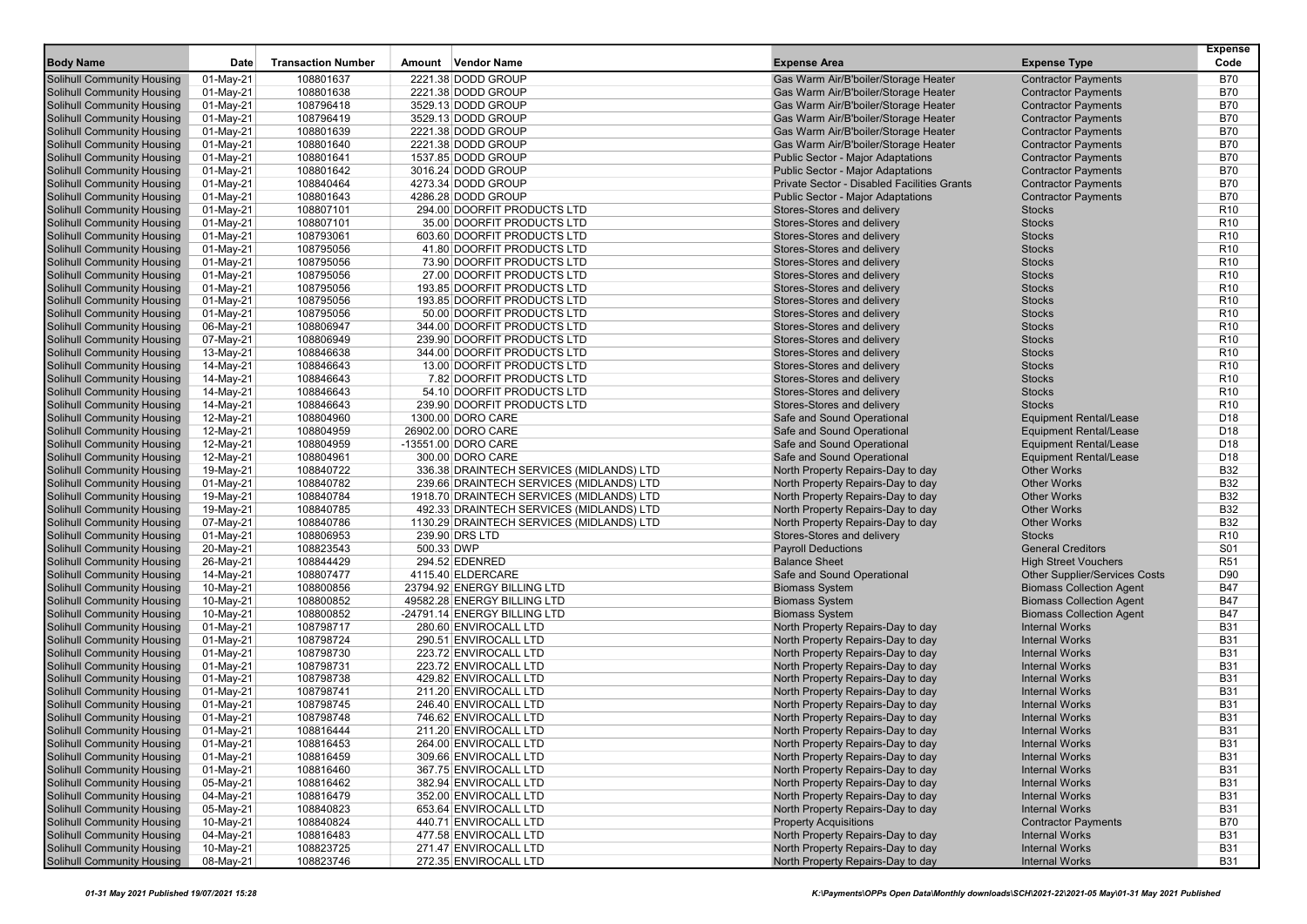|                                                                 |                        |                           |                                                         |                                                          |                                      | <b>Expense</b>                     |
|-----------------------------------------------------------------|------------------------|---------------------------|---------------------------------------------------------|----------------------------------------------------------|--------------------------------------|------------------------------------|
| <b>Body Name</b>                                                | Date                   | <b>Transaction Number</b> | Amount Vendor Name                                      | <b>Expense Area</b>                                      | <b>Expense Type</b>                  | Code                               |
| <b>Solihull Community Housing</b>                               | 01-May-21              | 108801637                 | 2221.38 DODD GROUP                                      | Gas Warm Air/B'boiler/Storage Heater                     | <b>Contractor Payments</b>           | <b>B70</b>                         |
| Solihull Community Housing                                      | 01-May-21              | 108801638                 | 2221.38 DODD GROUP                                      | Gas Warm Air/B'boiler/Storage Heater                     | <b>Contractor Payments</b>           | <b>B70</b>                         |
| <b>Solihull Community Housing</b>                               | 01-May-21              | 108796418                 | 3529.13 DODD GROUP                                      | Gas Warm Air/B'boiler/Storage Heater                     | <b>Contractor Payments</b>           | <b>B70</b>                         |
| <b>Solihull Community Housing</b>                               | 01-May-21              | 108796419                 | 3529.13 DODD GROUP                                      | Gas Warm Air/B'boiler/Storage Heater                     | <b>Contractor Payments</b>           | <b>B70</b>                         |
| <b>Solihull Community Housing</b>                               | 01-May-21              | 108801639                 | 2221.38 DODD GROUP                                      | Gas Warm Air/B'boiler/Storage Heater                     | <b>Contractor Payments</b>           | <b>B70</b>                         |
| Solihull Community Housing                                      | 01-May-21              | 108801640                 | 2221.38 DODD GROUP                                      | Gas Warm Air/B'boiler/Storage Heater                     | <b>Contractor Payments</b>           | <b>B70</b>                         |
| Solihull Community Housing                                      | 01-May-21              | 108801641                 | 1537.85 DODD GROUP                                      | <b>Public Sector - Major Adaptations</b>                 | <b>Contractor Payments</b>           | <b>B70</b>                         |
| <b>Solihull Community Housing</b>                               | 01-May-21              | 108801642                 | 3016.24 DODD GROUP                                      | <b>Public Sector - Major Adaptations</b>                 | <b>Contractor Payments</b>           | <b>B70</b>                         |
| <b>Solihull Community Housing</b>                               | 01-May-21              | 108840464                 | 4273.34 DODD GROUP                                      | Private Sector - Disabled Facilities Grants              | <b>Contractor Payments</b>           | <b>B70</b>                         |
| <b>Solihull Community Housing</b>                               | 01-May-21              | 108801643                 | 4286.28 DODD GROUP                                      | <b>Public Sector - Major Adaptations</b>                 | <b>Contractor Payments</b>           | <b>B70</b>                         |
| Solihull Community Housing                                      | 01-May-21              | 108807101                 | 294.00 DOORFIT PRODUCTS LTD                             | Stores-Stores and delivery                               | <b>Stocks</b>                        | R <sub>10</sub>                    |
| Solihull Community Housing                                      | 01-May-21              | 108807101                 | 35.00 DOORFIT PRODUCTS LTD                              | Stores-Stores and delivery                               | <b>Stocks</b>                        | R <sub>10</sub>                    |
| <b>Solihull Community Housing</b>                               | 01-May-21              | 108793061                 | 603.60 DOORFIT PRODUCTS LTD                             | Stores-Stores and delivery                               | <b>Stocks</b>                        | R <sub>10</sub>                    |
| <b>Solihull Community Housing</b>                               | 01-May-21              | 108795056                 | 41.80 DOORFIT PRODUCTS LTD                              | Stores-Stores and delivery                               | <b>Stocks</b>                        | R <sub>10</sub>                    |
| <b>Solihull Community Housing</b>                               | 01-May-21              | 108795056                 | 73.90 DOORFIT PRODUCTS LTD                              | Stores-Stores and delivery                               | <b>Stocks</b>                        | R <sub>10</sub>                    |
| Solihull Community Housing                                      | 01-May-21              | 108795056                 | 27.00 DOORFIT PRODUCTS LTD                              | Stores-Stores and delivery                               | <b>Stocks</b>                        | R <sub>10</sub>                    |
| Solihull Community Housing                                      | 01-May-21              | 108795056                 | 193.85 DOORFIT PRODUCTS LTD                             | Stores-Stores and delivery                               | <b>Stocks</b>                        | R <sub>10</sub>                    |
| <b>Solihull Community Housing</b>                               | 01-May-21              | 108795056                 | 193.85 DOORFIT PRODUCTS LTD                             | Stores-Stores and delivery                               | <b>Stocks</b>                        | R <sub>10</sub>                    |
| <b>Solihull Community Housing</b>                               | 01-May-21              | 108795056                 | 50.00 DOORFIT PRODUCTS LTD                              | Stores-Stores and delivery                               | <b>Stocks</b>                        | R <sub>10</sub>                    |
| <b>Solihull Community Housing</b>                               | 06-May-21              | 108806947                 | 344.00 DOORFIT PRODUCTS LTD                             | Stores-Stores and delivery                               | <b>Stocks</b>                        | R <sub>10</sub>                    |
| Solihull Community Housing                                      | 07-May-21              | 108806949                 | 239.90 DOORFIT PRODUCTS LTD                             | Stores-Stores and delivery                               | <b>Stocks</b>                        | R <sub>10</sub>                    |
| Solihull Community Housing                                      | 13-May-21              | 108846638                 | 344.00 DOORFIT PRODUCTS LTD                             | Stores-Stores and delivery                               | <b>Stocks</b>                        | R <sub>10</sub>                    |
| <b>Solihull Community Housing</b>                               | 14-May-21              | 108846643                 | 13.00 DOORFIT PRODUCTS LTD                              | Stores-Stores and delivery                               | <b>Stocks</b>                        | R <sub>10</sub>                    |
| <b>Solihull Community Housing</b>                               | 14-May-21              | 108846643                 | 7.82 DOORFIT PRODUCTS LTD<br>54.10 DOORFIT PRODUCTS LTD | Stores-Stores and delivery                               | <b>Stocks</b>                        | R <sub>10</sub>                    |
| <b>Solihull Community Housing</b>                               | 14-May-21              | 108846643                 | 239.90 DOORFIT PRODUCTS LTD                             | Stores-Stores and delivery                               | <b>Stocks</b><br><b>Stocks</b>       | R <sub>10</sub>                    |
| Solihull Community Housing                                      | 14-May-21              | 108846643<br>108804960    | 1300.00 DORO CARE                                       | Stores-Stores and delivery<br>Safe and Sound Operational | <b>Equipment Rental/Lease</b>        | R <sub>10</sub><br>D <sub>18</sub> |
| Solihull Community Housing<br><b>Solihull Community Housing</b> | 12-May-21<br>12-May-21 | 108804959                 | 26902.00 DORO CARE                                      | Safe and Sound Operational                               | <b>Equipment Rental/Lease</b>        | D <sub>18</sub>                    |
| <b>Solihull Community Housing</b>                               | 12-May-21              | 108804959                 | -13551.00 DORO CARE                                     | Safe and Sound Operational                               | <b>Equipment Rental/Lease</b>        | D <sub>18</sub>                    |
| <b>Solihull Community Housing</b>                               | 12-May-21              | 108804961                 | 300.00 DORO CARE                                        | Safe and Sound Operational                               | <b>Equipment Rental/Lease</b>        | D <sub>18</sub>                    |
| Solihull Community Housing                                      | 19-May-21              | 108840722                 | 336.38 DRAINTECH SERVICES (MIDLANDS) LTD                | North Property Repairs-Day to day                        | <b>Other Works</b>                   | <b>B32</b>                         |
| <b>Solihull Community Housing</b>                               | 01-May-21              | 108840782                 | 239.66 DRAINTECH SERVICES (MIDLANDS) LTD                | North Property Repairs-Day to day                        | <b>Other Works</b>                   | <b>B32</b>                         |
| <b>Solihull Community Housing</b>                               | 19-May-21              | 108840784                 | 1918.70 DRAINTECH SERVICES (MIDLANDS) LTD               | North Property Repairs-Day to day                        | <b>Other Works</b>                   | <b>B32</b>                         |
| Solihull Community Housing                                      | 19-May-21              | 108840785                 | 492.33 DRAINTECH SERVICES (MIDLANDS) LTD                | North Property Repairs-Day to day                        | <b>Other Works</b>                   | <b>B32</b>                         |
| <b>Solihull Community Housing</b>                               | 07-May-21              | 108840786                 | 1130.29 DRAINTECH SERVICES (MIDLANDS) LTD               | North Property Repairs-Day to day                        | <b>Other Works</b>                   | <b>B32</b>                         |
| Solihull Community Housing                                      | 01-May-21              | 108806953                 | 239.90 DRS LTD                                          | Stores-Stores and delivery                               | <b>Stocks</b>                        | R <sub>10</sub>                    |
| <b>Solihull Community Housing</b>                               | 20-May-21              | 108823543                 | 500.33 DWP                                              | <b>Payroll Deductions</b>                                | <b>General Creditors</b>             | S01                                |
| <b>Solihull Community Housing</b>                               | 26-May-21              | 108844429                 | 294.52 EDENRED                                          | <b>Balance Sheet</b>                                     | <b>High Street Vouchers</b>          | R <sub>51</sub>                    |
| <b>Solihull Community Housing</b>                               | 14-May-21              | 108807477                 | 4115.40 ELDERCARE                                       | Safe and Sound Operational                               | <b>Other Supplier/Services Costs</b> | D90                                |
| <b>Solihull Community Housing</b>                               | 10-May-21              | 108800856                 | 23794.92 ENERGY BILLING LTD                             | <b>Biomass System</b>                                    | <b>Biomass Collection Agent</b>      | <b>B47</b>                         |
| Solihull Community Housing                                      | 10-May-21              | 108800852                 | 49582.28 ENERGY BILLING LTD                             | <b>Biomass System</b>                                    | <b>Biomass Collection Agent</b>      | <b>B47</b>                         |
| Solihull Community Housing                                      | 10-May-21              | 108800852                 | -24791.14 ENERGY BILLING LTD                            | <b>Biomass System</b>                                    | <b>Biomass Collection Agent</b>      | <b>B47</b>                         |
| <b>Solihull Community Housing</b>                               | 01-May-21              | 108798717                 | 280.60 ENVIROCALL LTD                                   | North Property Repairs-Day to day                        | <b>Internal Works</b>                | <b>B31</b>                         |
| Solihull Community Housing                                      | 01-May-21              | 108798724                 | 290.51 ENVIROCALL LTD                                   | North Property Repairs-Day to day                        | <b>Internal Works</b>                | <b>B31</b>                         |
| <b>Solihull Community Housing</b>                               | 01-May-21              | 108798730                 | 223.72 ENVIROCALL LTD                                   | North Property Repairs-Day to day                        | <b>Internal Works</b>                | <b>B31</b>                         |
| Solihull Community Housing                                      | 01-May-21              | 108798731                 | 223.72 ENVIROCALL LTD                                   | North Property Repairs-Day to day                        | <b>Internal Works</b>                | <b>B31</b>                         |
| <b>Solihull Community Housing</b>                               | 01-May-21              | 108798738                 | 429.82 ENVIROCALL LTD                                   | North Property Repairs-Day to day                        | <b>Internal Works</b>                | <b>B31</b>                         |
| <b>Solihull Community Housing</b>                               | 01-May-21              | 108798741                 | 211.20 ENVIROCALL LTD                                   | North Property Repairs-Day to day                        | <b>Internal Works</b>                | <b>B31</b>                         |
| Solihull Community Housing                                      | 01-May-21              | 108798745                 | 246.40 ENVIROCALL LTD                                   | North Property Repairs-Day to day                        | <b>Internal Works</b>                | <b>B31</b>                         |
| <b>Solihull Community Housing</b>                               | 01-May-21              | 108798748                 | 746.62 ENVIROCALL LTD                                   | North Property Repairs-Day to day                        | <b>Internal Works</b>                | <b>B31</b>                         |
| Solihull Community Housing                                      | 01-May-21              | 108816444                 | 211.20 ENVIROCALL LTD                                   | North Property Repairs-Day to day                        | <b>Internal Works</b>                | <b>B31</b>                         |
| Solihull Community Housing                                      | 01-May-21              | 108816453                 | 264.00 ENVIROCALL LTD                                   | North Property Repairs-Day to day                        | <b>Internal Works</b>                | <b>B31</b>                         |
| <b>Solihull Community Housing</b>                               | 01-May-21              | 108816459                 | 309.66 ENVIROCALL LTD                                   | North Property Repairs-Day to day                        | <b>Internal Works</b>                | <b>B31</b>                         |
| <b>Solihull Community Housing</b>                               | 01-May-21              | 108816460                 | 367.75 ENVIROCALL LTD                                   | North Property Repairs-Day to day                        | <b>Internal Works</b>                | <b>B31</b>                         |
| <b>Solihull Community Housing</b>                               | 05-May-21              | 108816462                 | 382.94 ENVIROCALL LTD                                   | North Property Repairs-Day to day                        | <b>Internal Works</b>                | <b>B31</b>                         |
| <b>Solihull Community Housing</b>                               | 04-May-21              | 108816479                 | 352.00 ENVIROCALL LTD                                   | North Property Repairs-Day to day                        | <b>Internal Works</b>                | <b>B31</b>                         |
| <b>Solihull Community Housing</b>                               | 05-May-21              | 108840823                 | 653.64 ENVIROCALL LTD                                   | North Property Repairs-Day to day                        | <b>Internal Works</b>                | <b>B31</b>                         |
| <b>Solihull Community Housing</b>                               | 10-May-21              | 108840824                 | 440.71 ENVIROCALL LTD                                   | <b>Property Acquisitions</b>                             | <b>Contractor Payments</b>           | <b>B70</b>                         |
| <b>Solihull Community Housing</b>                               | 04-May-21              | 108816483                 | 477.58 ENVIROCALL LTD                                   | North Property Repairs-Day to day                        | <b>Internal Works</b>                | <b>B31</b>                         |
| <b>Solihull Community Housing</b>                               | 10-May-21              | 108823725                 | 271.47 ENVIROCALL LTD                                   | North Property Repairs-Day to day                        | <b>Internal Works</b>                | <b>B31</b>                         |
| <b>Solihull Community Housing</b>                               | 08-May-21              | 108823746                 | 272.35 ENVIROCALL LTD                                   | North Property Repairs-Day to day                        | <b>Internal Works</b>                | <b>B31</b>                         |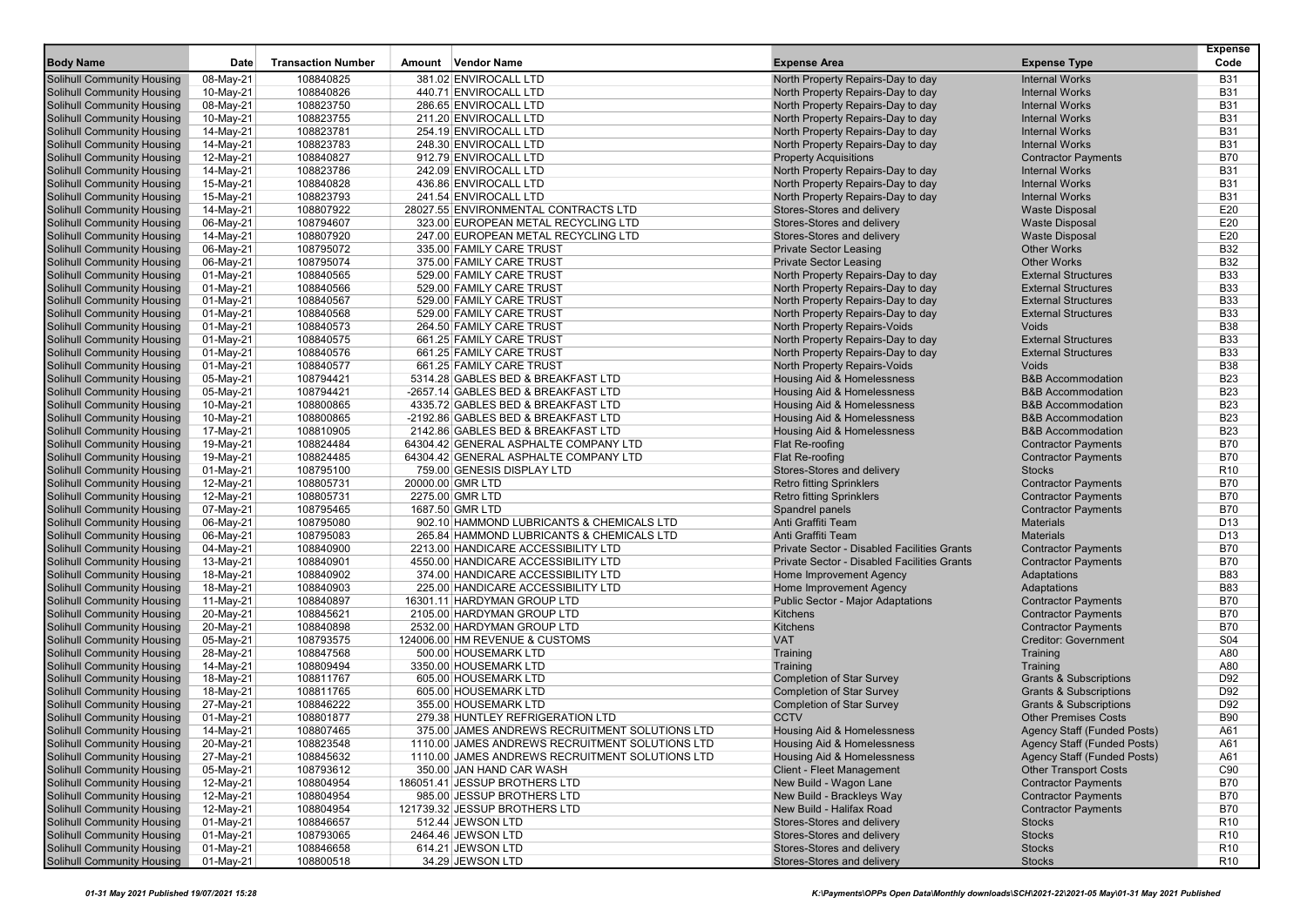|                                   |           |                           |                                                 |                                             |                                    | <b>Expense</b>  |
|-----------------------------------|-----------|---------------------------|-------------------------------------------------|---------------------------------------------|------------------------------------|-----------------|
| <b>Body Name</b>                  | Date      | <b>Transaction Number</b> | Amount Vendor Name                              | <b>Expense Area</b>                         | <b>Expense Type</b>                | Code            |
| Solihull Community Housing        | 08-May-21 | 108840825                 | 381.02 ENVIROCALL LTD                           | North Property Repairs-Day to day           | <b>Internal Works</b>              | <b>B31</b>      |
| Solihull Community Housing        | 10-May-21 | 108840826                 | 440.71 ENVIROCALL LTD                           | North Property Repairs-Day to day           | <b>Internal Works</b>              | <b>B31</b>      |
| <b>Solihull Community Housing</b> | 08-May-21 | 108823750                 | 286.65 ENVIROCALL LTD                           | North Property Repairs-Day to day           | <b>Internal Works</b>              | <b>B31</b>      |
| Solihull Community Housing        | 10-May-21 | 108823755                 | 211.20 ENVIROCALL LTD                           | North Property Repairs-Day to day           | <b>Internal Works</b>              | <b>B31</b>      |
| Solihull Community Housing        | 14-May-21 | 108823781                 | 254.19 ENVIROCALL LTD                           | North Property Repairs-Day to day           | <b>Internal Works</b>              | <b>B31</b>      |
| Solihull Community Housing        | 14-May-21 | 108823783                 | 248.30 ENVIROCALL LTD                           | North Property Repairs-Day to day           | <b>Internal Works</b>              | <b>B31</b>      |
| Solihull Community Housing        | 12-May-21 | 108840827                 | 912.79 ENVIROCALL LTD                           | <b>Property Acquisitions</b>                | <b>Contractor Payments</b>         | <b>B70</b>      |
| Solihull Community Housing        | 14-May-21 | 108823786                 | 242.09 ENVIROCALL LTD                           | North Property Repairs-Day to day           | <b>Internal Works</b>              | <b>B31</b>      |
| Solihull Community Housing        | 15-May-21 | 108840828                 | 436.86 ENVIROCALL LTD                           | North Property Repairs-Day to day           | <b>Internal Works</b>              | <b>B31</b>      |
| <b>Solihull Community Housing</b> | 15-May-21 | 108823793                 | 241.54 ENVIROCALL LTD                           | North Property Repairs-Day to day           | <b>Internal Works</b>              | <b>B31</b>      |
| Solihull Community Housing        | 14-May-21 | 108807922                 | 28027.55 ENVIRONMENTAL CONTRACTS LTD            | Stores-Stores and delivery                  | <b>Waste Disposal</b>              | E20             |
| Solihull Community Housing        | 06-May-21 | 108794607                 | 323.00 EUROPEAN METAL RECYCLING LTD             | Stores-Stores and delivery                  | <b>Waste Disposal</b>              | E20             |
| Solihull Community Housing        | 14-May-21 | 108807920                 | 247.00 EUROPEAN METAL RECYCLING LTD             | Stores-Stores and delivery                  | <b>Waste Disposal</b>              | E20             |
| Solihull Community Housing        | 06-May-21 | 108795072                 | 335.00 FAMILY CARE TRUST                        | <b>Private Sector Leasing</b>               | <b>Other Works</b>                 | <b>B32</b>      |
| <b>Solihull Community Housing</b> | 06-May-21 | 108795074                 | 375.00 FAMILY CARE TRUST                        | <b>Private Sector Leasing</b>               | <b>Other Works</b>                 | <b>B32</b>      |
| Solihull Community Housing        | 01-May-21 | 108840565                 | 529.00 FAMILY CARE TRUST                        | North Property Repairs-Day to day           | <b>External Structures</b>         | <b>B33</b>      |
| Solihull Community Housing        | 01-May-21 | 108840566                 | 529.00 FAMILY CARE TRUST                        | North Property Repairs-Day to day           | <b>External Structures</b>         | <b>B33</b>      |
| Solihull Community Housing        | 01-May-21 | 108840567                 | 529.00 FAMILY CARE TRUST                        | North Property Repairs-Day to day           | <b>External Structures</b>         | <b>B33</b>      |
| Solihull Community Housing        | 01-May-21 | 108840568                 | 529.00 FAMILY CARE TRUST                        | North Property Repairs-Day to day           | <b>External Structures</b>         | <b>B33</b>      |
| <b>Solihull Community Housing</b> | 01-May-21 | 108840573                 | 264.50 FAMILY CARE TRUST                        | North Property Repairs-Voids                | Voids                              | <b>B38</b>      |
| Solihull Community Housing        | 01-May-21 | 108840575                 | 661.25 FAMILY CARE TRUST                        | North Property Repairs-Day to day           | <b>External Structures</b>         | <b>B33</b>      |
| Solihull Community Housing        | 01-May-21 | 108840576                 | 661.25 FAMILY CARE TRUST                        | North Property Repairs-Day to day           | <b>External Structures</b>         | <b>B33</b>      |
| Solihull Community Housing        | 01-May-21 | 108840577                 | 661.25 FAMILY CARE TRUST                        | North Property Repairs-Voids                | Voids                              | <b>B38</b>      |
| Solihull Community Housing        | 05-May-21 | 108794421                 | 5314.28 GABLES BED & BREAKFAST LTD              | Housing Aid & Homelessness                  | <b>B&amp;B Accommodation</b>       | <b>B23</b>      |
| <b>Solihull Community Housing</b> | 05-May-21 | 108794421                 | -2657.14 GABLES BED & BREAKFAST LTD             | Housing Aid & Homelessness                  | <b>B&amp;B Accommodation</b>       | <b>B23</b>      |
| Solihull Community Housing        | 10-May-21 | 108800865                 | 4335.72 GABLES BED & BREAKFAST LTD              | Housing Aid & Homelessness                  | <b>B&amp;B Accommodation</b>       | <b>B23</b>      |
| Solihull Community Housing        | 10-May-21 | 108800865                 | -2192.86 GABLES BED & BREAKFAST LTD             | <b>Housing Aid &amp; Homelessness</b>       | <b>B&amp;B Accommodation</b>       | <b>B23</b>      |
| Solihull Community Housing        | 17-May-21 | 108810905                 | 2142.86 GABLES BED & BREAKFAST LTD              | Housing Aid & Homelessness                  | <b>B&amp;B Accommodation</b>       | <b>B23</b>      |
| Solihull Community Housing        | 19-May-21 | 108824484                 | 64304.42 GENERAL ASPHALTE COMPANY LTD           | Flat Re-roofing                             | <b>Contractor Payments</b>         | <b>B70</b>      |
| <b>Solihull Community Housing</b> | 19-May-21 | 108824485                 | 64304.42 GENERAL ASPHALTE COMPANY LTD           | Flat Re-roofing                             | <b>Contractor Payments</b>         | <b>B70</b>      |
| Solihull Community Housing        | 01-May-21 | 108795100                 | 759.00 GENESIS DISPLAY LTD                      | Stores-Stores and delivery                  | <b>Stocks</b>                      | R <sub>10</sub> |
| Solihull Community Housing        | 12-May-21 | 108805731                 | 20000.00 GMR LTD                                | <b>Retro fitting Sprinklers</b>             | <b>Contractor Payments</b>         | <b>B70</b>      |
| Solihull Community Housing        | 12-May-21 | 108805731                 | 2275.00 GMR LTD                                 | <b>Retro fitting Sprinklers</b>             | <b>Contractor Payments</b>         | <b>B70</b>      |
| Solihull Community Housing        | 07-May-21 | 108795465                 | 1687.50 GMR LTD                                 | Spandrel panels                             | <b>Contractor Payments</b>         | <b>B70</b>      |
| <b>Solihull Community Housing</b> | 06-May-21 | 108795080                 | 902.10 HAMMOND LUBRICANTS & CHEMICALS LTD       | Anti Graffiti Team                          | <b>Materials</b>                   | D <sub>13</sub> |
| Solihull Community Housing        | 06-May-21 | 108795083                 | 265.84 HAMMOND LUBRICANTS & CHEMICALS LTD       | Anti Graffiti Team                          | <b>Materials</b>                   | D <sub>13</sub> |
| Solihull Community Housing        | 04-May-21 | 108840900                 | 2213.00 HANDICARE ACCESSIBILITY LTD             | Private Sector - Disabled Facilities Grants | <b>Contractor Payments</b>         | <b>B70</b>      |
| Solihull Community Housing        | 13-May-21 | 108840901                 | 4550.00 HANDICARE ACCESSIBILITY LTD             | Private Sector - Disabled Facilities Grants | <b>Contractor Payments</b>         | <b>B70</b>      |
| Solihull Community Housing        | 18-May-21 | 108840902                 | 374.00 HANDICARE ACCESSIBILITY LTD              | Home Improvement Agency                     | Adaptations                        | <b>B83</b>      |
| <b>Solihull Community Housing</b> | 18-May-21 | 108840903                 | 225.00 HANDICARE ACCESSIBILITY LTD              | Home Improvement Agency                     | Adaptations                        | <b>B83</b>      |
| Solihull Community Housing        | 11-May-21 | 108840897                 | 16301.11 HARDYMAN GROUP LTD                     | <b>Public Sector - Major Adaptations</b>    | <b>Contractor Payments</b>         | <b>B70</b>      |
| Solihull Community Housing        | 20-May-21 | 108845621                 | 2105.00 HARDYMAN GROUP LTD                      | Kitchens                                    | <b>Contractor Payments</b>         | <b>B70</b>      |
| Solihull Community Housing        | 20-May-21 | 108840898                 | 2532.00 HARDYMAN GROUP LTD                      | Kitchens                                    | <b>Contractor Payments</b>         | <b>B70</b>      |
| Solihull Community Housing        | 05-May-21 | 108793575                 | 124006.00 HM REVENUE & CUSTOMS                  | VAT                                         | <b>Creditor: Government</b>        | S04             |
| <b>Solihull Community Housing</b> | 28-May-21 | 108847568                 | 500.00 HOUSEMARK LTD                            | Training                                    | Training                           | A80             |
| Solihull Community Housing        | 14-May-21 | 108809494                 | 3350.00 HOUSEMARK LTD                           | Training                                    | Training                           | A80             |
| Solihull Community Housing        | 18-May-21 | 108811767                 | 605.00 HOUSEMARK LTD                            | <b>Completion of Star Survey</b>            | <b>Grants &amp; Subscriptions</b>  | D92             |
| Solihull Community Housing        | 18-May-21 | 108811765                 | 605.00 HOUSEMARK LTD                            | <b>Completion of Star Survey</b>            | <b>Grants &amp; Subscriptions</b>  | D92             |
| Solihull Community Housing        | 27-May-21 | 108846222                 | 355.00 HOUSEMARK LTD                            | <b>Completion of Star Survey</b>            | <b>Grants &amp; Subscriptions</b>  | D92             |
| Solihull Community Housing        | 01-May-21 | 108801877                 | 279.38 HUNTLEY REFRIGERATION LTD                | <b>CCTV</b>                                 | <b>Other Premises Costs</b>        | <b>B90</b>      |
| Solihull Community Housing        | 14-May-21 | 108807465                 | 375.00 JAMES ANDREWS RECRUITMENT SOLUTIONS LTD  | Housing Aid & Homelessness                  | <b>Agency Staff (Funded Posts)</b> | A61             |
| Solihull Community Housing        | 20-May-21 | 108823548                 | 1110.00 JAMES ANDREWS RECRUITMENT SOLUTIONS LTD | Housing Aid & Homelessness                  | <b>Agency Staff (Funded Posts)</b> | A61             |
| <b>Solihull Community Housing</b> | 27-May-21 | 108845632                 | 1110.00 JAMES ANDREWS RECRUITMENT SOLUTIONS LTD | Housing Aid & Homelessness                  | Agency Staff (Funded Posts)        | A61             |
| <b>Solihull Community Housing</b> | 05-May-21 | 108793612                 | 350.00 JAN HAND CAR WASH                        | <b>Client - Fleet Management</b>            | <b>Other Transport Costs</b>       | C90             |
| <b>Solihull Community Housing</b> | 12-May-21 | 108804954                 | 186051.41 JESSUP BROTHERS LTD                   | New Build - Wagon Lane                      | <b>Contractor Payments</b>         | <b>B70</b>      |
| <b>Solihull Community Housing</b> | 12-May-21 | 108804954                 | 985.00 JESSUP BROTHERS LTD                      | New Build - Brackleys Way                   | <b>Contractor Payments</b>         | <b>B70</b>      |
| Solihull Community Housing        | 12-May-21 | 108804954                 | 121739.32 JESSUP BROTHERS LTD                   | New Build - Halifax Road                    | <b>Contractor Payments</b>         | <b>B70</b>      |
| Solihull Community Housing        | 01-May-21 | 108846657                 | 512.44 JEWSON LTD                               | Stores-Stores and delivery                  | <b>Stocks</b>                      | R <sub>10</sub> |
| <b>Solihull Community Housing</b> | 01-May-21 | 108793065                 | 2464.46 JEWSON LTD                              | Stores-Stores and delivery                  | <b>Stocks</b>                      | R <sub>10</sub> |
| <b>Solihull Community Housing</b> | 01-May-21 | 108846658                 | 614.21 JEWSON LTD                               | Stores-Stores and delivery                  | <b>Stocks</b>                      | R <sub>10</sub> |
| <b>Solihull Community Housing</b> | 01-May-21 | 108800518                 | 34.29 JEWSON LTD                                | Stores-Stores and delivery                  | <b>Stocks</b>                      | R <sub>10</sub> |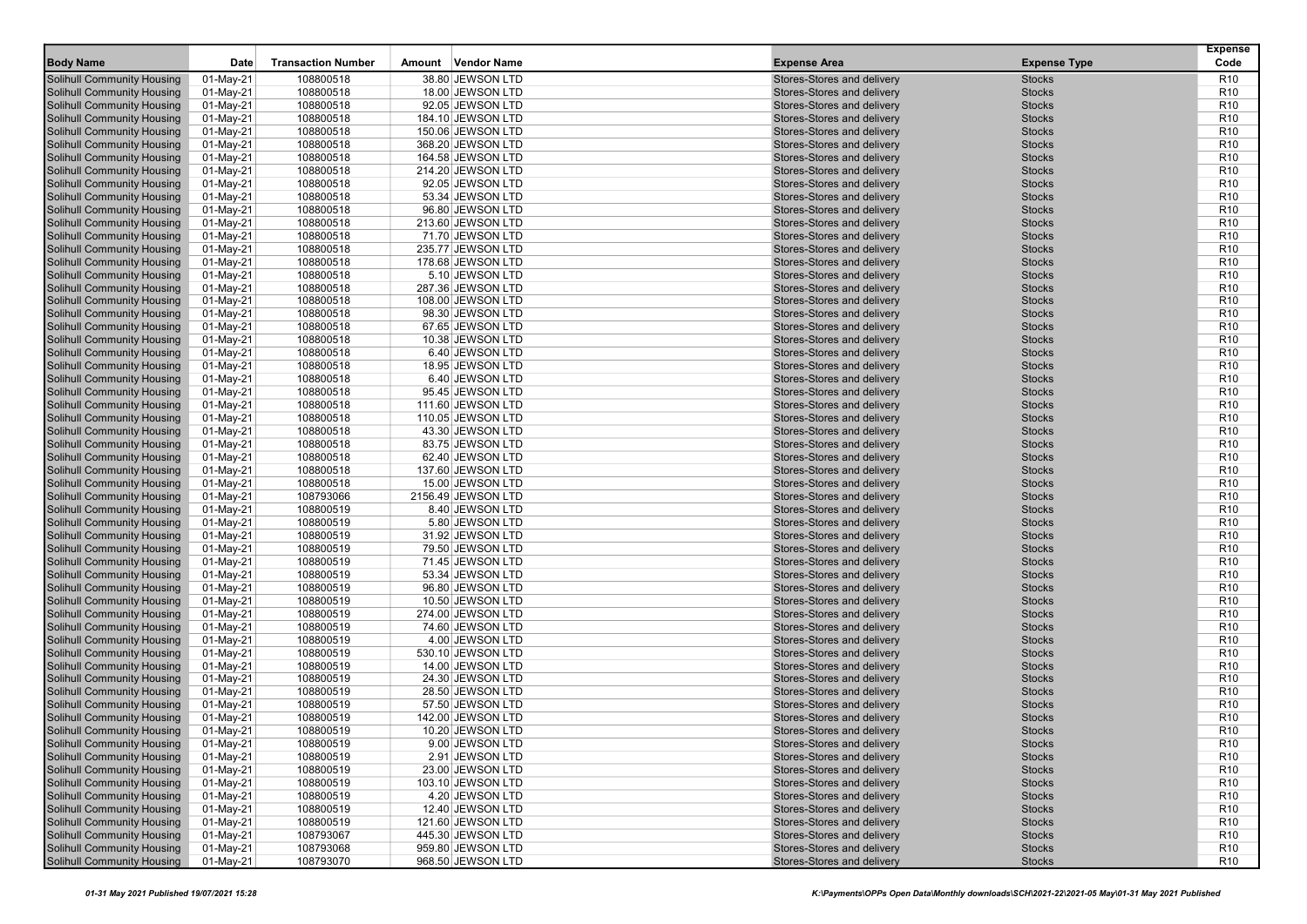|                                                                        |                        |                           |                                     |                                                          |                                | <b>Expense</b>                     |
|------------------------------------------------------------------------|------------------------|---------------------------|-------------------------------------|----------------------------------------------------------|--------------------------------|------------------------------------|
| <b>Body Name</b>                                                       | Date                   | <b>Transaction Number</b> | Amount Vendor Name                  | <b>Expense Area</b>                                      | <b>Expense Type</b>            | Code                               |
| <b>Solihull Community Housing</b>                                      | 01-May-21              | 108800518                 | 38.80 JEWSON LTD                    | Stores-Stores and delivery                               | <b>Stocks</b>                  | R <sub>10</sub>                    |
| Solihull Community Housing                                             | 01-May-21              | 108800518                 | 18.00 JEWSON LTD                    | Stores-Stores and delivery                               | <b>Stocks</b>                  | R <sub>10</sub>                    |
| <b>Solihull Community Housing</b>                                      | 01-May-21              | 108800518                 | 92.05 JEWSON LTD                    | Stores-Stores and delivery                               | <b>Stocks</b>                  | R <sub>10</sub>                    |
| <b>Solihull Community Housing</b>                                      | 01-May-21              | 108800518                 | 184.10 JEWSON LTD                   | Stores-Stores and delivery                               | <b>Stocks</b>                  | R <sub>10</sub>                    |
| <b>Solihull Community Housing</b>                                      | 01-May-21              | 108800518                 | 150.06 JEWSON LTD                   | Stores-Stores and delivery                               | <b>Stocks</b>                  | R <sub>10</sub>                    |
| <b>Solihull Community Housing</b>                                      | 01-May-21              | 108800518                 | 368.20 JEWSON LTD                   | Stores-Stores and delivery                               | <b>Stocks</b>                  | R <sub>10</sub>                    |
| <b>Solihull Community Housing</b>                                      | 01-May-21              | 108800518                 | 164.58 JEWSON LTD                   | Stores-Stores and delivery                               | <b>Stocks</b>                  | R <sub>10</sub>                    |
| <b>Solihull Community Housing</b>                                      | 01-May-21              | 108800518                 | 214.20 JEWSON LTD                   | Stores-Stores and delivery                               | <b>Stocks</b>                  | R <sub>10</sub>                    |
| <b>Solihull Community Housing</b>                                      | 01-May-21              | 108800518                 | 92.05 JEWSON LTD                    | Stores-Stores and delivery                               | <b>Stocks</b>                  | R <sub>10</sub>                    |
| <b>Solihull Community Housing</b>                                      | 01-May-21              | 108800518                 | 53.34 JEWSON LTD                    | Stores-Stores and delivery                               | <b>Stocks</b>                  | R <sub>10</sub>                    |
| <b>Solihull Community Housing</b>                                      | 01-May-21              | 108800518                 | 96.80 JEWSON LTD                    | Stores-Stores and delivery                               | <b>Stocks</b>                  | R <sub>10</sub>                    |
| <b>Solihull Community Housing</b>                                      | 01-May-21              | 108800518                 | 213.60 JEWSON LTD                   | Stores-Stores and delivery                               | <b>Stocks</b>                  | R <sub>10</sub>                    |
| <b>Solihull Community Housing</b>                                      | 01-May-21              | 108800518                 | 71.70 JEWSON LTD                    | Stores-Stores and delivery                               | <b>Stocks</b>                  | R <sub>10</sub>                    |
| <b>Solihull Community Housing</b>                                      | 01-May-21              | 108800518                 | 235.77 JEWSON LTD                   | Stores-Stores and delivery                               | <b>Stocks</b>                  | R <sub>10</sub>                    |
| <b>Solihull Community Housing</b>                                      | 01-May-21              | 108800518                 | 178.68 JEWSON LTD                   | Stores-Stores and delivery                               | <b>Stocks</b>                  | R <sub>10</sub>                    |
| <b>Solihull Community Housing</b>                                      | 01-May-21              | 108800518                 | 5.10 JEWSON LTD                     | Stores-Stores and delivery                               | <b>Stocks</b>                  | R <sub>10</sub>                    |
| <b>Solihull Community Housing</b>                                      | 01-May-21              | 108800518                 | 287.36 JEWSON LTD                   | Stores-Stores and delivery                               | <b>Stocks</b>                  | R <sub>10</sub>                    |
| <b>Solihull Community Housing</b>                                      | 01-May-21              | 108800518                 | 108.00 JEWSON LTD                   | Stores-Stores and delivery                               | <b>Stocks</b>                  | R <sub>10</sub>                    |
| <b>Solihull Community Housing</b>                                      | 01-May-21              | 108800518                 | 98.30 JEWSON LTD                    | Stores-Stores and delivery                               | <b>Stocks</b>                  | R <sub>10</sub>                    |
| <b>Solihull Community Housing</b>                                      | 01-May-21              | 108800518                 | 67.65 JEWSON LTD                    | Stores-Stores and delivery                               | <b>Stocks</b>                  | R <sub>10</sub>                    |
| <b>Solihull Community Housing</b>                                      | 01-May-21              | 108800518                 | 10.38 JEWSON LTD                    | Stores-Stores and delivery                               | <b>Stocks</b>                  | R <sub>10</sub>                    |
| <b>Solihull Community Housing</b>                                      | 01-May-21              | 108800518                 | 6.40 JEWSON LTD                     | Stores-Stores and delivery                               | <b>Stocks</b>                  | R <sub>10</sub>                    |
| <b>Solihull Community Housing</b>                                      | 01-May-21              | 108800518                 | 18.95 JEWSON LTD                    | Stores-Stores and delivery                               | <b>Stocks</b>                  | R <sub>10</sub>                    |
| <b>Solihull Community Housing</b>                                      | 01-May-21              | 108800518                 | 6.40 JEWSON LTD                     | Stores-Stores and delivery                               | <b>Stocks</b>                  | R <sub>10</sub>                    |
| <b>Solihull Community Housing</b>                                      | 01-May-21              | 108800518                 | 95.45 JEWSON LTD                    | Stores-Stores and delivery                               | <b>Stocks</b>                  | R <sub>10</sub>                    |
| <b>Solihull Community Housing</b>                                      | 01-May-21              | 108800518                 | 111.60 JEWSON LTD                   | Stores-Stores and delivery                               | <b>Stocks</b>                  | R <sub>10</sub>                    |
| Solihull Community Housing                                             | 01-May-21              | 108800518                 | 110.05 JEWSON LTD                   | Stores-Stores and delivery                               | <b>Stocks</b>                  | R <sub>10</sub>                    |
| <b>Solihull Community Housing</b>                                      | 01-May-21              | 108800518                 | 43.30 JEWSON LTD                    | Stores-Stores and delivery                               | <b>Stocks</b>                  | R <sub>10</sub>                    |
| <b>Solihull Community Housing</b>                                      | 01-May-21              | 108800518                 | 83.75 JEWSON LTD                    | Stores-Stores and delivery                               | <b>Stocks</b>                  | R <sub>10</sub>                    |
| <b>Solihull Community Housing</b>                                      | 01-May-21              | 108800518                 | 62.40 JEWSON LTD                    | Stores-Stores and delivery                               | <b>Stocks</b>                  | R <sub>10</sub>                    |
| <b>Solihull Community Housing</b>                                      | 01-May-21              | 108800518                 | 137.60 JEWSON LTD                   | Stores-Stores and delivery                               | <b>Stocks</b>                  | R <sub>10</sub>                    |
| <b>Solihull Community Housing</b>                                      | 01-May-21              | 108800518                 | 15.00 JEWSON LTD                    | Stores-Stores and delivery                               | <b>Stocks</b>                  | R <sub>10</sub>                    |
| <b>Solihull Community Housing</b>                                      | 01-May-21              | 108793066                 | 2156.49 JEWSON LTD                  | Stores-Stores and delivery                               | <b>Stocks</b>                  | R <sub>10</sub>                    |
| <b>Solihull Community Housing</b>                                      | 01-May-21              | 108800519                 | 8.40 JEWSON LTD                     | Stores-Stores and delivery                               | <b>Stocks</b>                  | R <sub>10</sub>                    |
| <b>Solihull Community Housing</b>                                      | 01-May-21              | 108800519                 | 5.80 JEWSON LTD                     | Stores-Stores and delivery                               | <b>Stocks</b>                  | R <sub>10</sub>                    |
| <b>Solihull Community Housing</b>                                      | 01-May-21              | 108800519                 | 31.92 JEWSON LTD                    | Stores-Stores and delivery                               | <b>Stocks</b>                  | R <sub>10</sub>                    |
| <b>Solihull Community Housing</b>                                      | 01-May-21              | 108800519                 | 79.50 JEWSON LTD                    | Stores-Stores and delivery                               | <b>Stocks</b>                  | R <sub>10</sub>                    |
| <b>Solihull Community Housing</b>                                      | 01-May-21              | 108800519                 | 71.45 JEWSON LTD                    | Stores-Stores and delivery                               | <b>Stocks</b>                  | R <sub>10</sub>                    |
| <b>Solihull Community Housing</b>                                      | 01-May-21              | 108800519                 | 53.34 JEWSON LTD                    | Stores-Stores and delivery                               | <b>Stocks</b>                  | R <sub>10</sub>                    |
| <b>Solihull Community Housing</b>                                      | 01-May-21              | 108800519                 | 96.80 JEWSON LTD                    | Stores-Stores and delivery                               | <b>Stocks</b>                  | R <sub>10</sub>                    |
| <b>Solihull Community Housing</b>                                      | 01-May-21              | 108800519                 | 10.50 JEWSON LTD                    | Stores-Stores and delivery                               | <b>Stocks</b>                  | R <sub>10</sub>                    |
| <b>Solihull Community Housing</b>                                      | 01-May-21              | 108800519                 | 274.00 JEWSON LTD                   | Stores-Stores and delivery                               | <b>Stocks</b><br><b>Stocks</b> | R <sub>10</sub><br>R <sub>10</sub> |
| <b>Solihull Community Housing</b>                                      | 01-May-21              | 108800519                 | 74.60 JEWSON LTD<br>4.00 JEWSON LTD | Stores-Stores and delivery<br>Stores-Stores and delivery |                                | R <sub>10</sub>                    |
| <b>Solihull Community Housing</b><br><b>Solihull Community Housing</b> | 01-May-21              | 108800519<br>108800519    | 530.10 JEWSON LTD                   | Stores-Stores and delivery                               | <b>Stocks</b><br><b>Stocks</b> | R <sub>10</sub>                    |
| <b>Solihull Community Housing</b>                                      | 01-May-21<br>01-May-21 | 108800519                 | 14.00 JEWSON LTD                    | Stores-Stores and delivery                               | <b>Stocks</b>                  | R <sub>10</sub>                    |
| <b>Solihull Community Housing</b>                                      | 01-May-21              | 108800519                 | 24.30 JEWSON LTD                    | Stores-Stores and delivery                               | <b>Stocks</b>                  | R <sub>10</sub>                    |
| <b>Solihull Community Housing</b>                                      | 01-May-21              | 108800519                 | 28.50 JEWSON LTD                    | Stores-Stores and delivery                               | <b>Stocks</b>                  | R <sub>10</sub>                    |
| <b>Solihull Community Housing</b>                                      | 01-May-21              | 108800519                 | 57.50 JEWSON LTD                    | Stores-Stores and delivery                               | <b>Stocks</b>                  | R <sub>10</sub>                    |
| <b>Solihull Community Housing</b>                                      | 01-May-21              | 108800519                 | 142.00 JEWSON LTD                   | Stores-Stores and delivery                               | <b>Stocks</b>                  | R <sub>10</sub>                    |
| <b>Solihull Community Housing</b>                                      | 01-May-21              | 108800519                 | 10.20 JEWSON LTD                    | Stores-Stores and delivery                               | <b>Stocks</b>                  | R <sub>10</sub>                    |
| <b>Solihull Community Housing</b>                                      | 01-May-21              | 108800519                 | 9.00 JEWSON LTD                     | Stores-Stores and delivery                               | <b>Stocks</b>                  | R <sub>10</sub>                    |
| <b>Solihull Community Housing</b>                                      | 01-May-21              | 108800519                 | 2.91 JEWSON LTD                     | Stores-Stores and delivery                               | <b>Stocks</b>                  | R <sub>10</sub>                    |
| <b>Solihull Community Housing</b>                                      | 01-May-21              | 108800519                 | 23.00 JEWSON LTD                    | Stores-Stores and delivery                               | <b>Stocks</b>                  | R <sub>10</sub>                    |
| <b>Solihull Community Housing</b>                                      | 01-May-21              | 108800519                 | 103.10 JEWSON LTD                   | Stores-Stores and delivery                               | <b>Stocks</b>                  | R <sub>10</sub>                    |
| <b>Solihull Community Housing</b>                                      | 01-May-21              | 108800519                 | 4.20 JEWSON LTD                     | Stores-Stores and delivery                               | <b>Stocks</b>                  | R <sub>10</sub>                    |
| <b>Solihull Community Housing</b>                                      | 01-May-21              | 108800519                 | 12.40 JEWSON LTD                    | Stores-Stores and delivery                               | <b>Stocks</b>                  | R <sub>10</sub>                    |
| <b>Solihull Community Housing</b>                                      | 01-May-21              | 108800519                 | 121.60 JEWSON LTD                   | Stores-Stores and delivery                               | <b>Stocks</b>                  | R <sub>10</sub>                    |
| <b>Solihull Community Housing</b>                                      | 01-May-21              | 108793067                 | 445.30 JEWSON LTD                   | Stores-Stores and delivery                               | <b>Stocks</b>                  | R <sub>10</sub>                    |
| <b>Solihull Community Housing</b>                                      | 01-May-21              | 108793068                 | 959.80 JEWSON LTD                   | Stores-Stores and delivery                               | <b>Stocks</b>                  | R <sub>10</sub>                    |
| <b>Solihull Community Housing</b>                                      | 01-May-21              | 108793070                 | 968.50 JEWSON LTD                   | Stores-Stores and delivery                               | <b>Stocks</b>                  | <b>R10</b>                         |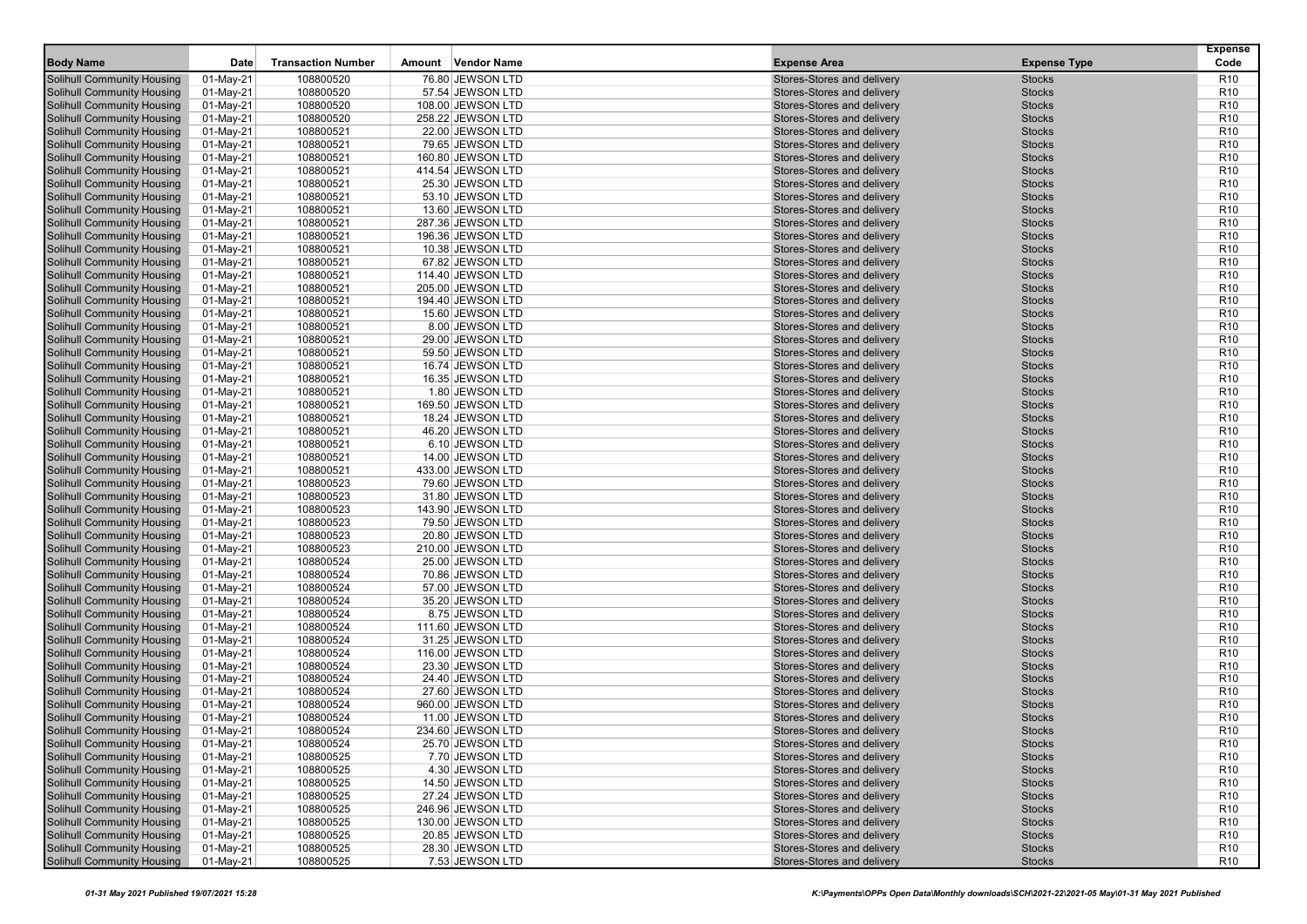| <b>Body Name</b>                                                       | Date                   | <b>Transaction Number</b> | Amount Vendor Name                    | <b>Expense Area</b>                                      | <b>Expense Type</b>            | <b>Expense</b><br>Code             |
|------------------------------------------------------------------------|------------------------|---------------------------|---------------------------------------|----------------------------------------------------------|--------------------------------|------------------------------------|
|                                                                        |                        |                           |                                       |                                                          |                                |                                    |
| <b>Solihull Community Housing</b><br><b>Solihull Community Housing</b> | 01-May-21              | 108800520<br>108800520    | 76.80 JEWSON LTD                      | Stores-Stores and delivery<br>Stores-Stores and delivery | <b>Stocks</b><br><b>Stocks</b> | R <sub>10</sub><br>R <sub>10</sub> |
| <b>Solihull Community Housing</b>                                      | 01-May-21<br>01-May-21 | 108800520                 | 57.54 JEWSON LTD<br>108.00 JEWSON LTD | Stores-Stores and delivery                               | <b>Stocks</b>                  | R <sub>10</sub>                    |
| <b>Solihull Community Housing</b>                                      | 01-May-21              | 108800520                 | 258.22 JEWSON LTD                     | Stores-Stores and delivery                               | <b>Stocks</b>                  | R <sub>10</sub>                    |
| <b>Solihull Community Housing</b>                                      | 01-May-21              | 108800521                 | 22.00 JEWSON LTD                      | Stores-Stores and delivery                               | <b>Stocks</b>                  | R <sub>10</sub>                    |
| <b>Solihull Community Housing</b>                                      | 01-May-21              | 108800521                 | 79.65 JEWSON LTD                      | Stores-Stores and delivery                               | <b>Stocks</b>                  | R <sub>10</sub>                    |
| <b>Solihull Community Housing</b>                                      | 01-May-21              | 108800521                 | 160.80 JEWSON LTD                     | Stores-Stores and delivery                               | <b>Stocks</b>                  | R <sub>10</sub>                    |
| <b>Solihull Community Housing</b>                                      | 01-May-21              | 108800521                 | 414.54 JEWSON LTD                     | Stores-Stores and delivery                               | <b>Stocks</b>                  | R <sub>10</sub>                    |
| <b>Solihull Community Housing</b>                                      | 01-May-21              | 108800521                 | 25.30 JEWSON LTD                      | Stores-Stores and delivery                               | <b>Stocks</b>                  | R <sub>10</sub>                    |
| <b>Solihull Community Housing</b>                                      | $01$ -May-21           | 108800521                 | 53.10 JEWSON LTD                      | Stores-Stores and delivery                               | <b>Stocks</b>                  | R <sub>10</sub>                    |
| <b>Solihull Community Housing</b>                                      | 01-May-21              | 108800521                 | 13.60 JEWSON LTD                      | Stores-Stores and delivery                               | <b>Stocks</b>                  | R <sub>10</sub>                    |
| <b>Solihull Community Housing</b>                                      | 01-May-21              | 108800521                 | 287.36 JEWSON LTD                     | Stores-Stores and delivery                               | <b>Stocks</b>                  | R <sub>10</sub>                    |
| <b>Solihull Community Housing</b>                                      | 01-May-21              | 108800521                 | 196.36 JEWSON LTD                     | Stores-Stores and delivery                               | <b>Stocks</b>                  | R <sub>10</sub>                    |
| <b>Solihull Community Housing</b>                                      | 01-May-21              | 108800521                 | 10.38 JEWSON LTD                      | Stores-Stores and delivery                               | <b>Stocks</b>                  | R <sub>10</sub>                    |
| <b>Solihull Community Housing</b>                                      | $01$ -May-21           | 108800521                 | 67.82 JEWSON LTD                      | Stores-Stores and delivery                               | <b>Stocks</b>                  | R <sub>10</sub>                    |
| <b>Solihull Community Housing</b>                                      | 01-May-21              | 108800521                 | 114.40 JEWSON LTD                     | Stores-Stores and delivery                               | <b>Stocks</b>                  | R <sub>10</sub>                    |
| <b>Solihull Community Housing</b>                                      | 01-May-21              | 108800521                 | 205.00 JEWSON LTD                     | Stores-Stores and delivery                               | <b>Stocks</b>                  | R <sub>10</sub>                    |
| <b>Solihull Community Housing</b>                                      | 01-May-21              | 108800521                 | 194.40 JEWSON LTD                     | Stores-Stores and delivery                               | <b>Stocks</b>                  | R <sub>10</sub>                    |
| <b>Solihull Community Housing</b>                                      | 01-May-21              | 108800521                 | 15.60 JEWSON LTD                      | Stores-Stores and delivery                               | <b>Stocks</b>                  | R <sub>10</sub>                    |
| <b>Solihull Community Housing</b>                                      | 01-May-21              | 108800521                 | 8.00 JEWSON LTD                       | Stores-Stores and delivery                               | <b>Stocks</b>                  | R <sub>10</sub>                    |
| <b>Solihull Community Housing</b>                                      | 01-May-21              | 108800521                 | 29.00 JEWSON LTD                      | Stores-Stores and delivery                               | <b>Stocks</b>                  | R <sub>10</sub>                    |
| <b>Solihull Community Housing</b>                                      | 01-May-21              | 108800521                 | 59.50 JEWSON LTD                      | Stores-Stores and delivery                               | <b>Stocks</b>                  | R <sub>10</sub>                    |
| <b>Solihull Community Housing</b>                                      | 01-May-21              | 108800521                 | 16.74 JEWSON LTD                      | Stores-Stores and delivery                               | <b>Stocks</b>                  | R <sub>10</sub>                    |
| <b>Solihull Community Housing</b>                                      | 01-May-21              | 108800521                 | 16.35 JEWSON LTD                      | Stores-Stores and delivery                               | <b>Stocks</b>                  | R <sub>10</sub>                    |
| <b>Solihull Community Housing</b>                                      | $01$ -May-21           | 108800521                 | 1.80 JEWSON LTD                       | Stores-Stores and delivery                               | <b>Stocks</b>                  | R <sub>10</sub>                    |
| <b>Solihull Community Housing</b>                                      | 01-May-21              | 108800521                 | 169.50 JEWSON LTD                     | Stores-Stores and delivery                               | <b>Stocks</b>                  | R <sub>10</sub>                    |
| <b>Solihull Community Housing</b>                                      | 01-May-21              | 108800521                 | 18.24 JEWSON LTD                      | Stores-Stores and delivery                               | <b>Stocks</b>                  | R <sub>10</sub>                    |
| <b>Solihull Community Housing</b>                                      | 01-May-21              | 108800521                 | 46.20 JEWSON LTD                      | Stores-Stores and delivery                               | <b>Stocks</b>                  | R <sub>10</sub>                    |
| <b>Solihull Community Housing</b>                                      | 01-May-21              | 108800521                 | 6.10 JEWSON LTD                       | Stores-Stores and delivery                               | <b>Stocks</b>                  | R <sub>10</sub>                    |
| <b>Solihull Community Housing</b>                                      | $01$ -May-21           | 108800521                 | 14.00 JEWSON LTD                      | Stores-Stores and delivery                               | <b>Stocks</b>                  | R <sub>10</sub>                    |
| Solihull Community Housing                                             | 01-May-21              | 108800521                 | 433.00 JEWSON LTD                     | Stores-Stores and delivery                               | <b>Stocks</b>                  | R <sub>10</sub>                    |
| <b>Solihull Community Housing</b>                                      | 01-May-21              | 108800523                 | 79.60 JEWSON LTD                      | Stores-Stores and delivery                               | <b>Stocks</b>                  | R <sub>10</sub>                    |
| <b>Solihull Community Housing</b>                                      | 01-May-21              | 108800523                 | 31.80 JEWSON LTD                      | Stores-Stores and delivery                               | <b>Stocks</b>                  | R <sub>10</sub>                    |
| <b>Solihull Community Housing</b>                                      | 01-May-21              | 108800523                 | 143.90 JEWSON LTD                     | Stores-Stores and delivery                               | <b>Stocks</b>                  | R <sub>10</sub>                    |
| <b>Solihull Community Housing</b>                                      | 01-May-21              | 108800523                 | 79.50 JEWSON LTD                      | Stores-Stores and delivery                               | <b>Stocks</b>                  | R <sub>10</sub>                    |
| <b>Solihull Community Housing</b>                                      | 01-May-21              | 108800523                 | 20.80 JEWSON LTD                      | Stores-Stores and delivery                               | <b>Stocks</b>                  | R <sub>10</sub>                    |
| <b>Solihull Community Housing</b>                                      | 01-May-21              | 108800523                 | 210.00 JEWSON LTD                     | Stores-Stores and delivery                               | <b>Stocks</b>                  | R <sub>10</sub>                    |
| <b>Solihull Community Housing</b>                                      | 01-May-21              | 108800524                 | 25.00 JEWSON LTD                      | Stores-Stores and delivery                               | <b>Stocks</b>                  | R <sub>10</sub>                    |
| <b>Solihull Community Housing</b>                                      | 01-May-21              | 108800524                 | 70.86 JEWSON LTD                      | Stores-Stores and delivery                               | <b>Stocks</b>                  | R <sub>10</sub>                    |
| <b>Solihull Community Housing</b>                                      | 01-May-21              | 108800524                 | 57.00 JEWSON LTD                      | Stores-Stores and delivery                               | <b>Stocks</b>                  | R <sub>10</sub>                    |
| <b>Solihull Community Housing</b>                                      | 01-May-21              | 108800524                 | 35.20 JEWSON LTD                      | Stores-Stores and delivery                               | <b>Stocks</b>                  | R <sub>10</sub>                    |
| <b>Solihull Community Housing</b>                                      | 01-May-21              | 108800524                 | 8.75 JEWSON LTD                       | Stores-Stores and delivery                               | <b>Stocks</b>                  | R <sub>10</sub>                    |
| <b>Solihull Community Housing</b>                                      | 01-May-21              | 108800524                 | 111.60 JEWSON LTD                     | Stores-Stores and delivery                               | <b>Stocks</b>                  | R <sub>10</sub>                    |
| <b>Solihull Community Housing</b>                                      | 01-May-21              | 108800524                 | 31.25 JEWSON LTD                      | Stores-Stores and delivery                               | <b>Stocks</b>                  | R <sub>10</sub>                    |
| <b>Solihull Community Housing</b>                                      | 01-May-21              | 108800524                 | 116.00 JEWSON LTD                     | Stores-Stores and delivery                               | <b>Stocks</b>                  | R <sub>10</sub>                    |
| Solihull Community Housing                                             | 01-May-21              | 108800524                 | 23.30 JEWSON LTD                      | Stores-Stores and delivery                               | <b>Stocks</b>                  | R <sub>10</sub>                    |
| <b>Solihull Community Housing</b>                                      | 01-May-21              | 108800524                 | 24.40 JEWSON LTD                      | Stores-Stores and delivery                               | <b>Stocks</b>                  | R <sub>10</sub>                    |
| <b>Solihull Community Housing</b>                                      | 01-May-21              | 108800524                 | 27.60 JEWSON LTD                      | Stores-Stores and delivery                               | <b>Stocks</b>                  | R <sub>10</sub>                    |
| <b>Solihull Community Housing</b>                                      | 01-May-21              | 108800524                 | 960.00 JEWSON LTD                     | Stores-Stores and delivery                               | <b>Stocks</b><br><b>Stocks</b> | R <sub>10</sub><br>R <sub>10</sub> |
| <b>Solihull Community Housing</b><br><b>Solihull Community Housing</b> | 01-May-21<br>01-May-21 | 108800524<br>108800524    | 11.00 JEWSON LTD<br>234.60 JEWSON LTD | Stores-Stores and delivery<br>Stores-Stores and delivery | <b>Stocks</b>                  | R <sub>10</sub>                    |
| <b>Solihull Community Housing</b>                                      |                        |                           |                                       | Stores-Stores and delivery                               |                                | R <sub>10</sub>                    |
| <b>Solihull Community Housing</b>                                      | 01-May-21<br>01-May-21 | 108800524<br>108800525    | 25.70 JEWSON LTD<br>7.70 JEWSON LTD   | Stores-Stores and delivery                               | <b>Stocks</b><br><b>Stocks</b> | R <sub>10</sub>                    |
| <b>Solihull Community Housing</b>                                      | 01-May-21              | 108800525                 | 4.30 JEWSON LTD                       | Stores-Stores and delivery                               | <b>Stocks</b>                  | R <sub>10</sub>                    |
| <b>Solihull Community Housing</b>                                      | 01-May-21              | 108800525                 | 14.50 JEWSON LTD                      | Stores-Stores and delivery                               | <b>Stocks</b>                  | R <sub>10</sub>                    |
| <b>Solihull Community Housing</b>                                      | 01-May-21              | 108800525                 | 27.24 JEWSON LTD                      | Stores-Stores and delivery                               | <b>Stocks</b>                  | R <sub>10</sub>                    |
| <b>Solihull Community Housing</b>                                      | 01-May-21              | 108800525                 | 246.96 JEWSON LTD                     | Stores-Stores and delivery                               | <b>Stocks</b>                  | R <sub>10</sub>                    |
| <b>Solihull Community Housing</b>                                      | 01-May-21              | 108800525                 | 130.00 JEWSON LTD                     | Stores-Stores and delivery                               | <b>Stocks</b>                  | R <sub>10</sub>                    |
| <b>Solihull Community Housing</b>                                      | 01-May-21              | 108800525                 | 20.85 JEWSON LTD                      | Stores-Stores and delivery                               | <b>Stocks</b>                  | R <sub>10</sub>                    |
| <b>Solihull Community Housing</b>                                      | 01-May-21              | 108800525                 | 28.30 JEWSON LTD                      | Stores-Stores and delivery                               | <b>Stocks</b>                  | R <sub>10</sub>                    |
| <b>Solihull Community Housing</b>                                      | 01-May-21              | 108800525                 | 7.53 JEWSON LTD                       | Stores-Stores and delivery                               | <b>Stocks</b>                  | R <sub>10</sub>                    |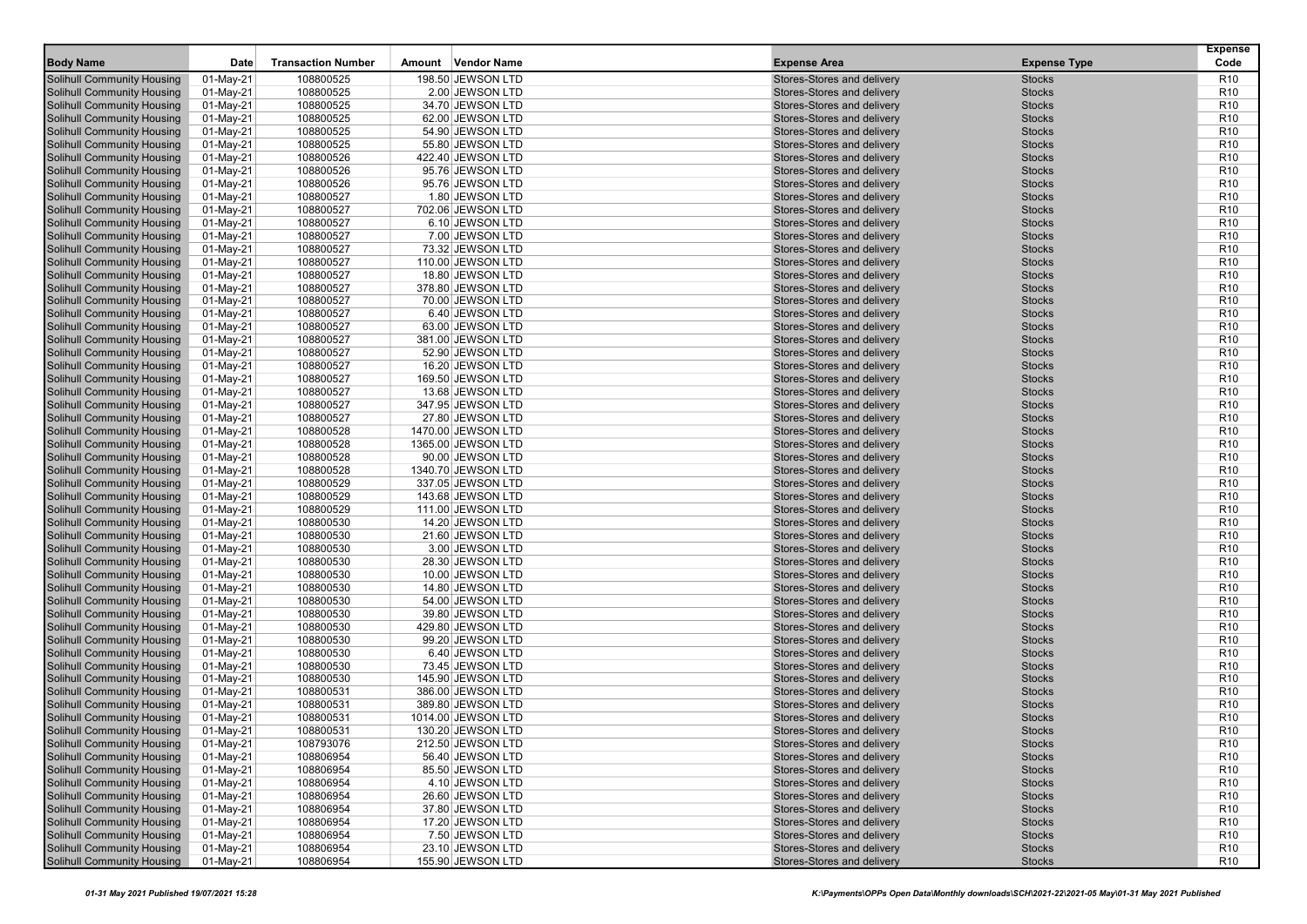|                                                                        |                        |                           |                                       |                                                          |                                | <b>Expense</b>                     |
|------------------------------------------------------------------------|------------------------|---------------------------|---------------------------------------|----------------------------------------------------------|--------------------------------|------------------------------------|
| <b>Body Name</b>                                                       | Date                   | <b>Transaction Number</b> | Amount Vendor Name                    | <b>Expense Area</b>                                      | <b>Expense Type</b>            | Code                               |
| <b>Solihull Community Housing</b>                                      | 01-May-21              | 108800525                 | 198.50 JEWSON LTD                     | Stores-Stores and delivery                               | <b>Stocks</b>                  | R <sub>10</sub>                    |
| <b>Solihull Community Housing</b>                                      | 01-May-21              | 108800525                 | 2.00 JEWSON LTD                       | Stores-Stores and delivery                               | <b>Stocks</b>                  | R <sub>10</sub>                    |
| <b>Solihull Community Housing</b>                                      | 01-May-21              | 108800525                 | 34.70 JEWSON LTD                      | Stores-Stores and delivery                               | <b>Stocks</b>                  | R <sub>10</sub>                    |
| <b>Solihull Community Housing</b>                                      | 01-May-21              | 108800525                 | 62.00 JEWSON LTD                      | Stores-Stores and delivery                               | <b>Stocks</b>                  | R <sub>10</sub>                    |
| <b>Solihull Community Housing</b>                                      | 01-May-21              | 108800525                 | 54.90 JEWSON LTD                      | Stores-Stores and delivery                               | <b>Stocks</b>                  | R <sub>10</sub>                    |
| <b>Solihull Community Housing</b>                                      | 01-May-21              | 108800525                 | 55.80 JEWSON LTD                      | Stores-Stores and delivery                               | <b>Stocks</b>                  | R <sub>10</sub>                    |
| <b>Solihull Community Housing</b>                                      | 01-May-21              | 108800526                 | 422.40 JEWSON LTD                     | Stores-Stores and delivery                               | <b>Stocks</b>                  | R <sub>10</sub>                    |
| <b>Solihull Community Housing</b>                                      | 01-May-21              | 108800526                 | 95.76 JEWSON LTD                      | Stores-Stores and delivery                               | <b>Stocks</b>                  | R <sub>10</sub>                    |
| <b>Solihull Community Housing</b>                                      | 01-May-21              | 108800526                 | 95.76 JEWSON LTD                      | Stores-Stores and delivery                               | <b>Stocks</b>                  | R <sub>10</sub>                    |
| <b>Solihull Community Housing</b><br><b>Solihull Community Housing</b> | 01-May-21              | 108800527                 | 1.80 JEWSON LTD                       | Stores-Stores and delivery                               | <b>Stocks</b>                  | R <sub>10</sub>                    |
|                                                                        | 01-May-21              | 108800527                 | 702.06 JEWSON LTD                     | Stores-Stores and delivery                               | <b>Stocks</b>                  | R <sub>10</sub>                    |
| <b>Solihull Community Housing</b>                                      | 01-May-21              | 108800527<br>108800527    | 6.10 JEWSON LTD                       | Stores-Stores and delivery<br>Stores-Stores and delivery | <b>Stocks</b>                  | R <sub>10</sub><br>R <sub>10</sub> |
| <b>Solihull Community Housing</b><br><b>Solihull Community Housing</b> | 01-May-21              | 108800527                 | 7.00 JEWSON LTD                       | Stores-Stores and delivery                               | <b>Stocks</b><br><b>Stocks</b> | R <sub>10</sub>                    |
|                                                                        | 01-May-21<br>01-May-21 |                           | 73.32 JEWSON LTD                      |                                                          |                                | R <sub>10</sub>                    |
| <b>Solihull Community Housing</b><br><b>Solihull Community Housing</b> | 01-May-21              | 108800527<br>108800527    | 110.00 JEWSON LTD<br>18.80 JEWSON LTD | Stores-Stores and delivery<br>Stores-Stores and delivery | <b>Stocks</b><br><b>Stocks</b> | R <sub>10</sub>                    |
| <b>Solihull Community Housing</b>                                      | 01-May-21              | 108800527                 | 378.80 JEWSON LTD                     | Stores-Stores and delivery                               | <b>Stocks</b>                  | R <sub>10</sub>                    |
| <b>Solihull Community Housing</b>                                      | 01-May-21              | 108800527                 | 70.00 JEWSON LTD                      | Stores-Stores and delivery                               | <b>Stocks</b>                  | R <sub>10</sub>                    |
| <b>Solihull Community Housing</b>                                      | 01-May-21              | 108800527                 | 6.40 JEWSON LTD                       | Stores-Stores and delivery                               | <b>Stocks</b>                  | R <sub>10</sub>                    |
| <b>Solihull Community Housing</b>                                      | 01-May-21              | 108800527                 | 63.00 JEWSON LTD                      | Stores-Stores and delivery                               | <b>Stocks</b>                  | R <sub>10</sub>                    |
| <b>Solihull Community Housing</b>                                      | 01-May-21              | 108800527                 | 381.00 JEWSON LTD                     | Stores-Stores and delivery                               | <b>Stocks</b>                  | R <sub>10</sub>                    |
| <b>Solihull Community Housing</b>                                      | 01-May-21              | 108800527                 | 52.90 JEWSON LTD                      | Stores-Stores and delivery                               | <b>Stocks</b>                  | R <sub>10</sub>                    |
| <b>Solihull Community Housing</b>                                      | 01-May-21              | 108800527                 | 16.20 JEWSON LTD                      | Stores-Stores and delivery                               | <b>Stocks</b>                  | R <sub>10</sub>                    |
| <b>Solihull Community Housing</b>                                      | 01-May-21              | 108800527                 | 169.50 JEWSON LTD                     | Stores-Stores and delivery                               | <b>Stocks</b>                  | R <sub>10</sub>                    |
| Solihull Community Housing                                             | 01-May-21              | 108800527                 | 13.68 JEWSON LTD                      | Stores-Stores and delivery                               | <b>Stocks</b>                  | R <sub>10</sub>                    |
| <b>Solihull Community Housing</b>                                      | 01-May-21              | 108800527                 | 347.95 JEWSON LTD                     | Stores-Stores and delivery                               | <b>Stocks</b>                  | R <sub>10</sub>                    |
| <b>Solihull Community Housing</b>                                      | 01-May-21              | 108800527                 | 27.80 JEWSON LTD                      | Stores-Stores and delivery                               | <b>Stocks</b>                  | R <sub>10</sub>                    |
| <b>Solihull Community Housing</b>                                      | 01-May-21              | 108800528                 | 1470.00 JEWSON LTD                    | Stores-Stores and delivery                               | <b>Stocks</b>                  | R <sub>10</sub>                    |
| <b>Solihull Community Housing</b>                                      | 01-May-21              | 108800528                 | 1365.00 JEWSON LTD                    | Stores-Stores and delivery                               | <b>Stocks</b>                  | R <sub>10</sub>                    |
| <b>Solihull Community Housing</b>                                      | 01-May-21              | 108800528                 | 90.00 JEWSON LTD                      | Stores-Stores and delivery                               | <b>Stocks</b>                  | R <sub>10</sub>                    |
| <b>Solihull Community Housing</b>                                      | 01-May-21              | 108800528                 | 1340.70 JEWSON LTD                    | Stores-Stores and delivery                               | <b>Stocks</b>                  | R <sub>10</sub>                    |
| Solihull Community Housing                                             | 01-May-21              | 108800529                 | 337.05 JEWSON LTD                     | Stores-Stores and delivery                               | <b>Stocks</b>                  | R <sub>10</sub>                    |
| <b>Solihull Community Housing</b>                                      | 01-May-21              | 108800529                 | 143.68 JEWSON LTD                     | Stores-Stores and delivery                               | <b>Stocks</b>                  | R <sub>10</sub>                    |
| <b>Solihull Community Housing</b>                                      | 01-May-21              | 108800529                 | 111.00 JEWSON LTD                     | Stores-Stores and delivery                               | <b>Stocks</b>                  | R <sub>10</sub>                    |
| <b>Solihull Community Housing</b>                                      | 01-May-21              | 108800530                 | 14.20 JEWSON LTD                      | Stores-Stores and delivery                               | <b>Stocks</b>                  | R <sub>10</sub>                    |
| <b>Solihull Community Housing</b>                                      | 01-May-21              | 108800530                 | 21.60 JEWSON LTD                      | Stores-Stores and delivery                               | <b>Stocks</b>                  | R <sub>10</sub>                    |
| <b>Solihull Community Housing</b>                                      | 01-May-21              | 108800530                 | 3.00 JEWSON LTD                       | Stores-Stores and delivery                               | <b>Stocks</b>                  | R <sub>10</sub>                    |
| <b>Solihull Community Housing</b>                                      | 01-May-21              | 108800530                 | 28.30 JEWSON LTD                      | Stores-Stores and delivery                               | <b>Stocks</b>                  | R <sub>10</sub>                    |
| <b>Solihull Community Housing</b>                                      | 01-May-21              | 108800530                 | 10.00 JEWSON LTD                      | Stores-Stores and delivery                               | <b>Stocks</b>                  | R <sub>10</sub>                    |
| <b>Solihull Community Housing</b>                                      | 01-May-21              | 108800530                 | 14.80 JEWSON LTD                      | Stores-Stores and delivery                               | <b>Stocks</b>                  | R <sub>10</sub>                    |
| <b>Solihull Community Housing</b>                                      | 01-May-21              | 108800530                 | 54.00 JEWSON LTD                      | Stores-Stores and delivery                               | <b>Stocks</b>                  | R <sub>10</sub>                    |
| <b>Solihull Community Housing</b>                                      | 01-May-21              | 108800530                 | 39.80 JEWSON LTD                      | Stores-Stores and delivery                               | <b>Stocks</b>                  | R <sub>10</sub>                    |
| <b>Solihull Community Housing</b>                                      | 01-May-21              | 108800530                 | 429.80 JEWSON LTD                     | Stores-Stores and delivery                               | <b>Stocks</b>                  | R <sub>10</sub>                    |
| <b>Solihull Community Housing</b>                                      | 01-May-21              | 108800530                 | 99.20 JEWSON LTD                      | Stores-Stores and delivery                               | <b>Stocks</b>                  | R <sub>10</sub>                    |
| <b>Solihull Community Housing</b>                                      | 01-May-21              | 108800530                 | 6.40 JEWSON LTD                       | Stores-Stores and delivery                               | <b>Stocks</b>                  | R <sub>10</sub>                    |
| <b>Solihull Community Housing</b>                                      | 01-May-21              | 108800530                 | 73.45 JEWSON LTD                      | Stores-Stores and delivery                               | <b>Stocks</b>                  | R <sub>10</sub>                    |
| <b>Solihull Community Housing</b>                                      | 01-May-21              | 108800530                 | 145.90 JEWSON LTD                     | Stores-Stores and delivery                               | <b>Stocks</b>                  | R <sub>10</sub>                    |
| <b>Solihull Community Housing</b>                                      | 01-May-21              | 108800531                 | 386.00 JEWSON LTD                     | Stores-Stores and delivery                               | <b>Stocks</b>                  | R <sub>10</sub>                    |
| <b>Solihull Community Housing</b>                                      | 01-May-21              | 108800531                 | 389.80 JEWSON LTD                     | Stores-Stores and delivery                               | <b>Stocks</b>                  | R <sub>10</sub>                    |
| <b>Solihull Community Housing</b>                                      | 01-May-21              | 108800531                 | 1014.00 JEWSON LTD                    | Stores-Stores and delivery                               | <b>Stocks</b>                  | R <sub>10</sub>                    |
| <b>Solihull Community Housing</b>                                      | 01-May-21              | 108800531                 | 130.20 JEWSON LTD                     | Stores-Stores and delivery                               | <b>Stocks</b>                  | R <sub>10</sub>                    |
| Solihull Community Housing                                             | 01-May-21              | 108793076                 | 212.50 JEWSON LTD                     | Stores-Stores and delivery                               | <b>Stocks</b>                  | R <sub>10</sub>                    |
| Solihull Community Housing                                             | 01-May-21              | 108806954                 | 56.40 JEWSON LTD                      | Stores-Stores and delivery                               | <b>Stocks</b>                  | R <sub>10</sub>                    |
| <b>Solihull Community Housing</b>                                      | 01-May-21              | 108806954                 | 85.50 JEWSON LTD                      | Stores-Stores and delivery                               | <b>Stocks</b>                  | R <sub>10</sub>                    |
| <b>Solihull Community Housing</b>                                      | 01-May-21              | 108806954                 | 4.10 JEWSON LTD                       | Stores-Stores and delivery                               | <b>Stocks</b>                  | R <sub>10</sub>                    |
| Solihull Community Housing                                             | 01-May-21              | 108806954                 | 26.60 JEWSON LTD                      | Stores-Stores and delivery                               | <b>Stocks</b>                  | R <sub>10</sub>                    |
| <b>Solihull Community Housing</b>                                      | 01-May-21              | 108806954                 | 37.80 JEWSON LTD                      | Stores-Stores and delivery                               | <b>Stocks</b>                  | R <sub>10</sub>                    |
| <b>Solihull Community Housing</b>                                      | 01-May-21              | 108806954                 | 17.20 JEWSON LTD                      | Stores-Stores and delivery                               | <b>Stocks</b>                  | R <sub>10</sub>                    |
| <b>Solihull Community Housing</b>                                      | 01-May-21              | 108806954                 | 7.50 JEWSON LTD                       | Stores-Stores and delivery                               | <b>Stocks</b>                  | R <sub>10</sub>                    |
| <b>Solihull Community Housing</b>                                      | 01-May-21              | 108806954                 | 23.10 JEWSON LTD                      | Stores-Stores and delivery                               | <b>Stocks</b>                  | R <sub>10</sub>                    |
| <b>Solihull Community Housing</b>                                      | 01-May-21              | 108806954                 | 155.90 JEWSON LTD                     | Stores-Stores and delivery                               | <b>Stocks</b>                  | <b>R10</b>                         |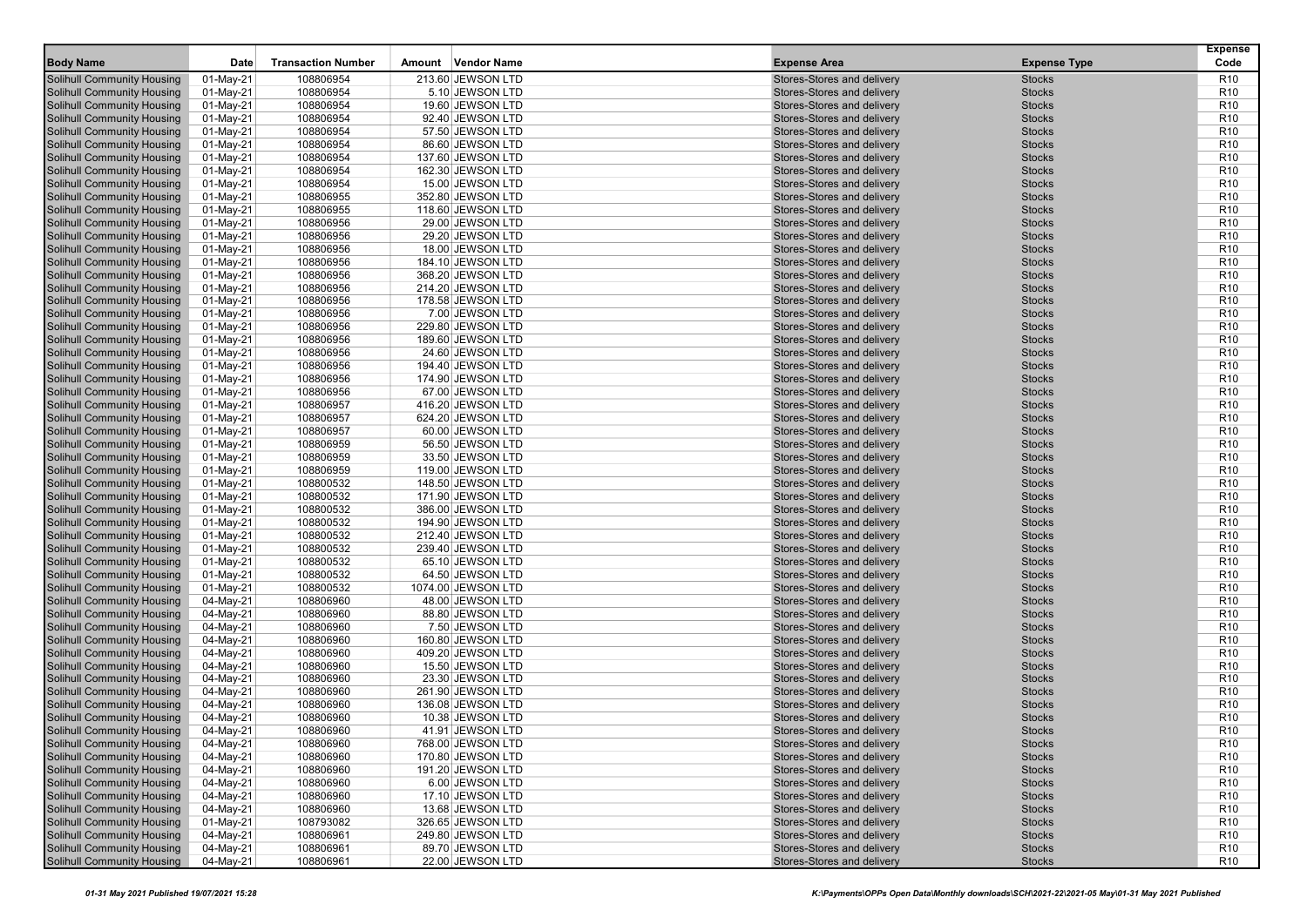| <b>Body Name</b>                                                       | Date                   | <b>Transaction Number</b> | Amount Vendor Name                   | <b>Expense Area</b>                                      | <b>Expense Type</b>            | <b>Expense</b><br>Code             |
|------------------------------------------------------------------------|------------------------|---------------------------|--------------------------------------|----------------------------------------------------------|--------------------------------|------------------------------------|
|                                                                        |                        |                           |                                      |                                                          |                                |                                    |
| <b>Solihull Community Housing</b><br><b>Solihull Community Housing</b> | 01-May-21              | 108806954                 | 213.60 JEWSON LTD                    | Stores-Stores and delivery                               | <b>Stocks</b>                  | R <sub>10</sub><br>R <sub>10</sub> |
| <b>Solihull Community Housing</b>                                      | 01-May-21<br>01-May-21 | 108806954<br>108806954    | 5.10 JEWSON LTD<br>19.60 JEWSON LTD  | Stores-Stores and delivery<br>Stores-Stores and delivery | <b>Stocks</b><br><b>Stocks</b> | R <sub>10</sub>                    |
| <b>Solihull Community Housing</b>                                      | 01-May-21              | 108806954                 | 92.40 JEWSON LTD                     | Stores-Stores and delivery                               | <b>Stocks</b>                  | R <sub>10</sub>                    |
| <b>Solihull Community Housing</b>                                      | 01-May-21              | 108806954                 | 57.50 JEWSON LTD                     | Stores-Stores and delivery                               | <b>Stocks</b>                  | R <sub>10</sub>                    |
| Solihull Community Housing                                             | 01-May-21              | 108806954                 | 86.60 JEWSON LTD                     | Stores-Stores and delivery                               | <b>Stocks</b>                  | R <sub>10</sub>                    |
| <b>Solihull Community Housing</b>                                      | 01-May-21              | 108806954                 | 137.60 JEWSON LTD                    | Stores-Stores and delivery                               | <b>Stocks</b>                  | R <sub>10</sub>                    |
| <b>Solihull Community Housing</b>                                      | 01-May-21              | 108806954                 | 162.30 JEWSON LTD                    | Stores-Stores and delivery                               | <b>Stocks</b>                  | R <sub>10</sub>                    |
| <b>Solihull Community Housing</b>                                      | 01-May-21              | 108806954                 | 15.00 JEWSON LTD                     | Stores-Stores and delivery                               | <b>Stocks</b>                  | R <sub>10</sub>                    |
| <b>Solihull Community Housing</b>                                      | 01-May-21              | 108806955                 | 352.80 JEWSON LTD                    | Stores-Stores and delivery                               | <b>Stocks</b>                  | R <sub>10</sub>                    |
| <b>Solihull Community Housing</b>                                      | 01-May-21              | 108806955                 | 118.60 JEWSON LTD                    | Stores-Stores and delivery                               | <b>Stocks</b>                  | R <sub>10</sub>                    |
| <b>Solihull Community Housing</b>                                      | 01-May-21              | 108806956                 | 29.00 JEWSON LTD                     | Stores-Stores and delivery                               | <b>Stocks</b>                  | R <sub>10</sub>                    |
| <b>Solihull Community Housing</b>                                      | 01-May-21              | 108806956                 | 29.20 JEWSON LTD                     | Stores-Stores and delivery                               | <b>Stocks</b>                  | R <sub>10</sub>                    |
| <b>Solihull Community Housing</b>                                      | 01-May-21              | 108806956                 | 18.00 JEWSON LTD                     | Stores-Stores and delivery                               | <b>Stocks</b>                  | R <sub>10</sub>                    |
| <b>Solihull Community Housing</b>                                      | $01$ -May-21           | 108806956                 | 184.10 JEWSON LTD                    | Stores-Stores and delivery                               | <b>Stocks</b>                  | R <sub>10</sub>                    |
| <b>Solihull Community Housing</b>                                      | 01-May-21              | 108806956                 | 368.20 JEWSON LTD                    | Stores-Stores and delivery                               | <b>Stocks</b>                  | R <sub>10</sub>                    |
| <b>Solihull Community Housing</b>                                      | 01-May-21              | 108806956                 | 214.20 JEWSON LTD                    | Stores-Stores and delivery                               | <b>Stocks</b>                  | R <sub>10</sub>                    |
| <b>Solihull Community Housing</b>                                      | 01-May-21              | 108806956                 | 178.58 JEWSON LTD                    | Stores-Stores and delivery                               | <b>Stocks</b>                  | R <sub>10</sub>                    |
| <b>Solihull Community Housing</b>                                      | 01-May-21              | 108806956                 | 7.00 JEWSON LTD                      | Stores-Stores and delivery                               | <b>Stocks</b>                  | R <sub>10</sub>                    |
| <b>Solihull Community Housing</b>                                      | 01-May-21              | 108806956                 | 229.80 JEWSON LTD                    | Stores-Stores and delivery                               | <b>Stocks</b>                  | R <sub>10</sub>                    |
| <b>Solihull Community Housing</b>                                      | 01-May-21              | 108806956                 | 189.60 JEWSON LTD                    | Stores-Stores and delivery                               | <b>Stocks</b>                  | R <sub>10</sub>                    |
| <b>Solihull Community Housing</b>                                      | 01-May-21              | 108806956                 | 24.60 JEWSON LTD                     | Stores-Stores and delivery                               | <b>Stocks</b>                  | R <sub>10</sub>                    |
| <b>Solihull Community Housing</b>                                      | 01-May-21              | 108806956                 | 194.40 JEWSON LTD                    | Stores-Stores and delivery                               | <b>Stocks</b>                  | R <sub>10</sub>                    |
| <b>Solihull Community Housing</b>                                      | 01-May-21              | 108806956                 | 174.90 JEWSON LTD                    | Stores-Stores and delivery                               | <b>Stocks</b>                  | R <sub>10</sub>                    |
| <b>Solihull Community Housing</b>                                      | $01$ -May-21           | 108806956                 | 67.00 JEWSON LTD                     | Stores-Stores and delivery                               | <b>Stocks</b>                  | R <sub>10</sub>                    |
| Solihull Community Housing                                             | 01-May-21              | 108806957                 | 416.20 JEWSON LTD                    | Stores-Stores and delivery                               | <b>Stocks</b>                  | R <sub>10</sub>                    |
| <b>Solihull Community Housing</b>                                      | 01-May-21              | 108806957                 | 624.20 JEWSON LTD                    | Stores-Stores and delivery                               | <b>Stocks</b>                  | R <sub>10</sub>                    |
| <b>Solihull Community Housing</b>                                      | 01-May-21              | 108806957                 | 60.00 JEWSON LTD                     | Stores-Stores and delivery                               | <b>Stocks</b>                  | R <sub>10</sub>                    |
| <b>Solihull Community Housing</b>                                      | 01-May-21              | 108806959                 | 56.50 JEWSON LTD                     | Stores-Stores and delivery                               | <b>Stocks</b>                  | R <sub>10</sub>                    |
| <b>Solihull Community Housing</b>                                      | $01$ -May-21           | 108806959                 | 33.50 JEWSON LTD                     | Stores-Stores and delivery                               | <b>Stocks</b>                  | R <sub>10</sub>                    |
| Solihull Community Housing                                             | 01-May-21              | 108806959                 | 119.00 JEWSON LTD                    | Stores-Stores and delivery                               | <b>Stocks</b>                  | R <sub>10</sub>                    |
| <b>Solihull Community Housing</b>                                      | 01-May-21              | 108800532                 | 148.50 JEWSON LTD                    | Stores-Stores and delivery                               | <b>Stocks</b>                  | R <sub>10</sub>                    |
| <b>Solihull Community Housing</b>                                      | 01-May-21              | 108800532                 | 171.90 JEWSON LTD                    | Stores-Stores and delivery                               | <b>Stocks</b>                  | R <sub>10</sub>                    |
| <b>Solihull Community Housing</b>                                      | 01-May-21              | 108800532                 | 386.00 JEWSON LTD                    | Stores-Stores and delivery                               | <b>Stocks</b>                  | R <sub>10</sub>                    |
| <b>Solihull Community Housing</b>                                      | 01-May-21              | 108800532                 | 194.90 JEWSON LTD                    | Stores-Stores and delivery                               | <b>Stocks</b>                  | R <sub>10</sub>                    |
| <b>Solihull Community Housing</b>                                      | 01-May-21              | 108800532                 | 212.40 JEWSON LTD                    | Stores-Stores and delivery                               | <b>Stocks</b>                  | R <sub>10</sub>                    |
| <b>Solihull Community Housing</b>                                      | 01-May-21              | 108800532                 | 239.40 JEWSON LTD                    | Stores-Stores and delivery                               | <b>Stocks</b>                  | R <sub>10</sub>                    |
| <b>Solihull Community Housing</b>                                      | 01-May-21              | 108800532                 | 65.10 JEWSON LTD                     | Stores-Stores and delivery                               | <b>Stocks</b>                  | R <sub>10</sub>                    |
| <b>Solihull Community Housing</b>                                      | 01-May-21              | 108800532                 | 64.50 JEWSON LTD                     | Stores-Stores and delivery                               | <b>Stocks</b>                  | R <sub>10</sub>                    |
| <b>Solihull Community Housing</b>                                      | 01-May-21              | 108800532                 | 1074.00 JEWSON LTD                   | Stores-Stores and delivery                               | <b>Stocks</b>                  | R <sub>10</sub>                    |
| <b>Solihull Community Housing</b>                                      | 04-May-21              | 108806960                 | 48.00 JEWSON LTD                     | Stores-Stores and delivery                               | <b>Stocks</b>                  | R <sub>10</sub>                    |
| <b>Solihull Community Housing</b>                                      | 04-May-21              | 108806960                 | 88.80 JEWSON LTD                     | Stores-Stores and delivery                               | <b>Stocks</b>                  | R <sub>10</sub>                    |
| <b>Solihull Community Housing</b>                                      | 04-May-21              | 108806960                 | 7.50 JEWSON LTD                      | Stores-Stores and delivery                               | <b>Stocks</b>                  | R <sub>10</sub>                    |
| <b>Solihull Community Housing</b>                                      | 04-May-21              | 108806960                 | 160.80 JEWSON LTD                    | Stores-Stores and delivery                               | <b>Stocks</b>                  | R <sub>10</sub>                    |
| <b>Solihull Community Housing</b><br>Solihull Community Housing        | 04-May-21              | 108806960                 | 409.20 JEWSON LTD                    | Stores-Stores and delivery                               | <b>Stocks</b>                  | R <sub>10</sub>                    |
| <b>Solihull Community Housing</b>                                      | 04-May-21              | 108806960                 | 15.50 JEWSON LTD<br>23.30 JEWSON LTD | Stores-Stores and delivery                               | <b>Stocks</b>                  | R <sub>10</sub><br>R <sub>10</sub> |
|                                                                        | 04-May-21<br>04-May-21 | 108806960<br>108806960    | 261.90 JEWSON LTD                    | Stores-Stores and delivery<br>Stores-Stores and delivery | <b>Stocks</b><br><b>Stocks</b> | R <sub>10</sub>                    |
| <b>Solihull Community Housing</b><br><b>Solihull Community Housing</b> |                        | 108806960                 | 136.08 JEWSON LTD                    | Stores-Stores and delivery                               | <b>Stocks</b>                  | R <sub>10</sub>                    |
| <b>Solihull Community Housing</b>                                      | 04-May-21              | 108806960                 | 10.38 JEWSON LTD                     | Stores-Stores and delivery                               | <b>Stocks</b>                  | R <sub>10</sub>                    |
| <b>Solihull Community Housing</b>                                      | 04-May-21<br>04-May-21 | 108806960                 | 41.91 JEWSON LTD                     | Stores-Stores and delivery                               | <b>Stocks</b>                  | R <sub>10</sub>                    |
| <b>Solihull Community Housing</b>                                      | 04-May-21              | 108806960                 | 768.00 JEWSON LTD                    | Stores-Stores and delivery                               | <b>Stocks</b>                  | R <sub>10</sub>                    |
| <b>Solihull Community Housing</b>                                      | 04-May-21              | 108806960                 | 170.80 JEWSON LTD                    | Stores-Stores and delivery                               | <b>Stocks</b>                  | R <sub>10</sub>                    |
| <b>Solihull Community Housing</b>                                      | 04-May-21              | 108806960                 | 191.20 JEWSON LTD                    | Stores-Stores and delivery                               | <b>Stocks</b>                  | R <sub>10</sub>                    |
| <b>Solihull Community Housing</b>                                      | 04-May-21              | 108806960                 | 6.00 JEWSON LTD                      | Stores-Stores and delivery                               | <b>Stocks</b>                  | R <sub>10</sub>                    |
| <b>Solihull Community Housing</b>                                      | 04-May-21              | 108806960                 | 17.10 JEWSON LTD                     | Stores-Stores and delivery                               | <b>Stocks</b>                  | R <sub>10</sub>                    |
| <b>Solihull Community Housing</b>                                      | 04-May-21              | 108806960                 | 13.68 JEWSON LTD                     | Stores-Stores and delivery                               | <b>Stocks</b>                  | R <sub>10</sub>                    |
| <b>Solihull Community Housing</b>                                      | 01-May-21              | 108793082                 | 326.65 JEWSON LTD                    | Stores-Stores and delivery                               | <b>Stocks</b>                  | R <sub>10</sub>                    |
| <b>Solihull Community Housing</b>                                      | 04-May-21              | 108806961                 | 249.80 JEWSON LTD                    | Stores-Stores and delivery                               | <b>Stocks</b>                  | R <sub>10</sub>                    |
| <b>Solihull Community Housing</b>                                      | 04-May-21              | 108806961                 | 89.70 JEWSON LTD                     | Stores-Stores and delivery                               | <b>Stocks</b>                  | R <sub>10</sub>                    |
| <b>Solihull Community Housing</b>                                      | 04-May-21              | 108806961                 | 22.00 JEWSON LTD                     | Stores-Stores and delivery                               | <b>Stocks</b>                  | R <sub>10</sub>                    |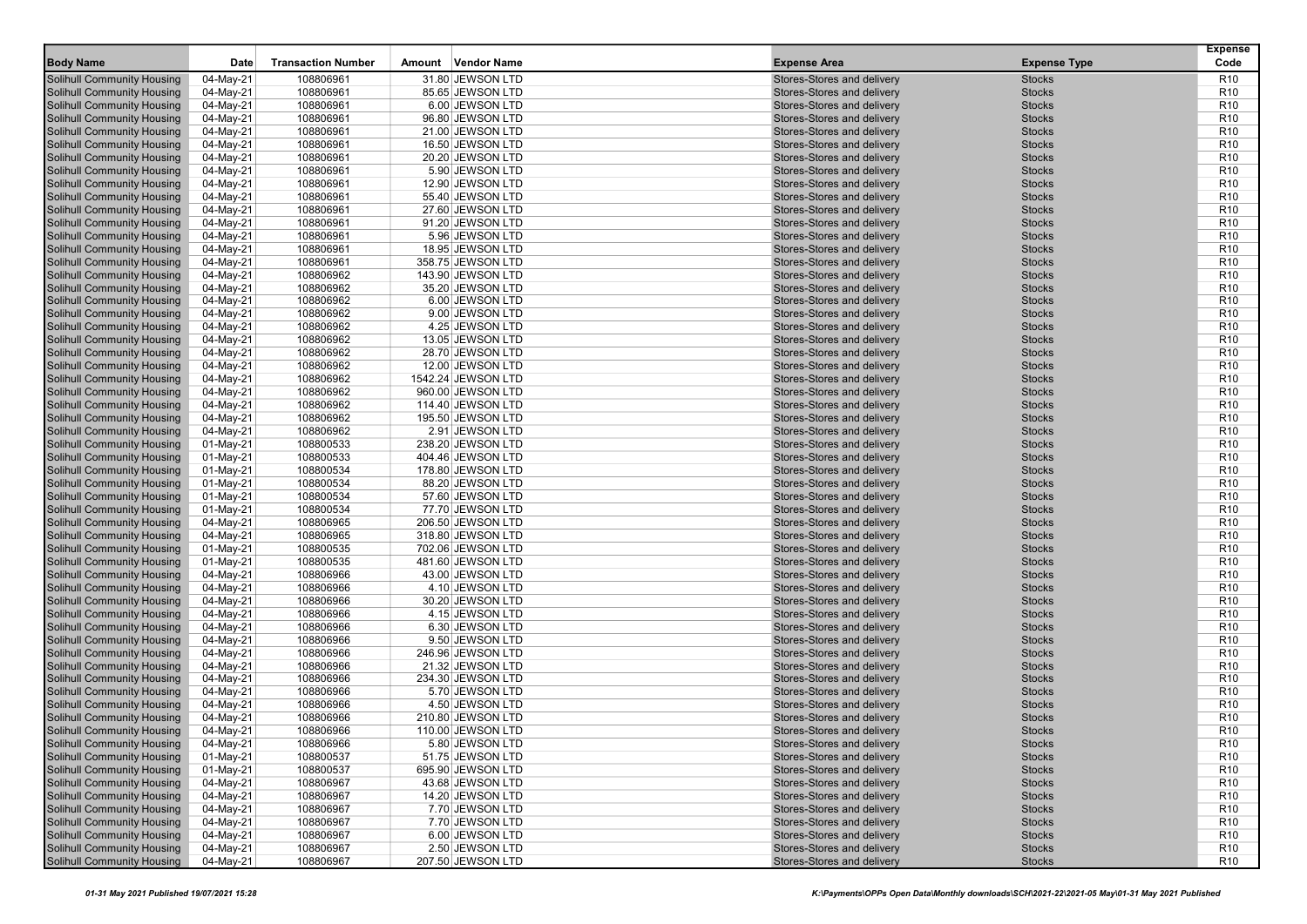| <b>Body Name</b>                                                       | Date                   | <b>Transaction Number</b> | <b>Vendor Name</b><br>Amount           | <b>Expense Area</b>                                      | <b>Expense Type</b>            | <b>Expense</b><br>Code             |
|------------------------------------------------------------------------|------------------------|---------------------------|----------------------------------------|----------------------------------------------------------|--------------------------------|------------------------------------|
|                                                                        | 04-May-21              | 108806961                 | 31.80 JEWSON LTD                       |                                                          | <b>Stocks</b>                  | R <sub>10</sub>                    |
| <b>Solihull Community Housing</b><br><b>Solihull Community Housing</b> | 04-May-21              | 108806961                 | 85.65 JEWSON LTD                       | Stores-Stores and delivery<br>Stores-Stores and delivery | <b>Stocks</b>                  | R <sub>10</sub>                    |
| <b>Solihull Community Housing</b>                                      | 04-May-21              | 108806961                 | 6.00 JEWSON LTD                        | Stores-Stores and delivery                               | <b>Stocks</b>                  | R <sub>10</sub>                    |
| <b>Solihull Community Housing</b>                                      | 04-May-21              | 108806961                 | 96.80 JEWSON LTD                       | Stores-Stores and delivery                               | <b>Stocks</b>                  | R <sub>10</sub>                    |
| <b>Solihull Community Housing</b>                                      | 04-May-21              | 108806961                 | 21.00 JEWSON LTD                       | Stores-Stores and delivery                               | <b>Stocks</b>                  | R <sub>10</sub>                    |
| <b>Solihull Community Housing</b>                                      | 04-May-21              | 108806961                 | 16.50 JEWSON LTD                       | Stores-Stores and delivery                               | <b>Stocks</b>                  | R <sub>10</sub>                    |
| <b>Solihull Community Housing</b>                                      | 04-May-21              | 108806961                 | 20.20 JEWSON LTD                       | Stores-Stores and delivery                               | <b>Stocks</b>                  | R <sub>10</sub>                    |
| <b>Solihull Community Housing</b>                                      | 04-May-21              | 108806961                 | 5.90 JEWSON LTD                        | Stores-Stores and delivery                               | <b>Stocks</b>                  | R <sub>10</sub>                    |
| <b>Solihull Community Housing</b>                                      | 04-May-21              | 108806961                 | 12.90 JEWSON LTD                       | Stores-Stores and delivery                               | <b>Stocks</b>                  | R <sub>10</sub>                    |
| <b>Solihull Community Housing</b>                                      | 04-May-21              | 108806961                 | 55.40 JEWSON LTD                       | Stores-Stores and delivery                               | <b>Stocks</b>                  | R <sub>10</sub>                    |
| Solihull Community Housing                                             | 04-May-21              | 108806961                 | 27.60 JEWSON LTD                       | Stores-Stores and delivery                               | <b>Stocks</b>                  | R <sub>10</sub>                    |
| <b>Solihull Community Housing</b>                                      | 04-May-21              | 108806961                 | 91.20 JEWSON LTD                       | Stores-Stores and delivery                               | <b>Stocks</b>                  | R <sub>10</sub>                    |
| <b>Solihull Community Housing</b>                                      | 04-May-21              | 108806961                 | 5.96 JEWSON LTD                        | Stores-Stores and delivery                               | <b>Stocks</b>                  | R <sub>10</sub>                    |
| <b>Solihull Community Housing</b>                                      | 04-May-21              | 108806961                 | 18.95 JEWSON LTD                       | Stores-Stores and delivery                               | <b>Stocks</b>                  | R <sub>10</sub>                    |
| <b>Solihull Community Housing</b>                                      | 04-May-21              | 108806961                 | 358.75 JEWSON LTD                      | Stores-Stores and delivery                               | <b>Stocks</b>                  | R <sub>10</sub>                    |
| <b>Solihull Community Housing</b>                                      | 04-May-21              | 108806962                 | 143.90 JEWSON LTD                      | Stores-Stores and delivery                               | <b>Stocks</b>                  | R <sub>10</sub>                    |
| <b>Solihull Community Housing</b>                                      | 04-May-21              | 108806962                 | 35.20 JEWSON LTD                       | Stores-Stores and delivery                               | <b>Stocks</b>                  | R <sub>10</sub>                    |
| <b>Solihull Community Housing</b>                                      | 04-May-21              | 108806962                 | 6.00 JEWSON LTD                        | Stores-Stores and delivery                               | <b>Stocks</b>                  | R <sub>10</sub>                    |
| <b>Solihull Community Housing</b>                                      | 04-May-21              | 108806962                 | 9.00 JEWSON LTD                        | Stores-Stores and delivery                               | <b>Stocks</b>                  | R <sub>10</sub>                    |
| <b>Solihull Community Housing</b>                                      | 04-May-21              | 108806962                 | 4.25 JEWSON LTD                        | Stores-Stores and delivery                               | <b>Stocks</b>                  | R <sub>10</sub>                    |
| <b>Solihull Community Housing</b>                                      | 04-May-21              | 108806962                 | 13.05 JEWSON LTD                       | Stores-Stores and delivery                               | <b>Stocks</b>                  | R <sub>10</sub>                    |
| <b>Solihull Community Housing</b>                                      | 04-May-21              | 108806962                 | 28.70 JEWSON LTD                       | Stores-Stores and delivery                               | <b>Stocks</b>                  | R <sub>10</sub>                    |
| <b>Solihull Community Housing</b>                                      | 04-May-21              | 108806962                 | 12.00 JEWSON LTD                       | Stores-Stores and delivery                               | <b>Stocks</b>                  | R <sub>10</sub>                    |
| <b>Solihull Community Housing</b>                                      | 04-May-21              | 108806962                 | 1542.24 JEWSON LTD                     | Stores-Stores and delivery                               | <b>Stocks</b>                  | R <sub>10</sub>                    |
| <b>Solihull Community Housing</b>                                      | 04-May-21              | 108806962                 | 960.00 JEWSON LTD                      | Stores-Stores and delivery                               | <b>Stocks</b>                  | R <sub>10</sub>                    |
| Solihull Community Housing                                             | 04-May-21              | 108806962                 | 114.40 JEWSON LTD                      | Stores-Stores and delivery                               | <b>Stocks</b>                  | R <sub>10</sub>                    |
| <b>Solihull Community Housing</b>                                      | 04-May-21              | 108806962                 | 195.50 JEWSON LTD                      | Stores-Stores and delivery                               | <b>Stocks</b>                  | R <sub>10</sub>                    |
| <b>Solihull Community Housing</b>                                      | 04-May-21              | 108806962                 | 2.91 JEWSON LTD                        | Stores-Stores and delivery                               | <b>Stocks</b>                  | R <sub>10</sub>                    |
| <b>Solihull Community Housing</b>                                      | 01-May-21              | 108800533                 | 238.20 JEWSON LTD                      | Stores-Stores and delivery                               | <b>Stocks</b>                  | R <sub>10</sub>                    |
| <b>Solihull Community Housing</b>                                      | $01$ -May-21           | 108800533                 | 404.46 JEWSON LTD                      | Stores-Stores and delivery                               | <b>Stocks</b>                  | R <sub>10</sub>                    |
| Solihull Community Housing                                             | 01-May-21              | 108800534                 | 178.80 JEWSON LTD                      | Stores-Stores and delivery                               | <b>Stocks</b>                  | R <sub>10</sub>                    |
| <b>Solihull Community Housing</b>                                      | 01-May-21              | 108800534                 | 88.20 JEWSON LTD                       | Stores-Stores and delivery                               | <b>Stocks</b>                  | R <sub>10</sub>                    |
| <b>Solihull Community Housing</b>                                      | 01-May-21              | 108800534                 | 57.60 JEWSON LTD                       | Stores-Stores and delivery                               | <b>Stocks</b>                  | R <sub>10</sub>                    |
| <b>Solihull Community Housing</b>                                      | 01-May-21              | 108800534                 | 77.70 JEWSON LTD                       | Stores-Stores and delivery                               | <b>Stocks</b>                  | R <sub>10</sub>                    |
| <b>Solihull Community Housing</b><br><b>Solihull Community Housing</b> | 04-May-21<br>04-May-21 | 108806965<br>108806965    | 206.50 JEWSON LTD<br>318.80 JEWSON LTD | Stores-Stores and delivery<br>Stores-Stores and delivery | <b>Stocks</b><br><b>Stocks</b> | R <sub>10</sub><br>R <sub>10</sub> |
| <b>Solihull Community Housing</b>                                      | 01-May-21              | 108800535                 | 702.06 JEWSON LTD                      | Stores-Stores and delivery                               | <b>Stocks</b>                  | R <sub>10</sub>                    |
| <b>Solihull Community Housing</b>                                      | 01-May-21              | 108800535                 | 481.60 JEWSON LTD                      | Stores-Stores and delivery                               | <b>Stocks</b>                  | R <sub>10</sub>                    |
| <b>Solihull Community Housing</b>                                      | 04-May-21              | 108806966                 | 43.00 JEWSON LTD                       | Stores-Stores and delivery                               | <b>Stocks</b>                  | R <sub>10</sub>                    |
| <b>Solihull Community Housing</b>                                      | 04-May-21              | 108806966                 | 4.10 JEWSON LTD                        | Stores-Stores and delivery                               | <b>Stocks</b>                  | R <sub>10</sub>                    |
| <b>Solihull Community Housing</b>                                      | 04-May-21              | 108806966                 | 30.20 JEWSON LTD                       | Stores-Stores and delivery                               | <b>Stocks</b>                  | R <sub>10</sub>                    |
| <b>Solihull Community Housing</b>                                      | 04-May-21              | 108806966                 | 4.15 JEWSON LTD                        | Stores-Stores and delivery                               | <b>Stocks</b>                  | R <sub>10</sub>                    |
| <b>Solihull Community Housing</b>                                      | 04-May-21              | 108806966                 | 6.30 JEWSON LTD                        | Stores-Stores and delivery                               | <b>Stocks</b>                  | R <sub>10</sub>                    |
| <b>Solihull Community Housing</b>                                      | 04-May-21              | 108806966                 | 9.50 JEWSON LTD                        | Stores-Stores and delivery                               | <b>Stocks</b>                  | R <sub>10</sub>                    |
| <b>Solihull Community Housing</b>                                      | 04-May-21              | 108806966                 | 246.96 JEWSON LTD                      | Stores-Stores and delivery                               | <b>Stocks</b>                  | R <sub>10</sub>                    |
| Solihull Community Housing                                             | 04-May-21              | 108806966                 | 21.32 JEWSON LTD                       | Stores-Stores and delivery                               | <b>Stocks</b>                  | R <sub>10</sub>                    |
| <b>Solihull Community Housing</b>                                      | 04-May-21              | 108806966                 | 234.30 JEWSON LTD                      | Stores-Stores and delivery                               | <b>Stocks</b>                  | R <sub>10</sub>                    |
| <b>Solihull Community Housing</b>                                      | 04-May-21              | 108806966                 | 5.70 JEWSON LTD                        | Stores-Stores and delivery                               | <b>Stocks</b>                  | R <sub>10</sub>                    |
| Solihull Community Housing                                             | 04-May-21              | 108806966                 | 4.50 JEWSON LTD                        | Stores-Stores and delivery                               | <b>Stocks</b>                  | R <sub>10</sub>                    |
| <b>Solihull Community Housing</b>                                      | 04-May-21              | 108806966                 | 210.80 JEWSON LTD                      | Stores-Stores and delivery                               | <b>Stocks</b>                  | R <sub>10</sub>                    |
| <b>Solihull Community Housing</b>                                      | 04-May-21              | 108806966                 | 110.00 JEWSON LTD                      | Stores-Stores and delivery                               | <b>Stocks</b>                  | R <sub>10</sub>                    |
| <b>Solihull Community Housing</b>                                      | 04-May-21              | 108806966                 | 5.80 JEWSON LTD                        | Stores-Stores and delivery                               | <b>Stocks</b>                  | R <sub>10</sub>                    |
| <b>Solihull Community Housing</b>                                      | 01-May-21              | 108800537                 | 51.75 JEWSON LTD                       | Stores-Stores and delivery                               | <b>Stocks</b>                  | R <sub>10</sub>                    |
| <b>Solihull Community Housing</b>                                      | 01-May-21              | 108800537                 | 695.90 JEWSON LTD                      | Stores-Stores and delivery                               | <b>Stocks</b>                  | R <sub>10</sub>                    |
| <b>Solihull Community Housing</b>                                      | 04-May-21              | 108806967                 | 43.68 JEWSON LTD                       | Stores-Stores and delivery                               | <b>Stocks</b>                  | R <sub>10</sub>                    |
| <b>Solihull Community Housing</b>                                      | 04-May-21              | 108806967                 | 14.20 JEWSON LTD                       | Stores-Stores and delivery                               | <b>Stocks</b>                  | R <sub>10</sub>                    |
| <b>Solihull Community Housing</b>                                      | 04-May-21              | 108806967                 | 7.70 JEWSON LTD                        | Stores-Stores and delivery                               | <b>Stocks</b>                  | R <sub>10</sub>                    |
| <b>Solihull Community Housing</b>                                      | 04-May-21              | 108806967                 | 7.70 JEWSON LTD                        | Stores-Stores and delivery                               | <b>Stocks</b>                  | R <sub>10</sub>                    |
| <b>Solihull Community Housing</b>                                      | 04-May-21              | 108806967                 | 6.00 JEWSON LTD                        | Stores-Stores and delivery                               | <b>Stocks</b>                  | R <sub>10</sub>                    |
| <b>Solihull Community Housing</b>                                      | 04-May-21              | 108806967                 | 2.50 JEWSON LTD                        | Stores-Stores and delivery                               | <b>Stocks</b>                  | R <sub>10</sub>                    |
| <b>Solihull Community Housing</b>                                      | 04-May-21              | 108806967                 | 207.50 JEWSON LTD                      | Stores-Stores and delivery                               | <b>Stocks</b>                  | R <sub>10</sub>                    |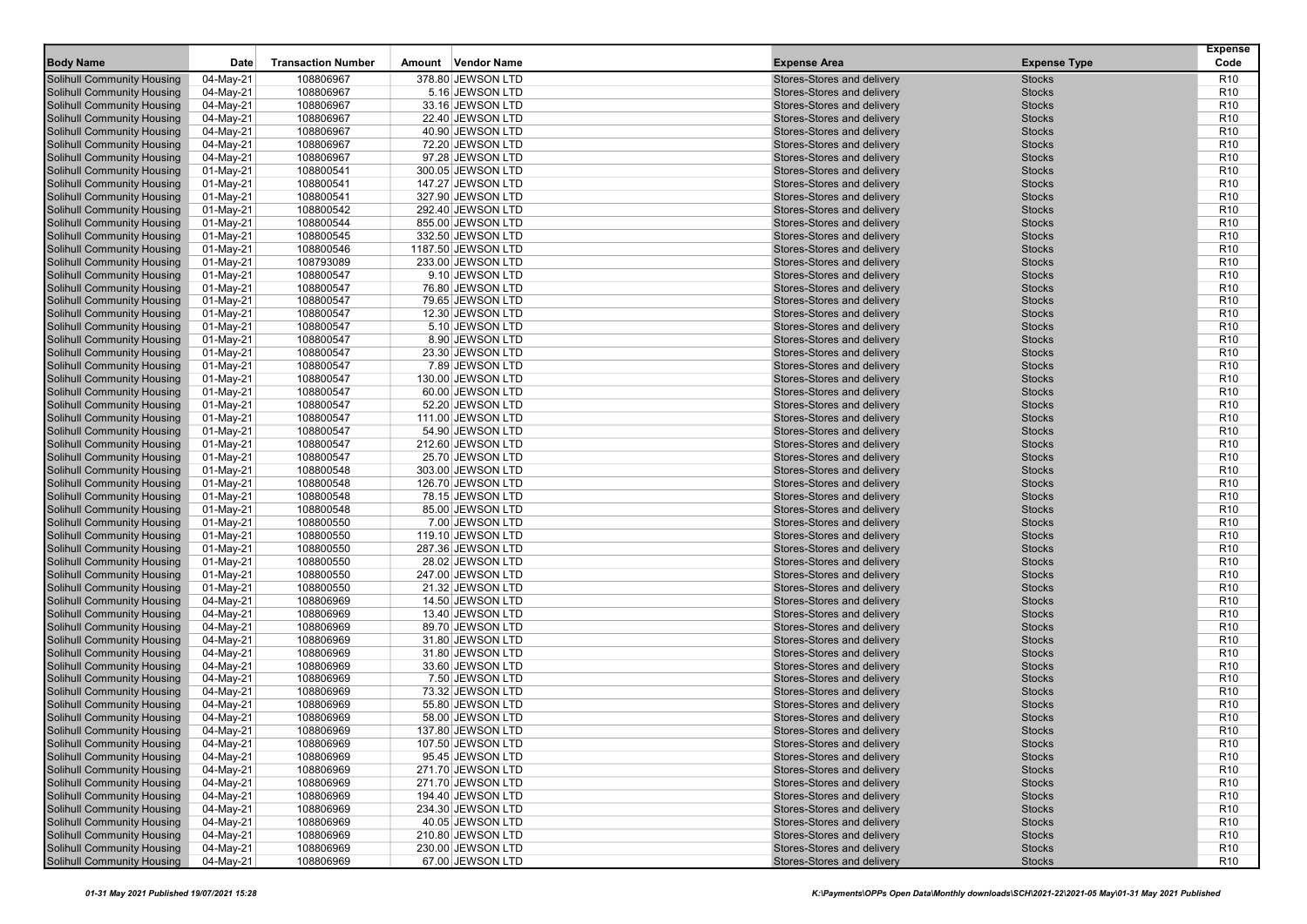| <b>Body Name</b>                                                       |                        | <b>Transaction Number</b> |                                       |                                                          |                                | <b>Expense</b><br>Code             |
|------------------------------------------------------------------------|------------------------|---------------------------|---------------------------------------|----------------------------------------------------------|--------------------------------|------------------------------------|
|                                                                        | Date                   |                           | Amount Vendor Name                    | <b>Expense Area</b>                                      | <b>Expense Type</b>            |                                    |
| <b>Solihull Community Housing</b>                                      | 04-May-21              | 108806967                 | 378.80 JEWSON LTD                     | Stores-Stores and delivery                               | <b>Stocks</b>                  | R <sub>10</sub>                    |
| <b>Solihull Community Housing</b>                                      | 04-May-21              | 108806967                 | 5.16 JEWSON LTD                       | Stores-Stores and delivery                               | <b>Stocks</b>                  | R <sub>10</sub>                    |
| <b>Solihull Community Housing</b>                                      | 04-May-21              | 108806967                 | 33.16 JEWSON LTD                      | Stores-Stores and delivery                               | <b>Stocks</b>                  | R <sub>10</sub>                    |
| <b>Solihull Community Housing</b>                                      | 04-May-21              | 108806967                 | 22.40 JEWSON LTD                      | Stores-Stores and delivery                               | <b>Stocks</b>                  | R <sub>10</sub>                    |
| <b>Solihull Community Housing</b>                                      | 04-May-21<br>04-May-21 | 108806967                 | 40.90 JEWSON LTD                      | Stores-Stores and delivery                               | <b>Stocks</b><br><b>Stocks</b> | R <sub>10</sub><br>R <sub>10</sub> |
| <b>Solihull Community Housing</b>                                      |                        | 108806967                 | 72.20 JEWSON LTD                      | Stores-Stores and delivery                               | <b>Stocks</b>                  | R <sub>10</sub>                    |
| <b>Solihull Community Housing</b><br><b>Solihull Community Housing</b> | 04-May-21<br>01-May-21 | 108806967<br>108800541    | 97.28 JEWSON LTD<br>300.05 JEWSON LTD | Stores-Stores and delivery<br>Stores-Stores and delivery | <b>Stocks</b>                  | R <sub>10</sub>                    |
| <b>Solihull Community Housing</b>                                      | 01-May-21              | 108800541                 | 147.27 JEWSON LTD                     | Stores-Stores and delivery                               | <b>Stocks</b>                  | R <sub>10</sub>                    |
| <b>Solihull Community Housing</b>                                      | $01$ -May-21           | 108800541                 | 327.90 JEWSON LTD                     | Stores-Stores and delivery                               | <b>Stocks</b>                  | R <sub>10</sub>                    |
| <b>Solihull Community Housing</b>                                      | 01-May-21              | 108800542                 | 292.40 JEWSON LTD                     | Stores-Stores and delivery                               | <b>Stocks</b>                  | R <sub>10</sub>                    |
| <b>Solihull Community Housing</b>                                      | 01-May-21              | 108800544                 | 855.00 JEWSON LTD                     | Stores-Stores and delivery                               | <b>Stocks</b>                  | R <sub>10</sub>                    |
| <b>Solihull Community Housing</b>                                      | 01-May-21              | 108800545                 | 332.50 JEWSON LTD                     | Stores-Stores and delivery                               | <b>Stocks</b>                  | R <sub>10</sub>                    |
| <b>Solihull Community Housing</b>                                      | 01-May-21              | 108800546                 | 1187.50 JEWSON LTD                    | Stores-Stores and delivery                               | <b>Stocks</b>                  | R <sub>10</sub>                    |
| <b>Solihull Community Housing</b>                                      | $01$ -May-21           | 108793089                 | 233.00 JEWSON LTD                     | Stores-Stores and delivery                               | <b>Stocks</b>                  | R <sub>10</sub>                    |
| <b>Solihull Community Housing</b>                                      | 01-May-21              | 108800547                 | 9.10 JEWSON LTD                       | Stores-Stores and delivery                               | <b>Stocks</b>                  | R <sub>10</sub>                    |
| <b>Solihull Community Housing</b>                                      | 01-May-21              | 108800547                 | 76.80 JEWSON LTD                      | Stores-Stores and delivery                               | <b>Stocks</b>                  | R <sub>10</sub>                    |
| <b>Solihull Community Housing</b>                                      | 01-May-21              | 108800547                 | 79.65 JEWSON LTD                      | Stores-Stores and delivery                               | <b>Stocks</b>                  | R <sub>10</sub>                    |
| <b>Solihull Community Housing</b>                                      | 01-May-21              | 108800547                 | 12.30 JEWSON LTD                      | Stores-Stores and delivery                               | <b>Stocks</b>                  | R <sub>10</sub>                    |
| <b>Solihull Community Housing</b>                                      | 01-May-21              | 108800547                 | 5.10 JEWSON LTD                       | Stores-Stores and delivery                               | <b>Stocks</b>                  | R <sub>10</sub>                    |
| <b>Solihull Community Housing</b>                                      | 01-May-21              | 108800547                 | 8.90 JEWSON LTD                       | Stores-Stores and delivery                               | <b>Stocks</b>                  | R <sub>10</sub>                    |
| <b>Solihull Community Housing</b>                                      | 01-May-21              | 108800547                 | 23.30 JEWSON LTD                      | Stores-Stores and delivery                               | <b>Stocks</b>                  | R <sub>10</sub>                    |
| <b>Solihull Community Housing</b>                                      | 01-May-21              | 108800547                 | 7.89 JEWSON LTD                       | Stores-Stores and delivery                               | <b>Stocks</b>                  | R <sub>10</sub>                    |
| <b>Solihull Community Housing</b>                                      | 01-May-21              | 108800547                 | 130.00 JEWSON LTD                     | Stores-Stores and delivery                               | <b>Stocks</b>                  | R <sub>10</sub>                    |
| <b>Solihull Community Housing</b>                                      | $01$ -May-21           | 108800547                 | 60.00 JEWSON LTD                      | Stores-Stores and delivery                               | <b>Stocks</b>                  | R <sub>10</sub>                    |
| <b>Solihull Community Housing</b>                                      | 01-May-21              | 108800547                 | 52.20 JEWSON LTD                      | Stores-Stores and delivery                               | <b>Stocks</b>                  | R <sub>10</sub>                    |
| <b>Solihull Community Housing</b>                                      | 01-May-21              | 108800547                 | 111.00 JEWSON LTD                     | Stores-Stores and delivery                               | <b>Stocks</b>                  | R <sub>10</sub>                    |
| <b>Solihull Community Housing</b>                                      | 01-May-21              | 108800547                 | 54.90 JEWSON LTD                      | Stores-Stores and delivery                               | <b>Stocks</b>                  | R <sub>10</sub>                    |
| <b>Solihull Community Housing</b>                                      | 01-May-21              | 108800547                 | 212.60 JEWSON LTD                     | Stores-Stores and delivery                               | <b>Stocks</b>                  | R <sub>10</sub>                    |
| <b>Solihull Community Housing</b>                                      | $01$ -May-21           | 108800547                 | 25.70 JEWSON LTD                      | Stores-Stores and delivery                               | <b>Stocks</b>                  | R <sub>10</sub>                    |
| Solihull Community Housing                                             | 01-May-21              | 108800548                 | 303.00 JEWSON LTD                     | Stores-Stores and delivery                               | <b>Stocks</b>                  | R <sub>10</sub>                    |
| <b>Solihull Community Housing</b>                                      | 01-May-21              | 108800548                 | 126.70 JEWSON LTD                     | Stores-Stores and delivery                               | <b>Stocks</b>                  | R <sub>10</sub>                    |
| <b>Solihull Community Housing</b>                                      | 01-May-21              | 108800548                 | 78.15 JEWSON LTD                      | Stores-Stores and delivery                               | <b>Stocks</b>                  | R <sub>10</sub>                    |
| <b>Solihull Community Housing</b>                                      | 01-May-21              | 108800548                 | 85.00 JEWSON LTD                      | Stores-Stores and delivery                               | <b>Stocks</b>                  | R <sub>10</sub>                    |
| <b>Solihull Community Housing</b>                                      | 01-May-21              | 108800550                 | 7.00 JEWSON LTD                       | Stores-Stores and delivery                               | <b>Stocks</b>                  | R <sub>10</sub>                    |
| <b>Solihull Community Housing</b>                                      | 01-May-21              | 108800550                 | 119.10 JEWSON LTD                     | Stores-Stores and delivery                               | <b>Stocks</b>                  | R <sub>10</sub>                    |
| <b>Solihull Community Housing</b>                                      | 01-May-21              | 108800550                 | 287.36 JEWSON LTD                     | Stores-Stores and delivery                               | <b>Stocks</b>                  | R <sub>10</sub>                    |
| <b>Solihull Community Housing</b>                                      | 01-May-21              | 108800550                 | 28.02 JEWSON LTD                      | Stores-Stores and delivery                               | <b>Stocks</b>                  | R <sub>10</sub>                    |
| <b>Solihull Community Housing</b>                                      | 01-May-21              | 108800550                 | 247.00 JEWSON LTD                     | Stores-Stores and delivery                               | <b>Stocks</b>                  | R <sub>10</sub>                    |
| <b>Solihull Community Housing</b>                                      | 01-May-21              | 108800550                 | 21.32 JEWSON LTD                      | Stores-Stores and delivery                               | <b>Stocks</b>                  | R <sub>10</sub>                    |
| <b>Solihull Community Housing</b>                                      | 04-May-21              | 108806969                 | 14.50 JEWSON LTD                      | Stores-Stores and delivery                               | <b>Stocks</b>                  | R <sub>10</sub>                    |
| <b>Solihull Community Housing</b>                                      | 04-May-21              | 108806969                 | 13.40 JEWSON LTD                      | Stores-Stores and delivery                               | <b>Stocks</b>                  | R <sub>10</sub>                    |
| <b>Solihull Community Housing</b>                                      | 04-May-21              | 108806969                 | 89.70 JEWSON LTD                      | Stores-Stores and delivery                               | <b>Stocks</b>                  | R <sub>10</sub>                    |
| <b>Solihull Community Housing</b>                                      | 04-May-21              | 108806969                 | 31.80 JEWSON LTD                      | Stores-Stores and delivery                               | <b>Stocks</b>                  | R <sub>10</sub>                    |
| Solihull Community Housing                                             | 04-May-21              | 108806969                 | 31.80 JEWSON LTD                      | Stores-Stores and delivery                               | <b>Stocks</b>                  | R <sub>10</sub>                    |
| Solihull Community Housing                                             | 04-May-21              | 108806969                 | 33.60 JEWSON LTD                      | Stores-Stores and delivery                               | <b>Stocks</b>                  | R <sub>10</sub>                    |
| <b>Solihull Community Housing</b>                                      | 04-May-21              | 108806969                 | 7.50 JEWSON LTD                       | Stores-Stores and delivery                               | <b>Stocks</b>                  | R <sub>10</sub>                    |
| <b>Solihull Community Housing</b>                                      | 04-May-21              | 108806969                 | 73.32 JEWSON LTD                      | Stores-Stores and delivery                               | <b>Stocks</b>                  | R <sub>10</sub>                    |
| Solihull Community Housing                                             | 04-May-21              | 108806969                 | 55.80 JEWSON LTD                      | Stores-Stores and delivery                               | <b>Stocks</b>                  | R <sub>10</sub>                    |
| <b>Solihull Community Housing</b>                                      | 04-May-21              | 108806969                 | 58.00 JEWSON LTD                      | Stores-Stores and delivery                               | <b>Stocks</b>                  | R <sub>10</sub>                    |
| <b>Solihull Community Housing</b>                                      | 04-May-21              | 108806969                 | 137.80 JEWSON LTD                     | Stores-Stores and delivery                               | <b>Stocks</b>                  | R <sub>10</sub>                    |
| <b>Solihull Community Housing</b>                                      | 04-May-21              | 108806969                 | 107.50 JEWSON LTD                     | Stores-Stores and delivery                               | <b>Stocks</b>                  | R <sub>10</sub>                    |
| <b>Solihull Community Housing</b>                                      | 04-May-21              | 108806969                 | 95.45 JEWSON LTD                      | Stores-Stores and delivery                               | <b>Stocks</b>                  | R <sub>10</sub>                    |
| <b>Solihull Community Housing</b>                                      | 04-May-21              | 108806969                 | 271.70 JEWSON LTD                     | Stores-Stores and delivery                               | <b>Stocks</b>                  | R <sub>10</sub>                    |
| <b>Solihull Community Housing</b>                                      | 04-May-21              | 108806969                 | 271.70 JEWSON LTD                     | Stores-Stores and delivery                               | <b>Stocks</b>                  | R <sub>10</sub>                    |
| <b>Solihull Community Housing</b>                                      | 04-May-21              | 108806969                 | 194.40 JEWSON LTD                     | Stores-Stores and delivery                               | <b>Stocks</b>                  | R <sub>10</sub>                    |
| <b>Solihull Community Housing</b>                                      | 04-May-21              | 108806969                 | 234.30 JEWSON LTD                     | Stores-Stores and delivery                               | <b>Stocks</b>                  | R <sub>10</sub>                    |
| <b>Solihull Community Housing</b>                                      | 04-May-21              | 108806969                 | 40.05 JEWSON LTD                      | Stores-Stores and delivery                               | <b>Stocks</b>                  | R <sub>10</sub>                    |
| <b>Solihull Community Housing</b>                                      | 04-May-21              | 108806969                 | 210.80 JEWSON LTD                     | Stores-Stores and delivery                               | <b>Stocks</b>                  | R <sub>10</sub>                    |
| <b>Solihull Community Housing</b>                                      | 04-May-21              | 108806969                 | 230.00 JEWSON LTD                     | Stores-Stores and delivery                               | <b>Stocks</b>                  | R <sub>10</sub>                    |
| <b>Solihull Community Housing</b>                                      | 04-May-21              | 108806969                 | 67.00 JEWSON LTD                      | Stores-Stores and delivery                               | <b>Stocks</b>                  | R <sub>10</sub>                    |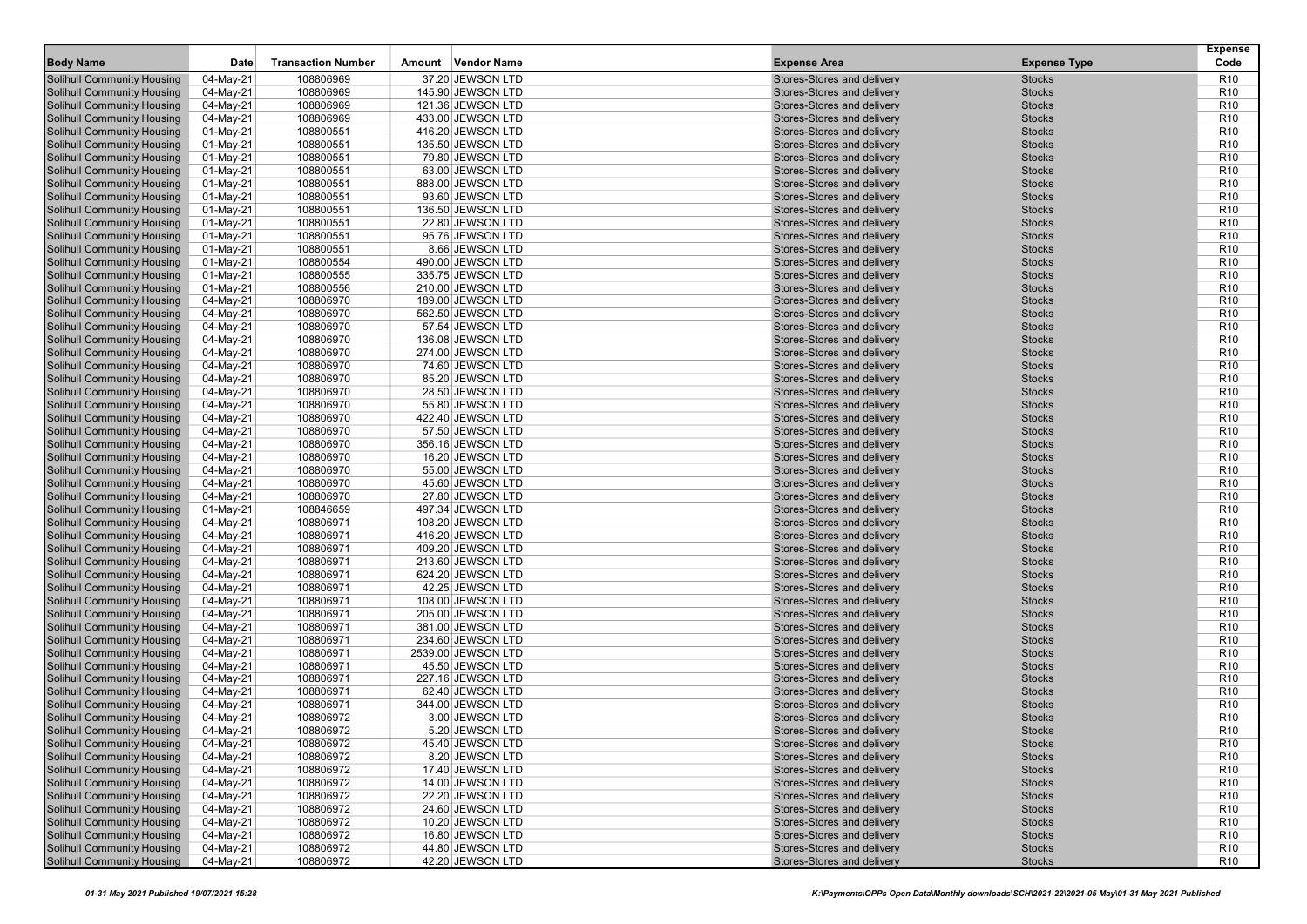| <b>Body Name</b>                                                       | Date                   | <b>Transaction Number</b> | Amount Vendor Name                     | <b>Expense Area</b>                                      | <b>Expense Type</b>            | <b>Expense</b><br>Code             |
|------------------------------------------------------------------------|------------------------|---------------------------|----------------------------------------|----------------------------------------------------------|--------------------------------|------------------------------------|
|                                                                        | 04-May-21              | 108806969                 | 37.20 JEWSON LTD                       |                                                          | <b>Stocks</b>                  | R <sub>10</sub>                    |
| <b>Solihull Community Housing</b><br><b>Solihull Community Housing</b> | 04-May-21              | 108806969                 | 145.90 JEWSON LTD                      | Stores-Stores and delivery<br>Stores-Stores and delivery | <b>Stocks</b>                  | R <sub>10</sub>                    |
| <b>Solihull Community Housing</b>                                      | 04-May-21              | 108806969                 | 121.36 JEWSON LTD                      | Stores-Stores and delivery                               | <b>Stocks</b>                  | R <sub>10</sub>                    |
| <b>Solihull Community Housing</b>                                      | 04-May-21              | 108806969                 | 433.00 JEWSON LTD                      | Stores-Stores and delivery                               | <b>Stocks</b>                  | R <sub>10</sub>                    |
| <b>Solihull Community Housing</b>                                      | 01-May-21              | 108800551                 | 416.20 JEWSON LTD                      | Stores-Stores and delivery                               | <b>Stocks</b>                  | R <sub>10</sub>                    |
| Solihull Community Housing                                             | 01-May-21              | 108800551                 | 135.50 JEWSON LTD                      | Stores-Stores and delivery                               | <b>Stocks</b>                  | R <sub>10</sub>                    |
| <b>Solihull Community Housing</b>                                      | 01-May-21              | 108800551                 | 79.80 JEWSON LTD                       | Stores-Stores and delivery                               | <b>Stocks</b>                  | R <sub>10</sub>                    |
| <b>Solihull Community Housing</b>                                      | 01-May-21              | 108800551                 | 63.00 JEWSON LTD                       | Stores-Stores and delivery                               | <b>Stocks</b>                  | R <sub>10</sub>                    |
| <b>Solihull Community Housing</b>                                      | 01-May-21              | 108800551                 | 888.00 JEWSON LTD                      | Stores-Stores and delivery                               | <b>Stocks</b>                  | R <sub>10</sub>                    |
| <b>Solihull Community Housing</b>                                      | $01$ -May-21           | 108800551                 | 93.60 JEWSON LTD                       | Stores-Stores and delivery                               | <b>Stocks</b>                  | R <sub>10</sub>                    |
| <b>Solihull Community Housing</b>                                      | 01-May-21              | 108800551                 | 136.50 JEWSON LTD                      | Stores-Stores and delivery                               | <b>Stocks</b>                  | R <sub>10</sub>                    |
| <b>Solihull Community Housing</b>                                      | 01-May-21              | 108800551                 | 22.80 JEWSON LTD                       | Stores-Stores and delivery                               | <b>Stocks</b>                  | R <sub>10</sub>                    |
| <b>Solihull Community Housing</b>                                      | 01-May-21              | 108800551                 | 95.76 JEWSON LTD                       | Stores-Stores and delivery                               | <b>Stocks</b>                  | R <sub>10</sub>                    |
| <b>Solihull Community Housing</b>                                      | 01-May-21              | 108800551                 | 8.66 JEWSON LTD                        | Stores-Stores and delivery                               | <b>Stocks</b>                  | R <sub>10</sub>                    |
| <b>Solihull Community Housing</b>                                      | $01$ -May-21           | 108800554                 | 490.00 JEWSON LTD                      | Stores-Stores and delivery                               | <b>Stocks</b>                  | R <sub>10</sub>                    |
| <b>Solihull Community Housing</b>                                      | 01-May-21              | 108800555                 | 335.75 JEWSON LTD                      | Stores-Stores and delivery                               | <b>Stocks</b>                  | R <sub>10</sub>                    |
| <b>Solihull Community Housing</b>                                      | 01-May-21              | 108800556                 | 210.00 JEWSON LTD                      | Stores-Stores and delivery                               | <b>Stocks</b>                  | R <sub>10</sub>                    |
| <b>Solihull Community Housing</b>                                      | 04-May-21              | 108806970                 | 189.00 JEWSON LTD                      | Stores-Stores and delivery                               | <b>Stocks</b>                  | R <sub>10</sub>                    |
| <b>Solihull Community Housing</b>                                      | 04-May-21              | 108806970                 | 562.50 JEWSON LTD                      | Stores-Stores and delivery                               | <b>Stocks</b>                  | R <sub>10</sub>                    |
| <b>Solihull Community Housing</b>                                      | 04-May-21              | 108806970                 | 57.54 JEWSON LTD                       | Stores-Stores and delivery                               | <b>Stocks</b>                  | R <sub>10</sub>                    |
| <b>Solihull Community Housing</b>                                      | 04-May-21              | 108806970                 | 136.08 JEWSON LTD                      | Stores-Stores and delivery                               | <b>Stocks</b>                  | R <sub>10</sub>                    |
| <b>Solihull Community Housing</b>                                      | 04-May-21              | 108806970                 | 274.00 JEWSON LTD                      | Stores-Stores and delivery                               | <b>Stocks</b>                  | R <sub>10</sub>                    |
| <b>Solihull Community Housing</b>                                      | 04-May-21              | 108806970                 | 74.60 JEWSON LTD                       | Stores-Stores and delivery                               | <b>Stocks</b>                  | R <sub>10</sub>                    |
| <b>Solihull Community Housing</b>                                      | 04-May-21              | 108806970                 | 85.20 JEWSON LTD                       | Stores-Stores and delivery                               | <b>Stocks</b>                  | R <sub>10</sub>                    |
| <b>Solihull Community Housing</b>                                      | 04-May-21              | 108806970                 | 28.50 JEWSON LTD                       | Stores-Stores and delivery                               | <b>Stocks</b>                  | R <sub>10</sub>                    |
| <b>Solihull Community Housing</b>                                      | 04-May-21              | 108806970                 | 55.80 JEWSON LTD                       | Stores-Stores and delivery                               | <b>Stocks</b>                  | R <sub>10</sub>                    |
| <b>Solihull Community Housing</b>                                      | 04-May-21              | 108806970                 | 422.40 JEWSON LTD                      | Stores-Stores and delivery                               | <b>Stocks</b>                  | R <sub>10</sub>                    |
| <b>Solihull Community Housing</b>                                      | 04-May-21              | 108806970                 | 57.50 JEWSON LTD                       | Stores-Stores and delivery                               | <b>Stocks</b>                  | R <sub>10</sub>                    |
| <b>Solihull Community Housing</b>                                      | 04-May-21              | 108806970                 | 356.16 JEWSON LTD                      | Stores-Stores and delivery                               | <b>Stocks</b>                  | R <sub>10</sub>                    |
| <b>Solihull Community Housing</b>                                      | 04-May-21              | 108806970                 | 16.20 JEWSON LTD                       | Stores-Stores and delivery                               | <b>Stocks</b>                  | R <sub>10</sub>                    |
| Solihull Community Housing                                             | 04-May-21              | 108806970                 | 55.00 JEWSON LTD                       | Stores-Stores and delivery                               | <b>Stocks</b>                  | R <sub>10</sub>                    |
| <b>Solihull Community Housing</b>                                      | 04-May-21              | 108806970                 | 45.60 JEWSON LTD                       | Stores-Stores and delivery                               | <b>Stocks</b>                  | R <sub>10</sub>                    |
| <b>Solihull Community Housing</b>                                      | 04-May-21              | 108806970                 | 27.80 JEWSON LTD                       | Stores-Stores and delivery                               | <b>Stocks</b>                  | R <sub>10</sub>                    |
| <b>Solihull Community Housing</b>                                      | 01-May-21              | 108846659                 | 497.34 JEWSON LTD                      | Stores-Stores and delivery                               | <b>Stocks</b>                  | R <sub>10</sub>                    |
| <b>Solihull Community Housing</b><br><b>Solihull Community Housing</b> | 04-May-21              | 108806971<br>108806971    | 108.20 JEWSON LTD                      | Stores-Stores and delivery<br>Stores-Stores and delivery | <b>Stocks</b><br><b>Stocks</b> | R <sub>10</sub><br>R <sub>10</sub> |
| <b>Solihull Community Housing</b>                                      | 04-May-21<br>04-May-21 | 108806971                 | 416.20 JEWSON LTD<br>409.20 JEWSON LTD | Stores-Stores and delivery                               | <b>Stocks</b>                  | R <sub>10</sub>                    |
| <b>Solihull Community Housing</b>                                      | 04-May-21              | 108806971                 | 213.60 JEWSON LTD                      | Stores-Stores and delivery                               | <b>Stocks</b>                  | R <sub>10</sub>                    |
| <b>Solihull Community Housing</b>                                      | 04-May-21              | 108806971                 | 624.20 JEWSON LTD                      | Stores-Stores and delivery                               | <b>Stocks</b>                  | R <sub>10</sub>                    |
| <b>Solihull Community Housing</b>                                      | 04-May-21              | 108806971                 | 42.25 JEWSON LTD                       | Stores-Stores and delivery                               | <b>Stocks</b>                  | R <sub>10</sub>                    |
| <b>Solihull Community Housing</b>                                      | 04-May-21              | 108806971                 | 108.00 JEWSON LTD                      | Stores-Stores and delivery                               | <b>Stocks</b>                  | R <sub>10</sub>                    |
| <b>Solihull Community Housing</b>                                      | 04-May-21              | 108806971                 | 205.00 JEWSON LTD                      | Stores-Stores and delivery                               | <b>Stocks</b>                  | R <sub>10</sub>                    |
| <b>Solihull Community Housing</b>                                      | 04-May-21              | 108806971                 | 381.00 JEWSON LTD                      | Stores-Stores and delivery                               | <b>Stocks</b>                  | R <sub>10</sub>                    |
| <b>Solihull Community Housing</b>                                      | 04-May-21              | 108806971                 | 234.60 JEWSON LTD                      | Stores-Stores and delivery                               | <b>Stocks</b>                  | R <sub>10</sub>                    |
| <b>Solihull Community Housing</b>                                      | 04-May-21              | 108806971                 | 2539.00 JEWSON LTD                     | Stores-Stores and delivery                               | <b>Stocks</b>                  | R <sub>10</sub>                    |
| Solihull Community Housing                                             | 04-May-21              | 108806971                 | 45.50 JEWSON LTD                       | Stores-Stores and delivery                               | <b>Stocks</b>                  | R <sub>10</sub>                    |
| <b>Solihull Community Housing</b>                                      | 04-May-21              | 108806971                 | 227.16 JEWSON LTD                      | Stores-Stores and delivery                               | <b>Stocks</b>                  | R <sub>10</sub>                    |
| <b>Solihull Community Housing</b>                                      | 04-May-21              | 108806971                 | 62.40 JEWSON LTD                       | Stores-Stores and delivery                               | <b>Stocks</b>                  | R <sub>10</sub>                    |
| Solihull Community Housing                                             | 04-May-21              | 108806971                 | 344.00 JEWSON LTD                      | Stores-Stores and delivery                               | <b>Stocks</b>                  | R <sub>10</sub>                    |
| <b>Solihull Community Housing</b>                                      | 04-May-21              | 108806972                 | 3.00 JEWSON LTD                        | Stores-Stores and delivery                               | <b>Stocks</b>                  | R <sub>10</sub>                    |
| <b>Solihull Community Housing</b>                                      | 04-May-21              | 108806972                 | 5.20 JEWSON LTD                        | Stores-Stores and delivery                               | <b>Stocks</b>                  | R <sub>10</sub>                    |
| <b>Solihull Community Housing</b>                                      | 04-May-21              | 108806972                 | 45.40 JEWSON LTD                       | Stores-Stores and delivery                               | <b>Stocks</b>                  | R <sub>10</sub>                    |
| <b>Solihull Community Housing</b>                                      | 04-May-21              | 108806972                 | 8.20 JEWSON LTD                        | Stores-Stores and delivery                               | <b>Stocks</b>                  | R <sub>10</sub>                    |
| <b>Solihull Community Housing</b>                                      | 04-May-21              | 108806972                 | 17.40 JEWSON LTD                       | Stores-Stores and delivery                               | <b>Stocks</b>                  | R <sub>10</sub>                    |
| <b>Solihull Community Housing</b>                                      | 04-May-21              | 108806972                 | 14.00 JEWSON LTD                       | Stores-Stores and delivery                               | <b>Stocks</b>                  | R <sub>10</sub>                    |
| <b>Solihull Community Housing</b>                                      | 04-May-21              | 108806972                 | 22.20 JEWSON LTD                       | Stores-Stores and delivery                               | <b>Stocks</b>                  | R <sub>10</sub>                    |
| <b>Solihull Community Housing</b>                                      | 04-May-21              | 108806972                 | 24.60 JEWSON LTD                       | Stores-Stores and delivery                               | <b>Stocks</b>                  | R <sub>10</sub>                    |
| <b>Solihull Community Housing</b>                                      | 04-May-21              | 108806972                 | 10.20 JEWSON LTD                       | Stores-Stores and delivery                               | <b>Stocks</b>                  | R <sub>10</sub>                    |
| <b>Solihull Community Housing</b>                                      | 04-May-21              | 108806972                 | 16.80 JEWSON LTD                       | Stores-Stores and delivery                               | <b>Stocks</b>                  | R <sub>10</sub>                    |
| <b>Solihull Community Housing</b>                                      | 04-May-21              | 108806972                 | 44.80 JEWSON LTD                       | Stores-Stores and delivery                               | <b>Stocks</b>                  | R <sub>10</sub>                    |
| <b>Solihull Community Housing</b>                                      | 04-May-21              | 108806972                 | 42.20 JEWSON LTD                       | Stores-Stores and delivery                               | <b>Stocks</b>                  | R <sub>10</sub>                    |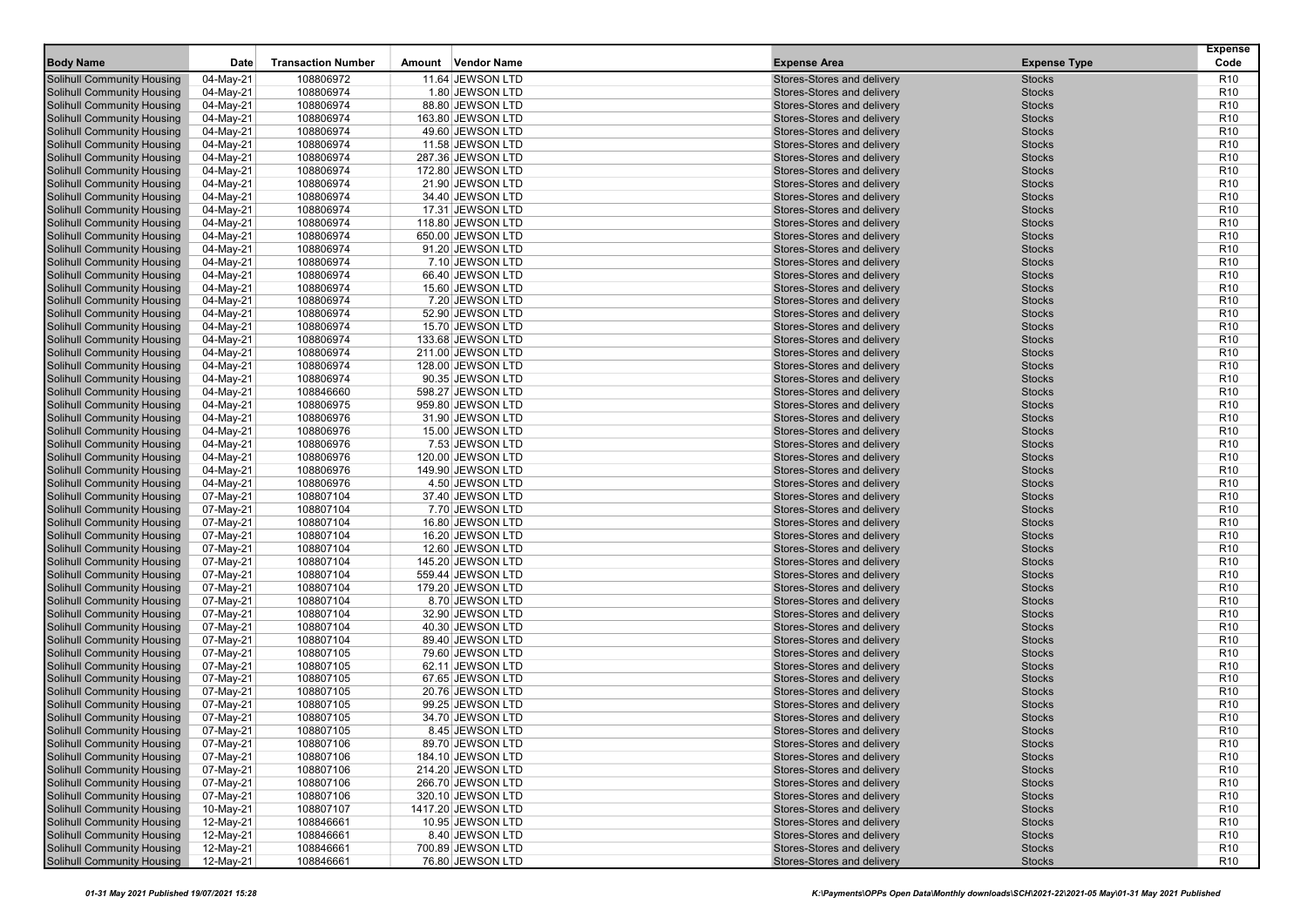| <b>Body Name</b>                                                       | Date                   | <b>Transaction Number</b> | <b>Vendor Name</b><br>Amount        | <b>Expense Area</b>                                      | <b>Expense Type</b>            | <b>Expense</b><br>Code             |
|------------------------------------------------------------------------|------------------------|---------------------------|-------------------------------------|----------------------------------------------------------|--------------------------------|------------------------------------|
|                                                                        |                        |                           |                                     |                                                          |                                |                                    |
| <b>Solihull Community Housing</b><br><b>Solihull Community Housing</b> | 04-May-21              | 108806972                 | 11.64 JEWSON LTD                    | Stores-Stores and delivery                               | <b>Stocks</b>                  | R <sub>10</sub><br>R <sub>10</sub> |
| <b>Solihull Community Housing</b>                                      | 04-May-21<br>04-May-21 | 108806974<br>108806974    | 1.80 JEWSON LTD<br>88.80 JEWSON LTD | Stores-Stores and delivery<br>Stores-Stores and delivery | <b>Stocks</b><br><b>Stocks</b> | R <sub>10</sub>                    |
| <b>Solihull Community Housing</b>                                      | 04-May-21              | 108806974                 | 163.80 JEWSON LTD                   | Stores-Stores and delivery                               | <b>Stocks</b>                  | R <sub>10</sub>                    |
| <b>Solihull Community Housing</b>                                      | 04-May-21              | 108806974                 | 49.60 JEWSON LTD                    | Stores-Stores and delivery                               | <b>Stocks</b>                  | R <sub>10</sub>                    |
| <b>Solihull Community Housing</b>                                      | 04-May-21              | 108806974                 | 11.58 JEWSON LTD                    | Stores-Stores and delivery                               | <b>Stocks</b>                  | R <sub>10</sub>                    |
| <b>Solihull Community Housing</b>                                      | 04-May-21              | 108806974                 | 287.36 JEWSON LTD                   | Stores-Stores and delivery                               | <b>Stocks</b>                  | R <sub>10</sub>                    |
| <b>Solihull Community Housing</b>                                      | 04-May-21              | 108806974                 | 172.80 JEWSON LTD                   | Stores-Stores and delivery                               | <b>Stocks</b>                  | R <sub>10</sub>                    |
| <b>Solihull Community Housing</b>                                      | 04-May-21              | 108806974                 | 21.90 JEWSON LTD                    | Stores-Stores and delivery                               | <b>Stocks</b>                  | R <sub>10</sub>                    |
| <b>Solihull Community Housing</b>                                      | 04-May-21              | 108806974                 | 34.40 JEWSON LTD                    | Stores-Stores and delivery                               | <b>Stocks</b>                  | R <sub>10</sub>                    |
| <b>Solihull Community Housing</b>                                      | 04-May-21              | 108806974                 | 17.31 JEWSON LTD                    | Stores-Stores and delivery                               | <b>Stocks</b>                  | R <sub>10</sub>                    |
| <b>Solihull Community Housing</b>                                      | 04-May-21              | 108806974                 | 118.80 JEWSON LTD                   | Stores-Stores and delivery                               | <b>Stocks</b>                  | R <sub>10</sub>                    |
| <b>Solihull Community Housing</b>                                      | 04-May-21              | 108806974                 | 650.00 JEWSON LTD                   | Stores-Stores and delivery                               | <b>Stocks</b>                  | R <sub>10</sub>                    |
| <b>Solihull Community Housing</b>                                      | 04-May-21              | 108806974                 | 91.20 JEWSON LTD                    | Stores-Stores and delivery                               | <b>Stocks</b>                  | R <sub>10</sub>                    |
| <b>Solihull Community Housing</b>                                      | 04-May-21              | 108806974                 | 7.10 JEWSON LTD                     | Stores-Stores and delivery                               | <b>Stocks</b>                  | R <sub>10</sub>                    |
| <b>Solihull Community Housing</b>                                      | 04-May-21              | 108806974                 | 66.40 JEWSON LTD                    | Stores-Stores and delivery                               | <b>Stocks</b>                  | R <sub>10</sub>                    |
| <b>Solihull Community Housing</b>                                      | 04-May-21              | 108806974                 | 15.60 JEWSON LTD                    | Stores-Stores and delivery                               | <b>Stocks</b>                  | R <sub>10</sub>                    |
| <b>Solihull Community Housing</b>                                      | 04-May-21              | 108806974                 | 7.20 JEWSON LTD                     | Stores-Stores and delivery                               | <b>Stocks</b>                  | R <sub>10</sub>                    |
| <b>Solihull Community Housing</b>                                      | 04-May-21              | 108806974                 | 52.90 JEWSON LTD                    | Stores-Stores and delivery                               | <b>Stocks</b>                  | R <sub>10</sub>                    |
| <b>Solihull Community Housing</b>                                      | 04-May-21              | 108806974                 | 15.70 JEWSON LTD                    | Stores-Stores and delivery                               | <b>Stocks</b>                  | R <sub>10</sub>                    |
| <b>Solihull Community Housing</b>                                      | 04-May-21              | 108806974                 | 133.68 JEWSON LTD                   | Stores-Stores and delivery                               | <b>Stocks</b>                  | R <sub>10</sub>                    |
| <b>Solihull Community Housing</b>                                      | 04-May-21              | 108806974                 | 211.00 JEWSON LTD                   | Stores-Stores and delivery                               | <b>Stocks</b>                  | R <sub>10</sub>                    |
| <b>Solihull Community Housing</b>                                      | 04-May-21              | 108806974                 | 128.00 JEWSON LTD                   | Stores-Stores and delivery                               | <b>Stocks</b>                  | R <sub>10</sub>                    |
| <b>Solihull Community Housing</b>                                      | 04-May-21              | 108806974                 | 90.35 JEWSON LTD                    | Stores-Stores and delivery                               | <b>Stocks</b>                  | R <sub>10</sub>                    |
| <b>Solihull Community Housing</b>                                      | 04-May-21              | 108846660                 | 598.27 JEWSON LTD                   | Stores-Stores and delivery                               | <b>Stocks</b>                  | R <sub>10</sub>                    |
| <b>Solihull Community Housing</b>                                      | 04-May-21              | 108806975                 | 959.80 JEWSON LTD                   | Stores-Stores and delivery                               | <b>Stocks</b>                  | R <sub>10</sub>                    |
| <b>Solihull Community Housing</b>                                      | 04-May-21              | 108806976                 | 31.90 JEWSON LTD                    | Stores-Stores and delivery                               | <b>Stocks</b>                  | R <sub>10</sub>                    |
| <b>Solihull Community Housing</b>                                      | 04-May-21              | 108806976                 | 15.00 JEWSON LTD                    | Stores-Stores and delivery                               | <b>Stocks</b>                  | R <sub>10</sub>                    |
| <b>Solihull Community Housing</b>                                      | 04-May-21              | 108806976                 | 7.53 JEWSON LTD                     | Stores-Stores and delivery                               | <b>Stocks</b>                  | R <sub>10</sub>                    |
| <b>Solihull Community Housing</b>                                      | 04-May-21              | 108806976                 | 120.00 JEWSON LTD                   | Stores-Stores and delivery                               | <b>Stocks</b>                  | R <sub>10</sub>                    |
| Solihull Community Housing                                             | 04-May-21              | 108806976                 | 149.90 JEWSON LTD                   | Stores-Stores and delivery                               | <b>Stocks</b>                  | R <sub>10</sub>                    |
| <b>Solihull Community Housing</b>                                      | 04-May-21              | 108806976                 | 4.50 JEWSON LTD                     | Stores-Stores and delivery                               | <b>Stocks</b>                  | R <sub>10</sub>                    |
| <b>Solihull Community Housing</b>                                      | 07-May-21              | 108807104                 | 37.40 JEWSON LTD                    | Stores-Stores and delivery                               | <b>Stocks</b>                  | R <sub>10</sub>                    |
| <b>Solihull Community Housing</b>                                      | 07-May-21              | 108807104                 | 7.70 JEWSON LTD                     | Stores-Stores and delivery                               | <b>Stocks</b>                  | R <sub>10</sub>                    |
| <b>Solihull Community Housing</b>                                      | 07-May-21              | 108807104                 | 16.80 JEWSON LTD                    | Stores-Stores and delivery                               | <b>Stocks</b>                  | R <sub>10</sub>                    |
| <b>Solihull Community Housing</b>                                      | 07-May-21              | 108807104                 | 16.20 JEWSON LTD                    | Stores-Stores and delivery                               | <b>Stocks</b>                  | R <sub>10</sub>                    |
| <b>Solihull Community Housing</b>                                      | 07-May-21              | 108807104                 | 12.60 JEWSON LTD                    | Stores-Stores and delivery                               | <b>Stocks</b>                  | R <sub>10</sub>                    |
| <b>Solihull Community Housing</b>                                      | 07-May-21              | 108807104                 | 145.20 JEWSON LTD                   | Stores-Stores and delivery                               | <b>Stocks</b>                  | R <sub>10</sub>                    |
| <b>Solihull Community Housing</b>                                      | 07-May-21              | 108807104                 | 559.44 JEWSON LTD                   | Stores-Stores and delivery                               | <b>Stocks</b>                  | R <sub>10</sub>                    |
| <b>Solihull Community Housing</b>                                      | 07-May-21              | 108807104                 | 179.20 JEWSON LTD                   | Stores-Stores and delivery                               | <b>Stocks</b>                  | R <sub>10</sub>                    |
| <b>Solihull Community Housing</b>                                      | 07-May-21              | 108807104                 | 8.70 JEWSON LTD                     | Stores-Stores and delivery                               | <b>Stocks</b>                  | R <sub>10</sub>                    |
| <b>Solihull Community Housing</b>                                      | 07-May-21              | 108807104                 | 32.90 JEWSON LTD                    | Stores-Stores and delivery                               | <b>Stocks</b>                  | R <sub>10</sub>                    |
| <b>Solihull Community Housing</b>                                      | 07-May-21              | 108807104                 | 40.30 JEWSON LTD                    | Stores-Stores and delivery                               | <b>Stocks</b>                  | R <sub>10</sub>                    |
| <b>Solihull Community Housing</b>                                      | 07-May-21              | 108807104                 | 89.40 JEWSON LTD                    | Stores-Stores and delivery                               | <b>Stocks</b>                  | R <sub>10</sub>                    |
| Solihull Community Housing                                             | 07-May-21              | 108807105                 | 79.60 JEWSON LTD                    | Stores-Stores and delivery                               | <b>Stocks</b>                  | R <sub>10</sub>                    |
| Solihull Community Housing                                             | 07-May-21              | 108807105                 | 62.11 JEWSON LTD                    | Stores-Stores and delivery                               | <b>Stocks</b>                  | R <sub>10</sub>                    |
| <b>Solihull Community Housing</b>                                      | 07-May-21              | 108807105                 | 67.65 JEWSON LTD                    | Stores-Stores and delivery                               | <b>Stocks</b>                  | R <sub>10</sub>                    |
| <b>Solihull Community Housing</b>                                      | 07-May-21              | 108807105                 | 20.76 JEWSON LTD                    | Stores-Stores and delivery                               | <b>Stocks</b>                  | R <sub>10</sub>                    |
| <b>Solihull Community Housing</b>                                      | 07-May-21              | 108807105                 | 99.25 JEWSON LTD                    | Stores-Stores and delivery                               | <b>Stocks</b>                  | R <sub>10</sub>                    |
| <b>Solihull Community Housing</b>                                      | 07-May-21              | 108807105                 | 34.70 JEWSON LTD                    | Stores-Stores and delivery                               | <b>Stocks</b>                  | R <sub>10</sub>                    |
| <b>Solihull Community Housing</b>                                      | 07-May-21              | 108807105                 | 8.45 JEWSON LTD                     | Stores-Stores and delivery                               | <b>Stocks</b>                  | R <sub>10</sub>                    |
| <b>Solihull Community Housing</b>                                      | 07-May-21              | 108807106                 | 89.70 JEWSON LTD                    | Stores-Stores and delivery                               | <b>Stocks</b>                  | R <sub>10</sub>                    |
| <b>Solihull Community Housing</b>                                      | 07-May-21              | 108807106                 | 184.10 JEWSON LTD                   | Stores-Stores and delivery                               | <b>Stocks</b>                  | R <sub>10</sub>                    |
| <b>Solihull Community Housing</b>                                      | 07-May-21              | 108807106                 | 214.20 JEWSON LTD                   | Stores-Stores and delivery                               | <b>Stocks</b>                  | R <sub>10</sub>                    |
| <b>Solihull Community Housing</b>                                      | 07-May-21              | 108807106                 | 266.70 JEWSON LTD                   | Stores-Stores and delivery                               | <b>Stocks</b>                  | R <sub>10</sub>                    |
| <b>Solihull Community Housing</b>                                      | 07-May-21              | 108807106                 | 320.10 JEWSON LTD                   | Stores-Stores and delivery                               | <b>Stocks</b>                  | R <sub>10</sub>                    |
| <b>Solihull Community Housing</b>                                      | 10-May-21              | 108807107                 | 1417.20 JEWSON LTD                  | Stores-Stores and delivery                               | <b>Stocks</b>                  | R <sub>10</sub>                    |
| <b>Solihull Community Housing</b>                                      | 12-May-21              | 108846661                 | 10.95 JEWSON LTD                    | Stores-Stores and delivery                               | <b>Stocks</b>                  | R <sub>10</sub>                    |
| <b>Solihull Community Housing</b>                                      | 12-May-21              | 108846661                 | 8.40 JEWSON LTD                     | Stores-Stores and delivery                               | <b>Stocks</b>                  | R <sub>10</sub>                    |
| <b>Solihull Community Housing</b>                                      | 12-May-21              | 108846661                 | 700.89 JEWSON LTD                   | Stores-Stores and delivery                               | <b>Stocks</b>                  | R <sub>10</sub>                    |
| <b>Solihull Community Housing</b>                                      | 12-May-21              | 108846661                 | 76.80 JEWSON LTD                    | Stores-Stores and delivery                               | <b>Stocks</b>                  | R <sub>10</sub>                    |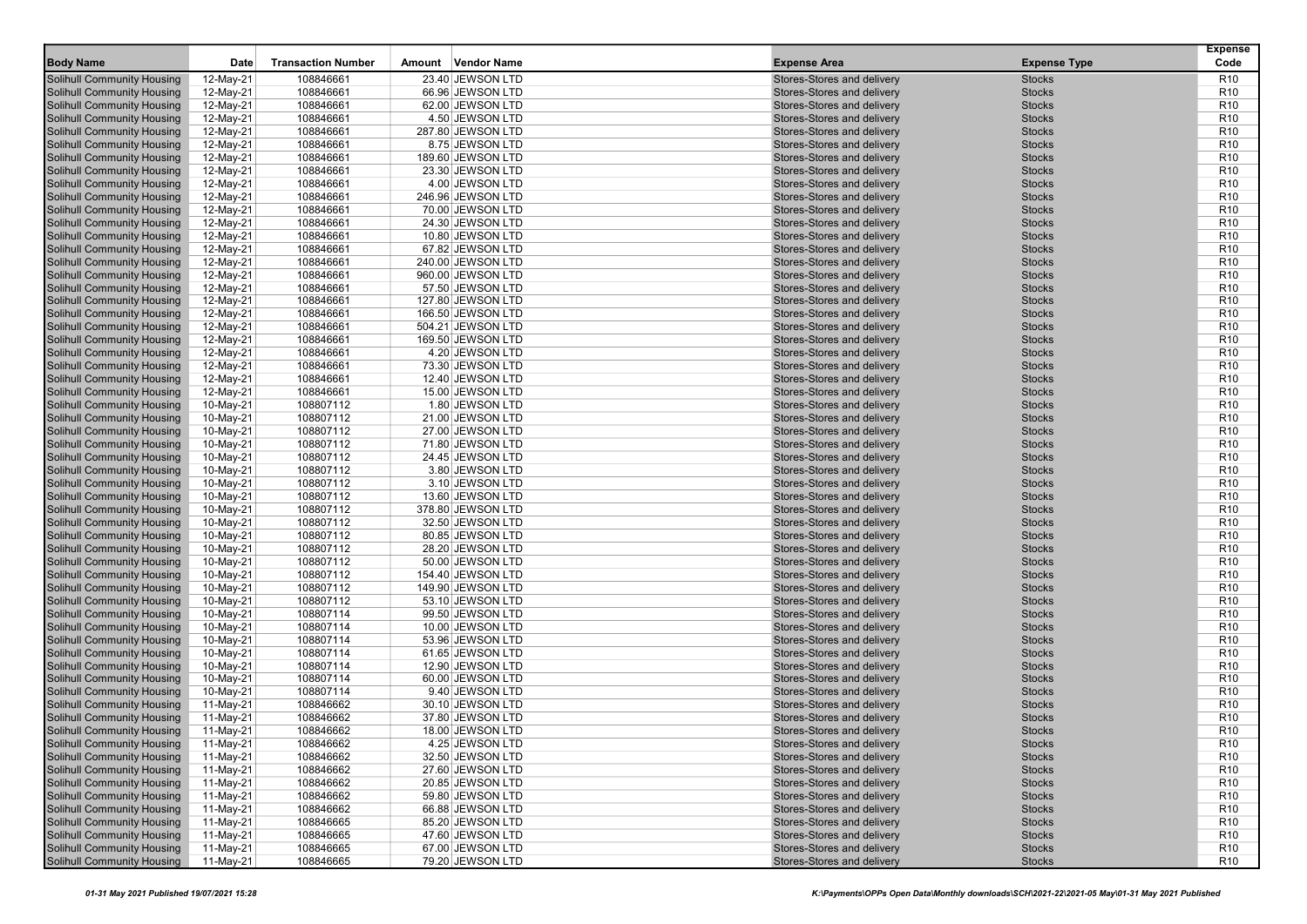|                                                                        |                        |                           |                                        |                                                          |                                | <b>Expense</b>                     |
|------------------------------------------------------------------------|------------------------|---------------------------|----------------------------------------|----------------------------------------------------------|--------------------------------|------------------------------------|
| <b>Body Name</b>                                                       | Date                   | <b>Transaction Number</b> | Amount Vendor Name                     | <b>Expense Area</b>                                      | <b>Expense Type</b>            | Code                               |
| <b>Solihull Community Housing</b>                                      | 12-May-21              | 108846661                 | 23.40 JEWSON LTD                       | Stores-Stores and delivery                               | <b>Stocks</b>                  | R <sub>10</sub>                    |
| <b>Solihull Community Housing</b>                                      | 12-May-21              | 108846661                 | 66.96 JEWSON LTD                       | Stores-Stores and delivery                               | <b>Stocks</b>                  | R <sub>10</sub>                    |
| <b>Solihull Community Housing</b>                                      | 12-May-21              | 108846661                 | 62.00 JEWSON LTD                       | Stores-Stores and delivery                               | <b>Stocks</b>                  | R <sub>10</sub>                    |
| <b>Solihull Community Housing</b>                                      | 12-May-21              | 108846661                 | 4.50 JEWSON LTD                        | Stores-Stores and delivery                               | <b>Stocks</b>                  | R <sub>10</sub>                    |
| <b>Solihull Community Housing</b>                                      | 12-May-21              | 108846661                 | 287.80 JEWSON LTD                      | Stores-Stores and delivery                               | <b>Stocks</b>                  | R <sub>10</sub>                    |
| <b>Solihull Community Housing</b>                                      | 12-May-21              | 108846661                 | 8.75 JEWSON LTD                        | Stores-Stores and delivery                               | <b>Stocks</b>                  | R <sub>10</sub>                    |
| <b>Solihull Community Housing</b>                                      | 12-May-21              | 108846661                 | 189.60 JEWSON LTD                      | Stores-Stores and delivery                               | <b>Stocks</b>                  | R <sub>10</sub>                    |
| <b>Solihull Community Housing</b>                                      | 12-May-21              | 108846661                 | 23.30 JEWSON LTD                       | Stores-Stores and delivery                               | <b>Stocks</b>                  | R <sub>10</sub>                    |
| <b>Solihull Community Housing</b>                                      | 12-May-21              | 108846661                 | 4.00 JEWSON LTD                        | Stores-Stores and delivery                               | <b>Stocks</b>                  | R <sub>10</sub>                    |
| <b>Solihull Community Housing</b>                                      | 12-May-21              | 108846661                 | 246.96 JEWSON LTD                      | Stores-Stores and delivery                               | <b>Stocks</b>                  | R <sub>10</sub>                    |
| <b>Solihull Community Housing</b>                                      | 12-May-21              | 108846661                 | 70.00 JEWSON LTD                       | Stores-Stores and delivery                               | <b>Stocks</b>                  | R <sub>10</sub>                    |
| <b>Solihull Community Housing</b>                                      | 12-May-21<br>12-May-21 | 108846661<br>108846661    | 24.30 JEWSON LTD                       | Stores-Stores and delivery<br>Stores-Stores and delivery | <b>Stocks</b>                  | R <sub>10</sub><br>R <sub>10</sub> |
| <b>Solihull Community Housing</b><br><b>Solihull Community Housing</b> |                        | 108846661                 | 10.80 JEWSON LTD<br>67.82 JEWSON LTD   | Stores-Stores and delivery                               | <b>Stocks</b><br><b>Stocks</b> | R <sub>10</sub>                    |
|                                                                        | 12-May-21              |                           |                                        | Stores-Stores and delivery                               |                                | R <sub>10</sub>                    |
| <b>Solihull Community Housing</b><br><b>Solihull Community Housing</b> | 12-May-21<br>12-May-21 | 108846661<br>108846661    | 240.00 JEWSON LTD<br>960.00 JEWSON LTD | Stores-Stores and delivery                               | <b>Stocks</b><br><b>Stocks</b> | R <sub>10</sub>                    |
| <b>Solihull Community Housing</b>                                      |                        | 108846661                 | 57.50 JEWSON LTD                       | Stores-Stores and delivery                               | <b>Stocks</b>                  | R <sub>10</sub>                    |
| <b>Solihull Community Housing</b>                                      | 12-May-21<br>12-May-21 | 108846661                 | 127.80 JEWSON LTD                      | Stores-Stores and delivery                               | <b>Stocks</b>                  | R <sub>10</sub>                    |
| <b>Solihull Community Housing</b>                                      | 12-May-21              | 108846661                 | 166.50 JEWSON LTD                      | Stores-Stores and delivery                               | <b>Stocks</b>                  | R <sub>10</sub>                    |
| <b>Solihull Community Housing</b>                                      | 12-May-21              | 108846661                 | 504.21 JEWSON LTD                      | Stores-Stores and delivery                               | <b>Stocks</b>                  | R <sub>10</sub>                    |
| <b>Solihull Community Housing</b>                                      | 12-May-21              | 108846661                 | 169.50 JEWSON LTD                      | Stores-Stores and delivery                               | <b>Stocks</b>                  | R <sub>10</sub>                    |
| <b>Solihull Community Housing</b>                                      | 12-May-21              | 108846661                 | 4.20 JEWSON LTD                        | Stores-Stores and delivery                               | <b>Stocks</b>                  | R <sub>10</sub>                    |
| <b>Solihull Community Housing</b>                                      | 12-May-21              | 108846661                 | 73.30 JEWSON LTD                       | Stores-Stores and delivery                               | <b>Stocks</b>                  | R <sub>10</sub>                    |
| <b>Solihull Community Housing</b>                                      | 12-May-21              | 108846661                 | 12.40 JEWSON LTD                       | Stores-Stores and delivery                               | <b>Stocks</b>                  | R <sub>10</sub>                    |
| <b>Solihull Community Housing</b>                                      | 12-May-21              | 108846661                 | 15.00 JEWSON LTD                       | Stores-Stores and delivery                               | <b>Stocks</b>                  | R <sub>10</sub>                    |
| <b>Solihull Community Housing</b>                                      | 10-May-21              | 108807112                 | 1.80 JEWSON LTD                        | Stores-Stores and delivery                               | <b>Stocks</b>                  | R <sub>10</sub>                    |
| <b>Solihull Community Housing</b>                                      | 10-May-21              | 108807112                 | 21.00 JEWSON LTD                       | Stores-Stores and delivery                               | <b>Stocks</b>                  | R <sub>10</sub>                    |
| <b>Solihull Community Housing</b>                                      | 10-May-21              | 108807112                 | 27.00 JEWSON LTD                       | Stores-Stores and delivery                               | <b>Stocks</b>                  | R <sub>10</sub>                    |
| <b>Solihull Community Housing</b>                                      | 10-May-21              | 108807112                 | 71.80 JEWSON LTD                       | Stores-Stores and delivery                               | <b>Stocks</b>                  | R <sub>10</sub>                    |
| <b>Solihull Community Housing</b>                                      | 10-May-21              | 108807112                 | 24.45 JEWSON LTD                       | Stores-Stores and delivery                               | <b>Stocks</b>                  | R <sub>10</sub>                    |
| <b>Solihull Community Housing</b>                                      | 10-May-21              | 108807112                 | 3.80 JEWSON LTD                        | Stores-Stores and delivery                               | <b>Stocks</b>                  | R <sub>10</sub>                    |
| <b>Solihull Community Housing</b>                                      | 10-May-21              | 108807112                 | 3.10 JEWSON LTD                        | Stores-Stores and delivery                               | <b>Stocks</b>                  | R <sub>10</sub>                    |
| <b>Solihull Community Housing</b>                                      | 10-May-21              | 108807112                 | 13.60 JEWSON LTD                       | Stores-Stores and delivery                               | <b>Stocks</b>                  | R <sub>10</sub>                    |
| <b>Solihull Community Housing</b>                                      | 10-May-21              | 108807112                 | 378.80 JEWSON LTD                      | Stores-Stores and delivery                               | <b>Stocks</b>                  | R <sub>10</sub>                    |
| <b>Solihull Community Housing</b>                                      | 10-May-21              | 108807112                 | 32.50 JEWSON LTD                       | Stores-Stores and delivery                               | <b>Stocks</b>                  | R <sub>10</sub>                    |
| <b>Solihull Community Housing</b>                                      | 10-May-21              | 108807112                 | 80.85 JEWSON LTD                       | Stores-Stores and delivery                               | <b>Stocks</b>                  | R <sub>10</sub>                    |
| <b>Solihull Community Housing</b>                                      | 10-May-21              | 108807112                 | 28.20 JEWSON LTD                       | Stores-Stores and delivery                               | <b>Stocks</b>                  | R <sub>10</sub>                    |
| <b>Solihull Community Housing</b>                                      | 10-May-21              | 108807112                 | 50.00 JEWSON LTD                       | Stores-Stores and delivery                               | <b>Stocks</b>                  | R <sub>10</sub>                    |
| <b>Solihull Community Housing</b>                                      | 10-May-21              | 108807112                 | 154.40 JEWSON LTD                      | Stores-Stores and delivery                               | <b>Stocks</b>                  | R <sub>10</sub>                    |
| <b>Solihull Community Housing</b>                                      | 10-May-21              | 108807112                 | 149.90 JEWSON LTD                      | Stores-Stores and delivery                               | <b>Stocks</b>                  | R <sub>10</sub>                    |
| <b>Solihull Community Housing</b>                                      | 10-May-21              | 108807112                 | 53.10 JEWSON LTD                       | Stores-Stores and delivery                               | <b>Stocks</b>                  | R <sub>10</sub>                    |
| <b>Solihull Community Housing</b>                                      | 10-May-21              | 108807114                 | 99.50 JEWSON LTD                       | Stores-Stores and delivery                               | <b>Stocks</b>                  | R <sub>10</sub>                    |
| <b>Solihull Community Housing</b>                                      | 10-May-21              | 108807114                 | 10.00 JEWSON LTD                       | Stores-Stores and delivery                               | <b>Stocks</b>                  | R <sub>10</sub>                    |
| <b>Solihull Community Housing</b>                                      | 10-May-21              | 108807114                 | 53.96 JEWSON LTD                       | Stores-Stores and delivery                               | <b>Stocks</b>                  | R <sub>10</sub>                    |
| <b>Solihull Community Housing</b>                                      | 10-May-21              | 108807114                 | 61.65 JEWSON LTD                       | Stores-Stores and delivery                               | <b>Stocks</b>                  | R <sub>10</sub>                    |
| <b>Solihull Community Housing</b>                                      | 10-May-21              | 108807114                 | 12.90 JEWSON LTD                       | Stores-Stores and delivery                               | <b>Stocks</b>                  | R <sub>10</sub>                    |
| <b>Solihull Community Housing</b>                                      | 10-May-21              | 108807114                 | 60.00 JEWSON LTD                       | Stores-Stores and delivery                               | <b>Stocks</b>                  | R <sub>10</sub>                    |
| <b>Solihull Community Housing</b>                                      | 10-May-21              | 108807114                 | 9.40 JEWSON LTD                        | Stores-Stores and delivery                               | <b>Stocks</b>                  | R <sub>10</sub>                    |
| <b>Solihull Community Housing</b>                                      | 11-May-21              | 108846662                 | 30.10 JEWSON LTD                       | Stores-Stores and delivery                               | <b>Stocks</b>                  | R <sub>10</sub>                    |
| <b>Solihull Community Housing</b>                                      | 11-May-21              | 108846662                 | 37.80 JEWSON LTD                       | Stores-Stores and delivery                               | <b>Stocks</b>                  | R <sub>10</sub>                    |
| <b>Solihull Community Housing</b>                                      | 11-May-21              | 108846662                 | 18.00 JEWSON LTD                       | Stores-Stores and delivery                               | <b>Stocks</b>                  | R <sub>10</sub>                    |
| Solihull Community Housing                                             | 11-May-21              | 108846662                 | 4.25 JEWSON LTD                        | Stores-Stores and delivery                               | <b>Stocks</b>                  | R <sub>10</sub>                    |
| <b>Solihull Community Housing</b>                                      | 11-May-21              | 108846662                 | 32.50 JEWSON LTD                       | Stores-Stores and delivery                               | <b>Stocks</b>                  | R <sub>10</sub>                    |
| <b>Solihull Community Housing</b>                                      | 11-May-21              | 108846662                 | 27.60 JEWSON LTD                       | Stores-Stores and delivery                               | <b>Stocks</b>                  | R <sub>10</sub>                    |
| Solihull Community Housing                                             | 11-May-21              | 108846662                 | 20.85 JEWSON LTD                       | Stores-Stores and delivery                               | <b>Stocks</b>                  | R <sub>10</sub>                    |
| <b>Solihull Community Housing</b>                                      | 11-May-21              | 108846662                 | 59.80 JEWSON LTD                       | Stores-Stores and delivery                               | <b>Stocks</b>                  | R <sub>10</sub>                    |
| <b>Solihull Community Housing</b>                                      | 11-May-21              | 108846662                 | 66.88 JEWSON LTD                       | Stores-Stores and delivery                               | <b>Stocks</b>                  | R <sub>10</sub>                    |
| <b>Solihull Community Housing</b>                                      | 11-May-21              | 108846665                 | 85.20 JEWSON LTD                       | Stores-Stores and delivery                               | <b>Stocks</b>                  | R <sub>10</sub>                    |
| <b>Solihull Community Housing</b>                                      | 11-May-21              | 108846665                 | 47.60 JEWSON LTD                       | Stores-Stores and delivery                               | <b>Stocks</b>                  | R <sub>10</sub>                    |
| <b>Solihull Community Housing</b>                                      | 11-May-21              | 108846665                 | 67.00 JEWSON LTD                       | Stores-Stores and delivery                               | <b>Stocks</b>                  | R <sub>10</sub>                    |
| <b>Solihull Community Housing</b>                                      | 11-May-21              | 108846665                 | 79.20 JEWSON LTD                       | Stores-Stores and delivery                               | <b>Stocks</b>                  | <b>R10</b>                         |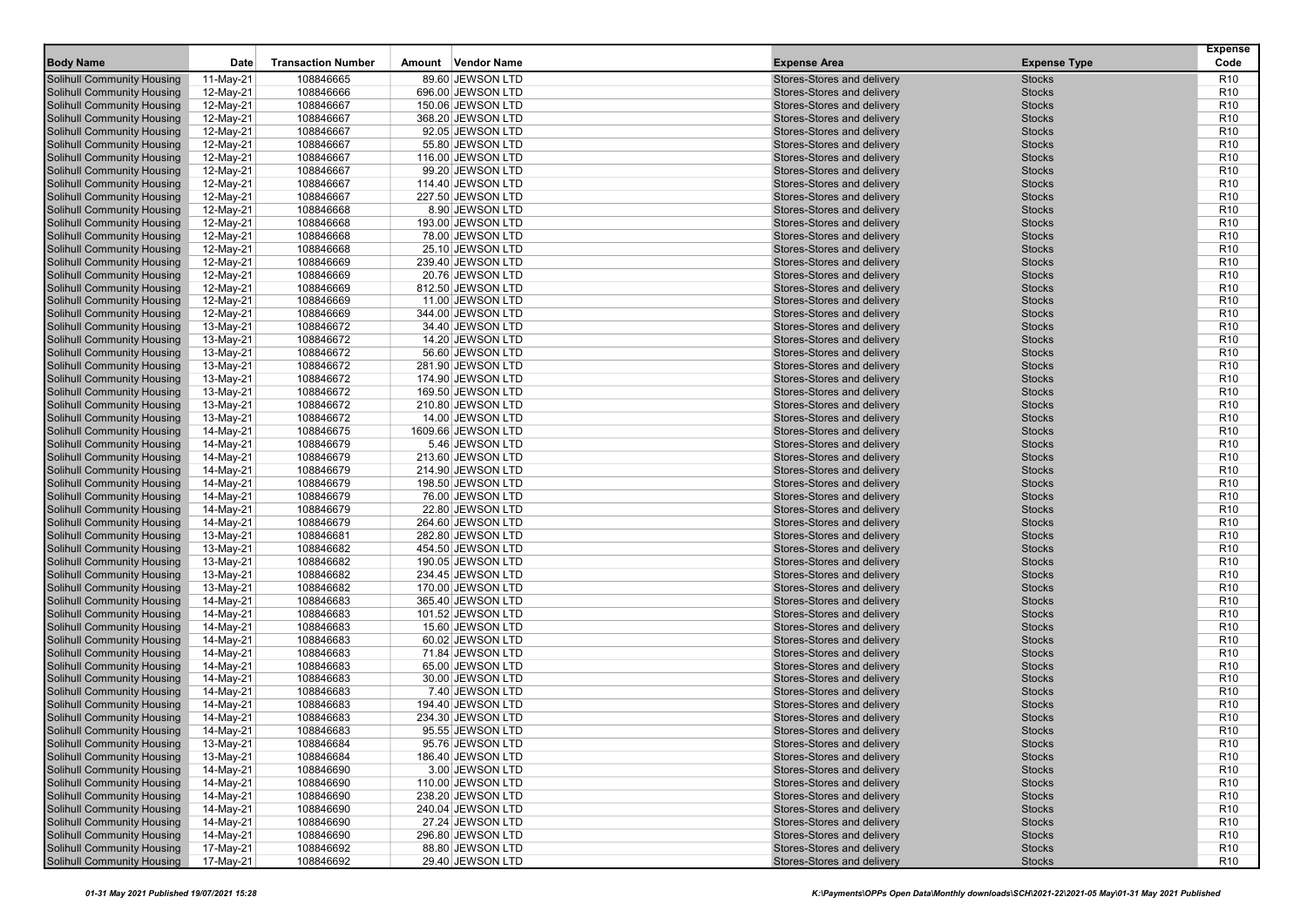| <b>Body Name</b>                                                       | Date                   | <b>Transaction Number</b> | Amount Vendor Name                     | <b>Expense Area</b>                                      | <b>Expense Type</b>            | <b>Expense</b><br>Code             |
|------------------------------------------------------------------------|------------------------|---------------------------|----------------------------------------|----------------------------------------------------------|--------------------------------|------------------------------------|
|                                                                        | $11-May-21$            | 108846665                 | 89.60 JEWSON LTD                       |                                                          | <b>Stocks</b>                  | R <sub>10</sub>                    |
| <b>Solihull Community Housing</b><br><b>Solihull Community Housing</b> | 12-May-21              | 108846666                 | 696.00 JEWSON LTD                      | Stores-Stores and delivery<br>Stores-Stores and delivery | <b>Stocks</b>                  | R <sub>10</sub>                    |
| <b>Solihull Community Housing</b>                                      | 12-May-21              | 108846667                 | 150.06 JEWSON LTD                      | Stores-Stores and delivery                               | <b>Stocks</b>                  | R <sub>10</sub>                    |
| <b>Solihull Community Housing</b>                                      | 12-May-21              | 108846667                 | 368.20 JEWSON LTD                      | Stores-Stores and delivery                               | <b>Stocks</b>                  | R <sub>10</sub>                    |
| <b>Solihull Community Housing</b>                                      | 12-May-21              | 108846667                 | 92.05 JEWSON LTD                       | Stores-Stores and delivery                               | <b>Stocks</b>                  | R <sub>10</sub>                    |
| <b>Solihull Community Housing</b>                                      | 12-May-21              | 108846667                 | 55.80 JEWSON LTD                       | Stores-Stores and delivery                               | <b>Stocks</b>                  | R <sub>10</sub>                    |
| <b>Solihull Community Housing</b>                                      | 12-May-21              | 108846667                 | 116.00 JEWSON LTD                      | Stores-Stores and delivery                               | <b>Stocks</b>                  | R <sub>10</sub>                    |
| <b>Solihull Community Housing</b>                                      | 12-May-21              | 108846667                 | 99.20 JEWSON LTD                       | Stores-Stores and delivery                               | <b>Stocks</b>                  | R <sub>10</sub>                    |
| <b>Solihull Community Housing</b>                                      | 12-May-21              | 108846667                 | 114.40 JEWSON LTD                      | Stores-Stores and delivery                               | <b>Stocks</b>                  | R <sub>10</sub>                    |
| <b>Solihull Community Housing</b>                                      | 12-May-21              | 108846667                 | 227.50 JEWSON LTD                      | Stores-Stores and delivery                               | <b>Stocks</b>                  | R <sub>10</sub>                    |
| Solihull Community Housing                                             | 12-May-21              | 108846668                 | 8.90 JEWSON LTD                        | Stores-Stores and delivery                               | <b>Stocks</b>                  | R <sub>10</sub>                    |
| <b>Solihull Community Housing</b>                                      | 12-May-21              | 108846668                 | 193.00 JEWSON LTD                      | Stores-Stores and delivery                               | <b>Stocks</b>                  | R <sub>10</sub>                    |
| <b>Solihull Community Housing</b>                                      | 12-May-21              | 108846668                 | 78.00 JEWSON LTD                       | Stores-Stores and delivery                               | <b>Stocks</b>                  | R <sub>10</sub>                    |
| <b>Solihull Community Housing</b>                                      | 12-May-21              | 108846668                 | 25.10 JEWSON LTD                       | Stores-Stores and delivery                               | <b>Stocks</b>                  | R <sub>10</sub>                    |
| <b>Solihull Community Housing</b>                                      | 12-May-21              | 108846669                 | 239.40 JEWSON LTD                      | Stores-Stores and delivery                               | <b>Stocks</b>                  | R <sub>10</sub>                    |
| <b>Solihull Community Housing</b>                                      | 12-May-21              | 108846669                 | 20.76 JEWSON LTD                       | Stores-Stores and delivery                               | <b>Stocks</b>                  | R <sub>10</sub>                    |
| <b>Solihull Community Housing</b>                                      | 12-May-21              | 108846669                 | 812.50 JEWSON LTD                      | Stores-Stores and delivery                               | <b>Stocks</b>                  | R <sub>10</sub>                    |
| <b>Solihull Community Housing</b>                                      | 12-May-21              | 108846669                 | 11.00 JEWSON LTD                       | Stores-Stores and delivery                               | <b>Stocks</b>                  | R <sub>10</sub>                    |
| <b>Solihull Community Housing</b>                                      | 12-May-21              | 108846669                 | 344.00 JEWSON LTD                      | Stores-Stores and delivery                               | <b>Stocks</b>                  | R <sub>10</sub>                    |
| <b>Solihull Community Housing</b>                                      | 13-May-21              | 108846672                 | 34.40 JEWSON LTD                       | Stores-Stores and delivery                               | <b>Stocks</b>                  | R <sub>10</sub>                    |
| <b>Solihull Community Housing</b>                                      | 13-May-21              | 108846672                 | 14.20 JEWSON LTD                       | Stores-Stores and delivery                               | <b>Stocks</b>                  | R <sub>10</sub>                    |
| <b>Solihull Community Housing</b>                                      | 13-May-21              | 108846672                 | 56.60 JEWSON LTD                       | Stores-Stores and delivery                               | <b>Stocks</b>                  | R <sub>10</sub>                    |
| <b>Solihull Community Housing</b>                                      | 13-May-21              | 108846672                 | 281.90 JEWSON LTD                      | Stores-Stores and delivery                               | <b>Stocks</b>                  | R <sub>10</sub>                    |
| <b>Solihull Community Housing</b>                                      | 13-May-21              | 108846672                 | 174.90 JEWSON LTD                      | Stores-Stores and delivery                               | <b>Stocks</b>                  | R <sub>10</sub>                    |
| <b>Solihull Community Housing</b>                                      | 13-May-21              | 108846672                 | 169.50 JEWSON LTD                      | Stores-Stores and delivery                               | <b>Stocks</b>                  | R <sub>10</sub>                    |
| <b>Solihull Community Housing</b>                                      | 13-May-21              | 108846672                 | 210.80 JEWSON LTD                      | Stores-Stores and delivery                               | <b>Stocks</b>                  | R <sub>10</sub>                    |
| <b>Solihull Community Housing</b>                                      | 13-May-21              | 108846672                 | 14.00 JEWSON LTD                       | Stores-Stores and delivery                               | <b>Stocks</b>                  | R <sub>10</sub>                    |
| <b>Solihull Community Housing</b>                                      | 14-May-21              | 108846675                 | 1609.66 JEWSON LTD                     | Stores-Stores and delivery                               | <b>Stocks</b>                  | R <sub>10</sub>                    |
| <b>Solihull Community Housing</b>                                      | 14-May-21              | 108846679                 | 5.46 JEWSON LTD                        | Stores-Stores and delivery                               | <b>Stocks</b>                  | R <sub>10</sub>                    |
| <b>Solihull Community Housing</b>                                      | 14-May-21              | 108846679                 | 213.60 JEWSON LTD                      | Stores-Stores and delivery                               | <b>Stocks</b>                  | R <sub>10</sub>                    |
| Solihull Community Housing                                             | 14-May-21              | 108846679                 | 214.90 JEWSON LTD                      | Stores-Stores and delivery                               | <b>Stocks</b>                  | R <sub>10</sub>                    |
| <b>Solihull Community Housing</b>                                      | 14-May-21              | 108846679                 | 198.50 JEWSON LTD                      | Stores-Stores and delivery                               | <b>Stocks</b>                  | R <sub>10</sub>                    |
| <b>Solihull Community Housing</b>                                      | 14-May-21              | 108846679                 | 76.00 JEWSON LTD                       | Stores-Stores and delivery                               | <b>Stocks</b>                  | R <sub>10</sub>                    |
| <b>Solihull Community Housing</b>                                      | 14-May-21              | 108846679                 | 22.80 JEWSON LTD                       | Stores-Stores and delivery                               | <b>Stocks</b><br><b>Stocks</b> | R <sub>10</sub><br>R <sub>10</sub> |
| <b>Solihull Community Housing</b><br><b>Solihull Community Housing</b> | 14-May-21<br>13-May-21 | 108846679<br>108846681    | 264.60 JEWSON LTD<br>282.80 JEWSON LTD | Stores-Stores and delivery<br>Stores-Stores and delivery | <b>Stocks</b>                  | R <sub>10</sub>                    |
| <b>Solihull Community Housing</b>                                      | 13-May-21              | 108846682                 | 454.50 JEWSON LTD                      | Stores-Stores and delivery                               | <b>Stocks</b>                  | R <sub>10</sub>                    |
| <b>Solihull Community Housing</b>                                      | 13-May-21              | 108846682                 | 190.05 JEWSON LTD                      | Stores-Stores and delivery                               | <b>Stocks</b>                  | R <sub>10</sub>                    |
| <b>Solihull Community Housing</b>                                      | 13-May-21              | 108846682                 | 234.45 JEWSON LTD                      | Stores-Stores and delivery                               | <b>Stocks</b>                  | R <sub>10</sub>                    |
| <b>Solihull Community Housing</b>                                      | 13-May-21              | 108846682                 | 170.00 JEWSON LTD                      | Stores-Stores and delivery                               | <b>Stocks</b>                  | R <sub>10</sub>                    |
| <b>Solihull Community Housing</b>                                      | 14-May-21              | 108846683                 | 365.40 JEWSON LTD                      | Stores-Stores and delivery                               | <b>Stocks</b>                  | R <sub>10</sub>                    |
| <b>Solihull Community Housing</b>                                      | 14-May-21              | 108846683                 | 101.52 JEWSON LTD                      | Stores-Stores and delivery                               | <b>Stocks</b>                  | R <sub>10</sub>                    |
| <b>Solihull Community Housing</b>                                      | 14-May-21              | 108846683                 | 15.60 JEWSON LTD                       | Stores-Stores and delivery                               | <b>Stocks</b>                  | R <sub>10</sub>                    |
| <b>Solihull Community Housing</b>                                      | 14-May-21              | 108846683                 | 60.02 JEWSON LTD                       | Stores-Stores and delivery                               | <b>Stocks</b>                  | R <sub>10</sub>                    |
| <b>Solihull Community Housing</b>                                      | 14-May-21              | 108846683                 | 71.84 JEWSON LTD                       | Stores-Stores and delivery                               | <b>Stocks</b>                  | R <sub>10</sub>                    |
| <b>Solihull Community Housing</b>                                      | 14-May-21              | 108846683                 | 65.00 JEWSON LTD                       | Stores-Stores and delivery                               | <b>Stocks</b>                  | R <sub>10</sub>                    |
| <b>Solihull Community Housing</b>                                      | 14-May-21              | 108846683                 | 30.00 JEWSON LTD                       | Stores-Stores and delivery                               | <b>Stocks</b>                  | R <sub>10</sub>                    |
| <b>Solihull Community Housing</b>                                      | 14-May-21              | 108846683                 | 7.40 JEWSON LTD                        | Stores-Stores and delivery                               | <b>Stocks</b>                  | R <sub>10</sub>                    |
| <b>Solihull Community Housing</b>                                      | 14-May-21              | 108846683                 | 194.40 JEWSON LTD                      | Stores-Stores and delivery                               | <b>Stocks</b>                  | R <sub>10</sub>                    |
| <b>Solihull Community Housing</b>                                      | 14-May-21              | 108846683                 | 234.30 JEWSON LTD                      | Stores-Stores and delivery                               | <b>Stocks</b>                  | R <sub>10</sub>                    |
| <b>Solihull Community Housing</b>                                      | 14-May-21              | 108846683                 | 95.55 JEWSON LTD                       | Stores-Stores and delivery                               | <b>Stocks</b>                  | R <sub>10</sub>                    |
| <b>Solihull Community Housing</b>                                      | 13-May-21              | 108846684                 | 95.76 JEWSON LTD                       | Stores-Stores and delivery                               | <b>Stocks</b>                  | R <sub>10</sub>                    |
| <b>Solihull Community Housing</b>                                      | 13-May-21              | 108846684                 | 186.40 JEWSON LTD                      | Stores-Stores and delivery                               | <b>Stocks</b>                  | R <sub>10</sub>                    |
| <b>Solihull Community Housing</b>                                      | 14-May-21              | 108846690                 | 3.00 JEWSON LTD                        | Stores-Stores and delivery                               | <b>Stocks</b>                  | R <sub>10</sub>                    |
| <b>Solihull Community Housing</b>                                      | 14-May-21              | 108846690                 | 110.00 JEWSON LTD                      | Stores-Stores and delivery                               | <b>Stocks</b>                  | R <sub>10</sub>                    |
| <b>Solihull Community Housing</b>                                      | 14-May-21              | 108846690                 | 238.20 JEWSON LTD                      | Stores-Stores and delivery                               | <b>Stocks</b>                  | R <sub>10</sub>                    |
| <b>Solihull Community Housing</b>                                      | 14-May-21              | 108846690                 | 240.04 JEWSON LTD                      | Stores-Stores and delivery                               | <b>Stocks</b>                  | R <sub>10</sub>                    |
| <b>Solihull Community Housing</b>                                      | 14-May-21              | 108846690                 | 27.24 JEWSON LTD                       | Stores-Stores and delivery                               | <b>Stocks</b>                  | R <sub>10</sub>                    |
| <b>Solihull Community Housing</b>                                      | 14-May-21              | 108846690                 | 296.80 JEWSON LTD                      | Stores-Stores and delivery                               | <b>Stocks</b>                  | R <sub>10</sub>                    |
| <b>Solihull Community Housing</b>                                      | 17-May-21              | 108846692                 | 88.80 JEWSON LTD                       | Stores-Stores and delivery                               | <b>Stocks</b>                  | R <sub>10</sub>                    |
| <b>Solihull Community Housing</b>                                      | 17-May-21              | 108846692                 | 29.40 JEWSON LTD                       | Stores-Stores and delivery                               | <b>Stocks</b>                  | R <sub>10</sub>                    |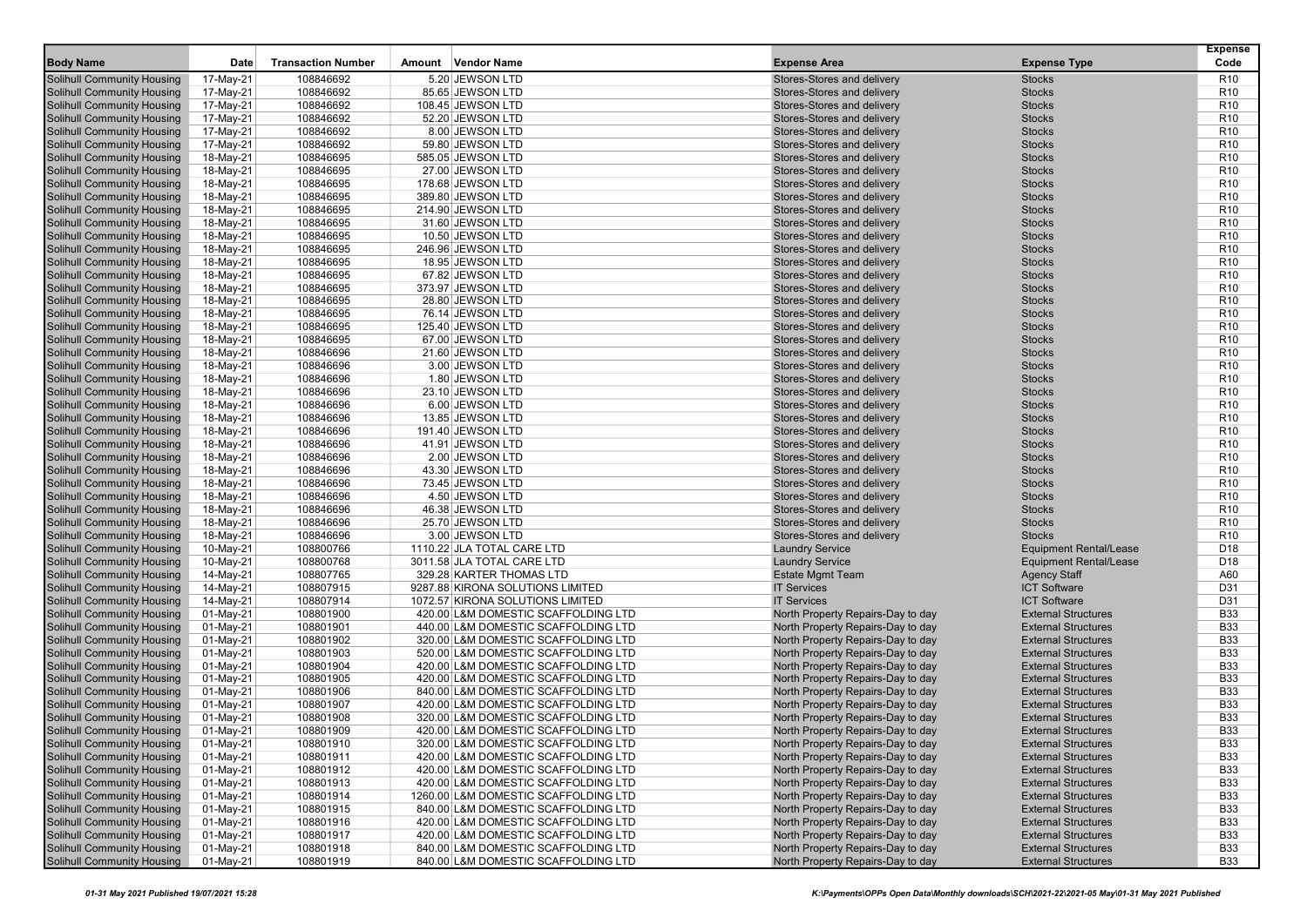| <b>Body Name</b>                                                       | Date                   | <b>Transaction Number</b> | Amount Vendor Name                   | <b>Expense Area</b>                                      | <b>Expense Type</b>            | <b>Expense</b><br>Code             |
|------------------------------------------------------------------------|------------------------|---------------------------|--------------------------------------|----------------------------------------------------------|--------------------------------|------------------------------------|
|                                                                        |                        |                           |                                      |                                                          |                                |                                    |
| <b>Solihull Community Housing</b><br><b>Solihull Community Housing</b> | $17-May-21$            | 108846692                 | 5.20 JEWSON LTD<br>85.65 JEWSON LTD  | Stores-Stores and delivery                               | <b>Stocks</b>                  | R <sub>10</sub><br>R <sub>10</sub> |
| <b>Solihull Community Housing</b>                                      | 17-May-21<br>17-May-21 | 108846692<br>108846692    | 108.45 JEWSON LTD                    | Stores-Stores and delivery<br>Stores-Stores and delivery | <b>Stocks</b><br><b>Stocks</b> | R <sub>10</sub>                    |
| <b>Solihull Community Housing</b>                                      |                        | 108846692                 | 52.20 JEWSON LTD                     | Stores-Stores and delivery                               | <b>Stocks</b>                  | R <sub>10</sub>                    |
| <b>Solihull Community Housing</b>                                      | 17-May-21<br>17-May-21 | 108846692                 | 8.00 JEWSON LTD                      | Stores-Stores and delivery                               | <b>Stocks</b>                  | R <sub>10</sub>                    |
| <b>Solihull Community Housing</b>                                      | 17-May-21              | 108846692                 | 59.80 JEWSON LTD                     | Stores-Stores and delivery                               | <b>Stocks</b>                  | R <sub>10</sub>                    |
| <b>Solihull Community Housing</b>                                      | 18-May-21              | 108846695                 | 585.05 JEWSON LTD                    | Stores-Stores and delivery                               | <b>Stocks</b>                  | R <sub>10</sub>                    |
| <b>Solihull Community Housing</b>                                      | 18-May-21              | 108846695                 | 27.00 JEWSON LTD                     | Stores-Stores and delivery                               | <b>Stocks</b>                  | R <sub>10</sub>                    |
| <b>Solihull Community Housing</b>                                      | 18-May-21              | 108846695                 | 178.68 JEWSON LTD                    | Stores-Stores and delivery                               | <b>Stocks</b>                  | R <sub>10</sub>                    |
| <b>Solihull Community Housing</b>                                      | 18-May-21              | 108846695                 | 389.80 JEWSON LTD                    | Stores-Stores and delivery                               | <b>Stocks</b>                  | R <sub>10</sub>                    |
| <b>Solihull Community Housing</b>                                      | 18-May-21              | 108846695                 | 214.90 JEWSON LTD                    | Stores-Stores and delivery                               | <b>Stocks</b>                  | R <sub>10</sub>                    |
| <b>Solihull Community Housing</b>                                      | 18-May-21              | 108846695                 | 31.60 JEWSON LTD                     | Stores-Stores and delivery                               | <b>Stocks</b>                  | R <sub>10</sub>                    |
| <b>Solihull Community Housing</b>                                      | 18-May-21              | 108846695                 | 10.50 JEWSON LTD                     | Stores-Stores and delivery                               | <b>Stocks</b>                  | R <sub>10</sub>                    |
| <b>Solihull Community Housing</b>                                      | 18-May-21              | 108846695                 | 246.96 JEWSON LTD                    | Stores-Stores and delivery                               | <b>Stocks</b>                  | R <sub>10</sub>                    |
| <b>Solihull Community Housing</b>                                      | 18-May-21              | 108846695                 | 18.95 JEWSON LTD                     | Stores-Stores and delivery                               | <b>Stocks</b>                  | R <sub>10</sub>                    |
| <b>Solihull Community Housing</b>                                      | 18-May-21              | 108846695                 | 67.82 JEWSON LTD                     | Stores-Stores and delivery                               | <b>Stocks</b>                  | R <sub>10</sub>                    |
| <b>Solihull Community Housing</b>                                      | 18-May-21              | 108846695                 | 373.97 JEWSON LTD                    | Stores-Stores and delivery                               | <b>Stocks</b>                  | R <sub>10</sub>                    |
| <b>Solihull Community Housing</b>                                      | 18-May-21              | 108846695                 | 28.80 JEWSON LTD                     | Stores-Stores and delivery                               | <b>Stocks</b>                  | R <sub>10</sub>                    |
| <b>Solihull Community Housing</b>                                      | 18-May-21              | 108846695                 | 76.14 JEWSON LTD                     | Stores-Stores and delivery                               | <b>Stocks</b>                  | R <sub>10</sub>                    |
| <b>Solihull Community Housing</b>                                      | 18-May-21              | 108846695                 | 125.40 JEWSON LTD                    | Stores-Stores and delivery                               | <b>Stocks</b>                  | R <sub>10</sub>                    |
| <b>Solihull Community Housing</b>                                      | 18-May-21              | 108846695                 | 67.00 JEWSON LTD                     | Stores-Stores and delivery                               | <b>Stocks</b>                  | R <sub>10</sub>                    |
| <b>Solihull Community Housing</b>                                      | 18-May-21              | 108846696                 | 21.60 JEWSON LTD                     | Stores-Stores and delivery                               | <b>Stocks</b>                  | R <sub>10</sub>                    |
| <b>Solihull Community Housing</b>                                      | 18-May-21              | 108846696                 | 3.00 JEWSON LTD                      | Stores-Stores and delivery                               | <b>Stocks</b>                  | R <sub>10</sub>                    |
| <b>Solihull Community Housing</b>                                      | 18-May-21              | 108846696                 | 1.80 JEWSON LTD                      | Stores-Stores and delivery                               | <b>Stocks</b>                  | R <sub>10</sub>                    |
| <b>Solihull Community Housing</b>                                      | 18-May-21              | 108846696                 | 23.10 JEWSON LTD                     | Stores-Stores and delivery                               | <b>Stocks</b>                  | R <sub>10</sub>                    |
| Solihull Community Housing                                             | 18-May-21              | 108846696                 | 6.00 JEWSON LTD                      | Stores-Stores and delivery                               | <b>Stocks</b>                  | R <sub>10</sub>                    |
| <b>Solihull Community Housing</b>                                      | 18-May-21              | 108846696                 | 13.85 JEWSON LTD                     | Stores-Stores and delivery                               | <b>Stocks</b>                  | R <sub>10</sub>                    |
| <b>Solihull Community Housing</b>                                      | 18-May-21              | 108846696                 | 191.40 JEWSON LTD                    | Stores-Stores and delivery                               | <b>Stocks</b>                  | R <sub>10</sub>                    |
| <b>Solihull Community Housing</b>                                      | 18-May-21              | 108846696                 | 41.91 JEWSON LTD                     | Stores-Stores and delivery                               | <b>Stocks</b>                  | R <sub>10</sub>                    |
| <b>Solihull Community Housing</b>                                      | 18-May-21              | 108846696                 | 2.00 JEWSON LTD                      | Stores-Stores and delivery                               | <b>Stocks</b>                  | R <sub>10</sub>                    |
| <b>Solihull Community Housing</b>                                      | 18-May-21              | 108846696                 | 43.30 JEWSON LTD                     | Stores-Stores and delivery                               | <b>Stocks</b>                  | R <sub>10</sub>                    |
| <b>Solihull Community Housing</b>                                      | 18-May-21              | 108846696                 | 73.45 JEWSON LTD                     | Stores-Stores and delivery                               | <b>Stocks</b>                  | R <sub>10</sub>                    |
| <b>Solihull Community Housing</b>                                      | 18-May-21              | 108846696                 | 4.50 JEWSON LTD                      | Stores-Stores and delivery                               | <b>Stocks</b>                  | R <sub>10</sub>                    |
| <b>Solihull Community Housing</b>                                      | 18-May-21              | 108846696                 | 46.38 JEWSON LTD                     | Stores-Stores and delivery                               | <b>Stocks</b>                  | R <sub>10</sub>                    |
| <b>Solihull Community Housing</b>                                      | 18-May-21              | 108846696                 | 25.70 JEWSON LTD                     | Stores-Stores and delivery                               | <b>Stocks</b>                  | R <sub>10</sub>                    |
| <b>Solihull Community Housing</b>                                      | 18-May-21              | 108846696                 | 3.00 JEWSON LTD                      | Stores-Stores and delivery                               | <b>Stocks</b>                  | R <sub>10</sub>                    |
| <b>Solihull Community Housing</b>                                      | 10-May-21              | 108800766                 | 1110.22 JLA TOTAL CARE LTD           | <b>Laundry Service</b>                                   | <b>Equipment Rental/Lease</b>  | D <sub>18</sub>                    |
| <b>Solihull Community Housing</b>                                      | 10-May-21              | 108800768                 | 3011.58 JLA TOTAL CARE LTD           | <b>Laundry Service</b>                                   | <b>Equipment Rental/Lease</b>  | D <sub>18</sub>                    |
| <b>Solihull Community Housing</b>                                      | 14-May-21              | 108807765                 | 329.28 KARTER THOMAS LTD             | <b>Estate Mgmt Team</b>                                  | <b>Agency Staff</b>            | A60                                |
| <b>Solihull Community Housing</b>                                      | 14-May-21              | 108807915                 | 9287.88 KIRONA SOLUTIONS LIMITED     | <b>IT Services</b>                                       | <b>ICT Software</b>            | D31                                |
| <b>Solihull Community Housing</b>                                      | 14-May-21              | 108807914                 | 1072.57 KIRONA SOLUTIONS LIMITED     | <b>IT Services</b>                                       | <b>ICT Software</b>            | D31                                |
| <b>Solihull Community Housing</b>                                      | 01-May-21              | 108801900                 | 420.00 L&M DOMESTIC SCAFFOLDING LTD  | North Property Repairs-Day to day                        | <b>External Structures</b>     | <b>B33</b>                         |
| <b>Solihull Community Housing</b>                                      | 01-May-21              | 108801901                 | 440.00 L&M DOMESTIC SCAFFOLDING LTD  | North Property Repairs-Day to day                        | <b>External Structures</b>     | <b>B33</b>                         |
| <b>Solihull Community Housing</b>                                      | 01-May-21              | 108801902                 | 320.00 L&M DOMESTIC SCAFFOLDING LTD  | North Property Repairs-Day to day                        | <b>External Structures</b>     | <b>B33</b>                         |
| <b>Solihull Community Housing</b>                                      | 01-May-21              | 108801903                 | 520.00 L&M DOMESTIC SCAFFOLDING LTD  | North Property Repairs-Day to day                        | <b>External Structures</b>     | <b>B33</b>                         |
| <b>Solihull Community Housing</b>                                      | 01-May-21              | 108801904                 | 420.00 L&M DOMESTIC SCAFFOLDING LTD  | North Property Repairs-Day to day                        | <b>External Structures</b>     | <b>B33</b>                         |
| <b>Solihull Community Housing</b>                                      | 01-May-21              | 108801905                 | 420.00 L&M DOMESTIC SCAFFOLDING LTD  | North Property Repairs-Day to day                        | <b>External Structures</b>     | <b>B33</b>                         |
| <b>Solihull Community Housing</b>                                      | 01-May-21              | 108801906                 | 840.00 L&M DOMESTIC SCAFFOLDING LTD  | North Property Repairs-Day to day                        | <b>External Structures</b>     | <b>B33</b>                         |
| <b>Solihull Community Housing</b>                                      | 01-May-21              | 108801907                 | 420.00 L&M DOMESTIC SCAFFOLDING LTD  | North Property Repairs-Day to day                        | <b>External Structures</b>     | <b>B33</b>                         |
| <b>Solihull Community Housing</b>                                      | 01-May-21              | 108801908                 | 320.00 L&M DOMESTIC SCAFFOLDING LTD  | North Property Repairs-Day to day                        | <b>External Structures</b>     | <b>B33</b>                         |
| <b>Solihull Community Housing</b>                                      | 01-May-21              | 108801909                 | 420.00 L&M DOMESTIC SCAFFOLDING LTD  | North Property Repairs-Day to day                        | <b>External Structures</b>     | <b>B33</b>                         |
| <b>Solihull Community Housing</b>                                      | 01-May-21              | 108801910                 | 320.00 L&M DOMESTIC SCAFFOLDING LTD  | North Property Repairs-Day to day                        | <b>External Structures</b>     | <b>B33</b>                         |
| <b>Solihull Community Housing</b>                                      | 01-May-21              | 108801911                 | 420.00 L&M DOMESTIC SCAFFOLDING LTD  | North Property Repairs-Day to day                        | <b>External Structures</b>     | <b>B33</b>                         |
| <b>Solihull Community Housing</b>                                      | 01-May-21              | 108801912                 | 420.00 L&M DOMESTIC SCAFFOLDING LTD  | North Property Repairs-Day to day                        | <b>External Structures</b>     | <b>B33</b>                         |
| <b>Solihull Community Housing</b>                                      | 01-May-21              | 108801913                 | 420.00 L&M DOMESTIC SCAFFOLDING LTD  | North Property Repairs-Day to day                        | <b>External Structures</b>     | <b>B33</b>                         |
| <b>Solihull Community Housing</b>                                      | 01-May-21              | 108801914                 | 1260.00 L&M DOMESTIC SCAFFOLDING LTD | North Property Repairs-Day to day                        | <b>External Structures</b>     | <b>B33</b>                         |
| <b>Solihull Community Housing</b>                                      | 01-May-21              | 108801915                 | 840.00 L&M DOMESTIC SCAFFOLDING LTD  | North Property Repairs-Day to day                        | <b>External Structures</b>     | <b>B33</b>                         |
| <b>Solihull Community Housing</b>                                      | 01-May-21              | 108801916                 | 420.00 L&M DOMESTIC SCAFFOLDING LTD  | North Property Repairs-Day to day                        | <b>External Structures</b>     | <b>B33</b>                         |
| <b>Solihull Community Housing</b>                                      | 01-May-21              | 108801917                 | 420.00 L&M DOMESTIC SCAFFOLDING LTD  | North Property Repairs-Day to day                        | <b>External Structures</b>     | B33                                |
| <b>Solihull Community Housing</b>                                      | 01-May-21              | 108801918                 | 840.00 L&M DOMESTIC SCAFFOLDING LTD  | North Property Repairs-Day to day                        | <b>External Structures</b>     | <b>B33</b>                         |
| <b>Solihull Community Housing</b>                                      | 01-May-21              | 108801919                 | 840.00 L&M DOMESTIC SCAFFOLDING LTD  | North Property Repairs-Day to day                        | <b>External Structures</b>     | <b>B33</b>                         |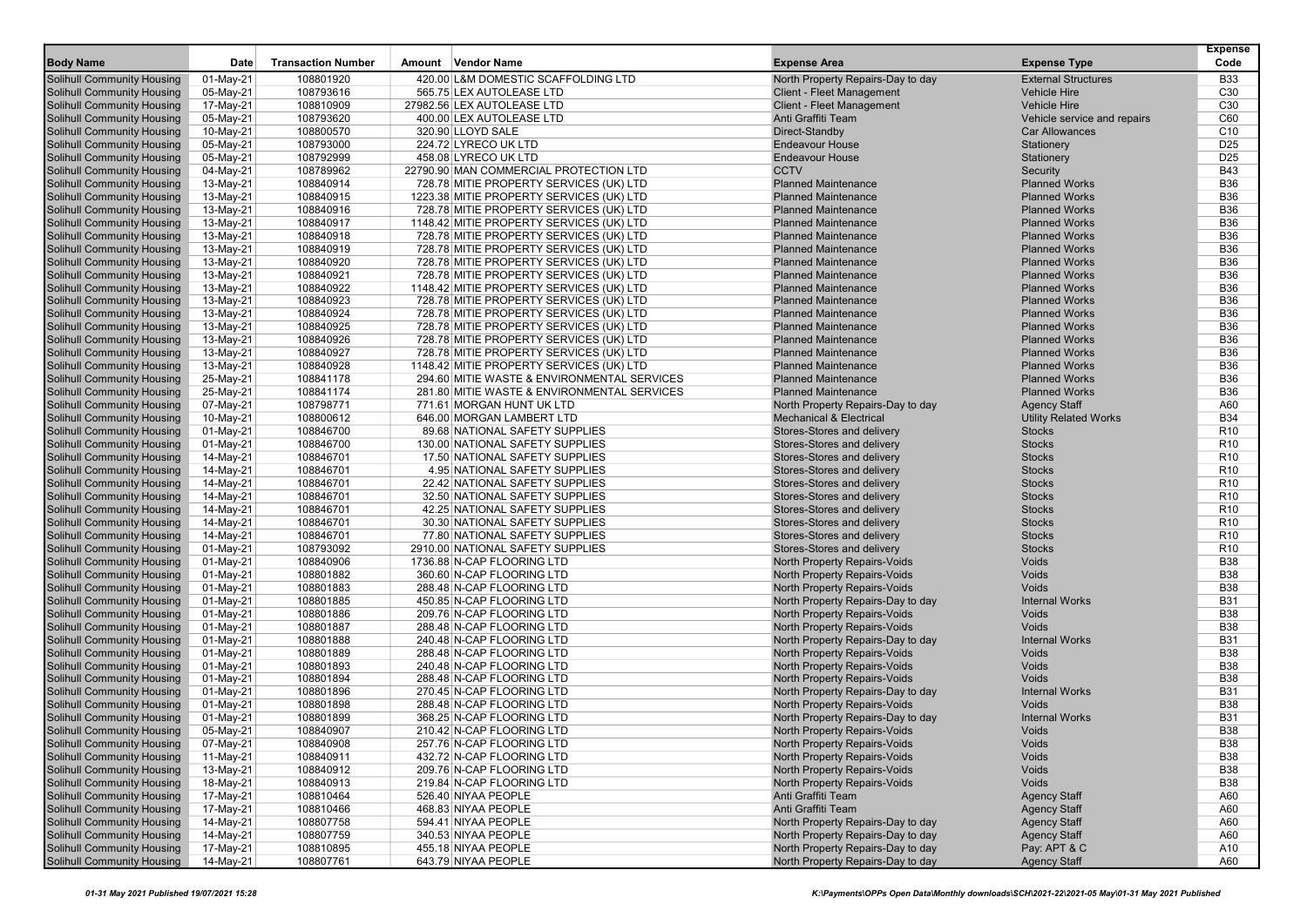|                                   |             |                           |                                             |                                     |                              | <b>Expense</b>  |
|-----------------------------------|-------------|---------------------------|---------------------------------------------|-------------------------------------|------------------------------|-----------------|
| <b>Body Name</b>                  | Date        | <b>Transaction Number</b> | Amount Vendor Name                          | <b>Expense Area</b>                 | <b>Expense Type</b>          | Code            |
| <b>Solihull Community Housing</b> | $01-May-21$ | 108801920                 | 420.00 L&M DOMESTIC SCAFFOLDING LTD         | North Property Repairs-Day to day   | <b>External Structures</b>   | <b>B33</b>      |
| Solihull Community Housing        | 05-May-21   | 108793616                 | 565.75 LEX AUTOLEASE LTD                    | <b>Client - Fleet Management</b>    | <b>Vehicle Hire</b>          | C30             |
| <b>Solihull Community Housing</b> | 17-May-21   | 108810909                 | 27982.56 LEX AUTOLEASE LTD                  | <b>Client - Fleet Management</b>    | <b>Vehicle Hire</b>          | C <sub>30</sub> |
| <b>Solihull Community Housing</b> | 05-May-21   | 108793620                 | 400.00 LEX AUTOLEASE LTD                    | Anti Graffiti Team                  | Vehicle service and repairs  | C60             |
| <b>Solihull Community Housing</b> | 10-May-21   | 108800570                 | 320.90 LLOYD SALE                           | Direct-Standby                      | <b>Car Allowances</b>        | C <sub>10</sub> |
| <b>Solihull Community Housing</b> | 05-May-21   | 108793000                 | 224.72 LYRECO UK LTD                        | <b>Endeavour House</b>              | Stationery                   | D <sub>25</sub> |
| <b>Solihull Community Housing</b> | 05-May-21   | 108792999                 | 458.08 LYRECO UK LTD                        | <b>Endeavour House</b>              | Stationery                   | D <sub>25</sub> |
| <b>Solihull Community Housing</b> | 04-May-21   | 108789962                 | 22790.90 MAN COMMERCIAL PROTECTION LTD      | <b>CCTV</b>                         | Security                     | <b>B43</b>      |
| <b>Solihull Community Housing</b> | 13-May-21   | 108840914                 | 728.78 MITIE PROPERTY SERVICES (UK) LTD     | <b>Planned Maintenance</b>          | <b>Planned Works</b>         | <b>B36</b>      |
| <b>Solihull Community Housing</b> | 13-May-21   | 108840915                 | 1223.38 MITIE PROPERTY SERVICES (UK) LTD    | <b>Planned Maintenance</b>          | <b>Planned Works</b>         | <b>B36</b>      |
| <b>Solihull Community Housing</b> | 13-May-21   | 108840916                 | 728.78 MITIE PROPERTY SERVICES (UK) LTD     | <b>Planned Maintenance</b>          | <b>Planned Works</b>         | <b>B36</b>      |
| <b>Solihull Community Housing</b> | 13-May-21   | 108840917                 | 1148.42 MITIE PROPERTY SERVICES (UK) LTD    | <b>Planned Maintenance</b>          | <b>Planned Works</b>         | <b>B36</b>      |
| <b>Solihull Community Housing</b> | 13-May-21   | 108840918                 | 728.78 MITIE PROPERTY SERVICES (UK) LTD     | <b>Planned Maintenance</b>          | <b>Planned Works</b>         | <b>B36</b>      |
| <b>Solihull Community Housing</b> | 13-May-21   | 108840919                 | 728.78 MITIE PROPERTY SERVICES (UK) LTD     | <b>Planned Maintenance</b>          | <b>Planned Works</b>         | <b>B36</b>      |
| <b>Solihull Community Housing</b> | 13-May-21   | 108840920                 | 728.78 MITIE PROPERTY SERVICES (UK) LTD     | <b>Planned Maintenance</b>          | <b>Planned Works</b>         | <b>B36</b>      |
| <b>Solihull Community Housing</b> | 13-May-21   | 108840921                 | 728.78 MITIE PROPERTY SERVICES (UK) LTD     | <b>Planned Maintenance</b>          | <b>Planned Works</b>         | <b>B36</b>      |
| <b>Solihull Community Housing</b> | 13-May-21   | 108840922                 | 1148.42 MITIE PROPERTY SERVICES (UK) LTD    | <b>Planned Maintenance</b>          | <b>Planned Works</b>         | <b>B36</b>      |
| <b>Solihull Community Housing</b> | 13-May-21   | 108840923                 | 728.78 MITIE PROPERTY SERVICES (UK) LTD     | <b>Planned Maintenance</b>          | <b>Planned Works</b>         | <b>B36</b>      |
| <b>Solihull Community Housing</b> | 13-May-21   | 108840924                 | 728.78 MITIE PROPERTY SERVICES (UK) LTD     | <b>Planned Maintenance</b>          | <b>Planned Works</b>         | <b>B36</b>      |
| <b>Solihull Community Housing</b> | 13-May-21   | 108840925                 | 728.78 MITIE PROPERTY SERVICES (UK) LTD     | <b>Planned Maintenance</b>          | <b>Planned Works</b>         | <b>B36</b>      |
| <b>Solihull Community Housing</b> | 13-May-21   | 108840926                 | 728.78 MITIE PROPERTY SERVICES (UK) LTD     | <b>Planned Maintenance</b>          | <b>Planned Works</b>         | <b>B36</b>      |
| Solihull Community Housing        | 13-May-21   | 108840927                 | 728.78 MITIE PROPERTY SERVICES (UK) LTD     | <b>Planned Maintenance</b>          | <b>Planned Works</b>         | <b>B36</b>      |
| <b>Solihull Community Housing</b> | 13-May-21   | 108840928                 | 1148.42 MITIE PROPERTY SERVICES (UK) LTD    | <b>Planned Maintenance</b>          | <b>Planned Works</b>         | <b>B36</b>      |
| <b>Solihull Community Housing</b> | 25-May-21   | 108841178                 | 294.60 MITIE WASTE & ENVIRONMENTAL SERVICES | <b>Planned Maintenance</b>          | <b>Planned Works</b>         | <b>B36</b>      |
| <b>Solihull Community Housing</b> | 25-May-21   | 108841174                 | 281.80 MITIE WASTE & ENVIRONMENTAL SERVICES | <b>Planned Maintenance</b>          | <b>Planned Works</b>         | <b>B36</b>      |
| <b>Solihull Community Housing</b> | 07-May-21   | 108798771                 | 771.61 MORGAN HUNT UK LTD                   | North Property Repairs-Day to day   | <b>Agency Staff</b>          | A60             |
| <b>Solihull Community Housing</b> | 10-May-21   | 108800612                 | 646.00 MORGAN LAMBERT LTD                   | <b>Mechanical &amp; Electrical</b>  | <b>Utility Related Works</b> | <b>B34</b>      |
| <b>Solihull Community Housing</b> | 01-May-21   | 108846700                 | 89.68 NATIONAL SAFETY SUPPLIES              | Stores-Stores and delivery          | <b>Stocks</b>                | R <sub>10</sub> |
| <b>Solihull Community Housing</b> | 01-May-21   | 108846700                 | 130.00 NATIONAL SAFETY SUPPLIES             | Stores-Stores and delivery          | <b>Stocks</b>                | R <sub>10</sub> |
| <b>Solihull Community Housing</b> | 14-May-21   | 108846701                 | 17.50 NATIONAL SAFETY SUPPLIES              | Stores-Stores and delivery          | <b>Stocks</b>                | R <sub>10</sub> |
| Solihull Community Housing        | 14-May-21   | 108846701                 | 4.95 NATIONAL SAFETY SUPPLIES               | Stores-Stores and delivery          | <b>Stocks</b>                | R <sub>10</sub> |
| <b>Solihull Community Housing</b> | 14-May-21   | 108846701                 | 22.42 NATIONAL SAFETY SUPPLIES              | Stores-Stores and delivery          | <b>Stocks</b>                | R <sub>10</sub> |
| <b>Solihull Community Housing</b> | 14-May-21   | 108846701                 | 32.50 NATIONAL SAFETY SUPPLIES              | Stores-Stores and delivery          | <b>Stocks</b>                | R <sub>10</sub> |
| <b>Solihull Community Housing</b> | 14-May-21   | 108846701                 | 42.25 NATIONAL SAFETY SUPPLIES              | Stores-Stores and delivery          | <b>Stocks</b>                | R <sub>10</sub> |
| <b>Solihull Community Housing</b> | 14-May-21   | 108846701                 | 30.30 NATIONAL SAFETY SUPPLIES              | Stores-Stores and delivery          | <b>Stocks</b>                | R <sub>10</sub> |
| <b>Solihull Community Housing</b> | 14-May-21   | 108846701                 | 77.80 NATIONAL SAFETY SUPPLIES              | Stores-Stores and delivery          | <b>Stocks</b>                | R <sub>10</sub> |
| <b>Solihull Community Housing</b> | 01-May-21   | 108793092                 | 2910.00 NATIONAL SAFETY SUPPLIES            | Stores-Stores and delivery          | <b>Stocks</b>                | R <sub>10</sub> |
| <b>Solihull Community Housing</b> | 01-May-21   | 108840906                 | 1736.88 N-CAP FLOORING LTD                  | North Property Repairs-Voids        | Voids                        | <b>B38</b>      |
| <b>Solihull Community Housing</b> | 01-May-21   | 108801882                 | 360.60 N-CAP FLOORING LTD                   | <b>North Property Repairs-Voids</b> | Voids                        | <b>B38</b>      |
| <b>Solihull Community Housing</b> | 01-May-21   | 108801883                 | 288.48 N-CAP FLOORING LTD                   | North Property Repairs-Voids        | Voids                        | <b>B38</b>      |
| <b>Solihull Community Housing</b> | 01-May-21   | 108801885                 | 450.85 N-CAP FLOORING LTD                   | North Property Repairs-Day to day   | <b>Internal Works</b>        | <b>B31</b>      |
| <b>Solihull Community Housing</b> | 01-May-21   | 108801886                 | 209.76 N-CAP FLOORING LTD                   | North Property Repairs-Voids        | Voids                        | <b>B38</b>      |
| <b>Solihull Community Housing</b> | 01-May-21   | 108801887                 | 288.48 N-CAP FLOORING LTD                   | North Property Repairs-Voids        | Voids                        | <b>B38</b>      |
| <b>Solihull Community Housing</b> | 01-May-21   | 108801888                 | 240.48 N-CAP FLOORING LTD                   | North Property Repairs-Day to day   | <b>Internal Works</b>        | <b>B31</b>      |
| <b>Solihull Community Housing</b> | 01-May-21   | 108801889                 | 288.48 N-CAP FLOORING LTD                   | North Property Repairs-Voids        | Voids                        | <b>B38</b>      |
| <b>Solihull Community Housing</b> | 01-May-21   | 108801893                 | 240.48 N-CAP FLOORING LTD                   | North Property Repairs-Voids        | Voids                        | <b>B38</b>      |
| <b>Solihull Community Housing</b> | 01-May-21   | 108801894                 | 288.48 N-CAP FLOORING LTD                   | North Property Repairs-Voids        | <b>Voids</b>                 | <b>B38</b>      |
| Solihull Community Housing        | 01-May-21   | 108801896                 | 270.45 N-CAP FLOORING LTD                   | North Property Repairs-Day to day   | <b>Internal Works</b>        | <b>B31</b>      |
| <b>Solihull Community Housing</b> | 01-May-21   | 108801898                 | 288.48 N-CAP FLOORING LTD                   | <b>North Property Repairs-Voids</b> | <b>Voids</b>                 | <b>B38</b>      |
| <b>Solihull Community Housing</b> | 01-May-21   | 108801899                 | 368.25 N-CAP FLOORING LTD                   | North Property Repairs-Day to day   | <b>Internal Works</b>        | <b>B31</b>      |
| <b>Solihull Community Housing</b> | 05-May-21   | 108840907                 | 210.42 N-CAP FLOORING LTD                   | North Property Repairs-Voids        | Voids                        | <b>B38</b>      |
| <b>Solihull Community Housing</b> | 07-May-21   | 108840908                 | 257.76 N-CAP FLOORING LTD                   | North Property Repairs-Voids        | Voids                        | <b>B38</b>      |
| <b>Solihull Community Housing</b> | 11-May-21   | 108840911                 | 432.72 N-CAP FLOORING LTD                   | North Property Repairs-Voids        | Voids                        | <b>B38</b>      |
| <b>Solihull Community Housing</b> | 13-May-21   | 108840912                 | 209.76 N-CAP FLOORING LTD                   | North Property Repairs-Voids        | Voids                        | <b>B38</b>      |
| <b>Solihull Community Housing</b> | 18-May-21   | 108840913                 | 219.84 N-CAP FLOORING LTD                   | North Property Repairs-Voids        | Voids                        | <b>B38</b>      |
| <b>Solihull Community Housing</b> | 17-May-21   | 108810464                 | 526.40 NIYAA PEOPLE                         | Anti Graffiti Team                  | <b>Agency Staff</b>          | A60             |
| <b>Solihull Community Housing</b> | 17-May-21   | 108810466                 | 468.83 NIYAA PEOPLE                         | Anti Graffiti Team                  | <b>Agency Staff</b>          | A60             |
| <b>Solihull Community Housing</b> | 14-May-21   | 108807758                 | 594.41 NIYAA PEOPLE                         | North Property Repairs-Day to day   | <b>Agency Staff</b>          | A60             |
| <b>Solihull Community Housing</b> | 14-May-21   | 108807759                 | 340.53 NIYAA PEOPLE                         | North Property Repairs-Day to day   | <b>Agency Staff</b>          | A60             |
| <b>Solihull Community Housing</b> | 17-May-21   | 108810895                 | 455.18 NIYAA PEOPLE                         | North Property Repairs-Day to day   | Pay: APT & C                 | A10             |
| <b>Solihull Community Housing</b> | 14-May-21   | 108807761                 | 643.79 NIYAA PEOPLE                         | North Property Repairs-Day to day   | <b>Agency Staff</b>          | A60             |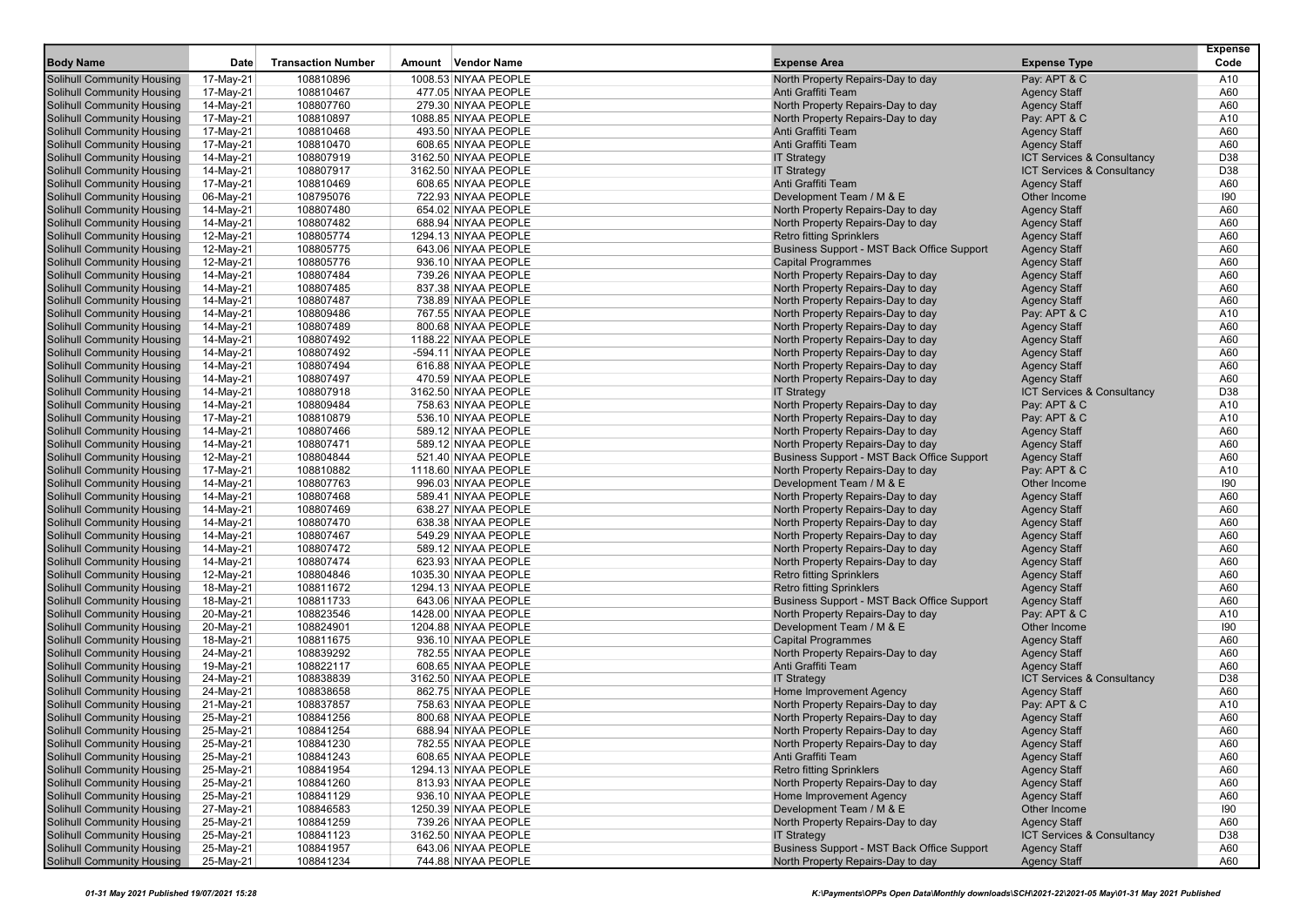| Amount Vendor Name<br>17-May-21<br>1008.53 NIYAA PEOPLE<br>Pay: APT & C<br><b>Solihull Community Housing</b><br>108810896<br>North Property Repairs-Day to day<br>A10<br>17-May-21<br>Anti Graffiti Team<br><b>Solihull Community Housing</b><br>108810467<br>477.05 NIYAA PEOPLE<br><b>Agency Staff</b><br>A60<br>14-May-21<br>108807760<br>279.30 NIYAA PEOPLE<br><b>Solihull Community Housing</b><br>North Property Repairs-Day to day<br><b>Agency Staff</b><br>A60<br>Pay: APT & C<br><b>Solihull Community Housing</b><br>17-May-21<br>108810897<br>1088.85 NIYAA PEOPLE<br>North Property Repairs-Day to day<br>A10<br>17-May-21<br>A60<br><b>Solihull Community Housing</b><br>108810468<br>493.50 NIYAA PEOPLE<br>Anti Graffiti Team<br><b>Agency Staff</b><br>Anti Graffiti Team<br><b>Solihull Community Housing</b><br>17-May-21<br>108810470<br>608.65 NIYAA PEOPLE<br><b>Agency Staff</b><br>A60<br><b>Solihull Community Housing</b><br>14-May-21<br>D38<br>108807919<br>3162.50 NIYAA PEOPLE<br><b>IT Strategy</b><br>ICT Services & Consultancy<br><b>Solihull Community Housing</b><br>14-May-21<br>108807917<br>3162.50 NIYAA PEOPLE<br>ICT Services & Consultancy<br>D38<br><b>IT Strategy</b><br><b>Solihull Community Housing</b><br>17-May-21<br>108810469<br>Anti Graffiti Team<br><b>Agency Staff</b><br>A60<br>608.65 NIYAA PEOPLE<br><b>Solihull Community Housing</b><br>108795076<br>190<br>06-May-21<br>722.93 NIYAA PEOPLE<br>Development Team / M & E<br>Other Income<br><b>Solihull Community Housing</b><br>14-May-21<br>108807480<br>654.02 NIYAA PEOPLE<br>North Property Repairs-Day to day<br><b>Agency Staff</b><br>A60<br><b>Solihull Community Housing</b><br>14-May-21<br>108807482<br>688.94 NIYAA PEOPLE<br>North Property Repairs-Day to day<br><b>Agency Staff</b><br>A60<br><b>Solihull Community Housing</b><br>12-May-21<br>108805774<br>1294.13 NIYAA PEOPLE<br><b>Retro fitting Sprinklers</b><br><b>Agency Staff</b><br>A60<br><b>Solihull Community Housing</b><br>12-May-21<br>108805775<br>Business Support - MST Back Office Support<br><b>Agency Staff</b><br>A60<br>643.06 NIYAA PEOPLE<br>A60<br><b>Solihull Community Housing</b><br>12-May-21<br>108805776<br>936.10 NIYAA PEOPLE<br><b>Capital Programmes</b><br><b>Agency Staff</b><br><b>Solihull Community Housing</b><br>14-May-21<br>108807484<br>739.26 NIYAA PEOPLE<br>North Property Repairs-Day to day<br><b>Agency Staff</b><br>A60<br><b>Solihull Community Housing</b><br>14-May-21<br><b>Agency Staff</b><br>108807485<br>837.38 NIYAA PEOPLE<br>North Property Repairs-Day to day<br>A60<br><b>Solihull Community Housing</b><br>14-May-21<br>108807487<br>738.89 NIYAA PEOPLE<br>North Property Repairs-Day to day<br><b>Agency Staff</b><br>A60<br><b>Solihull Community Housing</b><br>14-May-21<br>108809486<br>North Property Repairs-Day to day<br>Pay: APT & C<br>A10<br>767.55 NIYAA PEOPLE<br><b>Solihull Community Housing</b><br>14-May-21<br>108807489<br>A60<br>800.68 NIYAA PEOPLE<br>North Property Repairs-Day to day<br><b>Agency Staff</b><br><b>Solihull Community Housing</b><br>14-May-21<br>108807492<br>1188.22 NIYAA PEOPLE<br>North Property Repairs-Day to day<br><b>Agency Staff</b><br>A60<br><b>Solihull Community Housing</b><br>14-May-21<br><b>Agency Staff</b><br>108807492<br>-594.11 NIYAA PEOPLE<br>North Property Repairs-Day to day<br>A60<br><b>Solihull Community Housing</b><br>14-May-21<br>108807494<br>616.88 NIYAA PEOPLE<br>North Property Repairs-Day to day<br><b>Agency Staff</b><br>A60<br><b>Solihull Community Housing</b><br>14-May-21<br>108807497<br>North Property Repairs-Day to day<br><b>Agency Staff</b><br>A60<br>470.59 NIYAA PEOPLE<br><b>Solihull Community Housing</b><br>14-May-21<br>108807918<br>D38<br>3162.50 NIYAA PEOPLE<br><b>IT Strategy</b><br>ICT Services & Consultancy<br>Pay: APT & C<br><b>Solihull Community Housing</b><br>14-May-21<br>108809484<br>758.63 NIYAA PEOPLE<br>North Property Repairs-Day to day<br>A10<br><b>Solihull Community Housing</b><br>North Property Repairs-Day to day<br>Pay: APT & C<br>17-May-21<br>108810879<br>536.10 NIYAA PEOPLE<br>A10<br><b>Solihull Community Housing</b><br>14-May-21<br>108807466<br>589.12 NIYAA PEOPLE<br>North Property Repairs-Day to day<br><b>Agency Staff</b><br>A60<br><b>Solihull Community Housing</b><br>14-May-21<br>108807471<br>North Property Repairs-Day to day<br><b>Agency Staff</b><br>A60<br>589.12 NIYAA PEOPLE<br><b>Solihull Community Housing</b><br><b>Agency Staff</b><br>A60<br>12-May-21<br>108804844<br>521.40 NIYAA PEOPLE<br>Business Support - MST Back Office Support<br>17-May-21<br>108810882<br>1118.60 NIYAA PEOPLE<br>North Property Repairs-Day to day<br>Pay: APT & C<br>A10<br>14-May-21<br>Development Team / M & E<br>Other Income<br>190<br>108807763<br>996.03 NIYAA PEOPLE<br>14-May-21<br>108807468<br>589.41 NIYAA PEOPLE<br>North Property Repairs-Day to day<br><b>Agency Staff</b><br>A60<br><b>Solihull Community Housing</b><br>14-May-21<br>108807469<br>638.27 NIYAA PEOPLE<br>North Property Repairs-Day to day<br><b>Agency Staff</b><br>A60<br>108807470<br>A60<br>14-May-21<br>638.38 NIYAA PEOPLE<br>North Property Repairs-Day to day<br><b>Agency Staff</b><br>14-May-21<br>108807467<br>549.29 NIYAA PEOPLE<br>North Property Repairs-Day to day<br><b>Agency Staff</b><br>A60<br>14-May-21<br>108807472<br>589.12 NIYAA PEOPLE<br>North Property Repairs-Day to day<br><b>Agency Staff</b><br>A60<br>14-May-21<br>108807474<br>623.93 NIYAA PEOPLE<br>North Property Repairs-Day to day<br><b>Agency Staff</b><br>A60<br><b>Retro fitting Sprinklers</b><br>12-May-21<br>108804846<br>1035.30 NIYAA PEOPLE<br><b>Agency Staff</b><br>A60<br><b>Retro fitting Sprinklers</b><br>A60<br>18-May-21<br>108811672<br>1294.13 NIYAA PEOPLE<br><b>Agency Staff</b><br>18-May-21<br>108811733<br>643.06 NIYAA PEOPLE<br>Business Support - MST Back Office Support<br><b>Agency Staff</b><br>A60<br><b>Solihull Community Housing</b><br>20-May-21<br>108823546<br>Pay: APT & C<br>1428.00 NIYAA PEOPLE<br>North Property Repairs-Day to day<br>A10<br>20-May-21<br>108824901<br>1204.88 NIYAA PEOPLE<br>Development Team / M & E<br>Other Income<br>190<br><b>Solihull Community Housing</b><br>A60<br>18-May-21<br>108811675<br>936.10 NIYAA PEOPLE<br><b>Capital Programmes</b><br><b>Agency Staff</b><br>108839292<br>A60<br><b>Solihull Community Housing</b><br>24-May-21<br>782.55 NIYAA PEOPLE<br>North Property Repairs-Day to day<br><b>Agency Staff</b><br><b>Solihull Community Housing</b><br>19-May-21<br>108822117<br>608.65 NIYAA PEOPLE<br>Anti Graffiti Team<br><b>Agency Staff</b><br>A60<br><b>Solihull Community Housing</b><br>108838839<br>ICT Services & Consultancy<br>D38<br>24-May-21<br>3162.50 NIYAA PEOPLE<br><b>IT Strategy</b><br><b>Solihull Community Housing</b><br>24-May-21<br>108838658<br>862.75 NIYAA PEOPLE<br>Home Improvement Agency<br><b>Agency Staff</b><br>A60<br><b>Solihull Community Housing</b><br>108837857<br>21-May-21<br>758.63 NIYAA PEOPLE<br>North Property Repairs-Day to day<br>Pay: APT & C<br>A10<br>A60<br><b>Solihull Community Housing</b><br>25-May-21<br>108841256<br>800.68 NIYAA PEOPLE<br>North Property Repairs-Day to day<br><b>Agency Staff</b><br><b>Solihull Community Housing</b><br>25-May-21<br>108841254<br>688.94 NIYAA PEOPLE<br>North Property Repairs-Day to day<br><b>Agency Staff</b><br>A60<br><b>Solihull Community Housing</b><br>25-May-21<br><b>Agency Staff</b><br>108841230<br>782.55 NIYAA PEOPLE<br>North Property Repairs-Day to day<br>A60<br><b>Solihull Community Housing</b><br>25-May-21<br>108841243<br>608.65 NIYAA PEOPLE<br>Anti Graffiti Team<br><b>Agency Staff</b><br>A60<br><b>Solihull Community Housing</b><br>25-May-21<br><b>Retro fitting Sprinklers</b><br>108841954<br>1294.13 NIYAA PEOPLE<br><b>Agency Staff</b><br>A60<br>Solihull Community Housing<br>25-May-21<br>North Property Repairs-Day to day<br><b>Agency Staff</b><br>108841260<br>813.93 NIYAA PEOPLE<br>A60<br>Solihull Community Housing<br>25-May-21<br>108841129<br>936.10 NIYAA PEOPLE<br>Home Improvement Agency<br><b>Agency Staff</b><br>A60<br><b>Solihull Community Housing</b><br>27-May-21<br>Development Team / M & E<br>Other Income<br>108846583<br>1250.39 NIYAA PEOPLE<br>190<br><b>Solihull Community Housing</b><br>25-May-21<br>108841259<br>739.26 NIYAA PEOPLE<br>North Property Repairs-Day to day<br><b>Agency Staff</b><br>A60<br>Solihull Community Housing<br>25-May-21<br>108841123<br>3162.50 NIYAA PEOPLE<br><b>IT Strategy</b><br>ICT Services & Consultancy<br>D38<br>Solihull Community Housing<br>25-May-21<br>Business Support - MST Back Office Support<br>A60<br>108841957<br>643.06 NIYAA PEOPLE<br><b>Agency Staff</b><br><b>Solihull Community Housing</b><br>25-May-21<br>108841234<br>744.88 NIYAA PEOPLE<br>North Property Repairs-Day to day<br><b>Agency Staff</b><br>A60 |                                   |      |                           |  |                     |                     | <b>Expense</b> |
|-------------------------------------------------------------------------------------------------------------------------------------------------------------------------------------------------------------------------------------------------------------------------------------------------------------------------------------------------------------------------------------------------------------------------------------------------------------------------------------------------------------------------------------------------------------------------------------------------------------------------------------------------------------------------------------------------------------------------------------------------------------------------------------------------------------------------------------------------------------------------------------------------------------------------------------------------------------------------------------------------------------------------------------------------------------------------------------------------------------------------------------------------------------------------------------------------------------------------------------------------------------------------------------------------------------------------------------------------------------------------------------------------------------------------------------------------------------------------------------------------------------------------------------------------------------------------------------------------------------------------------------------------------------------------------------------------------------------------------------------------------------------------------------------------------------------------------------------------------------------------------------------------------------------------------------------------------------------------------------------------------------------------------------------------------------------------------------------------------------------------------------------------------------------------------------------------------------------------------------------------------------------------------------------------------------------------------------------------------------------------------------------------------------------------------------------------------------------------------------------------------------------------------------------------------------------------------------------------------------------------------------------------------------------------------------------------------------------------------------------------------------------------------------------------------------------------------------------------------------------------------------------------------------------------------------------------------------------------------------------------------------------------------------------------------------------------------------------------------------------------------------------------------------------------------------------------------------------------------------------------------------------------------------------------------------------------------------------------------------------------------------------------------------------------------------------------------------------------------------------------------------------------------------------------------------------------------------------------------------------------------------------------------------------------------------------------------------------------------------------------------------------------------------------------------------------------------------------------------------------------------------------------------------------------------------------------------------------------------------------------------------------------------------------------------------------------------------------------------------------------------------------------------------------------------------------------------------------------------------------------------------------------------------------------------------------------------------------------------------------------------------------------------------------------------------------------------------------------------------------------------------------------------------------------------------------------------------------------------------------------------------------------------------------------------------------------------------------------------------------------------------------------------------------------------------------------------------------------------------------------------------------------------------------------------------------------------------------------------------------------------------------------------------------------------------------------------------------------------------------------------------------------------------------------------------------------------------------------------------------------------------------------------------------------------------------------------------------------------------------------------------------------------------------------------------------------------------------------------------------------------------------------------------------------------------------------------------------------------------------------------------------------------------------------------------------------------------------------------------------------------------------------------------------------------------------------------------------------------------------------------------------------------------------------------------------------------------------------------------------------------------------------------------------------------------------------------------------------------------------------------------------------------------------------------------------------------------------------------------------------------------------------------------------------------------------------------------------------------------------------------------------------------------------------------------------------------------------------------------------------------------------------------------------------------------------------------------------------------------------------------------------------------------------------------------------------------------------------------------------------------------------------------------------------------------------------------------------------------------------------------------------------------------------------------------------------------------------------------------------------------------------------------------------------------------------------------------------------------------------------------------------------------------------------------------------------------------------------------------------------------------------------------------------------------------------------------------------------------------------------------------------------------------------------------------------------------------------------------------------------------------------------------------------------------------------------------------------------------------------------------------------------------------------------------------------------------------------------------------------------------------------------------------------------------------------------------------------------------------------------------------------------------------------------------------------------------------------------------------------------------------------------------------------------------------------------------------------------------------------------------------------------------------------------------------------------------------------------------------------------------------------------------------------------------------------------------------------------------------------------------------------------------------------------------------------------------------------------------------------------------------------------------------------------------------------------------------------------------------------------------------------------------------------------------------------------------------------------------------------------------------------------------------------------------------------------------------------------------------------------------------------------------------------------------------------------------------------------------------------------------------------------------------|-----------------------------------|------|---------------------------|--|---------------------|---------------------|----------------|
|                                                                                                                                                                                                                                                                                                                                                                                                                                                                                                                                                                                                                                                                                                                                                                                                                                                                                                                                                                                                                                                                                                                                                                                                                                                                                                                                                                                                                                                                                                                                                                                                                                                                                                                                                                                                                                                                                                                                                                                                                                                                                                                                                                                                                                                                                                                                                                                                                                                                                                                                                                                                                                                                                                                                                                                                                                                                                                                                                                                                                                                                                                                                                                                                                                                                                                                                                                                                                                                                                                                                                                                                                                                                                                                                                                                                                                                                                                                                                                                                                                                                                                                                                                                                                                                                                                                                                                                                                                                                                                                                                                                                                                                                                                                                                                                                                                                                                                                                                                                                                                                                                                                                                                                                                                                                                                                                                                                                                                                                                                                                                                                                                                                                                                                                                                                                                                                                                                                                                                                                                                                                                                                                                                                                                                                                                                                                                                                                                                                                                                                                                                                                                                                                                                                                                                                                                                                                                                                                                                                                                                                                                                                                                                                                                                                                                                                                                                                                                                                                                                                                                                                                                                                                                                                                                                                                                                                                                                                                                                                                                                                                                                                                                                                                                                                                                                                                                                                                                                                                                                                                                                                                                                                                                                                                                                                                                                                                                                                                                                                                                                     | <b>Body Name</b>                  | Date | <b>Transaction Number</b> |  | <b>Expense Area</b> | <b>Expense Type</b> | Code           |
|                                                                                                                                                                                                                                                                                                                                                                                                                                                                                                                                                                                                                                                                                                                                                                                                                                                                                                                                                                                                                                                                                                                                                                                                                                                                                                                                                                                                                                                                                                                                                                                                                                                                                                                                                                                                                                                                                                                                                                                                                                                                                                                                                                                                                                                                                                                                                                                                                                                                                                                                                                                                                                                                                                                                                                                                                                                                                                                                                                                                                                                                                                                                                                                                                                                                                                                                                                                                                                                                                                                                                                                                                                                                                                                                                                                                                                                                                                                                                                                                                                                                                                                                                                                                                                                                                                                                                                                                                                                                                                                                                                                                                                                                                                                                                                                                                                                                                                                                                                                                                                                                                                                                                                                                                                                                                                                                                                                                                                                                                                                                                                                                                                                                                                                                                                                                                                                                                                                                                                                                                                                                                                                                                                                                                                                                                                                                                                                                                                                                                                                                                                                                                                                                                                                                                                                                                                                                                                                                                                                                                                                                                                                                                                                                                                                                                                                                                                                                                                                                                                                                                                                                                                                                                                                                                                                                                                                                                                                                                                                                                                                                                                                                                                                                                                                                                                                                                                                                                                                                                                                                                                                                                                                                                                                                                                                                                                                                                                                                                                                                                                     |                                   |      |                           |  |                     |                     |                |
|                                                                                                                                                                                                                                                                                                                                                                                                                                                                                                                                                                                                                                                                                                                                                                                                                                                                                                                                                                                                                                                                                                                                                                                                                                                                                                                                                                                                                                                                                                                                                                                                                                                                                                                                                                                                                                                                                                                                                                                                                                                                                                                                                                                                                                                                                                                                                                                                                                                                                                                                                                                                                                                                                                                                                                                                                                                                                                                                                                                                                                                                                                                                                                                                                                                                                                                                                                                                                                                                                                                                                                                                                                                                                                                                                                                                                                                                                                                                                                                                                                                                                                                                                                                                                                                                                                                                                                                                                                                                                                                                                                                                                                                                                                                                                                                                                                                                                                                                                                                                                                                                                                                                                                                                                                                                                                                                                                                                                                                                                                                                                                                                                                                                                                                                                                                                                                                                                                                                                                                                                                                                                                                                                                                                                                                                                                                                                                                                                                                                                                                                                                                                                                                                                                                                                                                                                                                                                                                                                                                                                                                                                                                                                                                                                                                                                                                                                                                                                                                                                                                                                                                                                                                                                                                                                                                                                                                                                                                                                                                                                                                                                                                                                                                                                                                                                                                                                                                                                                                                                                                                                                                                                                                                                                                                                                                                                                                                                                                                                                                                                                     |                                   |      |                           |  |                     |                     |                |
|                                                                                                                                                                                                                                                                                                                                                                                                                                                                                                                                                                                                                                                                                                                                                                                                                                                                                                                                                                                                                                                                                                                                                                                                                                                                                                                                                                                                                                                                                                                                                                                                                                                                                                                                                                                                                                                                                                                                                                                                                                                                                                                                                                                                                                                                                                                                                                                                                                                                                                                                                                                                                                                                                                                                                                                                                                                                                                                                                                                                                                                                                                                                                                                                                                                                                                                                                                                                                                                                                                                                                                                                                                                                                                                                                                                                                                                                                                                                                                                                                                                                                                                                                                                                                                                                                                                                                                                                                                                                                                                                                                                                                                                                                                                                                                                                                                                                                                                                                                                                                                                                                                                                                                                                                                                                                                                                                                                                                                                                                                                                                                                                                                                                                                                                                                                                                                                                                                                                                                                                                                                                                                                                                                                                                                                                                                                                                                                                                                                                                                                                                                                                                                                                                                                                                                                                                                                                                                                                                                                                                                                                                                                                                                                                                                                                                                                                                                                                                                                                                                                                                                                                                                                                                                                                                                                                                                                                                                                                                                                                                                                                                                                                                                                                                                                                                                                                                                                                                                                                                                                                                                                                                                                                                                                                                                                                                                                                                                                                                                                                                                     |                                   |      |                           |  |                     |                     |                |
|                                                                                                                                                                                                                                                                                                                                                                                                                                                                                                                                                                                                                                                                                                                                                                                                                                                                                                                                                                                                                                                                                                                                                                                                                                                                                                                                                                                                                                                                                                                                                                                                                                                                                                                                                                                                                                                                                                                                                                                                                                                                                                                                                                                                                                                                                                                                                                                                                                                                                                                                                                                                                                                                                                                                                                                                                                                                                                                                                                                                                                                                                                                                                                                                                                                                                                                                                                                                                                                                                                                                                                                                                                                                                                                                                                                                                                                                                                                                                                                                                                                                                                                                                                                                                                                                                                                                                                                                                                                                                                                                                                                                                                                                                                                                                                                                                                                                                                                                                                                                                                                                                                                                                                                                                                                                                                                                                                                                                                                                                                                                                                                                                                                                                                                                                                                                                                                                                                                                                                                                                                                                                                                                                                                                                                                                                                                                                                                                                                                                                                                                                                                                                                                                                                                                                                                                                                                                                                                                                                                                                                                                                                                                                                                                                                                                                                                                                                                                                                                                                                                                                                                                                                                                                                                                                                                                                                                                                                                                                                                                                                                                                                                                                                                                                                                                                                                                                                                                                                                                                                                                                                                                                                                                                                                                                                                                                                                                                                                                                                                                                                     |                                   |      |                           |  |                     |                     |                |
|                                                                                                                                                                                                                                                                                                                                                                                                                                                                                                                                                                                                                                                                                                                                                                                                                                                                                                                                                                                                                                                                                                                                                                                                                                                                                                                                                                                                                                                                                                                                                                                                                                                                                                                                                                                                                                                                                                                                                                                                                                                                                                                                                                                                                                                                                                                                                                                                                                                                                                                                                                                                                                                                                                                                                                                                                                                                                                                                                                                                                                                                                                                                                                                                                                                                                                                                                                                                                                                                                                                                                                                                                                                                                                                                                                                                                                                                                                                                                                                                                                                                                                                                                                                                                                                                                                                                                                                                                                                                                                                                                                                                                                                                                                                                                                                                                                                                                                                                                                                                                                                                                                                                                                                                                                                                                                                                                                                                                                                                                                                                                                                                                                                                                                                                                                                                                                                                                                                                                                                                                                                                                                                                                                                                                                                                                                                                                                                                                                                                                                                                                                                                                                                                                                                                                                                                                                                                                                                                                                                                                                                                                                                                                                                                                                                                                                                                                                                                                                                                                                                                                                                                                                                                                                                                                                                                                                                                                                                                                                                                                                                                                                                                                                                                                                                                                                                                                                                                                                                                                                                                                                                                                                                                                                                                                                                                                                                                                                                                                                                                                                     |                                   |      |                           |  |                     |                     |                |
|                                                                                                                                                                                                                                                                                                                                                                                                                                                                                                                                                                                                                                                                                                                                                                                                                                                                                                                                                                                                                                                                                                                                                                                                                                                                                                                                                                                                                                                                                                                                                                                                                                                                                                                                                                                                                                                                                                                                                                                                                                                                                                                                                                                                                                                                                                                                                                                                                                                                                                                                                                                                                                                                                                                                                                                                                                                                                                                                                                                                                                                                                                                                                                                                                                                                                                                                                                                                                                                                                                                                                                                                                                                                                                                                                                                                                                                                                                                                                                                                                                                                                                                                                                                                                                                                                                                                                                                                                                                                                                                                                                                                                                                                                                                                                                                                                                                                                                                                                                                                                                                                                                                                                                                                                                                                                                                                                                                                                                                                                                                                                                                                                                                                                                                                                                                                                                                                                                                                                                                                                                                                                                                                                                                                                                                                                                                                                                                                                                                                                                                                                                                                                                                                                                                                                                                                                                                                                                                                                                                                                                                                                                                                                                                                                                                                                                                                                                                                                                                                                                                                                                                                                                                                                                                                                                                                                                                                                                                                                                                                                                                                                                                                                                                                                                                                                                                                                                                                                                                                                                                                                                                                                                                                                                                                                                                                                                                                                                                                                                                                                                     |                                   |      |                           |  |                     |                     |                |
|                                                                                                                                                                                                                                                                                                                                                                                                                                                                                                                                                                                                                                                                                                                                                                                                                                                                                                                                                                                                                                                                                                                                                                                                                                                                                                                                                                                                                                                                                                                                                                                                                                                                                                                                                                                                                                                                                                                                                                                                                                                                                                                                                                                                                                                                                                                                                                                                                                                                                                                                                                                                                                                                                                                                                                                                                                                                                                                                                                                                                                                                                                                                                                                                                                                                                                                                                                                                                                                                                                                                                                                                                                                                                                                                                                                                                                                                                                                                                                                                                                                                                                                                                                                                                                                                                                                                                                                                                                                                                                                                                                                                                                                                                                                                                                                                                                                                                                                                                                                                                                                                                                                                                                                                                                                                                                                                                                                                                                                                                                                                                                                                                                                                                                                                                                                                                                                                                                                                                                                                                                                                                                                                                                                                                                                                                                                                                                                                                                                                                                                                                                                                                                                                                                                                                                                                                                                                                                                                                                                                                                                                                                                                                                                                                                                                                                                                                                                                                                                                                                                                                                                                                                                                                                                                                                                                                                                                                                                                                                                                                                                                                                                                                                                                                                                                                                                                                                                                                                                                                                                                                                                                                                                                                                                                                                                                                                                                                                                                                                                                                                     |                                   |      |                           |  |                     |                     |                |
|                                                                                                                                                                                                                                                                                                                                                                                                                                                                                                                                                                                                                                                                                                                                                                                                                                                                                                                                                                                                                                                                                                                                                                                                                                                                                                                                                                                                                                                                                                                                                                                                                                                                                                                                                                                                                                                                                                                                                                                                                                                                                                                                                                                                                                                                                                                                                                                                                                                                                                                                                                                                                                                                                                                                                                                                                                                                                                                                                                                                                                                                                                                                                                                                                                                                                                                                                                                                                                                                                                                                                                                                                                                                                                                                                                                                                                                                                                                                                                                                                                                                                                                                                                                                                                                                                                                                                                                                                                                                                                                                                                                                                                                                                                                                                                                                                                                                                                                                                                                                                                                                                                                                                                                                                                                                                                                                                                                                                                                                                                                                                                                                                                                                                                                                                                                                                                                                                                                                                                                                                                                                                                                                                                                                                                                                                                                                                                                                                                                                                                                                                                                                                                                                                                                                                                                                                                                                                                                                                                                                                                                                                                                                                                                                                                                                                                                                                                                                                                                                                                                                                                                                                                                                                                                                                                                                                                                                                                                                                                                                                                                                                                                                                                                                                                                                                                                                                                                                                                                                                                                                                                                                                                                                                                                                                                                                                                                                                                                                                                                                                                     |                                   |      |                           |  |                     |                     |                |
|                                                                                                                                                                                                                                                                                                                                                                                                                                                                                                                                                                                                                                                                                                                                                                                                                                                                                                                                                                                                                                                                                                                                                                                                                                                                                                                                                                                                                                                                                                                                                                                                                                                                                                                                                                                                                                                                                                                                                                                                                                                                                                                                                                                                                                                                                                                                                                                                                                                                                                                                                                                                                                                                                                                                                                                                                                                                                                                                                                                                                                                                                                                                                                                                                                                                                                                                                                                                                                                                                                                                                                                                                                                                                                                                                                                                                                                                                                                                                                                                                                                                                                                                                                                                                                                                                                                                                                                                                                                                                                                                                                                                                                                                                                                                                                                                                                                                                                                                                                                                                                                                                                                                                                                                                                                                                                                                                                                                                                                                                                                                                                                                                                                                                                                                                                                                                                                                                                                                                                                                                                                                                                                                                                                                                                                                                                                                                                                                                                                                                                                                                                                                                                                                                                                                                                                                                                                                                                                                                                                                                                                                                                                                                                                                                                                                                                                                                                                                                                                                                                                                                                                                                                                                                                                                                                                                                                                                                                                                                                                                                                                                                                                                                                                                                                                                                                                                                                                                                                                                                                                                                                                                                                                                                                                                                                                                                                                                                                                                                                                                                                     |                                   |      |                           |  |                     |                     |                |
|                                                                                                                                                                                                                                                                                                                                                                                                                                                                                                                                                                                                                                                                                                                                                                                                                                                                                                                                                                                                                                                                                                                                                                                                                                                                                                                                                                                                                                                                                                                                                                                                                                                                                                                                                                                                                                                                                                                                                                                                                                                                                                                                                                                                                                                                                                                                                                                                                                                                                                                                                                                                                                                                                                                                                                                                                                                                                                                                                                                                                                                                                                                                                                                                                                                                                                                                                                                                                                                                                                                                                                                                                                                                                                                                                                                                                                                                                                                                                                                                                                                                                                                                                                                                                                                                                                                                                                                                                                                                                                                                                                                                                                                                                                                                                                                                                                                                                                                                                                                                                                                                                                                                                                                                                                                                                                                                                                                                                                                                                                                                                                                                                                                                                                                                                                                                                                                                                                                                                                                                                                                                                                                                                                                                                                                                                                                                                                                                                                                                                                                                                                                                                                                                                                                                                                                                                                                                                                                                                                                                                                                                                                                                                                                                                                                                                                                                                                                                                                                                                                                                                                                                                                                                                                                                                                                                                                                                                                                                                                                                                                                                                                                                                                                                                                                                                                                                                                                                                                                                                                                                                                                                                                                                                                                                                                                                                                                                                                                                                                                                                                     |                                   |      |                           |  |                     |                     |                |
|                                                                                                                                                                                                                                                                                                                                                                                                                                                                                                                                                                                                                                                                                                                                                                                                                                                                                                                                                                                                                                                                                                                                                                                                                                                                                                                                                                                                                                                                                                                                                                                                                                                                                                                                                                                                                                                                                                                                                                                                                                                                                                                                                                                                                                                                                                                                                                                                                                                                                                                                                                                                                                                                                                                                                                                                                                                                                                                                                                                                                                                                                                                                                                                                                                                                                                                                                                                                                                                                                                                                                                                                                                                                                                                                                                                                                                                                                                                                                                                                                                                                                                                                                                                                                                                                                                                                                                                                                                                                                                                                                                                                                                                                                                                                                                                                                                                                                                                                                                                                                                                                                                                                                                                                                                                                                                                                                                                                                                                                                                                                                                                                                                                                                                                                                                                                                                                                                                                                                                                                                                                                                                                                                                                                                                                                                                                                                                                                                                                                                                                                                                                                                                                                                                                                                                                                                                                                                                                                                                                                                                                                                                                                                                                                                                                                                                                                                                                                                                                                                                                                                                                                                                                                                                                                                                                                                                                                                                                                                                                                                                                                                                                                                                                                                                                                                                                                                                                                                                                                                                                                                                                                                                                                                                                                                                                                                                                                                                                                                                                                                                     |                                   |      |                           |  |                     |                     |                |
|                                                                                                                                                                                                                                                                                                                                                                                                                                                                                                                                                                                                                                                                                                                                                                                                                                                                                                                                                                                                                                                                                                                                                                                                                                                                                                                                                                                                                                                                                                                                                                                                                                                                                                                                                                                                                                                                                                                                                                                                                                                                                                                                                                                                                                                                                                                                                                                                                                                                                                                                                                                                                                                                                                                                                                                                                                                                                                                                                                                                                                                                                                                                                                                                                                                                                                                                                                                                                                                                                                                                                                                                                                                                                                                                                                                                                                                                                                                                                                                                                                                                                                                                                                                                                                                                                                                                                                                                                                                                                                                                                                                                                                                                                                                                                                                                                                                                                                                                                                                                                                                                                                                                                                                                                                                                                                                                                                                                                                                                                                                                                                                                                                                                                                                                                                                                                                                                                                                                                                                                                                                                                                                                                                                                                                                                                                                                                                                                                                                                                                                                                                                                                                                                                                                                                                                                                                                                                                                                                                                                                                                                                                                                                                                                                                                                                                                                                                                                                                                                                                                                                                                                                                                                                                                                                                                                                                                                                                                                                                                                                                                                                                                                                                                                                                                                                                                                                                                                                                                                                                                                                                                                                                                                                                                                                                                                                                                                                                                                                                                                                                     |                                   |      |                           |  |                     |                     |                |
|                                                                                                                                                                                                                                                                                                                                                                                                                                                                                                                                                                                                                                                                                                                                                                                                                                                                                                                                                                                                                                                                                                                                                                                                                                                                                                                                                                                                                                                                                                                                                                                                                                                                                                                                                                                                                                                                                                                                                                                                                                                                                                                                                                                                                                                                                                                                                                                                                                                                                                                                                                                                                                                                                                                                                                                                                                                                                                                                                                                                                                                                                                                                                                                                                                                                                                                                                                                                                                                                                                                                                                                                                                                                                                                                                                                                                                                                                                                                                                                                                                                                                                                                                                                                                                                                                                                                                                                                                                                                                                                                                                                                                                                                                                                                                                                                                                                                                                                                                                                                                                                                                                                                                                                                                                                                                                                                                                                                                                                                                                                                                                                                                                                                                                                                                                                                                                                                                                                                                                                                                                                                                                                                                                                                                                                                                                                                                                                                                                                                                                                                                                                                                                                                                                                                                                                                                                                                                                                                                                                                                                                                                                                                                                                                                                                                                                                                                                                                                                                                                                                                                                                                                                                                                                                                                                                                                                                                                                                                                                                                                                                                                                                                                                                                                                                                                                                                                                                                                                                                                                                                                                                                                                                                                                                                                                                                                                                                                                                                                                                                                                     |                                   |      |                           |  |                     |                     |                |
|                                                                                                                                                                                                                                                                                                                                                                                                                                                                                                                                                                                                                                                                                                                                                                                                                                                                                                                                                                                                                                                                                                                                                                                                                                                                                                                                                                                                                                                                                                                                                                                                                                                                                                                                                                                                                                                                                                                                                                                                                                                                                                                                                                                                                                                                                                                                                                                                                                                                                                                                                                                                                                                                                                                                                                                                                                                                                                                                                                                                                                                                                                                                                                                                                                                                                                                                                                                                                                                                                                                                                                                                                                                                                                                                                                                                                                                                                                                                                                                                                                                                                                                                                                                                                                                                                                                                                                                                                                                                                                                                                                                                                                                                                                                                                                                                                                                                                                                                                                                                                                                                                                                                                                                                                                                                                                                                                                                                                                                                                                                                                                                                                                                                                                                                                                                                                                                                                                                                                                                                                                                                                                                                                                                                                                                                                                                                                                                                                                                                                                                                                                                                                                                                                                                                                                                                                                                                                                                                                                                                                                                                                                                                                                                                                                                                                                                                                                                                                                                                                                                                                                                                                                                                                                                                                                                                                                                                                                                                                                                                                                                                                                                                                                                                                                                                                                                                                                                                                                                                                                                                                                                                                                                                                                                                                                                                                                                                                                                                                                                                                                     |                                   |      |                           |  |                     |                     |                |
|                                                                                                                                                                                                                                                                                                                                                                                                                                                                                                                                                                                                                                                                                                                                                                                                                                                                                                                                                                                                                                                                                                                                                                                                                                                                                                                                                                                                                                                                                                                                                                                                                                                                                                                                                                                                                                                                                                                                                                                                                                                                                                                                                                                                                                                                                                                                                                                                                                                                                                                                                                                                                                                                                                                                                                                                                                                                                                                                                                                                                                                                                                                                                                                                                                                                                                                                                                                                                                                                                                                                                                                                                                                                                                                                                                                                                                                                                                                                                                                                                                                                                                                                                                                                                                                                                                                                                                                                                                                                                                                                                                                                                                                                                                                                                                                                                                                                                                                                                                                                                                                                                                                                                                                                                                                                                                                                                                                                                                                                                                                                                                                                                                                                                                                                                                                                                                                                                                                                                                                                                                                                                                                                                                                                                                                                                                                                                                                                                                                                                                                                                                                                                                                                                                                                                                                                                                                                                                                                                                                                                                                                                                                                                                                                                                                                                                                                                                                                                                                                                                                                                                                                                                                                                                                                                                                                                                                                                                                                                                                                                                                                                                                                                                                                                                                                                                                                                                                                                                                                                                                                                                                                                                                                                                                                                                                                                                                                                                                                                                                                                                     |                                   |      |                           |  |                     |                     |                |
|                                                                                                                                                                                                                                                                                                                                                                                                                                                                                                                                                                                                                                                                                                                                                                                                                                                                                                                                                                                                                                                                                                                                                                                                                                                                                                                                                                                                                                                                                                                                                                                                                                                                                                                                                                                                                                                                                                                                                                                                                                                                                                                                                                                                                                                                                                                                                                                                                                                                                                                                                                                                                                                                                                                                                                                                                                                                                                                                                                                                                                                                                                                                                                                                                                                                                                                                                                                                                                                                                                                                                                                                                                                                                                                                                                                                                                                                                                                                                                                                                                                                                                                                                                                                                                                                                                                                                                                                                                                                                                                                                                                                                                                                                                                                                                                                                                                                                                                                                                                                                                                                                                                                                                                                                                                                                                                                                                                                                                                                                                                                                                                                                                                                                                                                                                                                                                                                                                                                                                                                                                                                                                                                                                                                                                                                                                                                                                                                                                                                                                                                                                                                                                                                                                                                                                                                                                                                                                                                                                                                                                                                                                                                                                                                                                                                                                                                                                                                                                                                                                                                                                                                                                                                                                                                                                                                                                                                                                                                                                                                                                                                                                                                                                                                                                                                                                                                                                                                                                                                                                                                                                                                                                                                                                                                                                                                                                                                                                                                                                                                                                     |                                   |      |                           |  |                     |                     |                |
|                                                                                                                                                                                                                                                                                                                                                                                                                                                                                                                                                                                                                                                                                                                                                                                                                                                                                                                                                                                                                                                                                                                                                                                                                                                                                                                                                                                                                                                                                                                                                                                                                                                                                                                                                                                                                                                                                                                                                                                                                                                                                                                                                                                                                                                                                                                                                                                                                                                                                                                                                                                                                                                                                                                                                                                                                                                                                                                                                                                                                                                                                                                                                                                                                                                                                                                                                                                                                                                                                                                                                                                                                                                                                                                                                                                                                                                                                                                                                                                                                                                                                                                                                                                                                                                                                                                                                                                                                                                                                                                                                                                                                                                                                                                                                                                                                                                                                                                                                                                                                                                                                                                                                                                                                                                                                                                                                                                                                                                                                                                                                                                                                                                                                                                                                                                                                                                                                                                                                                                                                                                                                                                                                                                                                                                                                                                                                                                                                                                                                                                                                                                                                                                                                                                                                                                                                                                                                                                                                                                                                                                                                                                                                                                                                                                                                                                                                                                                                                                                                                                                                                                                                                                                                                                                                                                                                                                                                                                                                                                                                                                                                                                                                                                                                                                                                                                                                                                                                                                                                                                                                                                                                                                                                                                                                                                                                                                                                                                                                                                                                                     |                                   |      |                           |  |                     |                     |                |
|                                                                                                                                                                                                                                                                                                                                                                                                                                                                                                                                                                                                                                                                                                                                                                                                                                                                                                                                                                                                                                                                                                                                                                                                                                                                                                                                                                                                                                                                                                                                                                                                                                                                                                                                                                                                                                                                                                                                                                                                                                                                                                                                                                                                                                                                                                                                                                                                                                                                                                                                                                                                                                                                                                                                                                                                                                                                                                                                                                                                                                                                                                                                                                                                                                                                                                                                                                                                                                                                                                                                                                                                                                                                                                                                                                                                                                                                                                                                                                                                                                                                                                                                                                                                                                                                                                                                                                                                                                                                                                                                                                                                                                                                                                                                                                                                                                                                                                                                                                                                                                                                                                                                                                                                                                                                                                                                                                                                                                                                                                                                                                                                                                                                                                                                                                                                                                                                                                                                                                                                                                                                                                                                                                                                                                                                                                                                                                                                                                                                                                                                                                                                                                                                                                                                                                                                                                                                                                                                                                                                                                                                                                                                                                                                                                                                                                                                                                                                                                                                                                                                                                                                                                                                                                                                                                                                                                                                                                                                                                                                                                                                                                                                                                                                                                                                                                                                                                                                                                                                                                                                                                                                                                                                                                                                                                                                                                                                                                                                                                                                                                     |                                   |      |                           |  |                     |                     |                |
|                                                                                                                                                                                                                                                                                                                                                                                                                                                                                                                                                                                                                                                                                                                                                                                                                                                                                                                                                                                                                                                                                                                                                                                                                                                                                                                                                                                                                                                                                                                                                                                                                                                                                                                                                                                                                                                                                                                                                                                                                                                                                                                                                                                                                                                                                                                                                                                                                                                                                                                                                                                                                                                                                                                                                                                                                                                                                                                                                                                                                                                                                                                                                                                                                                                                                                                                                                                                                                                                                                                                                                                                                                                                                                                                                                                                                                                                                                                                                                                                                                                                                                                                                                                                                                                                                                                                                                                                                                                                                                                                                                                                                                                                                                                                                                                                                                                                                                                                                                                                                                                                                                                                                                                                                                                                                                                                                                                                                                                                                                                                                                                                                                                                                                                                                                                                                                                                                                                                                                                                                                                                                                                                                                                                                                                                                                                                                                                                                                                                                                                                                                                                                                                                                                                                                                                                                                                                                                                                                                                                                                                                                                                                                                                                                                                                                                                                                                                                                                                                                                                                                                                                                                                                                                                                                                                                                                                                                                                                                                                                                                                                                                                                                                                                                                                                                                                                                                                                                                                                                                                                                                                                                                                                                                                                                                                                                                                                                                                                                                                                                                     |                                   |      |                           |  |                     |                     |                |
|                                                                                                                                                                                                                                                                                                                                                                                                                                                                                                                                                                                                                                                                                                                                                                                                                                                                                                                                                                                                                                                                                                                                                                                                                                                                                                                                                                                                                                                                                                                                                                                                                                                                                                                                                                                                                                                                                                                                                                                                                                                                                                                                                                                                                                                                                                                                                                                                                                                                                                                                                                                                                                                                                                                                                                                                                                                                                                                                                                                                                                                                                                                                                                                                                                                                                                                                                                                                                                                                                                                                                                                                                                                                                                                                                                                                                                                                                                                                                                                                                                                                                                                                                                                                                                                                                                                                                                                                                                                                                                                                                                                                                                                                                                                                                                                                                                                                                                                                                                                                                                                                                                                                                                                                                                                                                                                                                                                                                                                                                                                                                                                                                                                                                                                                                                                                                                                                                                                                                                                                                                                                                                                                                                                                                                                                                                                                                                                                                                                                                                                                                                                                                                                                                                                                                                                                                                                                                                                                                                                                                                                                                                                                                                                                                                                                                                                                                                                                                                                                                                                                                                                                                                                                                                                                                                                                                                                                                                                                                                                                                                                                                                                                                                                                                                                                                                                                                                                                                                                                                                                                                                                                                                                                                                                                                                                                                                                                                                                                                                                                                                     |                                   |      |                           |  |                     |                     |                |
|                                                                                                                                                                                                                                                                                                                                                                                                                                                                                                                                                                                                                                                                                                                                                                                                                                                                                                                                                                                                                                                                                                                                                                                                                                                                                                                                                                                                                                                                                                                                                                                                                                                                                                                                                                                                                                                                                                                                                                                                                                                                                                                                                                                                                                                                                                                                                                                                                                                                                                                                                                                                                                                                                                                                                                                                                                                                                                                                                                                                                                                                                                                                                                                                                                                                                                                                                                                                                                                                                                                                                                                                                                                                                                                                                                                                                                                                                                                                                                                                                                                                                                                                                                                                                                                                                                                                                                                                                                                                                                                                                                                                                                                                                                                                                                                                                                                                                                                                                                                                                                                                                                                                                                                                                                                                                                                                                                                                                                                                                                                                                                                                                                                                                                                                                                                                                                                                                                                                                                                                                                                                                                                                                                                                                                                                                                                                                                                                                                                                                                                                                                                                                                                                                                                                                                                                                                                                                                                                                                                                                                                                                                                                                                                                                                                                                                                                                                                                                                                                                                                                                                                                                                                                                                                                                                                                                                                                                                                                                                                                                                                                                                                                                                                                                                                                                                                                                                                                                                                                                                                                                                                                                                                                                                                                                                                                                                                                                                                                                                                                                                     |                                   |      |                           |  |                     |                     |                |
|                                                                                                                                                                                                                                                                                                                                                                                                                                                                                                                                                                                                                                                                                                                                                                                                                                                                                                                                                                                                                                                                                                                                                                                                                                                                                                                                                                                                                                                                                                                                                                                                                                                                                                                                                                                                                                                                                                                                                                                                                                                                                                                                                                                                                                                                                                                                                                                                                                                                                                                                                                                                                                                                                                                                                                                                                                                                                                                                                                                                                                                                                                                                                                                                                                                                                                                                                                                                                                                                                                                                                                                                                                                                                                                                                                                                                                                                                                                                                                                                                                                                                                                                                                                                                                                                                                                                                                                                                                                                                                                                                                                                                                                                                                                                                                                                                                                                                                                                                                                                                                                                                                                                                                                                                                                                                                                                                                                                                                                                                                                                                                                                                                                                                                                                                                                                                                                                                                                                                                                                                                                                                                                                                                                                                                                                                                                                                                                                                                                                                                                                                                                                                                                                                                                                                                                                                                                                                                                                                                                                                                                                                                                                                                                                                                                                                                                                                                                                                                                                                                                                                                                                                                                                                                                                                                                                                                                                                                                                                                                                                                                                                                                                                                                                                                                                                                                                                                                                                                                                                                                                                                                                                                                                                                                                                                                                                                                                                                                                                                                                                                     |                                   |      |                           |  |                     |                     |                |
|                                                                                                                                                                                                                                                                                                                                                                                                                                                                                                                                                                                                                                                                                                                                                                                                                                                                                                                                                                                                                                                                                                                                                                                                                                                                                                                                                                                                                                                                                                                                                                                                                                                                                                                                                                                                                                                                                                                                                                                                                                                                                                                                                                                                                                                                                                                                                                                                                                                                                                                                                                                                                                                                                                                                                                                                                                                                                                                                                                                                                                                                                                                                                                                                                                                                                                                                                                                                                                                                                                                                                                                                                                                                                                                                                                                                                                                                                                                                                                                                                                                                                                                                                                                                                                                                                                                                                                                                                                                                                                                                                                                                                                                                                                                                                                                                                                                                                                                                                                                                                                                                                                                                                                                                                                                                                                                                                                                                                                                                                                                                                                                                                                                                                                                                                                                                                                                                                                                                                                                                                                                                                                                                                                                                                                                                                                                                                                                                                                                                                                                                                                                                                                                                                                                                                                                                                                                                                                                                                                                                                                                                                                                                                                                                                                                                                                                                                                                                                                                                                                                                                                                                                                                                                                                                                                                                                                                                                                                                                                                                                                                                                                                                                                                                                                                                                                                                                                                                                                                                                                                                                                                                                                                                                                                                                                                                                                                                                                                                                                                                                                     |                                   |      |                           |  |                     |                     |                |
|                                                                                                                                                                                                                                                                                                                                                                                                                                                                                                                                                                                                                                                                                                                                                                                                                                                                                                                                                                                                                                                                                                                                                                                                                                                                                                                                                                                                                                                                                                                                                                                                                                                                                                                                                                                                                                                                                                                                                                                                                                                                                                                                                                                                                                                                                                                                                                                                                                                                                                                                                                                                                                                                                                                                                                                                                                                                                                                                                                                                                                                                                                                                                                                                                                                                                                                                                                                                                                                                                                                                                                                                                                                                                                                                                                                                                                                                                                                                                                                                                                                                                                                                                                                                                                                                                                                                                                                                                                                                                                                                                                                                                                                                                                                                                                                                                                                                                                                                                                                                                                                                                                                                                                                                                                                                                                                                                                                                                                                                                                                                                                                                                                                                                                                                                                                                                                                                                                                                                                                                                                                                                                                                                                                                                                                                                                                                                                                                                                                                                                                                                                                                                                                                                                                                                                                                                                                                                                                                                                                                                                                                                                                                                                                                                                                                                                                                                                                                                                                                                                                                                                                                                                                                                                                                                                                                                                                                                                                                                                                                                                                                                                                                                                                                                                                                                                                                                                                                                                                                                                                                                                                                                                                                                                                                                                                                                                                                                                                                                                                                                                     |                                   |      |                           |  |                     |                     |                |
|                                                                                                                                                                                                                                                                                                                                                                                                                                                                                                                                                                                                                                                                                                                                                                                                                                                                                                                                                                                                                                                                                                                                                                                                                                                                                                                                                                                                                                                                                                                                                                                                                                                                                                                                                                                                                                                                                                                                                                                                                                                                                                                                                                                                                                                                                                                                                                                                                                                                                                                                                                                                                                                                                                                                                                                                                                                                                                                                                                                                                                                                                                                                                                                                                                                                                                                                                                                                                                                                                                                                                                                                                                                                                                                                                                                                                                                                                                                                                                                                                                                                                                                                                                                                                                                                                                                                                                                                                                                                                                                                                                                                                                                                                                                                                                                                                                                                                                                                                                                                                                                                                                                                                                                                                                                                                                                                                                                                                                                                                                                                                                                                                                                                                                                                                                                                                                                                                                                                                                                                                                                                                                                                                                                                                                                                                                                                                                                                                                                                                                                                                                                                                                                                                                                                                                                                                                                                                                                                                                                                                                                                                                                                                                                                                                                                                                                                                                                                                                                                                                                                                                                                                                                                                                                                                                                                                                                                                                                                                                                                                                                                                                                                                                                                                                                                                                                                                                                                                                                                                                                                                                                                                                                                                                                                                                                                                                                                                                                                                                                                                                     |                                   |      |                           |  |                     |                     |                |
|                                                                                                                                                                                                                                                                                                                                                                                                                                                                                                                                                                                                                                                                                                                                                                                                                                                                                                                                                                                                                                                                                                                                                                                                                                                                                                                                                                                                                                                                                                                                                                                                                                                                                                                                                                                                                                                                                                                                                                                                                                                                                                                                                                                                                                                                                                                                                                                                                                                                                                                                                                                                                                                                                                                                                                                                                                                                                                                                                                                                                                                                                                                                                                                                                                                                                                                                                                                                                                                                                                                                                                                                                                                                                                                                                                                                                                                                                                                                                                                                                                                                                                                                                                                                                                                                                                                                                                                                                                                                                                                                                                                                                                                                                                                                                                                                                                                                                                                                                                                                                                                                                                                                                                                                                                                                                                                                                                                                                                                                                                                                                                                                                                                                                                                                                                                                                                                                                                                                                                                                                                                                                                                                                                                                                                                                                                                                                                                                                                                                                                                                                                                                                                                                                                                                                                                                                                                                                                                                                                                                                                                                                                                                                                                                                                                                                                                                                                                                                                                                                                                                                                                                                                                                                                                                                                                                                                                                                                                                                                                                                                                                                                                                                                                                                                                                                                                                                                                                                                                                                                                                                                                                                                                                                                                                                                                                                                                                                                                                                                                                                                     |                                   |      |                           |  |                     |                     |                |
|                                                                                                                                                                                                                                                                                                                                                                                                                                                                                                                                                                                                                                                                                                                                                                                                                                                                                                                                                                                                                                                                                                                                                                                                                                                                                                                                                                                                                                                                                                                                                                                                                                                                                                                                                                                                                                                                                                                                                                                                                                                                                                                                                                                                                                                                                                                                                                                                                                                                                                                                                                                                                                                                                                                                                                                                                                                                                                                                                                                                                                                                                                                                                                                                                                                                                                                                                                                                                                                                                                                                                                                                                                                                                                                                                                                                                                                                                                                                                                                                                                                                                                                                                                                                                                                                                                                                                                                                                                                                                                                                                                                                                                                                                                                                                                                                                                                                                                                                                                                                                                                                                                                                                                                                                                                                                                                                                                                                                                                                                                                                                                                                                                                                                                                                                                                                                                                                                                                                                                                                                                                                                                                                                                                                                                                                                                                                                                                                                                                                                                                                                                                                                                                                                                                                                                                                                                                                                                                                                                                                                                                                                                                                                                                                                                                                                                                                                                                                                                                                                                                                                                                                                                                                                                                                                                                                                                                                                                                                                                                                                                                                                                                                                                                                                                                                                                                                                                                                                                                                                                                                                                                                                                                                                                                                                                                                                                                                                                                                                                                                                                     |                                   |      |                           |  |                     |                     |                |
|                                                                                                                                                                                                                                                                                                                                                                                                                                                                                                                                                                                                                                                                                                                                                                                                                                                                                                                                                                                                                                                                                                                                                                                                                                                                                                                                                                                                                                                                                                                                                                                                                                                                                                                                                                                                                                                                                                                                                                                                                                                                                                                                                                                                                                                                                                                                                                                                                                                                                                                                                                                                                                                                                                                                                                                                                                                                                                                                                                                                                                                                                                                                                                                                                                                                                                                                                                                                                                                                                                                                                                                                                                                                                                                                                                                                                                                                                                                                                                                                                                                                                                                                                                                                                                                                                                                                                                                                                                                                                                                                                                                                                                                                                                                                                                                                                                                                                                                                                                                                                                                                                                                                                                                                                                                                                                                                                                                                                                                                                                                                                                                                                                                                                                                                                                                                                                                                                                                                                                                                                                                                                                                                                                                                                                                                                                                                                                                                                                                                                                                                                                                                                                                                                                                                                                                                                                                                                                                                                                                                                                                                                                                                                                                                                                                                                                                                                                                                                                                                                                                                                                                                                                                                                                                                                                                                                                                                                                                                                                                                                                                                                                                                                                                                                                                                                                                                                                                                                                                                                                                                                                                                                                                                                                                                                                                                                                                                                                                                                                                                                                     |                                   |      |                           |  |                     |                     |                |
|                                                                                                                                                                                                                                                                                                                                                                                                                                                                                                                                                                                                                                                                                                                                                                                                                                                                                                                                                                                                                                                                                                                                                                                                                                                                                                                                                                                                                                                                                                                                                                                                                                                                                                                                                                                                                                                                                                                                                                                                                                                                                                                                                                                                                                                                                                                                                                                                                                                                                                                                                                                                                                                                                                                                                                                                                                                                                                                                                                                                                                                                                                                                                                                                                                                                                                                                                                                                                                                                                                                                                                                                                                                                                                                                                                                                                                                                                                                                                                                                                                                                                                                                                                                                                                                                                                                                                                                                                                                                                                                                                                                                                                                                                                                                                                                                                                                                                                                                                                                                                                                                                                                                                                                                                                                                                                                                                                                                                                                                                                                                                                                                                                                                                                                                                                                                                                                                                                                                                                                                                                                                                                                                                                                                                                                                                                                                                                                                                                                                                                                                                                                                                                                                                                                                                                                                                                                                                                                                                                                                                                                                                                                                                                                                                                                                                                                                                                                                                                                                                                                                                                                                                                                                                                                                                                                                                                                                                                                                                                                                                                                                                                                                                                                                                                                                                                                                                                                                                                                                                                                                                                                                                                                                                                                                                                                                                                                                                                                                                                                                                                     |                                   |      |                           |  |                     |                     |                |
|                                                                                                                                                                                                                                                                                                                                                                                                                                                                                                                                                                                                                                                                                                                                                                                                                                                                                                                                                                                                                                                                                                                                                                                                                                                                                                                                                                                                                                                                                                                                                                                                                                                                                                                                                                                                                                                                                                                                                                                                                                                                                                                                                                                                                                                                                                                                                                                                                                                                                                                                                                                                                                                                                                                                                                                                                                                                                                                                                                                                                                                                                                                                                                                                                                                                                                                                                                                                                                                                                                                                                                                                                                                                                                                                                                                                                                                                                                                                                                                                                                                                                                                                                                                                                                                                                                                                                                                                                                                                                                                                                                                                                                                                                                                                                                                                                                                                                                                                                                                                                                                                                                                                                                                                                                                                                                                                                                                                                                                                                                                                                                                                                                                                                                                                                                                                                                                                                                                                                                                                                                                                                                                                                                                                                                                                                                                                                                                                                                                                                                                                                                                                                                                                                                                                                                                                                                                                                                                                                                                                                                                                                                                                                                                                                                                                                                                                                                                                                                                                                                                                                                                                                                                                                                                                                                                                                                                                                                                                                                                                                                                                                                                                                                                                                                                                                                                                                                                                                                                                                                                                                                                                                                                                                                                                                                                                                                                                                                                                                                                                                                     | <b>Solihull Community Housing</b> |      |                           |  |                     |                     |                |
|                                                                                                                                                                                                                                                                                                                                                                                                                                                                                                                                                                                                                                                                                                                                                                                                                                                                                                                                                                                                                                                                                                                                                                                                                                                                                                                                                                                                                                                                                                                                                                                                                                                                                                                                                                                                                                                                                                                                                                                                                                                                                                                                                                                                                                                                                                                                                                                                                                                                                                                                                                                                                                                                                                                                                                                                                                                                                                                                                                                                                                                                                                                                                                                                                                                                                                                                                                                                                                                                                                                                                                                                                                                                                                                                                                                                                                                                                                                                                                                                                                                                                                                                                                                                                                                                                                                                                                                                                                                                                                                                                                                                                                                                                                                                                                                                                                                                                                                                                                                                                                                                                                                                                                                                                                                                                                                                                                                                                                                                                                                                                                                                                                                                                                                                                                                                                                                                                                                                                                                                                                                                                                                                                                                                                                                                                                                                                                                                                                                                                                                                                                                                                                                                                                                                                                                                                                                                                                                                                                                                                                                                                                                                                                                                                                                                                                                                                                                                                                                                                                                                                                                                                                                                                                                                                                                                                                                                                                                                                                                                                                                                                                                                                                                                                                                                                                                                                                                                                                                                                                                                                                                                                                                                                                                                                                                                                                                                                                                                                                                                                                     | <b>Solihull Community Housing</b> |      |                           |  |                     |                     |                |
|                                                                                                                                                                                                                                                                                                                                                                                                                                                                                                                                                                                                                                                                                                                                                                                                                                                                                                                                                                                                                                                                                                                                                                                                                                                                                                                                                                                                                                                                                                                                                                                                                                                                                                                                                                                                                                                                                                                                                                                                                                                                                                                                                                                                                                                                                                                                                                                                                                                                                                                                                                                                                                                                                                                                                                                                                                                                                                                                                                                                                                                                                                                                                                                                                                                                                                                                                                                                                                                                                                                                                                                                                                                                                                                                                                                                                                                                                                                                                                                                                                                                                                                                                                                                                                                                                                                                                                                                                                                                                                                                                                                                                                                                                                                                                                                                                                                                                                                                                                                                                                                                                                                                                                                                                                                                                                                                                                                                                                                                                                                                                                                                                                                                                                                                                                                                                                                                                                                                                                                                                                                                                                                                                                                                                                                                                                                                                                                                                                                                                                                                                                                                                                                                                                                                                                                                                                                                                                                                                                                                                                                                                                                                                                                                                                                                                                                                                                                                                                                                                                                                                                                                                                                                                                                                                                                                                                                                                                                                                                                                                                                                                                                                                                                                                                                                                                                                                                                                                                                                                                                                                                                                                                                                                                                                                                                                                                                                                                                                                                                                                                     | <b>Solihull Community Housing</b> |      |                           |  |                     |                     |                |
|                                                                                                                                                                                                                                                                                                                                                                                                                                                                                                                                                                                                                                                                                                                                                                                                                                                                                                                                                                                                                                                                                                                                                                                                                                                                                                                                                                                                                                                                                                                                                                                                                                                                                                                                                                                                                                                                                                                                                                                                                                                                                                                                                                                                                                                                                                                                                                                                                                                                                                                                                                                                                                                                                                                                                                                                                                                                                                                                                                                                                                                                                                                                                                                                                                                                                                                                                                                                                                                                                                                                                                                                                                                                                                                                                                                                                                                                                                                                                                                                                                                                                                                                                                                                                                                                                                                                                                                                                                                                                                                                                                                                                                                                                                                                                                                                                                                                                                                                                                                                                                                                                                                                                                                                                                                                                                                                                                                                                                                                                                                                                                                                                                                                                                                                                                                                                                                                                                                                                                                                                                                                                                                                                                                                                                                                                                                                                                                                                                                                                                                                                                                                                                                                                                                                                                                                                                                                                                                                                                                                                                                                                                                                                                                                                                                                                                                                                                                                                                                                                                                                                                                                                                                                                                                                                                                                                                                                                                                                                                                                                                                                                                                                                                                                                                                                                                                                                                                                                                                                                                                                                                                                                                                                                                                                                                                                                                                                                                                                                                                                                                     |                                   |      |                           |  |                     |                     |                |
|                                                                                                                                                                                                                                                                                                                                                                                                                                                                                                                                                                                                                                                                                                                                                                                                                                                                                                                                                                                                                                                                                                                                                                                                                                                                                                                                                                                                                                                                                                                                                                                                                                                                                                                                                                                                                                                                                                                                                                                                                                                                                                                                                                                                                                                                                                                                                                                                                                                                                                                                                                                                                                                                                                                                                                                                                                                                                                                                                                                                                                                                                                                                                                                                                                                                                                                                                                                                                                                                                                                                                                                                                                                                                                                                                                                                                                                                                                                                                                                                                                                                                                                                                                                                                                                                                                                                                                                                                                                                                                                                                                                                                                                                                                                                                                                                                                                                                                                                                                                                                                                                                                                                                                                                                                                                                                                                                                                                                                                                                                                                                                                                                                                                                                                                                                                                                                                                                                                                                                                                                                                                                                                                                                                                                                                                                                                                                                                                                                                                                                                                                                                                                                                                                                                                                                                                                                                                                                                                                                                                                                                                                                                                                                                                                                                                                                                                                                                                                                                                                                                                                                                                                                                                                                                                                                                                                                                                                                                                                                                                                                                                                                                                                                                                                                                                                                                                                                                                                                                                                                                                                                                                                                                                                                                                                                                                                                                                                                                                                                                                                                     | <b>Solihull Community Housing</b> |      |                           |  |                     |                     |                |
|                                                                                                                                                                                                                                                                                                                                                                                                                                                                                                                                                                                                                                                                                                                                                                                                                                                                                                                                                                                                                                                                                                                                                                                                                                                                                                                                                                                                                                                                                                                                                                                                                                                                                                                                                                                                                                                                                                                                                                                                                                                                                                                                                                                                                                                                                                                                                                                                                                                                                                                                                                                                                                                                                                                                                                                                                                                                                                                                                                                                                                                                                                                                                                                                                                                                                                                                                                                                                                                                                                                                                                                                                                                                                                                                                                                                                                                                                                                                                                                                                                                                                                                                                                                                                                                                                                                                                                                                                                                                                                                                                                                                                                                                                                                                                                                                                                                                                                                                                                                                                                                                                                                                                                                                                                                                                                                                                                                                                                                                                                                                                                                                                                                                                                                                                                                                                                                                                                                                                                                                                                                                                                                                                                                                                                                                                                                                                                                                                                                                                                                                                                                                                                                                                                                                                                                                                                                                                                                                                                                                                                                                                                                                                                                                                                                                                                                                                                                                                                                                                                                                                                                                                                                                                                                                                                                                                                                                                                                                                                                                                                                                                                                                                                                                                                                                                                                                                                                                                                                                                                                                                                                                                                                                                                                                                                                                                                                                                                                                                                                                                                     | <b>Solihull Community Housing</b> |      |                           |  |                     |                     |                |
|                                                                                                                                                                                                                                                                                                                                                                                                                                                                                                                                                                                                                                                                                                                                                                                                                                                                                                                                                                                                                                                                                                                                                                                                                                                                                                                                                                                                                                                                                                                                                                                                                                                                                                                                                                                                                                                                                                                                                                                                                                                                                                                                                                                                                                                                                                                                                                                                                                                                                                                                                                                                                                                                                                                                                                                                                                                                                                                                                                                                                                                                                                                                                                                                                                                                                                                                                                                                                                                                                                                                                                                                                                                                                                                                                                                                                                                                                                                                                                                                                                                                                                                                                                                                                                                                                                                                                                                                                                                                                                                                                                                                                                                                                                                                                                                                                                                                                                                                                                                                                                                                                                                                                                                                                                                                                                                                                                                                                                                                                                                                                                                                                                                                                                                                                                                                                                                                                                                                                                                                                                                                                                                                                                                                                                                                                                                                                                                                                                                                                                                                                                                                                                                                                                                                                                                                                                                                                                                                                                                                                                                                                                                                                                                                                                                                                                                                                                                                                                                                                                                                                                                                                                                                                                                                                                                                                                                                                                                                                                                                                                                                                                                                                                                                                                                                                                                                                                                                                                                                                                                                                                                                                                                                                                                                                                                                                                                                                                                                                                                                                                     | <b>Solihull Community Housing</b> |      |                           |  |                     |                     |                |
|                                                                                                                                                                                                                                                                                                                                                                                                                                                                                                                                                                                                                                                                                                                                                                                                                                                                                                                                                                                                                                                                                                                                                                                                                                                                                                                                                                                                                                                                                                                                                                                                                                                                                                                                                                                                                                                                                                                                                                                                                                                                                                                                                                                                                                                                                                                                                                                                                                                                                                                                                                                                                                                                                                                                                                                                                                                                                                                                                                                                                                                                                                                                                                                                                                                                                                                                                                                                                                                                                                                                                                                                                                                                                                                                                                                                                                                                                                                                                                                                                                                                                                                                                                                                                                                                                                                                                                                                                                                                                                                                                                                                                                                                                                                                                                                                                                                                                                                                                                                                                                                                                                                                                                                                                                                                                                                                                                                                                                                                                                                                                                                                                                                                                                                                                                                                                                                                                                                                                                                                                                                                                                                                                                                                                                                                                                                                                                                                                                                                                                                                                                                                                                                                                                                                                                                                                                                                                                                                                                                                                                                                                                                                                                                                                                                                                                                                                                                                                                                                                                                                                                                                                                                                                                                                                                                                                                                                                                                                                                                                                                                                                                                                                                                                                                                                                                                                                                                                                                                                                                                                                                                                                                                                                                                                                                                                                                                                                                                                                                                                                                     | <b>Solihull Community Housing</b> |      |                           |  |                     |                     |                |
|                                                                                                                                                                                                                                                                                                                                                                                                                                                                                                                                                                                                                                                                                                                                                                                                                                                                                                                                                                                                                                                                                                                                                                                                                                                                                                                                                                                                                                                                                                                                                                                                                                                                                                                                                                                                                                                                                                                                                                                                                                                                                                                                                                                                                                                                                                                                                                                                                                                                                                                                                                                                                                                                                                                                                                                                                                                                                                                                                                                                                                                                                                                                                                                                                                                                                                                                                                                                                                                                                                                                                                                                                                                                                                                                                                                                                                                                                                                                                                                                                                                                                                                                                                                                                                                                                                                                                                                                                                                                                                                                                                                                                                                                                                                                                                                                                                                                                                                                                                                                                                                                                                                                                                                                                                                                                                                                                                                                                                                                                                                                                                                                                                                                                                                                                                                                                                                                                                                                                                                                                                                                                                                                                                                                                                                                                                                                                                                                                                                                                                                                                                                                                                                                                                                                                                                                                                                                                                                                                                                                                                                                                                                                                                                                                                                                                                                                                                                                                                                                                                                                                                                                                                                                                                                                                                                                                                                                                                                                                                                                                                                                                                                                                                                                                                                                                                                                                                                                                                                                                                                                                                                                                                                                                                                                                                                                                                                                                                                                                                                                                                     | <b>Solihull Community Housing</b> |      |                           |  |                     |                     |                |
|                                                                                                                                                                                                                                                                                                                                                                                                                                                                                                                                                                                                                                                                                                                                                                                                                                                                                                                                                                                                                                                                                                                                                                                                                                                                                                                                                                                                                                                                                                                                                                                                                                                                                                                                                                                                                                                                                                                                                                                                                                                                                                                                                                                                                                                                                                                                                                                                                                                                                                                                                                                                                                                                                                                                                                                                                                                                                                                                                                                                                                                                                                                                                                                                                                                                                                                                                                                                                                                                                                                                                                                                                                                                                                                                                                                                                                                                                                                                                                                                                                                                                                                                                                                                                                                                                                                                                                                                                                                                                                                                                                                                                                                                                                                                                                                                                                                                                                                                                                                                                                                                                                                                                                                                                                                                                                                                                                                                                                                                                                                                                                                                                                                                                                                                                                                                                                                                                                                                                                                                                                                                                                                                                                                                                                                                                                                                                                                                                                                                                                                                                                                                                                                                                                                                                                                                                                                                                                                                                                                                                                                                                                                                                                                                                                                                                                                                                                                                                                                                                                                                                                                                                                                                                                                                                                                                                                                                                                                                                                                                                                                                                                                                                                                                                                                                                                                                                                                                                                                                                                                                                                                                                                                                                                                                                                                                                                                                                                                                                                                                                                     | <b>Solihull Community Housing</b> |      |                           |  |                     |                     |                |
|                                                                                                                                                                                                                                                                                                                                                                                                                                                                                                                                                                                                                                                                                                                                                                                                                                                                                                                                                                                                                                                                                                                                                                                                                                                                                                                                                                                                                                                                                                                                                                                                                                                                                                                                                                                                                                                                                                                                                                                                                                                                                                                                                                                                                                                                                                                                                                                                                                                                                                                                                                                                                                                                                                                                                                                                                                                                                                                                                                                                                                                                                                                                                                                                                                                                                                                                                                                                                                                                                                                                                                                                                                                                                                                                                                                                                                                                                                                                                                                                                                                                                                                                                                                                                                                                                                                                                                                                                                                                                                                                                                                                                                                                                                                                                                                                                                                                                                                                                                                                                                                                                                                                                                                                                                                                                                                                                                                                                                                                                                                                                                                                                                                                                                                                                                                                                                                                                                                                                                                                                                                                                                                                                                                                                                                                                                                                                                                                                                                                                                                                                                                                                                                                                                                                                                                                                                                                                                                                                                                                                                                                                                                                                                                                                                                                                                                                                                                                                                                                                                                                                                                                                                                                                                                                                                                                                                                                                                                                                                                                                                                                                                                                                                                                                                                                                                                                                                                                                                                                                                                                                                                                                                                                                                                                                                                                                                                                                                                                                                                                                                     | <b>Solihull Community Housing</b> |      |                           |  |                     |                     |                |
|                                                                                                                                                                                                                                                                                                                                                                                                                                                                                                                                                                                                                                                                                                                                                                                                                                                                                                                                                                                                                                                                                                                                                                                                                                                                                                                                                                                                                                                                                                                                                                                                                                                                                                                                                                                                                                                                                                                                                                                                                                                                                                                                                                                                                                                                                                                                                                                                                                                                                                                                                                                                                                                                                                                                                                                                                                                                                                                                                                                                                                                                                                                                                                                                                                                                                                                                                                                                                                                                                                                                                                                                                                                                                                                                                                                                                                                                                                                                                                                                                                                                                                                                                                                                                                                                                                                                                                                                                                                                                                                                                                                                                                                                                                                                                                                                                                                                                                                                                                                                                                                                                                                                                                                                                                                                                                                                                                                                                                                                                                                                                                                                                                                                                                                                                                                                                                                                                                                                                                                                                                                                                                                                                                                                                                                                                                                                                                                                                                                                                                                                                                                                                                                                                                                                                                                                                                                                                                                                                                                                                                                                                                                                                                                                                                                                                                                                                                                                                                                                                                                                                                                                                                                                                                                                                                                                                                                                                                                                                                                                                                                                                                                                                                                                                                                                                                                                                                                                                                                                                                                                                                                                                                                                                                                                                                                                                                                                                                                                                                                                                                     |                                   |      |                           |  |                     |                     |                |
|                                                                                                                                                                                                                                                                                                                                                                                                                                                                                                                                                                                                                                                                                                                                                                                                                                                                                                                                                                                                                                                                                                                                                                                                                                                                                                                                                                                                                                                                                                                                                                                                                                                                                                                                                                                                                                                                                                                                                                                                                                                                                                                                                                                                                                                                                                                                                                                                                                                                                                                                                                                                                                                                                                                                                                                                                                                                                                                                                                                                                                                                                                                                                                                                                                                                                                                                                                                                                                                                                                                                                                                                                                                                                                                                                                                                                                                                                                                                                                                                                                                                                                                                                                                                                                                                                                                                                                                                                                                                                                                                                                                                                                                                                                                                                                                                                                                                                                                                                                                                                                                                                                                                                                                                                                                                                                                                                                                                                                                                                                                                                                                                                                                                                                                                                                                                                                                                                                                                                                                                                                                                                                                                                                                                                                                                                                                                                                                                                                                                                                                                                                                                                                                                                                                                                                                                                                                                                                                                                                                                                                                                                                                                                                                                                                                                                                                                                                                                                                                                                                                                                                                                                                                                                                                                                                                                                                                                                                                                                                                                                                                                                                                                                                                                                                                                                                                                                                                                                                                                                                                                                                                                                                                                                                                                                                                                                                                                                                                                                                                                                                     | <b>Solihull Community Housing</b> |      |                           |  |                     |                     |                |
|                                                                                                                                                                                                                                                                                                                                                                                                                                                                                                                                                                                                                                                                                                                                                                                                                                                                                                                                                                                                                                                                                                                                                                                                                                                                                                                                                                                                                                                                                                                                                                                                                                                                                                                                                                                                                                                                                                                                                                                                                                                                                                                                                                                                                                                                                                                                                                                                                                                                                                                                                                                                                                                                                                                                                                                                                                                                                                                                                                                                                                                                                                                                                                                                                                                                                                                                                                                                                                                                                                                                                                                                                                                                                                                                                                                                                                                                                                                                                                                                                                                                                                                                                                                                                                                                                                                                                                                                                                                                                                                                                                                                                                                                                                                                                                                                                                                                                                                                                                                                                                                                                                                                                                                                                                                                                                                                                                                                                                                                                                                                                                                                                                                                                                                                                                                                                                                                                                                                                                                                                                                                                                                                                                                                                                                                                                                                                                                                                                                                                                                                                                                                                                                                                                                                                                                                                                                                                                                                                                                                                                                                                                                                                                                                                                                                                                                                                                                                                                                                                                                                                                                                                                                                                                                                                                                                                                                                                                                                                                                                                                                                                                                                                                                                                                                                                                                                                                                                                                                                                                                                                                                                                                                                                                                                                                                                                                                                                                                                                                                                                                     |                                   |      |                           |  |                     |                     |                |
|                                                                                                                                                                                                                                                                                                                                                                                                                                                                                                                                                                                                                                                                                                                                                                                                                                                                                                                                                                                                                                                                                                                                                                                                                                                                                                                                                                                                                                                                                                                                                                                                                                                                                                                                                                                                                                                                                                                                                                                                                                                                                                                                                                                                                                                                                                                                                                                                                                                                                                                                                                                                                                                                                                                                                                                                                                                                                                                                                                                                                                                                                                                                                                                                                                                                                                                                                                                                                                                                                                                                                                                                                                                                                                                                                                                                                                                                                                                                                                                                                                                                                                                                                                                                                                                                                                                                                                                                                                                                                                                                                                                                                                                                                                                                                                                                                                                                                                                                                                                                                                                                                                                                                                                                                                                                                                                                                                                                                                                                                                                                                                                                                                                                                                                                                                                                                                                                                                                                                                                                                                                                                                                                                                                                                                                                                                                                                                                                                                                                                                                                                                                                                                                                                                                                                                                                                                                                                                                                                                                                                                                                                                                                                                                                                                                                                                                                                                                                                                                                                                                                                                                                                                                                                                                                                                                                                                                                                                                                                                                                                                                                                                                                                                                                                                                                                                                                                                                                                                                                                                                                                                                                                                                                                                                                                                                                                                                                                                                                                                                                                                     |                                   |      |                           |  |                     |                     |                |
|                                                                                                                                                                                                                                                                                                                                                                                                                                                                                                                                                                                                                                                                                                                                                                                                                                                                                                                                                                                                                                                                                                                                                                                                                                                                                                                                                                                                                                                                                                                                                                                                                                                                                                                                                                                                                                                                                                                                                                                                                                                                                                                                                                                                                                                                                                                                                                                                                                                                                                                                                                                                                                                                                                                                                                                                                                                                                                                                                                                                                                                                                                                                                                                                                                                                                                                                                                                                                                                                                                                                                                                                                                                                                                                                                                                                                                                                                                                                                                                                                                                                                                                                                                                                                                                                                                                                                                                                                                                                                                                                                                                                                                                                                                                                                                                                                                                                                                                                                                                                                                                                                                                                                                                                                                                                                                                                                                                                                                                                                                                                                                                                                                                                                                                                                                                                                                                                                                                                                                                                                                                                                                                                                                                                                                                                                                                                                                                                                                                                                                                                                                                                                                                                                                                                                                                                                                                                                                                                                                                                                                                                                                                                                                                                                                                                                                                                                                                                                                                                                                                                                                                                                                                                                                                                                                                                                                                                                                                                                                                                                                                                                                                                                                                                                                                                                                                                                                                                                                                                                                                                                                                                                                                                                                                                                                                                                                                                                                                                                                                                                                     |                                   |      |                           |  |                     |                     |                |
|                                                                                                                                                                                                                                                                                                                                                                                                                                                                                                                                                                                                                                                                                                                                                                                                                                                                                                                                                                                                                                                                                                                                                                                                                                                                                                                                                                                                                                                                                                                                                                                                                                                                                                                                                                                                                                                                                                                                                                                                                                                                                                                                                                                                                                                                                                                                                                                                                                                                                                                                                                                                                                                                                                                                                                                                                                                                                                                                                                                                                                                                                                                                                                                                                                                                                                                                                                                                                                                                                                                                                                                                                                                                                                                                                                                                                                                                                                                                                                                                                                                                                                                                                                                                                                                                                                                                                                                                                                                                                                                                                                                                                                                                                                                                                                                                                                                                                                                                                                                                                                                                                                                                                                                                                                                                                                                                                                                                                                                                                                                                                                                                                                                                                                                                                                                                                                                                                                                                                                                                                                                                                                                                                                                                                                                                                                                                                                                                                                                                                                                                                                                                                                                                                                                                                                                                                                                                                                                                                                                                                                                                                                                                                                                                                                                                                                                                                                                                                                                                                                                                                                                                                                                                                                                                                                                                                                                                                                                                                                                                                                                                                                                                                                                                                                                                                                                                                                                                                                                                                                                                                                                                                                                                                                                                                                                                                                                                                                                                                                                                                                     |                                   |      |                           |  |                     |                     |                |
|                                                                                                                                                                                                                                                                                                                                                                                                                                                                                                                                                                                                                                                                                                                                                                                                                                                                                                                                                                                                                                                                                                                                                                                                                                                                                                                                                                                                                                                                                                                                                                                                                                                                                                                                                                                                                                                                                                                                                                                                                                                                                                                                                                                                                                                                                                                                                                                                                                                                                                                                                                                                                                                                                                                                                                                                                                                                                                                                                                                                                                                                                                                                                                                                                                                                                                                                                                                                                                                                                                                                                                                                                                                                                                                                                                                                                                                                                                                                                                                                                                                                                                                                                                                                                                                                                                                                                                                                                                                                                                                                                                                                                                                                                                                                                                                                                                                                                                                                                                                                                                                                                                                                                                                                                                                                                                                                                                                                                                                                                                                                                                                                                                                                                                                                                                                                                                                                                                                                                                                                                                                                                                                                                                                                                                                                                                                                                                                                                                                                                                                                                                                                                                                                                                                                                                                                                                                                                                                                                                                                                                                                                                                                                                                                                                                                                                                                                                                                                                                                                                                                                                                                                                                                                                                                                                                                                                                                                                                                                                                                                                                                                                                                                                                                                                                                                                                                                                                                                                                                                                                                                                                                                                                                                                                                                                                                                                                                                                                                                                                                                                     |                                   |      |                           |  |                     |                     |                |
|                                                                                                                                                                                                                                                                                                                                                                                                                                                                                                                                                                                                                                                                                                                                                                                                                                                                                                                                                                                                                                                                                                                                                                                                                                                                                                                                                                                                                                                                                                                                                                                                                                                                                                                                                                                                                                                                                                                                                                                                                                                                                                                                                                                                                                                                                                                                                                                                                                                                                                                                                                                                                                                                                                                                                                                                                                                                                                                                                                                                                                                                                                                                                                                                                                                                                                                                                                                                                                                                                                                                                                                                                                                                                                                                                                                                                                                                                                                                                                                                                                                                                                                                                                                                                                                                                                                                                                                                                                                                                                                                                                                                                                                                                                                                                                                                                                                                                                                                                                                                                                                                                                                                                                                                                                                                                                                                                                                                                                                                                                                                                                                                                                                                                                                                                                                                                                                                                                                                                                                                                                                                                                                                                                                                                                                                                                                                                                                                                                                                                                                                                                                                                                                                                                                                                                                                                                                                                                                                                                                                                                                                                                                                                                                                                                                                                                                                                                                                                                                                                                                                                                                                                                                                                                                                                                                                                                                                                                                                                                                                                                                                                                                                                                                                                                                                                                                                                                                                                                                                                                                                                                                                                                                                                                                                                                                                                                                                                                                                                                                                                                     |                                   |      |                           |  |                     |                     |                |
|                                                                                                                                                                                                                                                                                                                                                                                                                                                                                                                                                                                                                                                                                                                                                                                                                                                                                                                                                                                                                                                                                                                                                                                                                                                                                                                                                                                                                                                                                                                                                                                                                                                                                                                                                                                                                                                                                                                                                                                                                                                                                                                                                                                                                                                                                                                                                                                                                                                                                                                                                                                                                                                                                                                                                                                                                                                                                                                                                                                                                                                                                                                                                                                                                                                                                                                                                                                                                                                                                                                                                                                                                                                                                                                                                                                                                                                                                                                                                                                                                                                                                                                                                                                                                                                                                                                                                                                                                                                                                                                                                                                                                                                                                                                                                                                                                                                                                                                                                                                                                                                                                                                                                                                                                                                                                                                                                                                                                                                                                                                                                                                                                                                                                                                                                                                                                                                                                                                                                                                                                                                                                                                                                                                                                                                                                                                                                                                                                                                                                                                                                                                                                                                                                                                                                                                                                                                                                                                                                                                                                                                                                                                                                                                                                                                                                                                                                                                                                                                                                                                                                                                                                                                                                                                                                                                                                                                                                                                                                                                                                                                                                                                                                                                                                                                                                                                                                                                                                                                                                                                                                                                                                                                                                                                                                                                                                                                                                                                                                                                                                                     |                                   |      |                           |  |                     |                     |                |
|                                                                                                                                                                                                                                                                                                                                                                                                                                                                                                                                                                                                                                                                                                                                                                                                                                                                                                                                                                                                                                                                                                                                                                                                                                                                                                                                                                                                                                                                                                                                                                                                                                                                                                                                                                                                                                                                                                                                                                                                                                                                                                                                                                                                                                                                                                                                                                                                                                                                                                                                                                                                                                                                                                                                                                                                                                                                                                                                                                                                                                                                                                                                                                                                                                                                                                                                                                                                                                                                                                                                                                                                                                                                                                                                                                                                                                                                                                                                                                                                                                                                                                                                                                                                                                                                                                                                                                                                                                                                                                                                                                                                                                                                                                                                                                                                                                                                                                                                                                                                                                                                                                                                                                                                                                                                                                                                                                                                                                                                                                                                                                                                                                                                                                                                                                                                                                                                                                                                                                                                                                                                                                                                                                                                                                                                                                                                                                                                                                                                                                                                                                                                                                                                                                                                                                                                                                                                                                                                                                                                                                                                                                                                                                                                                                                                                                                                                                                                                                                                                                                                                                                                                                                                                                                                                                                                                                                                                                                                                                                                                                                                                                                                                                                                                                                                                                                                                                                                                                                                                                                                                                                                                                                                                                                                                                                                                                                                                                                                                                                                                                     |                                   |      |                           |  |                     |                     |                |
|                                                                                                                                                                                                                                                                                                                                                                                                                                                                                                                                                                                                                                                                                                                                                                                                                                                                                                                                                                                                                                                                                                                                                                                                                                                                                                                                                                                                                                                                                                                                                                                                                                                                                                                                                                                                                                                                                                                                                                                                                                                                                                                                                                                                                                                                                                                                                                                                                                                                                                                                                                                                                                                                                                                                                                                                                                                                                                                                                                                                                                                                                                                                                                                                                                                                                                                                                                                                                                                                                                                                                                                                                                                                                                                                                                                                                                                                                                                                                                                                                                                                                                                                                                                                                                                                                                                                                                                                                                                                                                                                                                                                                                                                                                                                                                                                                                                                                                                                                                                                                                                                                                                                                                                                                                                                                                                                                                                                                                                                                                                                                                                                                                                                                                                                                                                                                                                                                                                                                                                                                                                                                                                                                                                                                                                                                                                                                                                                                                                                                                                                                                                                                                                                                                                                                                                                                                                                                                                                                                                                                                                                                                                                                                                                                                                                                                                                                                                                                                                                                                                                                                                                                                                                                                                                                                                                                                                                                                                                                                                                                                                                                                                                                                                                                                                                                                                                                                                                                                                                                                                                                                                                                                                                                                                                                                                                                                                                                                                                                                                                                                     |                                   |      |                           |  |                     |                     |                |
|                                                                                                                                                                                                                                                                                                                                                                                                                                                                                                                                                                                                                                                                                                                                                                                                                                                                                                                                                                                                                                                                                                                                                                                                                                                                                                                                                                                                                                                                                                                                                                                                                                                                                                                                                                                                                                                                                                                                                                                                                                                                                                                                                                                                                                                                                                                                                                                                                                                                                                                                                                                                                                                                                                                                                                                                                                                                                                                                                                                                                                                                                                                                                                                                                                                                                                                                                                                                                                                                                                                                                                                                                                                                                                                                                                                                                                                                                                                                                                                                                                                                                                                                                                                                                                                                                                                                                                                                                                                                                                                                                                                                                                                                                                                                                                                                                                                                                                                                                                                                                                                                                                                                                                                                                                                                                                                                                                                                                                                                                                                                                                                                                                                                                                                                                                                                                                                                                                                                                                                                                                                                                                                                                                                                                                                                                                                                                                                                                                                                                                                                                                                                                                                                                                                                                                                                                                                                                                                                                                                                                                                                                                                                                                                                                                                                                                                                                                                                                                                                                                                                                                                                                                                                                                                                                                                                                                                                                                                                                                                                                                                                                                                                                                                                                                                                                                                                                                                                                                                                                                                                                                                                                                                                                                                                                                                                                                                                                                                                                                                                                                     |                                   |      |                           |  |                     |                     |                |
|                                                                                                                                                                                                                                                                                                                                                                                                                                                                                                                                                                                                                                                                                                                                                                                                                                                                                                                                                                                                                                                                                                                                                                                                                                                                                                                                                                                                                                                                                                                                                                                                                                                                                                                                                                                                                                                                                                                                                                                                                                                                                                                                                                                                                                                                                                                                                                                                                                                                                                                                                                                                                                                                                                                                                                                                                                                                                                                                                                                                                                                                                                                                                                                                                                                                                                                                                                                                                                                                                                                                                                                                                                                                                                                                                                                                                                                                                                                                                                                                                                                                                                                                                                                                                                                                                                                                                                                                                                                                                                                                                                                                                                                                                                                                                                                                                                                                                                                                                                                                                                                                                                                                                                                                                                                                                                                                                                                                                                                                                                                                                                                                                                                                                                                                                                                                                                                                                                                                                                                                                                                                                                                                                                                                                                                                                                                                                                                                                                                                                                                                                                                                                                                                                                                                                                                                                                                                                                                                                                                                                                                                                                                                                                                                                                                                                                                                                                                                                                                                                                                                                                                                                                                                                                                                                                                                                                                                                                                                                                                                                                                                                                                                                                                                                                                                                                                                                                                                                                                                                                                                                                                                                                                                                                                                                                                                                                                                                                                                                                                                                                     |                                   |      |                           |  |                     |                     |                |
|                                                                                                                                                                                                                                                                                                                                                                                                                                                                                                                                                                                                                                                                                                                                                                                                                                                                                                                                                                                                                                                                                                                                                                                                                                                                                                                                                                                                                                                                                                                                                                                                                                                                                                                                                                                                                                                                                                                                                                                                                                                                                                                                                                                                                                                                                                                                                                                                                                                                                                                                                                                                                                                                                                                                                                                                                                                                                                                                                                                                                                                                                                                                                                                                                                                                                                                                                                                                                                                                                                                                                                                                                                                                                                                                                                                                                                                                                                                                                                                                                                                                                                                                                                                                                                                                                                                                                                                                                                                                                                                                                                                                                                                                                                                                                                                                                                                                                                                                                                                                                                                                                                                                                                                                                                                                                                                                                                                                                                                                                                                                                                                                                                                                                                                                                                                                                                                                                                                                                                                                                                                                                                                                                                                                                                                                                                                                                                                                                                                                                                                                                                                                                                                                                                                                                                                                                                                                                                                                                                                                                                                                                                                                                                                                                                                                                                                                                                                                                                                                                                                                                                                                                                                                                                                                                                                                                                                                                                                                                                                                                                                                                                                                                                                                                                                                                                                                                                                                                                                                                                                                                                                                                                                                                                                                                                                                                                                                                                                                                                                                                                     |                                   |      |                           |  |                     |                     |                |
|                                                                                                                                                                                                                                                                                                                                                                                                                                                                                                                                                                                                                                                                                                                                                                                                                                                                                                                                                                                                                                                                                                                                                                                                                                                                                                                                                                                                                                                                                                                                                                                                                                                                                                                                                                                                                                                                                                                                                                                                                                                                                                                                                                                                                                                                                                                                                                                                                                                                                                                                                                                                                                                                                                                                                                                                                                                                                                                                                                                                                                                                                                                                                                                                                                                                                                                                                                                                                                                                                                                                                                                                                                                                                                                                                                                                                                                                                                                                                                                                                                                                                                                                                                                                                                                                                                                                                                                                                                                                                                                                                                                                                                                                                                                                                                                                                                                                                                                                                                                                                                                                                                                                                                                                                                                                                                                                                                                                                                                                                                                                                                                                                                                                                                                                                                                                                                                                                                                                                                                                                                                                                                                                                                                                                                                                                                                                                                                                                                                                                                                                                                                                                                                                                                                                                                                                                                                                                                                                                                                                                                                                                                                                                                                                                                                                                                                                                                                                                                                                                                                                                                                                                                                                                                                                                                                                                                                                                                                                                                                                                                                                                                                                                                                                                                                                                                                                                                                                                                                                                                                                                                                                                                                                                                                                                                                                                                                                                                                                                                                                                                     |                                   |      |                           |  |                     |                     |                |
|                                                                                                                                                                                                                                                                                                                                                                                                                                                                                                                                                                                                                                                                                                                                                                                                                                                                                                                                                                                                                                                                                                                                                                                                                                                                                                                                                                                                                                                                                                                                                                                                                                                                                                                                                                                                                                                                                                                                                                                                                                                                                                                                                                                                                                                                                                                                                                                                                                                                                                                                                                                                                                                                                                                                                                                                                                                                                                                                                                                                                                                                                                                                                                                                                                                                                                                                                                                                                                                                                                                                                                                                                                                                                                                                                                                                                                                                                                                                                                                                                                                                                                                                                                                                                                                                                                                                                                                                                                                                                                                                                                                                                                                                                                                                                                                                                                                                                                                                                                                                                                                                                                                                                                                                                                                                                                                                                                                                                                                                                                                                                                                                                                                                                                                                                                                                                                                                                                                                                                                                                                                                                                                                                                                                                                                                                                                                                                                                                                                                                                                                                                                                                                                                                                                                                                                                                                                                                                                                                                                                                                                                                                                                                                                                                                                                                                                                                                                                                                                                                                                                                                                                                                                                                                                                                                                                                                                                                                                                                                                                                                                                                                                                                                                                                                                                                                                                                                                                                                                                                                                                                                                                                                                                                                                                                                                                                                                                                                                                                                                                                                     |                                   |      |                           |  |                     |                     |                |
|                                                                                                                                                                                                                                                                                                                                                                                                                                                                                                                                                                                                                                                                                                                                                                                                                                                                                                                                                                                                                                                                                                                                                                                                                                                                                                                                                                                                                                                                                                                                                                                                                                                                                                                                                                                                                                                                                                                                                                                                                                                                                                                                                                                                                                                                                                                                                                                                                                                                                                                                                                                                                                                                                                                                                                                                                                                                                                                                                                                                                                                                                                                                                                                                                                                                                                                                                                                                                                                                                                                                                                                                                                                                                                                                                                                                                                                                                                                                                                                                                                                                                                                                                                                                                                                                                                                                                                                                                                                                                                                                                                                                                                                                                                                                                                                                                                                                                                                                                                                                                                                                                                                                                                                                                                                                                                                                                                                                                                                                                                                                                                                                                                                                                                                                                                                                                                                                                                                                                                                                                                                                                                                                                                                                                                                                                                                                                                                                                                                                                                                                                                                                                                                                                                                                                                                                                                                                                                                                                                                                                                                                                                                                                                                                                                                                                                                                                                                                                                                                                                                                                                                                                                                                                                                                                                                                                                                                                                                                                                                                                                                                                                                                                                                                                                                                                                                                                                                                                                                                                                                                                                                                                                                                                                                                                                                                                                                                                                                                                                                                                                     |                                   |      |                           |  |                     |                     |                |
|                                                                                                                                                                                                                                                                                                                                                                                                                                                                                                                                                                                                                                                                                                                                                                                                                                                                                                                                                                                                                                                                                                                                                                                                                                                                                                                                                                                                                                                                                                                                                                                                                                                                                                                                                                                                                                                                                                                                                                                                                                                                                                                                                                                                                                                                                                                                                                                                                                                                                                                                                                                                                                                                                                                                                                                                                                                                                                                                                                                                                                                                                                                                                                                                                                                                                                                                                                                                                                                                                                                                                                                                                                                                                                                                                                                                                                                                                                                                                                                                                                                                                                                                                                                                                                                                                                                                                                                                                                                                                                                                                                                                                                                                                                                                                                                                                                                                                                                                                                                                                                                                                                                                                                                                                                                                                                                                                                                                                                                                                                                                                                                                                                                                                                                                                                                                                                                                                                                                                                                                                                                                                                                                                                                                                                                                                                                                                                                                                                                                                                                                                                                                                                                                                                                                                                                                                                                                                                                                                                                                                                                                                                                                                                                                                                                                                                                                                                                                                                                                                                                                                                                                                                                                                                                                                                                                                                                                                                                                                                                                                                                                                                                                                                                                                                                                                                                                                                                                                                                                                                                                                                                                                                                                                                                                                                                                                                                                                                                                                                                                                                     |                                   |      |                           |  |                     |                     |                |
|                                                                                                                                                                                                                                                                                                                                                                                                                                                                                                                                                                                                                                                                                                                                                                                                                                                                                                                                                                                                                                                                                                                                                                                                                                                                                                                                                                                                                                                                                                                                                                                                                                                                                                                                                                                                                                                                                                                                                                                                                                                                                                                                                                                                                                                                                                                                                                                                                                                                                                                                                                                                                                                                                                                                                                                                                                                                                                                                                                                                                                                                                                                                                                                                                                                                                                                                                                                                                                                                                                                                                                                                                                                                                                                                                                                                                                                                                                                                                                                                                                                                                                                                                                                                                                                                                                                                                                                                                                                                                                                                                                                                                                                                                                                                                                                                                                                                                                                                                                                                                                                                                                                                                                                                                                                                                                                                                                                                                                                                                                                                                                                                                                                                                                                                                                                                                                                                                                                                                                                                                                                                                                                                                                                                                                                                                                                                                                                                                                                                                                                                                                                                                                                                                                                                                                                                                                                                                                                                                                                                                                                                                                                                                                                                                                                                                                                                                                                                                                                                                                                                                                                                                                                                                                                                                                                                                                                                                                                                                                                                                                                                                                                                                                                                                                                                                                                                                                                                                                                                                                                                                                                                                                                                                                                                                                                                                                                                                                                                                                                                                                     |                                   |      |                           |  |                     |                     |                |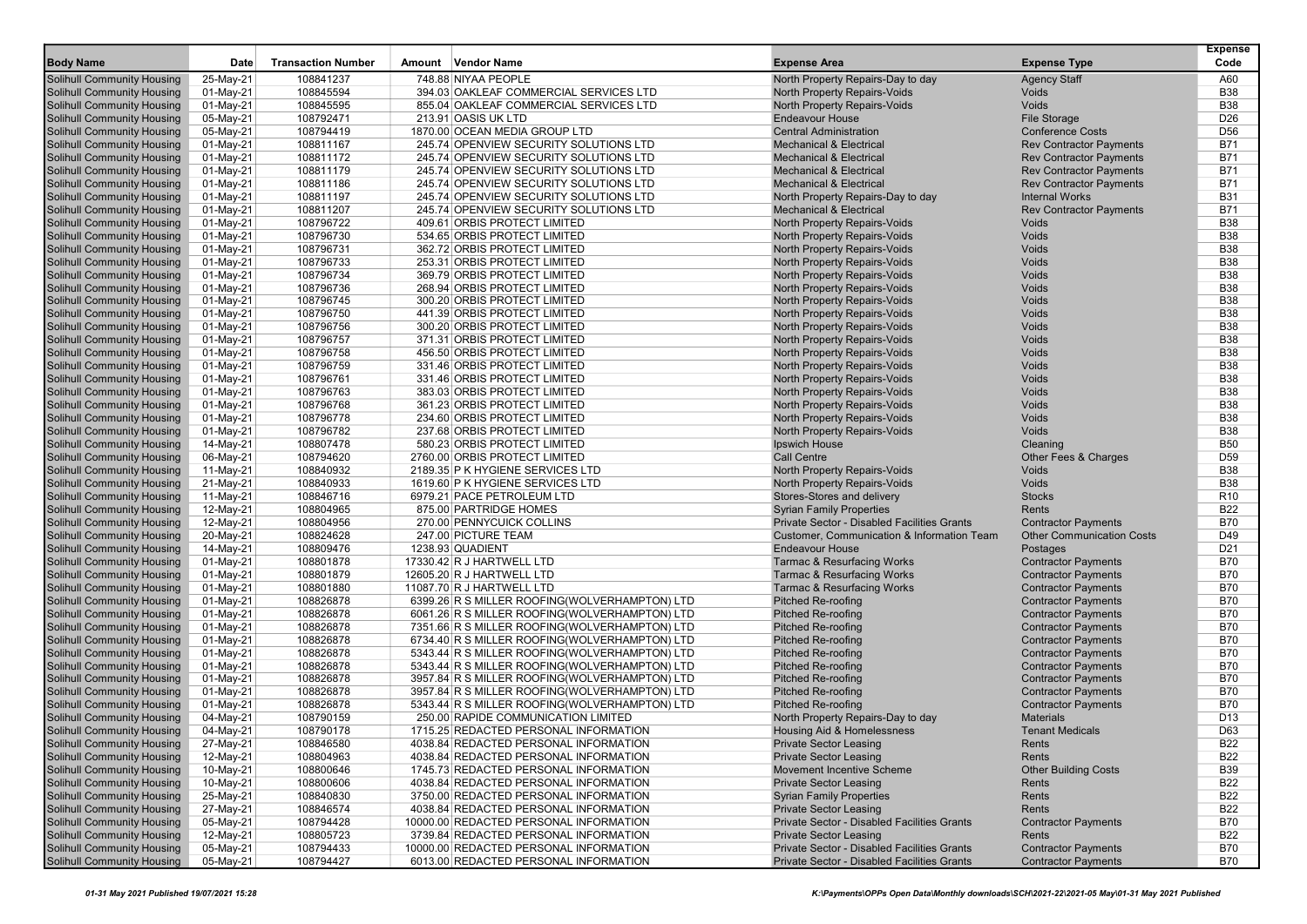|                                   |           |                           |                                               |                                             |                                  | <b>Expense</b>  |
|-----------------------------------|-----------|---------------------------|-----------------------------------------------|---------------------------------------------|----------------------------------|-----------------|
| <b>Body Name</b>                  | Date      | <b>Transaction Number</b> | Amount Vendor Name                            | <b>Expense Area</b>                         | <b>Expense Type</b>              | Code            |
| <b>Solihull Community Housing</b> | 25-May-21 | 108841237                 | 748.88 NIYAA PEOPLE                           | North Property Repairs-Day to day           | <b>Agency Staff</b>              | A60             |
| <b>Solihull Community Housing</b> | 01-May-21 | 108845594                 | 394.03 OAKLEAF COMMERCIAL SERVICES LTD        | North Property Repairs-Voids                | Voids                            | <b>B38</b>      |
| <b>Solihull Community Housing</b> | 01-May-21 | 108845595                 | 855.04 OAKLEAF COMMERCIAL SERVICES LTD        | North Property Repairs-Voids                | Voids                            | <b>B38</b>      |
| <b>Solihull Community Housing</b> | 05-May-21 | 108792471                 | 213.91 OASIS UK LTD                           | <b>Endeavour House</b>                      | <b>File Storage</b>              | D <sub>26</sub> |
| <b>Solihull Community Housing</b> | 05-May-21 | 108794419                 | 1870.00 OCEAN MEDIA GROUP LTD                 | <b>Central Administration</b>               | <b>Conference Costs</b>          | D <sub>56</sub> |
| <b>Solihull Community Housing</b> | 01-May-21 | 108811167                 | 245.74 OPENVIEW SECURITY SOLUTIONS LTD        | <b>Mechanical &amp; Electrical</b>          | <b>Rev Contractor Payments</b>   | <b>B71</b>      |
| <b>Solihull Community Housing</b> | 01-May-21 | 108811172                 | 245.74 OPENVIEW SECURITY SOLUTIONS LTD        | <b>Mechanical &amp; Electrical</b>          | <b>Rev Contractor Payments</b>   | <b>B71</b>      |
| <b>Solihull Community Housing</b> | 01-May-21 | 108811179                 | 245.74 OPENVIEW SECURITY SOLUTIONS LTD        | <b>Mechanical &amp; Electrical</b>          | <b>Rev Contractor Payments</b>   | <b>B71</b>      |
| <b>Solihull Community Housing</b> | 01-May-21 | 108811186                 | 245.74 OPENVIEW SECURITY SOLUTIONS LTD        | <b>Mechanical &amp; Electrical</b>          | <b>Rev Contractor Payments</b>   | <b>B71</b>      |
| <b>Solihull Community Housing</b> | 01-May-21 | 108811197                 | 245.74 OPENVIEW SECURITY SOLUTIONS LTD        | North Property Repairs-Day to day           | <b>Internal Works</b>            | <b>B31</b>      |
| <b>Solihull Community Housing</b> | 01-May-21 | 108811207                 | 245.74 OPENVIEW SECURITY SOLUTIONS LTD        | <b>Mechanical &amp; Electrical</b>          | <b>Rev Contractor Payments</b>   | <b>B71</b>      |
| <b>Solihull Community Housing</b> | 01-May-21 | 108796722                 | 409.61 ORBIS PROTECT LIMITED                  | North Property Repairs-Voids                | Voids                            | <b>B38</b>      |
| <b>Solihull Community Housing</b> | 01-May-21 | 108796730                 | 534.65 ORBIS PROTECT LIMITED                  | North Property Repairs-Voids                | Voids                            | <b>B38</b>      |
| <b>Solihull Community Housing</b> | 01-May-21 | 108796731                 | 362.72 ORBIS PROTECT LIMITED                  | North Property Repairs-Voids                | Voids                            | <b>B38</b>      |
| <b>Solihull Community Housing</b> | 01-May-21 | 108796733                 | 253.31 ORBIS PROTECT LIMITED                  | North Property Repairs-Voids                | Voids                            | <b>B38</b>      |
| <b>Solihull Community Housing</b> | 01-May-21 | 108796734                 | 369.79 ORBIS PROTECT LIMITED                  | North Property Repairs-Voids                | Voids                            | <b>B38</b>      |
| <b>Solihull Community Housing</b> | 01-May-21 | 108796736                 | 268.94 ORBIS PROTECT LIMITED                  | North Property Repairs-Voids                | Voids                            | <b>B38</b>      |
| <b>Solihull Community Housing</b> | 01-May-21 | 108796745                 | 300.20 ORBIS PROTECT LIMITED                  | North Property Repairs-Voids                | Voids                            | <b>B38</b>      |
| <b>Solihull Community Housing</b> | 01-May-21 | 108796750                 | 441.39 ORBIS PROTECT LIMITED                  | North Property Repairs-Voids                | Voids                            | <b>B38</b>      |
| <b>Solihull Community Housing</b> | 01-May-21 | 108796756                 | 300.20 ORBIS PROTECT LIMITED                  | North Property Repairs-Voids                | <b>Voids</b>                     | <b>B38</b>      |
| <b>Solihull Community Housing</b> | 01-May-21 | 108796757                 | 371.31 ORBIS PROTECT LIMITED                  | North Property Repairs-Voids                | Voids                            | <b>B38</b>      |
| <b>Solihull Community Housing</b> | 01-May-21 | 108796758                 | 456.50 ORBIS PROTECT LIMITED                  | North Property Repairs-Voids                | Voids                            | <b>B38</b>      |
| <b>Solihull Community Housing</b> | 01-May-21 | 108796759                 | 331.46 ORBIS PROTECT LIMITED                  | North Property Repairs-Voids                | Voids                            | <b>B38</b>      |
| <b>Solihull Community Housing</b> | 01-May-21 | 108796761                 | 331.46 ORBIS PROTECT LIMITED                  | <b>North Property Repairs-Voids</b>         | Voids                            | <b>B38</b>      |
| <b>Solihull Community Housing</b> | 01-May-21 | 108796763                 | 383.03 ORBIS PROTECT LIMITED                  | North Property Repairs-Voids                | <b>Voids</b>                     | <b>B38</b>      |
| <b>Solihull Community Housing</b> | 01-May-21 | 108796768                 | 361.23 ORBIS PROTECT LIMITED                  | <b>North Property Repairs-Voids</b>         | Voids                            | <b>B38</b>      |
| <b>Solihull Community Housing</b> | 01-May-21 | 108796778                 | 234.60 ORBIS PROTECT LIMITED                  | <b>North Property Repairs-Voids</b>         | <b>Voids</b>                     | <b>B38</b>      |
| <b>Solihull Community Housing</b> | 01-May-21 | 108796782                 | 237.68 ORBIS PROTECT LIMITED                  | North Property Repairs-Voids                | Voids                            | <b>B38</b>      |
| <b>Solihull Community Housing</b> | 14-May-21 | 108807478                 | 580.23 ORBIS PROTECT LIMITED                  | Ipswich House                               | Cleaning                         | <b>B50</b>      |
| <b>Solihull Community Housing</b> | 06-May-21 | 108794620                 | 2760.00 ORBIS PROTECT LIMITED                 | <b>Call Centre</b>                          | Other Fees & Charges             | D <sub>59</sub> |
| <b>Solihull Community Housing</b> | 11-May-21 | 108840932                 | 2189.35 P K HYGIENE SERVICES LTD              | North Property Repairs-Voids                | Voids                            | <b>B38</b>      |
| <b>Solihull Community Housing</b> | 21-May-21 | 108840933                 | 1619.60 P K HYGIENE SERVICES LTD              | North Property Repairs-Voids                | Voids                            | <b>B38</b>      |
| <b>Solihull Community Housing</b> | 11-May-21 | 108846716                 | 6979.21 PACE PETROLEUM LTD                    | Stores-Stores and delivery                  | <b>Stocks</b>                    | R <sub>10</sub> |
| <b>Solihull Community Housing</b> | 12-May-21 | 108804965                 | 875.00 PARTRIDGE HOMES                        | <b>Syrian Family Properties</b>             | Rents                            | <b>B22</b>      |
| <b>Solihull Community Housing</b> | 12-May-21 | 108804956                 | 270.00 PENNYCUICK COLLINS                     | Private Sector - Disabled Facilities Grants | <b>Contractor Payments</b>       | <b>B70</b>      |
| <b>Solihull Community Housing</b> | 20-May-21 | 108824628                 | 247.00 PICTURE TEAM                           | Customer, Communication & Information Team  | <b>Other Communication Costs</b> | D49             |
| <b>Solihull Community Housing</b> | 14-May-21 | 108809476                 | 1238.93 QUADIENT                              | <b>Endeavour House</b>                      | Postages                         | D <sub>21</sub> |
| <b>Solihull Community Housing</b> | 01-May-21 | 108801878                 | 17330.42 R J HARTWELL LTD                     | Tarmac & Resurfacing Works                  | <b>Contractor Payments</b>       | <b>B70</b>      |
| <b>Solihull Community Housing</b> | 01-May-21 | 108801879                 | 12605.20 R J HARTWELL LTD                     | <b>Tarmac &amp; Resurfacing Works</b>       | <b>Contractor Payments</b>       | <b>B70</b>      |
| <b>Solihull Community Housing</b> | 01-May-21 | 108801880                 | 11087.70 R J HARTWELL LTD                     | <b>Tarmac &amp; Resurfacing Works</b>       | <b>Contractor Payments</b>       | <b>B70</b>      |
| <b>Solihull Community Housing</b> | 01-May-21 | 108826878                 | 6399.26 R S MILLER ROOFING(WOLVERHAMPTON) LTD | <b>Pitched Re-roofing</b>                   | <b>Contractor Payments</b>       | <b>B70</b>      |
| <b>Solihull Community Housing</b> | 01-May-21 | 108826878                 | 6061.26 R S MILLER ROOFING(WOLVERHAMPTON) LTD | Pitched Re-roofing                          | <b>Contractor Payments</b>       | <b>B70</b>      |
| <b>Solihull Community Housing</b> | 01-May-21 | 108826878                 | 7351.66 R S MILLER ROOFING(WOLVERHAMPTON) LTD | <b>Pitched Re-roofing</b>                   | <b>Contractor Payments</b>       | <b>B70</b>      |
| <b>Solihull Community Housing</b> | 01-May-21 | 108826878                 | 6734.40 R S MILLER ROOFING(WOLVERHAMPTON) LTD | <b>Pitched Re-roofing</b>                   | <b>Contractor Payments</b>       | <b>B70</b>      |
| <b>Solihull Community Housing</b> | 01-May-21 | 108826878                 | 5343.44 R S MILLER ROOFING(WOLVERHAMPTON) LTD | Pitched Re-roofing                          | <b>Contractor Payments</b>       | <b>B70</b>      |
| <b>Solihull Community Housing</b> | 01-May-21 | 108826878                 | 5343.44 R S MILLER ROOFING(WOLVERHAMPTON) LTD | <b>Pitched Re-roofing</b>                   | <b>Contractor Payments</b>       | <b>B70</b>      |
| Solihull Community Housing        | 01-May-21 | 108826878                 | 3957.84 R S MILLER ROOFING(WOLVERHAMPTON) LTD | Pitched Re-roofing                          | <b>Contractor Payments</b>       | <b>B70</b>      |
| <b>Solihull Community Housing</b> | 01-May-21 | 108826878                 | 3957.84 R S MILLER ROOFING(WOLVERHAMPTON) LTD | <b>Pitched Re-roofing</b>                   | <b>Contractor Payments</b>       | <b>B70</b>      |
| <b>Solihull Community Housing</b> | 01-May-21 | 108826878                 | 5343.44 R S MILLER ROOFING(WOLVERHAMPTON) LTD | <b>Pitched Re-roofing</b>                   | <b>Contractor Payments</b>       | <b>B70</b>      |
| <b>Solihull Community Housing</b> | 04-May-21 | 108790159                 | 250.00 RAPIDE COMMUNICATION LIMITED           | North Property Repairs-Day to day           | <b>Materials</b>                 | D <sub>13</sub> |
| <b>Solihull Community Housing</b> | 04-May-21 | 108790178                 | 1715.25 REDACTED PERSONAL INFORMATION         | Housing Aid & Homelessness                  | <b>Tenant Medicals</b>           | D63             |
| <b>Solihull Community Housing</b> | 27-May-21 | 108846580                 | 4038.84 REDACTED PERSONAL INFORMATION         | <b>Private Sector Leasing</b>               | Rents                            | <b>B22</b>      |
| <b>Solihull Community Housing</b> | 12-May-21 | 108804963                 | 4038.84 REDACTED PERSONAL INFORMATION         | <b>Private Sector Leasing</b>               | Rents                            | <b>B22</b>      |
| <b>Solihull Community Housing</b> | 10-May-21 | 108800646                 | 1745.73 REDACTED PERSONAL INFORMATION         | Movement Incentive Scheme                   | <b>Other Building Costs</b>      | <b>B39</b>      |
| <b>Solihull Community Housing</b> | 10-May-21 | 108800606                 | 4038.84 REDACTED PERSONAL INFORMATION         | <b>Private Sector Leasing</b>               | Rents                            | <b>B22</b>      |
| <b>Solihull Community Housing</b> | 25-May-21 | 108840830                 | 3750.00 REDACTED PERSONAL INFORMATION         | <b>Syrian Family Properties</b>             | Rents                            | <b>B22</b>      |
| <b>Solihull Community Housing</b> | 27-May-21 | 108846574                 | 4038.84 REDACTED PERSONAL INFORMATION         | <b>Private Sector Leasing</b>               | Rents                            | <b>B22</b>      |
| <b>Solihull Community Housing</b> | 05-May-21 | 108794428                 | 10000.00 REDACTED PERSONAL INFORMATION        | Private Sector - Disabled Facilities Grants | <b>Contractor Payments</b>       | <b>B70</b>      |
| <b>Solihull Community Housing</b> | 12-May-21 | 108805723                 | 3739.84 REDACTED PERSONAL INFORMATION         | <b>Private Sector Leasing</b>               | Rents                            | <b>B22</b>      |
| <b>Solihull Community Housing</b> | 05-May-21 | 108794433                 | 10000.00 REDACTED PERSONAL INFORMATION        | Private Sector - Disabled Facilities Grants | <b>Contractor Payments</b>       | <b>B70</b>      |
| <b>Solihull Community Housing</b> | 05-May-21 | 108794427                 | 6013.00 REDACTED PERSONAL INFORMATION         | Private Sector - Disabled Facilities Grants | <b>Contractor Payments</b>       | B70             |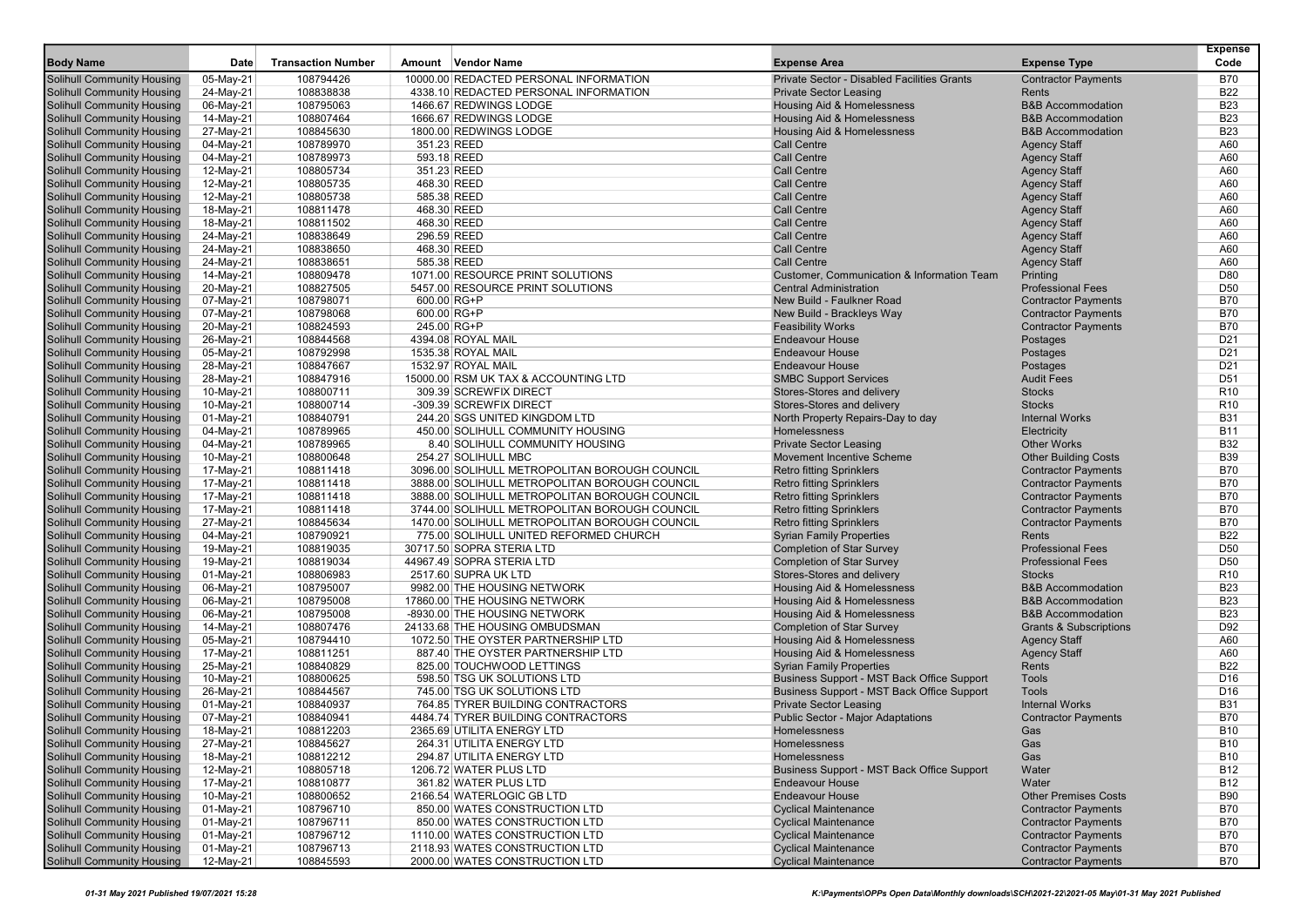| <b>Body Name</b>                                                       | Date                   | <b>Transaction Number</b> | Amount Vendor Name                                                 | <b>Expense Area</b>                                                  | <b>Expense Type</b>                    | <b>Expense</b><br>Code   |
|------------------------------------------------------------------------|------------------------|---------------------------|--------------------------------------------------------------------|----------------------------------------------------------------------|----------------------------------------|--------------------------|
| <b>Solihull Community Housing</b>                                      | 05-May-21              | 108794426                 | 10000.00 REDACTED PERSONAL INFORMATION                             | Private Sector - Disabled Facilities Grants                          | <b>Contractor Payments</b>             | <b>B70</b>               |
| <b>Solihull Community Housing</b>                                      | 24-May-21              | 108838838                 | 4338.10 REDACTED PERSONAL INFORMATION                              | <b>Private Sector Leasing</b>                                        | Rents                                  | <b>B22</b>               |
| <b>Solihull Community Housing</b>                                      | 06-May-21              | 108795063                 | 1466.67 REDWINGS LODGE                                             | <b>Housing Aid &amp; Homelessness</b>                                | <b>B&amp;B</b> Accommodation           | <b>B23</b>               |
| <b>Solihull Community Housing</b>                                      | 14-May-21              | 108807464                 | 1666.67 REDWINGS LODGE                                             | Housing Aid & Homelessness                                           | <b>B&amp;B Accommodation</b>           | <b>B23</b>               |
| <b>Solihull Community Housing</b>                                      | 27-May-21              | 108845630                 | 1800.00 REDWINGS LODGE                                             | Housing Aid & Homelessness                                           | <b>B&amp;B Accommodation</b>           | <b>B23</b>               |
| Solihull Community Housing                                             | 04-May-21              | 108789970                 | 351.23 REED                                                        | <b>Call Centre</b>                                                   | <b>Agency Staff</b>                    | A60                      |
| <b>Solihull Community Housing</b>                                      | 04-May-21              | 108789973                 | 593.18 REED                                                        | <b>Call Centre</b>                                                   | <b>Agency Staff</b>                    | A60                      |
| <b>Solihull Community Housing</b>                                      | 12-May-21              | 108805734                 | 351.23 REED                                                        | <b>Call Centre</b>                                                   | <b>Agency Staff</b>                    | A60                      |
| <b>Solihull Community Housing</b>                                      | 12-May-21              | 108805735                 | 468.30 REED                                                        | <b>Call Centre</b>                                                   | <b>Agency Staff</b>                    | A60                      |
| <b>Solihull Community Housing</b>                                      | 12-May-21              | 108805738                 | 585.38 REED                                                        | <b>Call Centre</b>                                                   | <b>Agency Staff</b>                    | A60                      |
| <b>Solihull Community Housing</b>                                      | 18-May-21              | 108811478                 | 468.30 REED                                                        | <b>Call Centre</b>                                                   | <b>Agency Staff</b>                    | A60                      |
| <b>Solihull Community Housing</b>                                      | 18-May-21              | 108811502                 | 468.30 REED                                                        | <b>Call Centre</b>                                                   | <b>Agency Staff</b>                    | A60                      |
| <b>Solihull Community Housing</b>                                      | 24-May-21              | 108838649                 | 296.59 REED                                                        | <b>Call Centre</b>                                                   | <b>Agency Staff</b>                    | A60                      |
| <b>Solihull Community Housing</b>                                      | 24-May-21              | 108838650                 | 468.30 REED                                                        | <b>Call Centre</b>                                                   | <b>Agency Staff</b>                    | A60                      |
| <b>Solihull Community Housing</b>                                      | 24-May-21              | 108838651                 | 585.38 REED                                                        | <b>Call Centre</b>                                                   | <b>Agency Staff</b>                    | A60                      |
| <b>Solihull Community Housing</b>                                      | 14-May-21              | 108809478                 | 1071.00 RESOURCE PRINT SOLUTIONS                                   | Customer, Communication & Information Team                           | Printing                               | D80                      |
| <b>Solihull Community Housing</b>                                      | 20-May-21              | 108827505                 | 5457.00 RESOURCE PRINT SOLUTIONS                                   | <b>Central Administration</b>                                        | <b>Professional Fees</b>               | D <sub>50</sub>          |
| <b>Solihull Community Housing</b>                                      | 07-May-21              | 108798071                 | 600.00 RG+P                                                        | New Build - Faulkner Road                                            | <b>Contractor Payments</b>             | <b>B70</b>               |
| <b>Solihull Community Housing</b>                                      | 07-May-21              | 108798068                 | 600.00 RG+P                                                        | New Build - Brackleys Way                                            | <b>Contractor Payments</b>             | <b>B70</b>               |
| <b>Solihull Community Housing</b>                                      | 20-May-21              | 108824593                 | 245.00 RG+P                                                        | <b>Feasibility Works</b>                                             | <b>Contractor Payments</b>             | <b>B70</b>               |
| <b>Solihull Community Housing</b>                                      | 26-May-21              | 108844568                 | 4394.08 ROYAL MAIL                                                 | <b>Endeavour House</b>                                               | Postages                               | D <sub>21</sub>          |
| <b>Solihull Community Housing</b>                                      | 05-May-21              | 108792998                 | 1535.38 ROYAL MAIL                                                 | <b>Endeavour House</b>                                               | Postages                               | D <sub>21</sub>          |
| <b>Solihull Community Housing</b>                                      | 28-May-21              | 108847667                 | 1532.97 ROYAL MAIL                                                 | <b>Endeavour House</b>                                               | Postages                               | D <sub>21</sub>          |
| <b>Solihull Community Housing</b>                                      | 28-May-21              | 108847916                 | 15000.00 RSM UK TAX & ACCOUNTING LTD                               | <b>SMBC Support Services</b>                                         | <b>Audit Fees</b>                      | D <sub>51</sub>          |
| <b>Solihull Community Housing</b>                                      | 10-May-21              | 108800711<br>108800714    | 309.39 SCREWFIX DIRECT                                             | Stores-Stores and delivery                                           | <b>Stocks</b>                          | R <sub>10</sub>          |
| Solihull Community Housing                                             | 10-May-21              |                           | -309.39 SCREWFIX DIRECT                                            | Stores-Stores and delivery                                           | <b>Stocks</b><br><b>Internal Works</b> | R <sub>10</sub>          |
| <b>Solihull Community Housing</b>                                      | 01-May-21              | 108840791<br>108789965    | 244.20 SGS UNITED KINGDOM LTD<br>450.00 SOLIHULL COMMUNITY HOUSING | North Property Repairs-Day to day<br>Homelessness                    |                                        | <b>B31</b><br><b>B11</b> |
| <b>Solihull Community Housing</b><br><b>Solihull Community Housing</b> | 04-May-21<br>04-May-21 | 108789965                 | 8.40 SOLIHULL COMMUNITY HOUSING                                    | <b>Private Sector Leasing</b>                                        | Electricity<br><b>Other Works</b>      | <b>B32</b>               |
| <b>Solihull Community Housing</b>                                      | 10-May-21              | 108800648                 | 254.27 SOLIHULL MBC                                                | <b>Movement Incentive Scheme</b>                                     | <b>Other Building Costs</b>            | <b>B39</b>               |
| <b>Solihull Community Housing</b>                                      | 17-May-21              | 108811418                 | 3096.00 SOLIHULL METROPOLITAN BOROUGH COUNCIL                      | <b>Retro fitting Sprinklers</b>                                      | <b>Contractor Payments</b>             | <b>B70</b>               |
| <b>Solihull Community Housing</b>                                      | 17-May-21              | 108811418                 | 3888.00 SOLIHULL METROPOLITAN BOROUGH COUNCIL                      | <b>Retro fitting Sprinklers</b>                                      | <b>Contractor Payments</b>             | <b>B70</b>               |
| <b>Solihull Community Housing</b>                                      | 17-May-21              | 108811418                 | 3888.00 SOLIHULL METROPOLITAN BOROUGH COUNCIL                      | <b>Retro fitting Sprinklers</b>                                      | <b>Contractor Payments</b>             | <b>B70</b>               |
| <b>Solihull Community Housing</b>                                      | 17-May-21              | 108811418                 | 3744.00 SOLIHULL METROPOLITAN BOROUGH COUNCIL                      | <b>Retro fitting Sprinklers</b>                                      | <b>Contractor Payments</b>             | <b>B70</b>               |
| <b>Solihull Community Housing</b>                                      | 27-May-21              | 108845634                 | 1470.00 SOLIHULL METROPOLITAN BOROUGH COUNCIL                      | <b>Retro fitting Sprinklers</b>                                      | <b>Contractor Payments</b>             | <b>B70</b>               |
| <b>Solihull Community Housing</b>                                      | 04-May-21              | 108790921                 | 775.00 SOLIHULL UNITED REFORMED CHURCH                             | <b>Syrian Family Properties</b>                                      | Rents                                  | <b>B22</b>               |
| <b>Solihull Community Housing</b>                                      | 19-May-21              | 108819035                 | 30717.50 SOPRA STERIA LTD                                          | <b>Completion of Star Survey</b>                                     | <b>Professional Fees</b>               | D <sub>50</sub>          |
| <b>Solihull Community Housing</b>                                      | 19-May-21              | 108819034                 | 44967.49 SOPRA STERIA LTD                                          | <b>Completion of Star Survey</b>                                     | <b>Professional Fees</b>               | D <sub>50</sub>          |
| <b>Solihull Community Housing</b>                                      | 01-May-21              | 108806983                 | 2517.60 SUPRA UK LTD                                               | Stores-Stores and delivery                                           | <b>Stocks</b>                          | R <sub>10</sub>          |
| <b>Solihull Community Housing</b>                                      | 06-May-21              | 108795007                 | 9982.00 THE HOUSING NETWORK                                        | Housing Aid & Homelessness                                           | <b>B&amp;B Accommodation</b>           | <b>B23</b>               |
| <b>Solihull Community Housing</b>                                      | 06-May-21              | 108795008                 | 17860.00 THE HOUSING NETWORK                                       | Housing Aid & Homelessness                                           | <b>B&amp;B Accommodation</b>           | <b>B23</b>               |
| <b>Solihull Community Housing</b>                                      | 06-May-21              | 108795008                 | -8930.00 THE HOUSING NETWORK                                       | Housing Aid & Homelessness                                           | <b>B&amp;B Accommodation</b>           | <b>B23</b>               |
| <b>Solihull Community Housing</b>                                      | 14-May-21              | 108807476                 | 24133.68 THE HOUSING OMBUDSMAN                                     | <b>Completion of Star Survey</b>                                     | <b>Grants &amp; Subscriptions</b>      | D92                      |
| <b>Solihull Community Housing</b>                                      | 05-May-21              | 108794410                 | 1072.50 THE OYSTER PARTNERSHIP LTD                                 | Housing Aid & Homelessness                                           | <b>Agency Staff</b>                    | A60                      |
| <b>Solihull Community Housing</b>                                      | 17-May-21              | 108811251                 | 887.40 THE OYSTER PARTNERSHIP LTD                                  | Housing Aid & Homelessness                                           | <b>Agency Staff</b>                    | A60                      |
| <b>Solihull Community Housing</b>                                      | 25-May-21              | 108840829                 | 825.00 TOUCHWOOD LETTINGS                                          | <b>Syrian Family Properties</b>                                      | Rents                                  | <b>B22</b>               |
| <b>Solihull Community Housing</b>                                      | 10-May-21              | 108800625                 | 598.50 TSG UK SOLUTIONS LTD                                        | Business Support - MST Back Office Support                           | Tools                                  | D <sub>16</sub>          |
| <b>Solihull Community Housing</b>                                      | 26-May-21              | 108844567                 | 745.00 TSG UK SOLUTIONS LTD                                        | Business Support - MST Back Office Support                           | <b>Tools</b>                           | D <sub>16</sub>          |
| <b>Solihull Community Housing</b>                                      | 01-May-21              | 108840937                 | 764.85 TYRER BUILDING CONTRACTORS                                  | <b>Private Sector Leasing</b>                                        | <b>Internal Works</b>                  | <b>B31</b>               |
| <b>Solihull Community Housing</b>                                      | 07-May-21              | 108840941                 | 4484.74 TYRER BUILDING CONTRACTORS                                 | <b>Public Sector - Major Adaptations</b>                             | <b>Contractor Payments</b>             | <b>B70</b>               |
| <b>Solihull Community Housing</b>                                      | 18-May-21              | 108812203                 | 2365.69 UTILITA ENERGY LTD                                         | Homelessness                                                         | Gas                                    | <b>B10</b>               |
| <b>Solihull Community Housing</b>                                      | 27-May-21              | 108845627                 | 264.31 UTILITA ENERGY LTD                                          | Homelessness                                                         | Gas                                    | <b>B10</b>               |
| <b>Solihull Community Housing</b>                                      | 18-May-21              | 108812212                 | 294.87 UTILITA ENERGY LTD                                          | Homelessness                                                         | Gas                                    | <b>B10</b>               |
| <b>Solihull Community Housing</b><br><b>Solihull Community Housing</b> | 12-May-21              | 108805718                 | 1206.72 WATER PLUS LTD                                             | Business Support - MST Back Office Support<br><b>Endeavour House</b> | Water<br>Water                         | <b>B12</b>               |
| <b>Solihull Community Housing</b>                                      | 17-May-21<br>10-May-21 | 108810877<br>108800652    | 361.82 WATER PLUS LTD<br>2166.54 WATERLOGIC GB LTD                 | <b>Endeavour House</b>                                               | <b>Other Premises Costs</b>            | <b>B12</b><br><b>B90</b> |
| <b>Solihull Community Housing</b>                                      | 01-May-21              | 108796710                 | 850.00 WATES CONSTRUCTION LTD                                      | <b>Cyclical Maintenance</b>                                          | <b>Contractor Payments</b>             | <b>B70</b>               |
| <b>Solihull Community Housing</b>                                      | 01-May-21              | 108796711                 | 850.00 WATES CONSTRUCTION LTD                                      | <b>Cyclical Maintenance</b>                                          | <b>Contractor Payments</b>             | <b>B70</b>               |
| <b>Solihull Community Housing</b>                                      | 01-May-21              | 108796712                 | 1110.00 WATES CONSTRUCTION LTD                                     | <b>Cyclical Maintenance</b>                                          | <b>Contractor Payments</b>             | <b>B70</b>               |
| <b>Solihull Community Housing</b>                                      | 01-May-21              | 108796713                 | 2118.93 WATES CONSTRUCTION LTD                                     | <b>Cyclical Maintenance</b>                                          | <b>Contractor Payments</b>             | <b>B70</b>               |
| <b>Solihull Community Housing</b>                                      | 12-May-21              | 108845593                 | 2000.00 WATES CONSTRUCTION LTD                                     | <b>Cyclical Maintenance</b>                                          | <b>Contractor Payments</b>             | <b>B70</b>               |